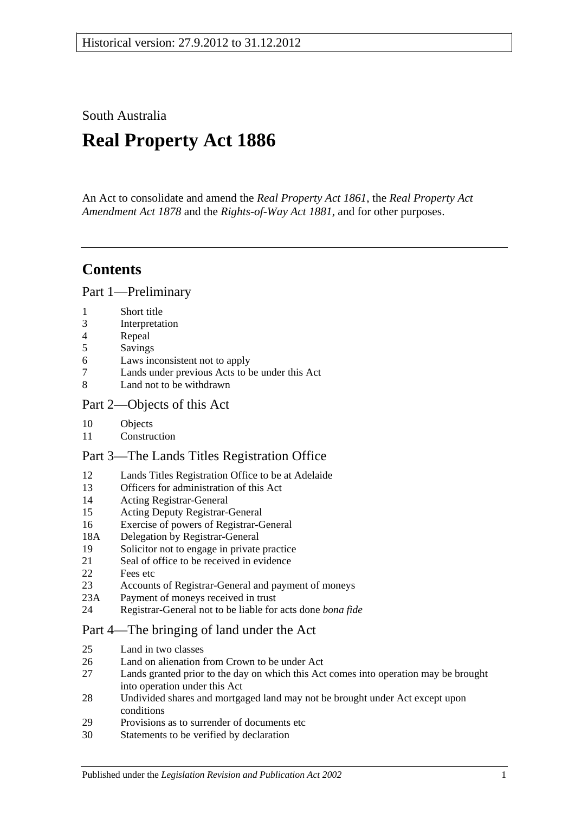South Australia

# **Real Property Act 1886**

An Act to consolidate and amend the *[Real Property Act](http://www.legislation.sa.gov.au/index.aspx?action=legref&type=act&legtitle=Real%20Property%20Act%201861) 1861*, the *[Real Property Act](http://www.legislation.sa.gov.au/index.aspx?action=legref&type=act&legtitle=Real%20Property%20Act%20Amendment%20Act%201878)  [Amendment Act](http://www.legislation.sa.gov.au/index.aspx?action=legref&type=act&legtitle=Real%20Property%20Act%20Amendment%20Act%201878) 1878* and the *[Rights-of-Way Act](http://www.legislation.sa.gov.au/index.aspx?action=legref&type=act&legtitle=Rights-of-Way%20Act%201881) 1881*, and for other purposes.

## **Contents**

[Part 1—Preliminary](#page-10-0)

- 1 [Short title](#page-10-1)
- 3 [Interpretation](#page-10-2)
- 4 [Repeal](#page-11-0)
- 5 [Savings](#page-12-0)
- 6 [Laws inconsistent not to apply](#page-12-1)
- 7 [Lands under previous Acts to be under this Act](#page-12-2)
- 8 [Land not to be withdrawn](#page-12-3)

## [Part 2—Objects of this Act](#page-14-0)

- 10 [Objects](#page-14-1)
- 11 [Construction](#page-14-2)

## [Part 3—The Lands Titles Registration Office](#page-16-0)

- 12 [Lands Titles Registration Office to be at Adelaide](#page-16-1)
- 13 [Officers for administration of this Act](#page-16-2)
- 14 [Acting Registrar-General](#page-16-3)
- 15 [Acting Deputy Registrar-General](#page-16-4)
- 16 [Exercise of powers of Registrar-General](#page-16-5)
- 18A [Delegation by Registrar-General](#page-17-0)
- 19 [Solicitor not to engage in private practice](#page-17-1)
- 21 [Seal of office to be received in evidence](#page-17-2)
- 22 [Fees etc](#page-17-3)
- 23 [Accounts of Registrar-General and payment of moneys](#page-17-4)
- 23A [Payment of moneys received in trust](#page-17-5)
- 24 [Registrar-General not to be liable for acts done](#page-18-0) *bona fide*

## [Part 4—The bringing of land under the Act](#page-20-0)

- 25 [Land in two classes](#page-20-1)
- 26 [Land on alienation from Crown to be under Act](#page-20-2)<br>27 Lands granted prior to the day on which this Act
- Lands granted prior to the day on which this Act comes into operation may be brought [into operation under this Act](#page-20-3)
- 28 [Undivided shares and mortgaged land may not be brought under Act except upon](#page-21-0)  [conditions](#page-21-0)
- 29 [Provisions as to surrender of documents etc](#page-21-1)
- 30 [Statements to be verified by declaration](#page-21-2)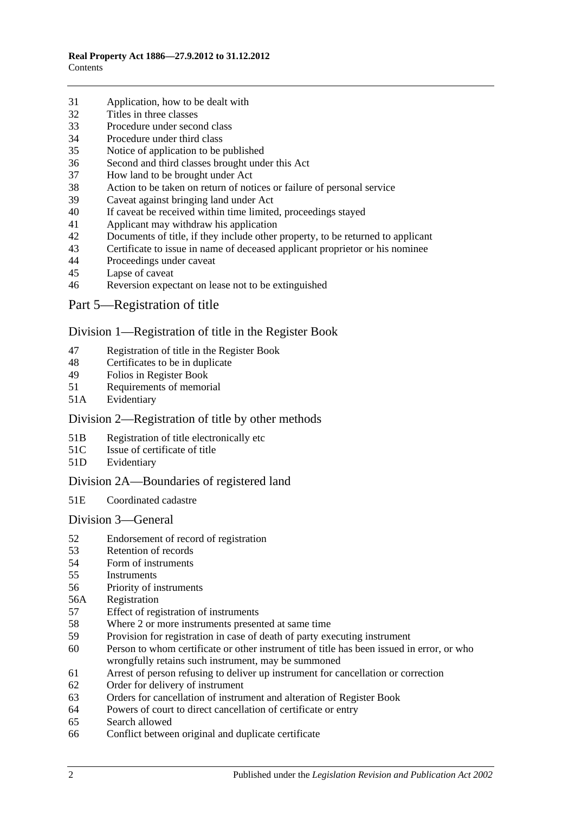- [Application, how to be dealt with](#page-21-3)
- [Titles in three classes](#page-22-0)
- [Procedure under second class](#page-22-1)
- [Procedure under third class](#page-23-0)
- [Notice of application to be published](#page-23-1)
- [Second and third classes brought under this Act](#page-23-2)
- [How land to be brought under Act](#page-23-3)
- [Action to be taken on return of notices or failure of personal service](#page-24-0)
- [Caveat against bringing land under Act](#page-24-1)
- [If caveat be received within time limited, proceedings stayed](#page-24-2)
- [Applicant may withdraw his application](#page-24-3)
- [Documents of title, if they include other property, to be returned to applicant](#page-24-4)<br>43 Certificate to issue in name of deceased applicant proprietor or his nominee
- [Certificate to issue in name of deceased applicant proprietor or his nominee](#page-25-0)
- [Proceedings under caveat](#page-25-1)
- [Lapse of caveat](#page-25-2)
- [Reversion expectant on lease not to be extinguished](#page-25-3)
- [Part 5—Registration of title](#page-26-0)

## [Division 1—Registration of title in the Register Book](#page-26-1)

- [Registration of title in the Register Book](#page-26-2)
- [Certificates to be in duplicate](#page-26-3)
- [Folios in Register Book](#page-26-4)
- [Requirements of memorial](#page-26-5)
- 51A [Evidentiary](#page-26-6)

## [Division 2—Registration of title by other methods](#page-26-7)

- 51B [Registration of title electronically etc](#page-26-8)
- 51C [Issue of certificate of title](#page-27-0)
- 51D [Evidentiary](#page-28-0)

## [Division 2A—Boundaries of registered land](#page-28-1)

51E [Coordinated cadastre](#page-28-2)

#### [Division 3—General](#page-28-3)

- [Endorsement of record of registration](#page-28-4)
- [Retention of records](#page-29-0)
- [Form of instruments](#page-29-1)<br>55 Instruments
- **[Instruments](#page-29-2)**
- [Priority of instruments](#page-29-3)
- 56A [Registration](#page-30-0)
- [Effect of registration of instruments](#page-30-1)
- [Where 2 or more instruments presented at same time](#page-30-2)
- [Provision for registration in case of death of party executing instrument](#page-30-3)
- [Person to whom certificate or other instrument of title has been issued in error,](#page-30-4) or who [wrongfully retains such instrument, may be summoned](#page-30-4)
- [Arrest of person refusing to deliver up instrument for cancellation or correction](#page-31-0)
- [Order for delivery of instrument](#page-31-1)
- [Orders for cancellation of instrument and alteration of Register Book](#page-31-2)
- [Powers of court to direct cancellation of certificate or entry](#page-31-3)
- [Search allowed](#page-31-4)
- [Conflict between original and duplicate certificate](#page-32-0)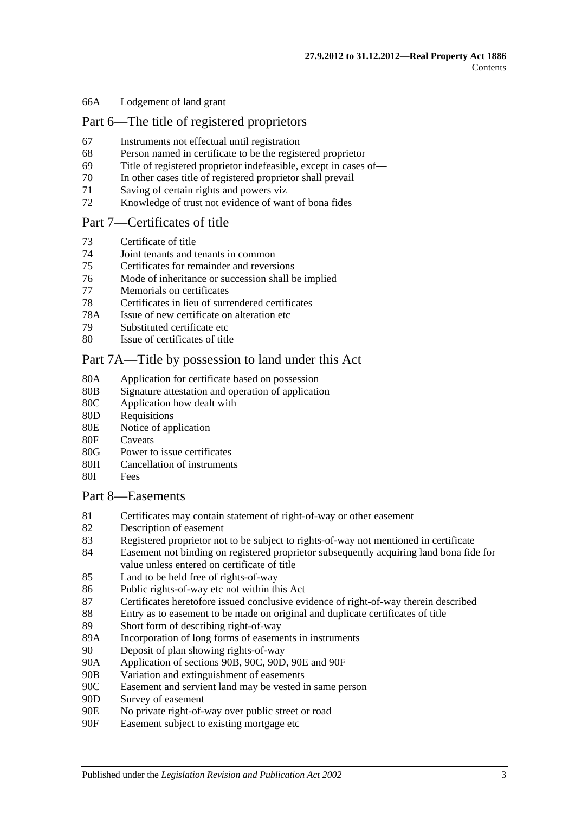#### 66A [Lodgement of land grant](#page-32-1)

## [Part 6—The title of registered proprietors](#page-34-0)

- 67 [Instruments not effectual until registration](#page-34-1)
- 68 [Person named in certificate to be the registered proprietor](#page-34-2)
- 69 [Title of registered proprietor indefeasible, except in cases of—](#page-34-3)
- 70 [In other cases title of registered proprietor shall prevail](#page-35-0)
- 71 [Saving of certain rights and powers viz](#page-36-0)
- 72 [Knowledge of trust not evidence of want of bona fides](#page-36-1)

## [Part 7—Certificates of title](#page-38-0)

- 73 [Certificate of title](#page-38-1)
- 74 [Joint tenants and tenants in common](#page-38-2)
- 75 [Certificates for remainder and reversions](#page-38-3)
- 76 [Mode of inheritance or succession shall be implied](#page-38-4)
- 77 [Memorials on certificates](#page-38-5)
- 78 [Certificates in lieu of surrendered certificates](#page-38-6)
- 78A [Issue of new certificate on alteration etc](#page-39-0)
- 79 [Substituted certificate etc](#page-39-1)
- 80 [Issue of certificates of title](#page-39-2)

## [Part 7A—Title by possession to land under this Act](#page-40-0)

- 80A [Application for certificate based on possession](#page-40-1)
- 80B [Signature attestation and operation of application](#page-40-2)
- 80C [Application how dealt with](#page-40-3)
- 80D [Requisitions](#page-40-4)
- 80E [Notice of application](#page-40-5)
- 80F [Caveats](#page-41-0)
- 80G [Power to issue certificates](#page-41-1)
- 80H [Cancellation of instruments](#page-42-0)
- 80I [Fees](#page-42-1)

#### [Part 8—Easements](#page-44-0)

- 81 [Certificates may contain statement of right-of-way or other easement](#page-44-1)
- 82 [Description of easement](#page-44-2)
- 83 [Registered proprietor not to be subject to rights-of-way not mentioned in certificate](#page-44-3)
- 84 [Easement not binding on registered proprietor subsequently acquiring land bona fide for](#page-44-4)  [value unless entered on certificate of title](#page-44-4)
- 85 [Land to be held free of rights-of-way](#page-44-5)
- 86 [Public rights-of-way etc not within this Act](#page-44-6)
- 87 [Certificates heretofore issued conclusive evidence of right-of-way therein described](#page-45-0)
- 88 [Entry as to easement to be made on original and duplicate certificates of title](#page-45-1)
- 89 [Short form of describing right-of-way](#page-45-2)
- 89A [Incorporation of long forms of easements in instruments](#page-45-3)
- 90 [Deposit of plan showing rights-of-way](#page-45-4)
- 90A [Application of sections](#page-45-5) 90B, [90C, 90D, 90E](#page-45-5) and [90F](#page-45-5)
- 90B [Variation and extinguishment of easements](#page-46-0)
- 90C [Easement and servient land may be vested in same person](#page-48-0)
- 90D [Survey of easement](#page-49-0)
- 90E [No private right-of-way over public street or road](#page-49-1)
- 90F [Easement subject to existing mortgage etc](#page-49-2)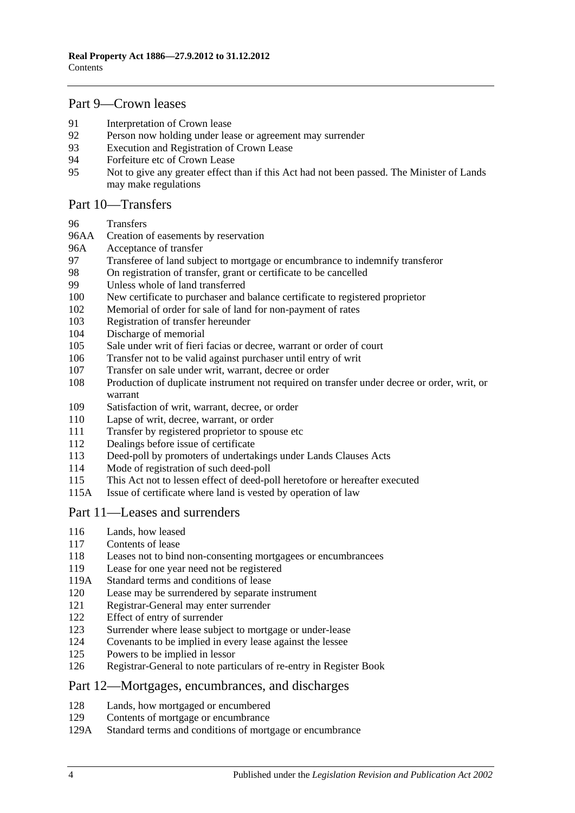## [Part 9—Crown leases](#page-50-0)

- [Interpretation of Crown lease](#page-50-1)<br>92 Person now holding under lea
- [Person now holding under lease or agreement may surrender](#page-50-2)
- [Execution and Registration of Crown Lease](#page-50-3)
- [Forfeiture etc of Crown Lease](#page-51-0)
- [Not to give any greater effect than if this Act had not been passed. The Minister of Lands](#page-51-1)  [may make regulations](#page-51-1)

## [Part 10—Transfers](#page-52-0)

- [Transfers](#page-52-1)
- 96AA [Creation of easements by reservation](#page-52-2)
- 96A [Acceptance of transfer](#page-52-3)
- [Transferee of land subject to mortgage or encumbrance to indemnify transferor](#page-52-4)<br>98 On registration of transfer, grant or certificate to be cancelled
- [On registration of transfer, grant or certificate to be cancelled](#page-53-0)
- [Unless whole of land transferred](#page-53-1)
- [New certificate to purchaser and balance certificate to registered proprietor](#page-53-2)
- [Memorial of order for sale of land for non-payment of rates](#page-53-3)
- [Registration of transfer hereunder](#page-53-4)
- [Discharge of memorial](#page-54-0)
- [Sale under writ of fieri facias or decree, warrant or order of court](#page-54-1)
- [Transfer not to be valid against purchaser until entry of writ](#page-54-2)
- [Transfer on sale under writ, warrant, decree or order](#page-54-3)
- [Production of duplicate instrument not required on transfer under decree or order, writ, or](#page-54-4)  [warrant](#page-54-4)
- [Satisfaction of writ, warrant, decree, or order](#page-55-0)
- [Lapse of writ, decree, warrant, or order](#page-55-1)
- [Transfer by registered proprietor to spouse etc](#page-55-2)
- [Dealings before issue of certificate](#page-55-3)
- [Deed-poll by promoters of undertakings under Lands Clauses Acts](#page-55-4)
- [Mode of registration of such deed-poll](#page-56-0)
- [This Act not to lessen effect of deed-poll heretofore or hereafter executed](#page-56-1)
- 115A [Issue of certificate where land is vested by operation of](#page-56-2) law

## [Part 11—Leases and surrenders](#page-58-0)

- [Lands, how leased](#page-58-1)
- [Contents of lease](#page-58-2)
- [Leases not to bind non-consenting mortgagees or encumbrancees](#page-58-3)
- [Lease for one year need not be registered](#page-58-4)
- 119A [Standard terms and conditions of lease](#page-58-5)
- [Lease may be surrendered by separate instrument](#page-59-0)
- [Registrar-General may enter surrender](#page-59-1)
- [Effect of entry of surrender](#page-59-2)<br>123 Surrender where lease subject
- [Surrender where lease subject to mortgage or under-lease](#page-59-3)
- [Covenants to be implied in every lease against the lessee](#page-59-4)
- [Powers to be implied in lessor](#page-59-5)
- [Registrar-General to note particulars of re-entry in Register Book](#page-60-0)

#### [Part 12—Mortgages, encumbrances, and discharges](#page-62-0)

- [Lands, how mortgaged or encumbered](#page-62-1)
- [Contents of mortgage or encumbrance](#page-62-2)
- 129A [Standard terms and conditions of mortgage or encumbrance](#page-62-3)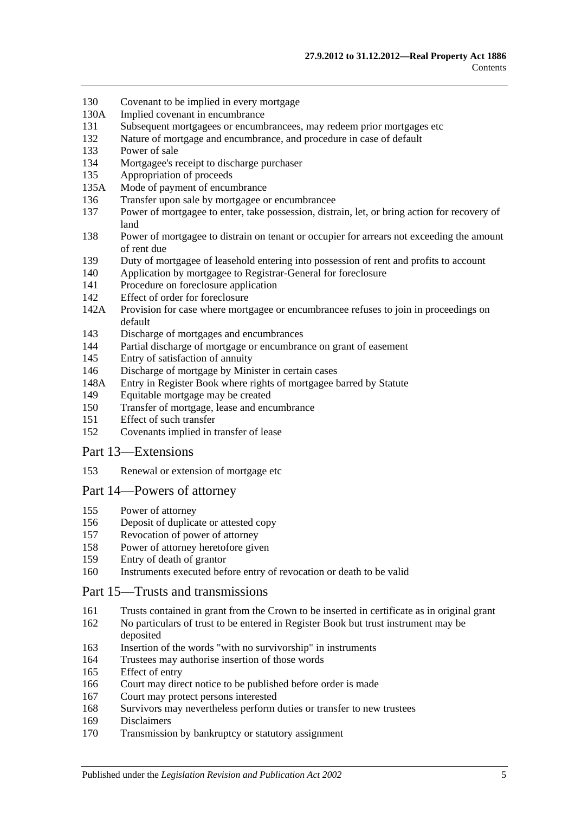- [Covenant to be implied in every mortgage](#page-63-0)
- 130A [Implied covenant in encumbrance](#page-63-1)
- [Subsequent mortgagees or encumbrancees, may redeem prior mortgages etc](#page-63-2)
- [Nature of mortgage and encumbrance, and procedure in case of default](#page-63-3)
- [Power of sale](#page-64-0)
- [Mortgagee's receipt to discharge purchaser](#page-64-1)
- [Appropriation of proceeds](#page-64-2)
- 135A [Mode of payment of encumbrance](#page-64-3)
- [Transfer upon sale by mortgagee or encumbrancee](#page-64-4)
- [Power of mortgagee to enter, take possession, distrain, let, or bring action for recovery of](#page-65-0)  [land](#page-65-0)
- [Power of mortgagee to distrain on tenant or occupier for arrears not exceeding the amount](#page-65-1)  [of rent due](#page-65-1)
- [Duty of mortgagee of leasehold entering into possession of rent and profits to account](#page-66-0)
- [Application by mortgagee to Registrar-General for foreclosure](#page-66-1)
- [Procedure on foreclosure application](#page-66-2)
- [Effect of order for foreclosure](#page-67-0)
- 142A [Provision for case where mortgagee or encumbrancee refuses to join in proceedings on](#page-67-1)  [default](#page-67-1)
- [Discharge of mortgages and encumbrances](#page-67-2)
- [Partial discharge of mortgage or encumbrance on grant of easement](#page-67-3)
- [Entry of satisfaction of annuity](#page-68-0)
- [Discharge of mortgage by Minister in certain cases](#page-68-1)
- 148A [Entry in Register Book where rights of mortgagee barred by Statute](#page-69-0)
- [Equitable mortgage may be created](#page-69-1)
- [Transfer of mortgage, lease and encumbrance](#page-69-2)
- [Effect of such transfer](#page-69-3)
- [Covenants implied in transfer of lease](#page-70-0)

#### [Part 13—Extensions](#page-72-0)

[Renewal or extension of mortgage etc](#page-72-1)

#### [Part 14—Powers of attorney](#page-74-0)

- [Power of attorney](#page-74-1)
- [Deposit of duplicate or attested copy](#page-74-2)
- [Revocation of power of attorney](#page-74-3)
- [Power of attorney heretofore given](#page-74-4)
- [Entry of death of grantor](#page-74-5)
- [Instruments executed before entry of revocation or death to be valid](#page-74-6)

#### [Part 15—Trusts and transmissions](#page-76-0)

- [Trusts contained in grant from the Crown to be inserted in certificate as in original grant](#page-76-1)
- [No particulars of trust to be entered in Register Book but trust instrument may be](#page-76-2)  [deposited](#page-76-2)
- [Insertion of the words "with no survivorship" in instruments](#page-76-3)
- [Trustees may authorise insertion of those words](#page-76-4)
- [Effect of entry](#page-77-0)
- [Court may direct notice to be published before order is made](#page-77-1)
- [Court may protect persons interested](#page-77-2)
- [Survivors may nevertheless perform duties or transfer to new trustees](#page-77-3)
- [Disclaimers](#page-77-4)
- [Transmission by bankruptcy or statutory assignment](#page-78-0)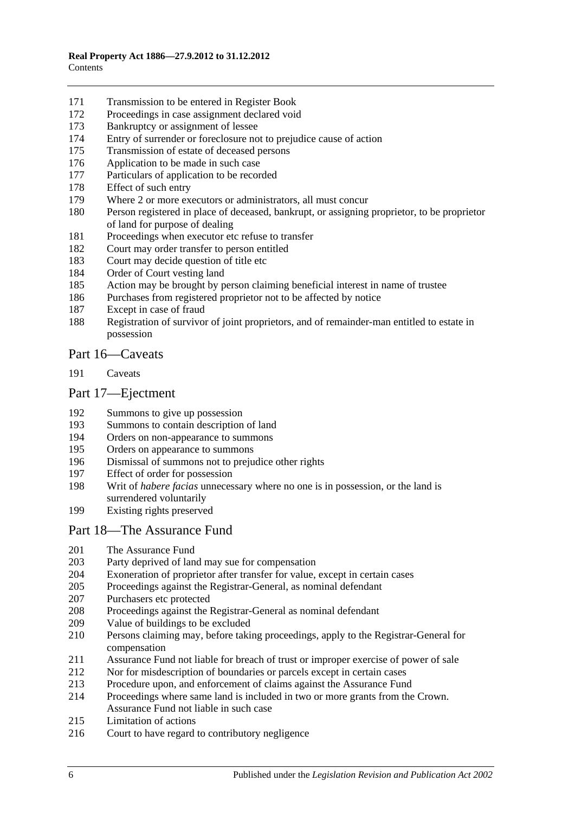- [Transmission to be entered in Register Book](#page-79-0)
- [Proceedings in case assignment declared void](#page-79-1)
- [Bankruptcy or assignment of lessee](#page-79-2)
- [Entry of surrender or foreclosure not to prejudice cause of action](#page-81-0)
- [Transmission of estate of deceased persons](#page-81-1)
- [Application to be made in such case](#page-81-2)
- [Particulars of application to be recorded](#page-81-3)
- [Effect of such entry](#page-81-4)<br>179 Where 2 or more ex
- [Where 2 or more executors or administrators, all must concur](#page-81-5)
- [Person registered in place of deceased, bankrupt, or assigning proprietor, to be proprietor](#page-81-6)  [of land for purpose of dealing](#page-81-6)
- [Proceedings when executor etc refuse to transfer](#page-82-0)
- [Court may order transfer to person entitled](#page-82-1)
- [Court may decide question of title etc](#page-82-2)
- [Order of Court vesting land](#page-82-3)
- [Action may be brought by person claiming beneficial interest in name of trustee](#page-82-4)
- [Purchases from registered proprietor not to be affected by notice](#page-82-5)
- [Except in case of fraud](#page-83-0)
- [Registration of survivor of joint proprietors, and of remainder-man entitled to estate in](#page-83-1)  [possession](#page-83-1)

## [Part 16—Caveats](#page-84-0)

[Caveats](#page-84-1)

## [Part 17—Ejectment](#page-88-0)

- [Summons to give up possession](#page-88-1)
- [Summons to contain description of land](#page-88-2)
- [Orders on non-appearance to summons](#page-88-3)
- [Orders on appearance to summons](#page-88-4)
- [Dismissal of summons not to prejudice other rights](#page-88-5)
- [Effect of order for possession](#page-88-6)
- Writ of *habere facias* [unnecessary where no one is in possession, or the land is](#page-89-0)  [surrendered voluntarily](#page-89-0)
- [Existing rights preserved](#page-89-1)

#### [Part 18—The Assurance Fund](#page-90-0)

- [The Assurance Fund](#page-90-1)
- [Party deprived of land may sue for compensation](#page-91-0)<br>204 Exoneration of proprietor after transfer for value,
- [Exoneration of proprietor after transfer for value, except in certain cases](#page-91-1)
- [Proceedings against the Registrar-General, as nominal defendant](#page-91-2)
- [Purchasers etc protected](#page-91-3)
- [Proceedings against the Registrar-General as nominal defendant](#page-92-0)
- [Value of buildings to be excluded](#page-92-1)
- [Persons claiming may, before taking proceedings, apply to the Registrar-General for](#page-92-2)  [compensation](#page-92-2)
- [Assurance Fund not liable for breach of trust or improper exercise of power of sale](#page-92-3)
- [Nor for misdescription of boundaries or parcels except in certain cases](#page-93-0)
- [Procedure upon, and enforcement of claims against the Assurance Fund](#page-93-1)
- [Proceedings where same land is included in two or more grants from the Crown.](#page-94-0)  [Assurance Fund not liable in such case](#page-94-0)
- [Limitation of actions](#page-94-1)
- [Court to have regard to contributory negligence](#page-95-0)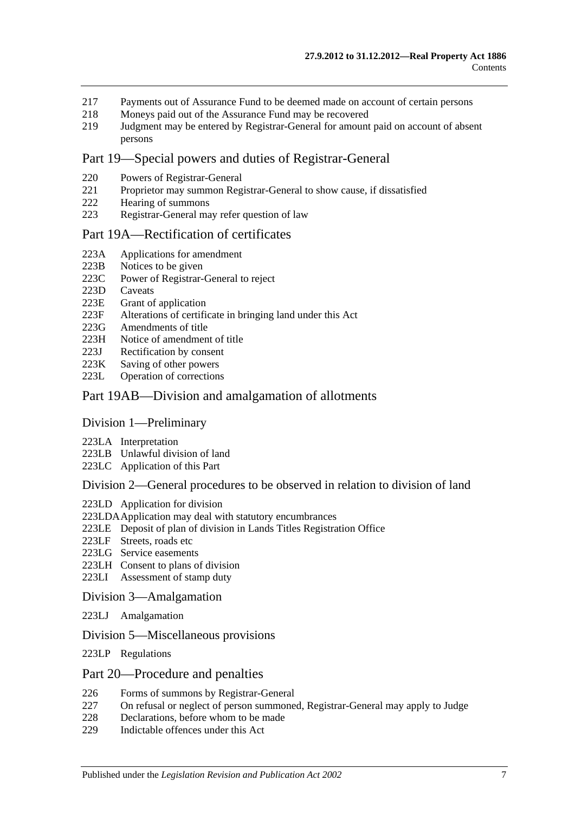- 217 [Payments out of Assurance Fund to be deemed made on account of certain persons](#page-95-1)
- 218 [Moneys paid out of the Assurance Fund may be recovered](#page-95-2)<br>219 Judgment may be entered by Registrar-General for amount
- 219 [Judgment may be entered by Registrar-General for amount paid on account of absent](#page-95-3)  [persons](#page-95-3)

#### [Part 19—Special powers and duties of Registrar-General](#page-96-0)

- 220 [Powers of Registrar-General](#page-96-1)
- 221 [Proprietor may summon Registrar-General to show cause, if dissatisfied](#page-98-0)
- 222 [Hearing of summons](#page-99-0)
- 223 [Registrar-General may refer question of law](#page-99-1)

#### [Part 19A—Rectification of certificates](#page-100-0)

- 223A [Applications for amendment](#page-100-1)
- 223B [Notices to be given](#page-100-2)<br>223C Power of Registrar-
- [Power of Registrar-General to reject](#page-100-3)
- 223D [Caveats](#page-100-4)<br>223E Grant of
- [Grant of application](#page-101-0)
- 223F [Alterations of certificate in bringing land under this Act](#page-101-1)
- 223G [Amendments of title](#page-101-2)
- 223H [Notice of amendment of title](#page-101-3)
- 223J [Rectification by consent](#page-102-0)
- 223K [Saving of other powers](#page-102-1)<br>223L Operation of correction
- [Operation of corrections](#page-102-2)

#### [Part 19AB—Division and amalgamation of allotments](#page-104-0)

#### [Division 1—Preliminary](#page-104-1)

- 223LA [Interpretation](#page-104-2)
- 223LB [Unlawful division of land](#page-107-0)
- 223LC [Application of this Part](#page-108-0)

#### [Division 2—General procedures to be observed in relation to division of land](#page-108-1)

- 223LD [Application for division](#page-108-2)
- [223LDAApplication may deal with statutory encumbrances](#page-110-0)
- 223LE [Deposit of plan of division in Lands Titles Registration Office](#page-110-1)
- 223LF [Streets, roads etc](#page-111-0)
- 223LG [Service easements](#page-112-0)
- 223LH [Consent to plans of division](#page-113-0)
- 223LI [Assessment of stamp duty](#page-114-0)

#### [Division 3—Amalgamation](#page-114-1)

- 223LJ [Amalgamation](#page-114-2)
- [Division 5—Miscellaneous provisions](#page-115-0)
- 223LP [Regulations](#page-115-1)

#### [Part 20—Procedure and penalties](#page-116-0)

- 226 [Forms of summons by Registrar-General](#page-116-1)
- 227 [On refusal or neglect of person summoned, Registrar-General may apply to Judge](#page-116-2)
- 228 [Declarations, before whom to be made](#page-116-3)
- 229 [Indictable offences under this Act](#page-116-4)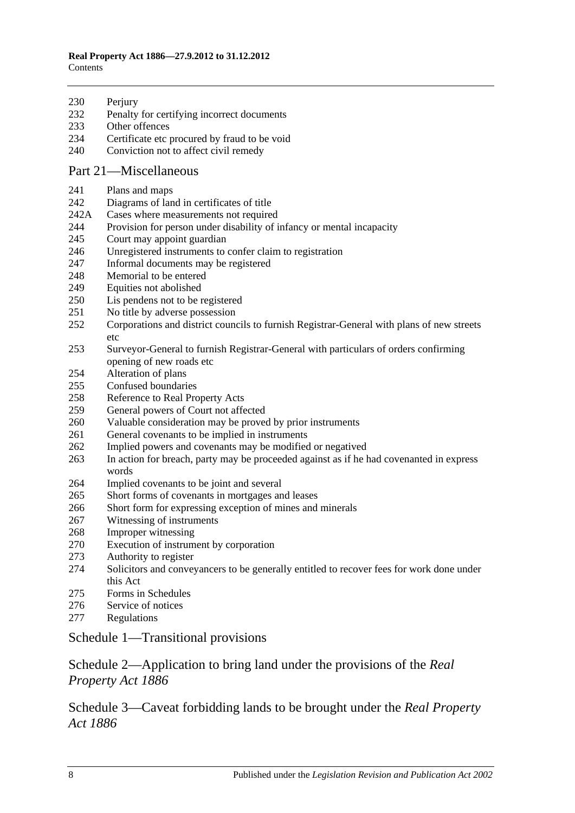| 230 | Perjury |
|-----|---------|
|-----|---------|

- [Penalty for certifying incorrect documents](#page-117-1)
- [Other offences](#page-117-2)
- [Certificate etc procured by fraud to be void](#page-118-0)
- [Conviction not to affect civil remedy](#page-118-1)

## [Part 21—Miscellaneous](#page-120-0)

- [Plans and maps](#page-120-1)
- [Diagrams of land in certificates of title](#page-120-2)
- 242A [Cases where measurements not required](#page-120-3)
- [Provision for person under disability of infancy or mental incapacity](#page-120-4)
- [Court may appoint guardian](#page-121-0)
- [Unregistered instruments to confer claim to registration](#page-121-1)
- [Informal documents may be registered](#page-121-2)
- [Memorial to be entered](#page-121-3)
- [Equities not abolished](#page-121-4)
- [Lis pendens not to be registered](#page-122-0)
- [No title by adverse possession](#page-122-1)
- [Corporations and district councils to furnish Registrar-General with plans of new streets](#page-122-2)  [etc](#page-122-2)
- [Surveyor-General to furnish Registrar-General with particulars of orders confirming](#page-122-3)  [opening of new roads etc](#page-122-3)
- [Alteration of plans](#page-122-4)
- [Confused boundaries](#page-123-0)
- [Reference to Real Property Acts](#page-123-1)
- [General powers of Court not affected](#page-123-2)
- [Valuable consideration may be proved by prior instruments](#page-123-3)
- [General covenants to be implied in instruments](#page-124-0)
- [Implied powers and covenants may be modified or negatived](#page-124-1)
- [In action for breach, party may be proceeded against as if he had covenanted in express](#page-124-2)  [words](#page-124-2)
- [Implied covenants to](#page-124-3) be joint and several
- [Short forms of covenants in mortgages and leases](#page-124-4)
- [Short form for expressing exception of mines and minerals](#page-124-5)
- [Witnessing of instruments](#page-125-0)
- [Improper witnessing](#page-125-1)
- [Execution of instrument by corporation](#page-125-2)
- [Authority to register](#page-125-3)
- [Solicitors and conveyancers to be generally entitled to recover fees for work done under](#page-126-0)  [this Act](#page-126-0)
- [Forms in Schedules](#page-126-1)
- [Service of notices](#page-126-2)
- [Regulations](#page-126-3)

## [Schedule 1—Transitional provisions](#page-128-0)

[Schedule 2—Application to bring land under the provisions of the](#page-131-0) *Real [Property Act](#page-131-0) 1886*

[Schedule 3—Caveat forbidding lands to be brought under the](#page-132-0) *Real Property Act [1886](#page-132-0)*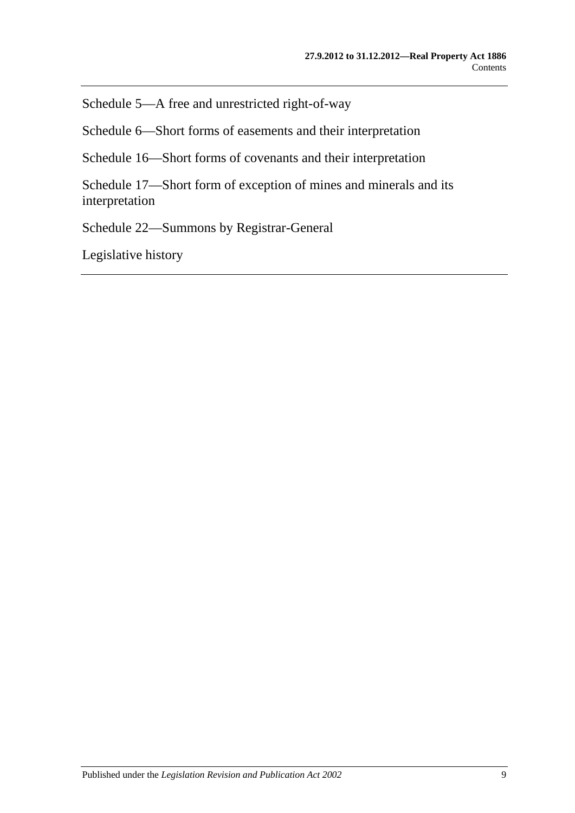[Schedule 5—A free and unrestricted right-of-way](#page-132-1)

[Schedule 6—Short forms of easements and their interpretation](#page-132-2)

[Schedule 16—Short forms of covenants and their interpretation](#page-135-0)

[Schedule 17—Short form of exception of mines and minerals and its](#page-137-0)  [interpretation](#page-137-0)

[Schedule 22—Summons by Registrar-General](#page-137-1)

[Legislative history](#page-138-0)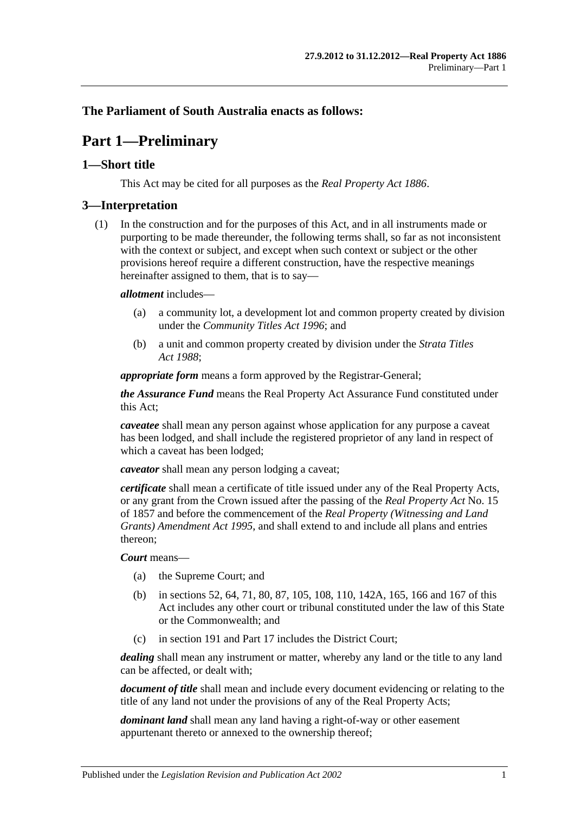## <span id="page-10-0"></span>**The Parliament of South Australia enacts as follows:**

## **Part 1—Preliminary**

## <span id="page-10-1"></span>**1—Short title**

This Act may be cited for all purposes as the *[Real Property Act](http://www.legislation.sa.gov.au/index.aspx?action=legref&type=act&legtitle=Real%20Property%20Act%201886) 1886*.

## <span id="page-10-2"></span>**3—Interpretation**

(1) In the construction and for the purposes of this Act, and in all instruments made or purporting to be made thereunder, the following terms shall, so far as not inconsistent with the context or subject, and except when such context or subject or the other provisions hereof require a different construction, have the respective meanings hereinafter assigned to them, that is to say—

#### *allotment* includes—

- (a) a community lot, a development lot and common property created by division under the *[Community Titles Act](http://www.legislation.sa.gov.au/index.aspx?action=legref&type=act&legtitle=Community%20Titles%20Act%201996) 1996*; and
- (b) a unit and common property created by division under the *[Strata Titles](http://www.legislation.sa.gov.au/index.aspx?action=legref&type=act&legtitle=Strata%20Titles%20Act%201988)  Act [1988](http://www.legislation.sa.gov.au/index.aspx?action=legref&type=act&legtitle=Strata%20Titles%20Act%201988)*;

*appropriate form* means a form approved by the Registrar-General;

*the Assurance Fund* means the Real Property Act Assurance Fund constituted under this Act;

*caveatee* shall mean any person against whose application for any purpose a caveat has been lodged, and shall include the registered proprietor of any land in respect of which a caveat has been lodged;

*caveator* shall mean any person lodging a caveat;

*certificate* shall mean a certificate of title issued under any of the Real Property Acts, or any grant from the Crown issued after the passing of the *[Real Property Act](http://www.legislation.sa.gov.au/index.aspx?action=legref&type=act&legtitle=Real%20Property%20Act)* No. 15 of 1857 and before the commencement of the *[Real Property \(Witnessing and Land](http://www.legislation.sa.gov.au/index.aspx?action=legref&type=act&legtitle=Real%20Property%20(Witnessing%20and%20Land%20Grants)%20Amendment%20Act%201995)  [Grants\) Amendment Act](http://www.legislation.sa.gov.au/index.aspx?action=legref&type=act&legtitle=Real%20Property%20(Witnessing%20and%20Land%20Grants)%20Amendment%20Act%201995) 1995*, and shall extend to and include all plans and entries thereon;

#### *Court* means—

- (a) the Supreme Court; and
- (b) in [sections](#page-28-4) 52, [64,](#page-31-3) [71,](#page-36-0) [80,](#page-39-2) [87,](#page-45-0) [105,](#page-54-1) [108,](#page-54-4) [110,](#page-55-1) [142A,](#page-67-1) [165,](#page-77-0) [166](#page-77-1) and [167](#page-77-2) of this Act includes any other court or tribunal constituted under the law of this State or the Commonwealth; and
- (c) in [section](#page-84-1) 191 and [Part 17](#page-88-0) includes the District Court;

*dealing* shall mean any instrument or matter, whereby any land or the title to any land can be affected, or dealt with;

*document of title* shall mean and include every document evidencing or relating to the title of any land not under the provisions of any of the Real Property Acts;

*dominant land* shall mean any land having a right-of-way or other easement appurtenant thereto or annexed to the ownership thereof;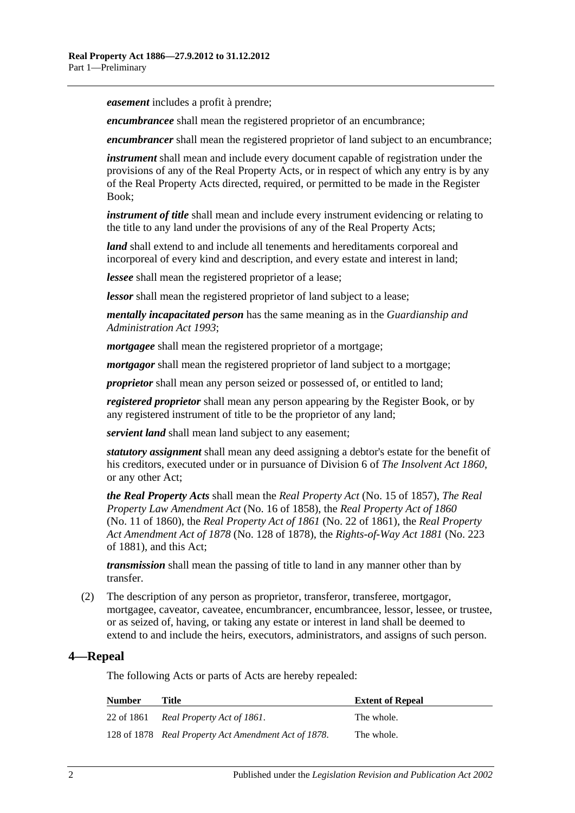*easement* includes a profit à prendre;

*encumbrancee* shall mean the registered proprietor of an encumbrance;

*encumbrancer* shall mean the registered proprietor of land subject to an encumbrance;

*instrument* shall mean and include every document capable of registration under the provisions of any of the Real Property Acts, or in respect of which any entry is by any of the Real Property Acts directed, required, or permitted to be made in the Register Book;

*instrument of title* shall mean and include every instrument evidencing or relating to the title to any land under the provisions of any of the Real Property Acts;

*land* shall extend to and include all tenements and hereditaments corporeal and incorporeal of every kind and description, and every estate and interest in land;

*lessee* shall mean the registered proprietor of a lease;

*lessor* shall mean the registered proprietor of land subject to a lease;

*mentally incapacitated person* has the same meaning as in the *[Guardianship and](http://www.legislation.sa.gov.au/index.aspx?action=legref&type=act&legtitle=Guardianship%20and%20Administration%20Act%201993)  [Administration Act](http://www.legislation.sa.gov.au/index.aspx?action=legref&type=act&legtitle=Guardianship%20and%20Administration%20Act%201993) 1993*;

*mortgagee* shall mean the registered proprietor of a mortgage;

*mortgagor* shall mean the registered proprietor of land subject to a mortgage;

*proprietor* shall mean any person seized or possessed of, or entitled to land;

*registered proprietor* shall mean any person appearing by the Register Book, or by any registered instrument of title to be the proprietor of any land;

*servient land* shall mean land subject to any easement;

*statutory assignment* shall mean any deed assigning a debtor's estate for the benefit of his creditors, executed under or in pursuance of Division 6 of *[The Insolvent Act](http://www.legislation.sa.gov.au/index.aspx?action=legref&type=act&legtitle=The%20Insolvent%20Act%201860) 1860*, or any other Act;

*the Real Property Acts* shall mean the *[Real Property Act](http://www.legislation.sa.gov.au/index.aspx?action=legref&type=act&legtitle=Real%20Property%20Act)* (No. 15 of 1857), *[The Real](http://www.legislation.sa.gov.au/index.aspx?action=legref&type=act&legtitle=The%20Real%20Property%20Law%20Amendment%20Act)  [Property Law Amendment Act](http://www.legislation.sa.gov.au/index.aspx?action=legref&type=act&legtitle=The%20Real%20Property%20Law%20Amendment%20Act)* (No. 16 of 1858), the *[Real Property Act of](http://www.legislation.sa.gov.au/index.aspx?action=legref&type=act&legtitle=Real%20Property%20Act%20of%201860) 1860* (No. 11 of 1860), the *[Real Property Act of](http://www.legislation.sa.gov.au/index.aspx?action=legref&type=act&legtitle=Real%20Property%20Act%20of%201861) 1861* (No. 22 of 1861), the *[Real Property](http://www.legislation.sa.gov.au/index.aspx?action=legref&type=act&legtitle=Real%20Property%20Act%20Amendment%20Act%20of%201878)  [Act Amendment Act of](http://www.legislation.sa.gov.au/index.aspx?action=legref&type=act&legtitle=Real%20Property%20Act%20Amendment%20Act%20of%201878) 1878* (No. 128 of 1878), the *[Rights-of-Way Act](http://www.legislation.sa.gov.au/index.aspx?action=legref&type=act&legtitle=Rights-of-Way%20Act%201881) 1881* (No. 223 of 1881), and this Act;

*transmission* shall mean the passing of title to land in any manner other than by transfer.

(2) The description of any person as proprietor, transferor, transferee, mortgagor, mortgagee, caveator, caveatee, encumbrancer, encumbrancee, lessor, lessee, or trustee, or as seized of, having, or taking any estate or interest in land shall be deemed to extend to and include the heirs, executors, administrators, and assigns of such person.

## <span id="page-11-0"></span>**4—Repeal**

The following Acts or parts of Acts are hereby repealed:

| <b>Number</b> | Title                                                | <b>Extent of Repeal</b> |
|---------------|------------------------------------------------------|-------------------------|
|               | 22 of 1861 Real Property Act of 1861.                | The whole.              |
|               | 128 of 1878 Real Property Act Amendment Act of 1878. | The whole.              |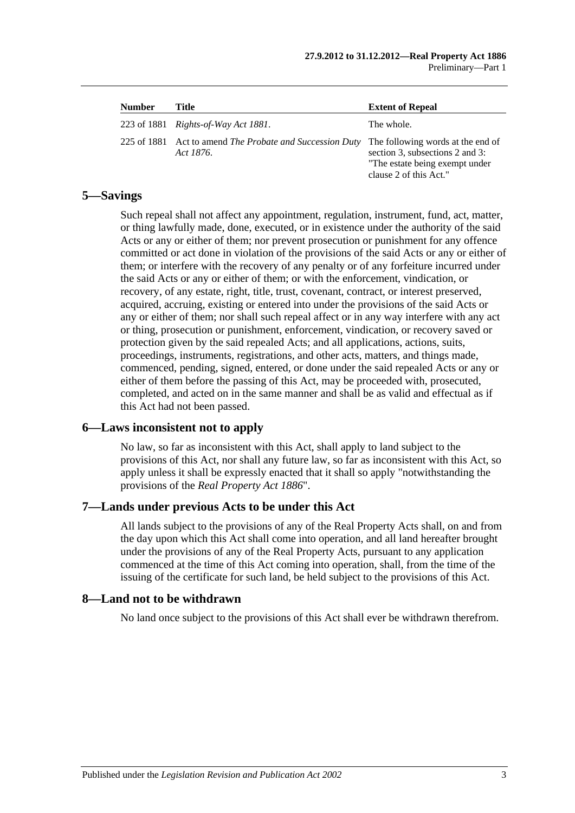| <b>Number</b> | Title                                                                 | <b>Extent of Repeal</b>                                                                                                          |
|---------------|-----------------------------------------------------------------------|----------------------------------------------------------------------------------------------------------------------------------|
|               | 223 of 1881 <i>Rights-of-Way Act 1881</i> .                           | The whole.                                                                                                                       |
|               | 225 of 1881 Act to amend The Probate and Succession Duty<br>Act 1876. | The following words at the end of<br>section 3, subsections 2 and 3:<br>"The estate being exempt under<br>clause 2 of this Act." |

## <span id="page-12-0"></span>**5—Savings**

Such repeal shall not affect any appointment, regulation, instrument, fund, act, matter, or thing lawfully made, done, executed, or in existence under the authority of the said Acts or any or either of them; nor prevent prosecution or punishment for any offence committed or act done in violation of the provisions of the said Acts or any or either of them; or interfere with the recovery of any penalty or of any forfeiture incurred under the said Acts or any or either of them; or with the enforcement, vindication, or recovery, of any estate, right, title, trust, covenant, contract, or interest preserved, acquired, accruing, existing or entered into under the provisions of the said Acts or any or either of them; nor shall such repeal affect or in any way interfere with any act or thing, prosecution or punishment, enforcement, vindication, or recovery saved or protection given by the said repealed Acts; and all applications, actions, suits, proceedings, instruments, registrations, and other acts, matters, and things made, commenced, pending, signed, entered, or done under the said repealed Acts or any or either of them before the passing of this Act, may be proceeded with, prosecuted, completed, and acted on in the same manner and shall be as valid and effectual as if this Act had not been passed.

## <span id="page-12-1"></span>**6—Laws inconsistent not to apply**

No law, so far as inconsistent with this Act, shall apply to land subject to the provisions of this Act, nor shall any future law, so far as inconsistent with this Act, so apply unless it shall be expressly enacted that it shall so apply "notwithstanding the provisions of the *[Real Property Act](http://www.legislation.sa.gov.au/index.aspx?action=legref&type=act&legtitle=Real%20Property%20Act%201886) 1886*".

## <span id="page-12-2"></span>**7—Lands under previous Acts to be under this Act**

All lands subject to the provisions of any of the Real Property Acts shall, on and from the day upon which this Act shall come into operation, and all land hereafter brought under the provisions of any of the Real Property Acts, pursuant to any application commenced at the time of this Act coming into operation, shall, from the time of the issuing of the certificate for such land, be held subject to the provisions of this Act.

#### <span id="page-12-3"></span>**8—Land not to be withdrawn**

No land once subject to the provisions of this Act shall ever be withdrawn therefrom.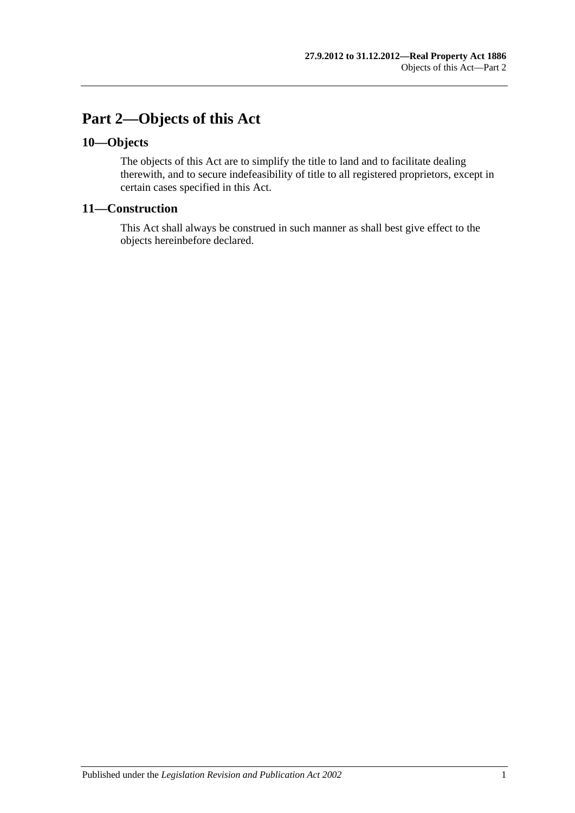## <span id="page-14-0"></span>**Part 2—Objects of this Act**

## <span id="page-14-1"></span>**10—Objects**

The objects of this Act are to simplify the title to land and to facilitate dealing therewith, and to secure indefeasibility of title to all registered proprietors, except in certain cases specified in this Act.

## <span id="page-14-2"></span>**11—Construction**

This Act shall always be construed in such manner as shall best give effect to the objects hereinbefore declared.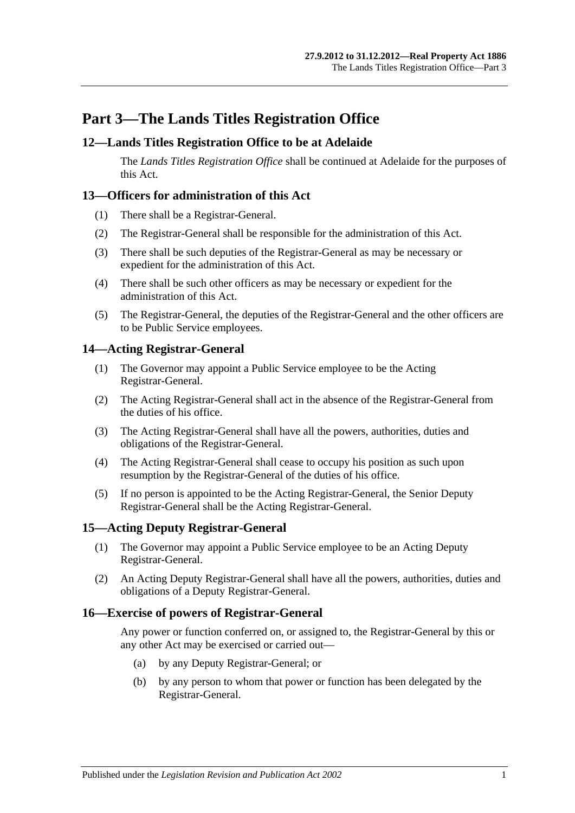## <span id="page-16-0"></span>**Part 3—The Lands Titles Registration Office**

## <span id="page-16-1"></span>**12—Lands Titles Registration Office to be at Adelaide**

The *Lands Titles Registration Office* shall be continued at Adelaide for the purposes of this Act.

## <span id="page-16-2"></span>**13—Officers for administration of this Act**

- (1) There shall be a Registrar-General.
- (2) The Registrar-General shall be responsible for the administration of this Act.
- (3) There shall be such deputies of the Registrar-General as may be necessary or expedient for the administration of this Act.
- (4) There shall be such other officers as may be necessary or expedient for the administration of this Act.
- (5) The Registrar-General, the deputies of the Registrar-General and the other officers are to be Public Service employees.

## <span id="page-16-3"></span>**14—Acting Registrar-General**

- (1) The Governor may appoint a Public Service employee to be the Acting Registrar-General.
- (2) The Acting Registrar-General shall act in the absence of the Registrar-General from the duties of his office.
- (3) The Acting Registrar-General shall have all the powers, authorities, duties and obligations of the Registrar-General.
- (4) The Acting Registrar-General shall cease to occupy his position as such upon resumption by the Registrar-General of the duties of his office.
- (5) If no person is appointed to be the Acting Registrar-General, the Senior Deputy Registrar-General shall be the Acting Registrar-General.

## <span id="page-16-4"></span>**15—Acting Deputy Registrar-General**

- (1) The Governor may appoint a Public Service employee to be an Acting Deputy Registrar-General.
- (2) An Acting Deputy Registrar-General shall have all the powers, authorities, duties and obligations of a Deputy Registrar-General.

## <span id="page-16-5"></span>**16—Exercise of powers of Registrar-General**

Any power or function conferred on, or assigned to, the Registrar-General by this or any other Act may be exercised or carried out—

- (a) by any Deputy Registrar-General; or
- (b) by any person to whom that power or function has been delegated by the Registrar-General.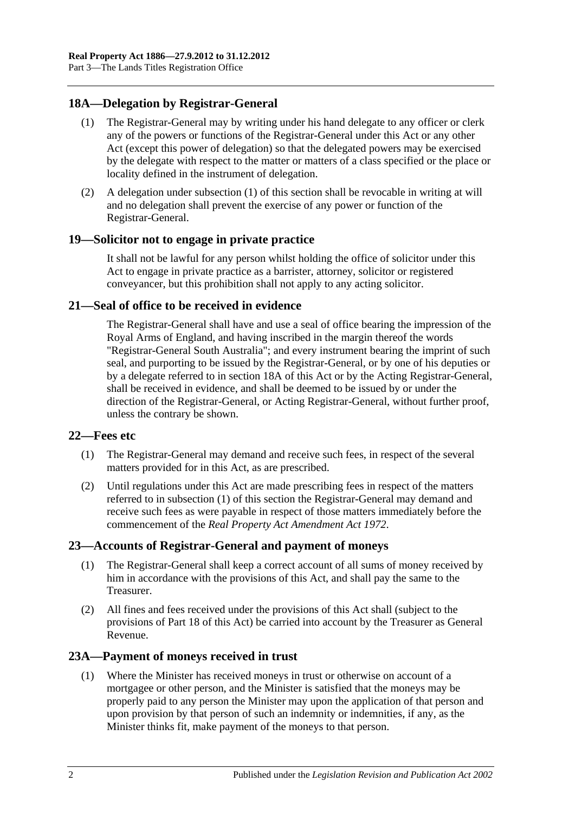## <span id="page-17-6"></span><span id="page-17-0"></span>**18A—Delegation by Registrar-General**

- (1) The Registrar-General may by writing under his hand delegate to any officer or clerk any of the powers or functions of the Registrar-General under this Act or any other Act (except this power of delegation) so that the delegated powers may be exercised by the delegate with respect to the matter or matters of a class specified or the place or locality defined in the instrument of delegation.
- (2) A delegation under [subsection](#page-17-6) (1) of this section shall be revocable in writing at will and no delegation shall prevent the exercise of any power or function of the Registrar-General.

## <span id="page-17-1"></span>**19—Solicitor not to engage in private practice**

It shall not be lawful for any person whilst holding the office of solicitor under this Act to engage in private practice as a barrister, attorney, solicitor or registered conveyancer, but this prohibition shall not apply to any acting solicitor.

## <span id="page-17-2"></span>**21—Seal of office to be received in evidence**

The Registrar-General shall have and use a seal of office bearing the impression of the Royal Arms of England, and having inscribed in the margin thereof the words "Registrar-General South Australia"; and every instrument bearing the imprint of such seal, and purporting to be issued by the Registrar-General, or by one of his deputies or by a delegate referred to in [section](#page-17-0) 18A of this Act or by the Acting Registrar-General, shall be received in evidence, and shall be deemed to be issued by or under the direction of the Registrar-General, or Acting Registrar-General, without further proof, unless the contrary be shown.

#### <span id="page-17-7"></span><span id="page-17-3"></span>**22—Fees etc**

- (1) The Registrar-General may demand and receive such fees, in respect of the several matters provided for in this Act, as are prescribed.
- (2) Until regulations under this Act are made prescribing fees in respect of the matters referred to in [subsection](#page-17-7) (1) of this section the Registrar-General may demand and receive such fees as were payable in respect of those matters immediately before the commencement of the *[Real Property Act Amendment Act](http://www.legislation.sa.gov.au/index.aspx?action=legref&type=act&legtitle=Real%20Property%20Act%20Amendment%20Act%201972) 1972*.

## <span id="page-17-4"></span>**23—Accounts of Registrar-General and payment of moneys**

- (1) The Registrar-General shall keep a correct account of all sums of money received by him in accordance with the provisions of this Act, and shall pay the same to the Treasurer.
- (2) All fines and fees received under the provisions of this Act shall (subject to the provisions of [Part 18](#page-90-0) of this Act) be carried into account by the Treasurer as General Revenue.

## <span id="page-17-8"></span><span id="page-17-5"></span>**23A—Payment of moneys received in trust**

(1) Where the Minister has received moneys in trust or otherwise on account of a mortgagee or other person, and the Minister is satisfied that the moneys may be properly paid to any person the Minister may upon the application of that person and upon provision by that person of such an indemnity or indemnities, if any, as the Minister thinks fit, make payment of the moneys to that person.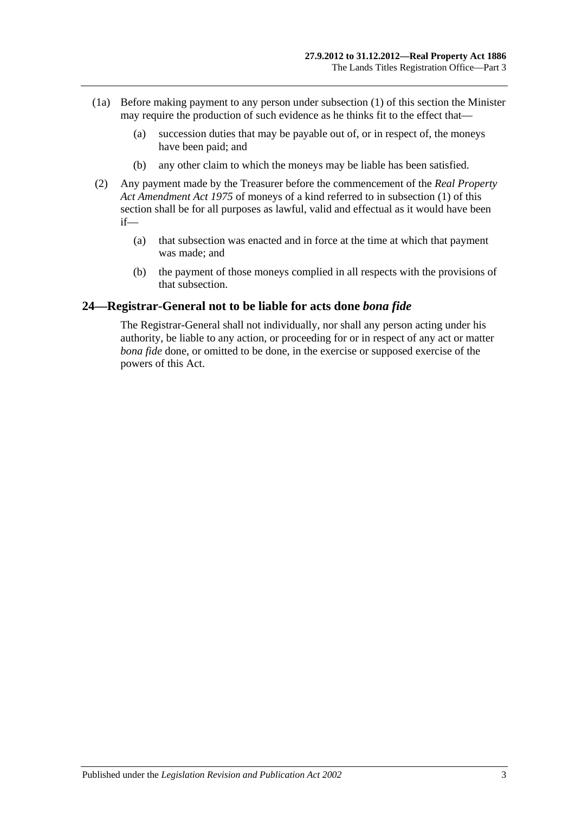- (1a) Before making payment to any person under [subsection](#page-17-8) (1) of this section the Minister may require the production of such evidence as he thinks fit to the effect that—
	- (a) succession duties that may be payable out of, or in respect of, the moneys have been paid; and
	- (b) any other claim to which the moneys may be liable has been satisfied.
- (2) Any payment made by the Treasurer before the commencement of the *[Real Property](http://www.legislation.sa.gov.au/index.aspx?action=legref&type=act&legtitle=Real%20Property%20Act%20Amendment%20Act%201975)  [Act Amendment Act](http://www.legislation.sa.gov.au/index.aspx?action=legref&type=act&legtitle=Real%20Property%20Act%20Amendment%20Act%201975) 1975* of moneys of a kind referred to in [subsection](#page-17-8) (1) of this section shall be for all purposes as lawful, valid and effectual as it would have been if—
	- (a) that subsection was enacted and in force at the time at which that payment was made; and
	- (b) the payment of those moneys complied in all respects with the provisions of that subsection.

#### <span id="page-18-0"></span>**24—Registrar-General not to be liable for acts done** *bona fide*

The Registrar-General shall not individually, nor shall any person acting under his authority, be liable to any action, or proceeding for or in respect of any act or matter *bona fide* done, or omitted to be done, in the exercise or supposed exercise of the powers of this Act.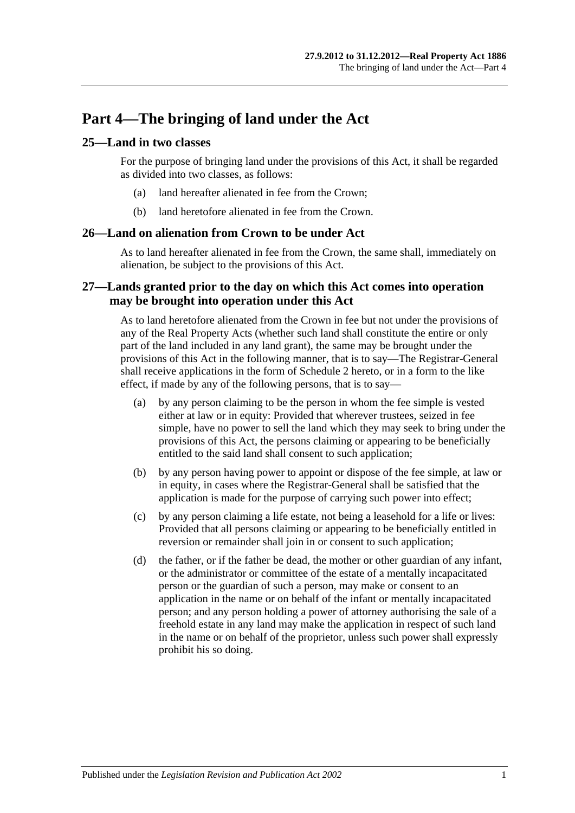## <span id="page-20-0"></span>**Part 4—The bringing of land under the Act**

## <span id="page-20-1"></span>**25—Land in two classes**

For the purpose of bringing land under the provisions of this Act, it shall be regarded as divided into two classes, as follows:

- (a) land hereafter alienated in fee from the Crown;
- (b) land heretofore alienated in fee from the Crown.

## <span id="page-20-2"></span>**26—Land on alienation from Crown to be under Act**

As to land hereafter alienated in fee from the Crown, the same shall, immediately on alienation, be subject to the provisions of this Act.

## <span id="page-20-3"></span>**27—Lands granted prior to the day on which this Act comes into operation may be brought into operation under this Act**

As to land heretofore alienated from the Crown in fee but not under the provisions of any of the Real Property Acts (whether such land shall constitute the entire or only part of the land included in any land grant), the same may be brought under the provisions of this Act in the following manner, that is to say—The Registrar-General shall receive applications in the form of [Schedule 2](#page-131-0) hereto, or in a form to the like effect, if made by any of the following persons, that is to say—

- (a) by any person claiming to be the person in whom the fee simple is vested either at law or in equity: Provided that wherever trustees, seized in fee simple, have no power to sell the land which they may seek to bring under the provisions of this Act, the persons claiming or appearing to be beneficially entitled to the said land shall consent to such application;
- (b) by any person having power to appoint or dispose of the fee simple, at law or in equity, in cases where the Registrar-General shall be satisfied that the application is made for the purpose of carrying such power into effect;
- (c) by any person claiming a life estate, not being a leasehold for a life or lives: Provided that all persons claiming or appearing to be beneficially entitled in reversion or remainder shall join in or consent to such application;
- (d) the father, or if the father be dead, the mother or other guardian of any infant, or the administrator or committee of the estate of a mentally incapacitated person or the guardian of such a person, may make or consent to an application in the name or on behalf of the infant or mentally incapacitated person; and any person holding a power of attorney authorising the sale of a freehold estate in any land may make the application in respect of such land in the name or on behalf of the proprietor, unless such power shall expressly prohibit his so doing.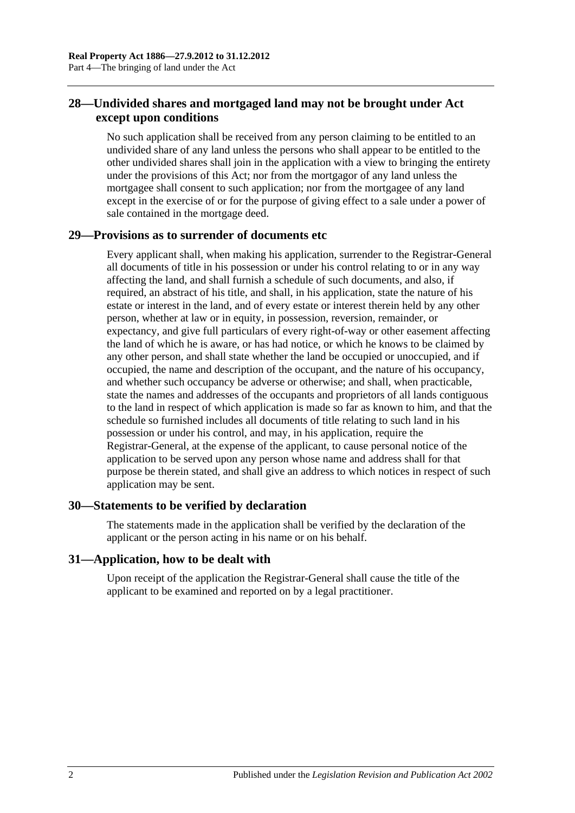## <span id="page-21-0"></span>**28—Undivided shares and mortgaged land may not be brought under Act except upon conditions**

No such application shall be received from any person claiming to be entitled to an undivided share of any land unless the persons who shall appear to be entitled to the other undivided shares shall join in the application with a view to bringing the entirety under the provisions of this Act; nor from the mortgagor of any land unless the mortgagee shall consent to such application; nor from the mortgagee of any land except in the exercise of or for the purpose of giving effect to a sale under a power of sale contained in the mortgage deed.

## <span id="page-21-1"></span>**29—Provisions as to surrender of documents etc**

Every applicant shall, when making his application, surrender to the Registrar-General all documents of title in his possession or under his control relating to or in any way affecting the land, and shall furnish a schedule of such documents, and also, if required, an abstract of his title, and shall, in his application, state the nature of his estate or interest in the land, and of every estate or interest therein held by any other person, whether at law or in equity, in possession, reversion, remainder, or expectancy, and give full particulars of every right-of-way or other easement affecting the land of which he is aware, or has had notice, or which he knows to be claimed by any other person, and shall state whether the land be occupied or unoccupied, and if occupied, the name and description of the occupant, and the nature of his occupancy, and whether such occupancy be adverse or otherwise; and shall, when practicable, state the names and addresses of the occupants and proprietors of all lands contiguous to the land in respect of which application is made so far as known to him, and that the schedule so furnished includes all documents of title relating to such land in his possession or under his control, and may, in his application, require the Registrar-General, at the expense of the applicant, to cause personal notice of the application to be served upon any person whose name and address shall for that purpose be therein stated, and shall give an address to which notices in respect of such application may be sent.

## <span id="page-21-2"></span>**30—Statements to be verified by declaration**

The statements made in the application shall be verified by the declaration of the applicant or the person acting in his name or on his behalf.

## <span id="page-21-3"></span>**31—Application, how to be dealt with**

Upon receipt of the application the Registrar-General shall cause the title of the applicant to be examined and reported on by a legal practitioner.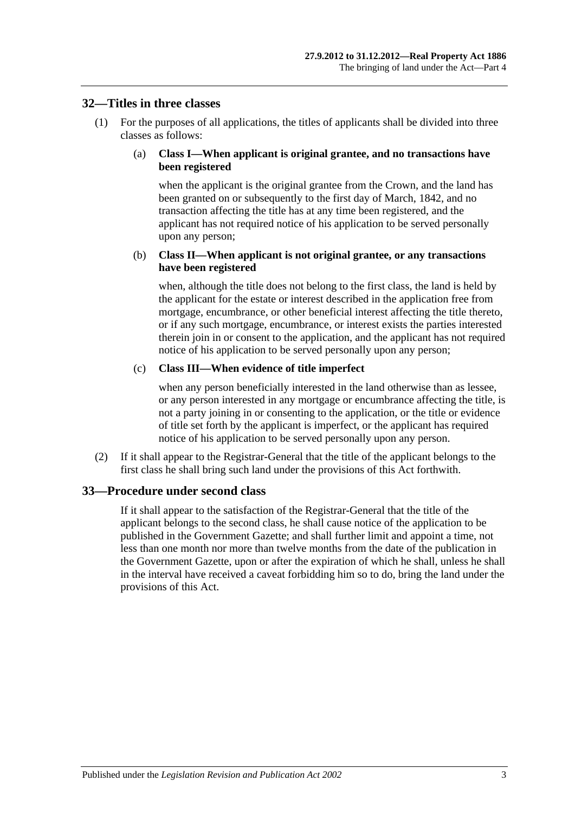#### <span id="page-22-0"></span>**32—Titles in three classes**

(1) For the purposes of all applications, the titles of applicants shall be divided into three classes as follows:

#### (a) **Class I—When applicant is original grantee, and no transactions have been registered**

when the applicant is the original grantee from the Crown, and the land has been granted on or subsequently to the first day of March, 1842, and no transaction affecting the title has at any time been registered, and the applicant has not required notice of his application to be served personally upon any person;

#### (b) **Class II—When applicant is not original grantee, or any transactions have been registered**

when, although the title does not belong to the first class, the land is held by the applicant for the estate or interest described in the application free from mortgage, encumbrance, or other beneficial interest affecting the title thereto, or if any such mortgage, encumbrance, or interest exists the parties interested therein join in or consent to the application, and the applicant has not required notice of his application to be served personally upon any person;

#### (c) **Class III—When evidence of title imperfect**

when any person beneficially interested in the land otherwise than as lessee, or any person interested in any mortgage or encumbrance affecting the title, is not a party joining in or consenting to the application, or the title or evidence of title set forth by the applicant is imperfect, or the applicant has required notice of his application to be served personally upon any person.

(2) If it shall appear to the Registrar-General that the title of the applicant belongs to the first class he shall bring such land under the provisions of this Act forthwith.

#### <span id="page-22-1"></span>**33—Procedure under second class**

If it shall appear to the satisfaction of the Registrar-General that the title of the applicant belongs to the second class, he shall cause notice of the application to be published in the Government Gazette; and shall further limit and appoint a time, not less than one month nor more than twelve months from the date of the publication in the Government Gazette, upon or after the expiration of which he shall, unless he shall in the interval have received a caveat forbidding him so to do, bring the land under the provisions of this Act.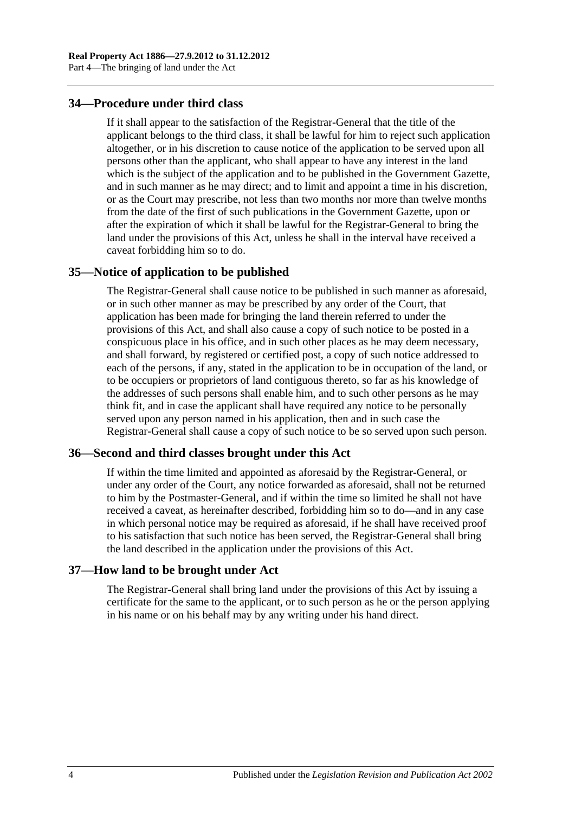## <span id="page-23-0"></span>**34—Procedure under third class**

If it shall appear to the satisfaction of the Registrar-General that the title of the applicant belongs to the third class, it shall be lawful for him to reject such application altogether, or in his discretion to cause notice of the application to be served upon all persons other than the applicant, who shall appear to have any interest in the land which is the subject of the application and to be published in the Government Gazette, and in such manner as he may direct; and to limit and appoint a time in his discretion, or as the Court may prescribe, not less than two months nor more than twelve months from the date of the first of such publications in the Government Gazette, upon or after the expiration of which it shall be lawful for the Registrar-General to bring the land under the provisions of this Act, unless he shall in the interval have received a caveat forbidding him so to do.

#### <span id="page-23-1"></span>**35—Notice of application to be published**

The Registrar-General shall cause notice to be published in such manner as aforesaid, or in such other manner as may be prescribed by any order of the Court, that application has been made for bringing the land therein referred to under the provisions of this Act, and shall also cause a copy of such notice to be posted in a conspicuous place in his office, and in such other places as he may deem necessary, and shall forward, by registered or certified post, a copy of such notice addressed to each of the persons, if any, stated in the application to be in occupation of the land, or to be occupiers or proprietors of land contiguous thereto, so far as his knowledge of the addresses of such persons shall enable him, and to such other persons as he may think fit, and in case the applicant shall have required any notice to be personally served upon any person named in his application, then and in such case the Registrar-General shall cause a copy of such notice to be so served upon such person.

#### <span id="page-23-2"></span>**36—Second and third classes brought under this Act**

If within the time limited and appointed as aforesaid by the Registrar-General, or under any order of the Court, any notice forwarded as aforesaid, shall not be returned to him by the Postmaster-General, and if within the time so limited he shall not have received a caveat, as hereinafter described, forbidding him so to do—and in any case in which personal notice may be required as aforesaid, if he shall have received proof to his satisfaction that such notice has been served, the Registrar-General shall bring the land described in the application under the provisions of this Act.

#### <span id="page-23-3"></span>**37—How land to be brought under Act**

The Registrar-General shall bring land under the provisions of this Act by issuing a certificate for the same to the applicant, or to such person as he or the person applying in his name or on his behalf may by any writing under his hand direct.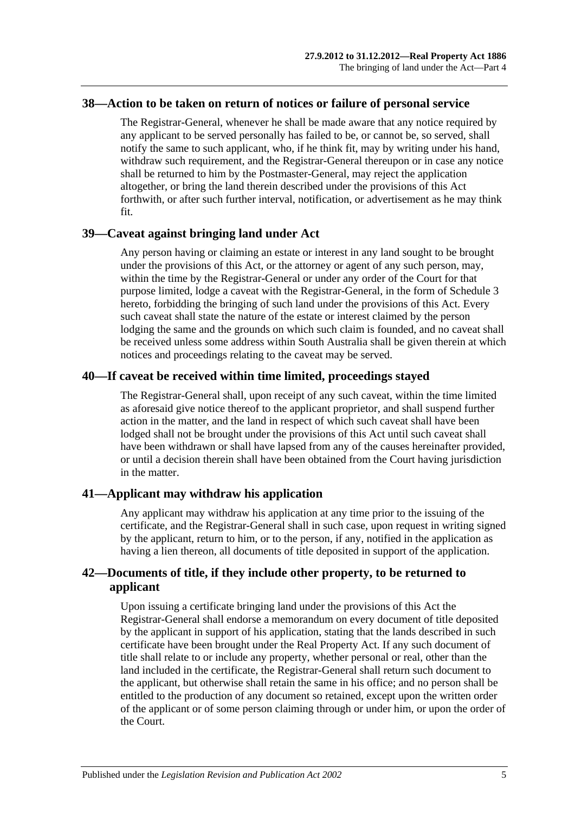#### <span id="page-24-0"></span>**38—Action to be taken on return of notices or failure of personal service**

The Registrar-General, whenever he shall be made aware that any notice required by any applicant to be served personally has failed to be, or cannot be, so served, shall notify the same to such applicant, who, if he think fit, may by writing under his hand, withdraw such requirement, and the Registrar-General thereupon or in case any notice shall be returned to him by the Postmaster-General, may reject the application altogether, or bring the land therein described under the provisions of this Act forthwith, or after such further interval, notification, or advertisement as he may think fit.

## <span id="page-24-1"></span>**39—Caveat against bringing land under Act**

Any person having or claiming an estate or interest in any land sought to be brought under the provisions of this Act, or the attorney or agent of any such person, may, within the time by the Registrar-General or under any order of the Court for that purpose limited, lodge a caveat with the Registrar-General, in the form of [Schedule 3](#page-132-0) hereto, forbidding the bringing of such land under the provisions of this Act. Every such caveat shall state the nature of the estate or interest claimed by the person lodging the same and the grounds on which such claim is founded, and no caveat shall be received unless some address within South Australia shall be given therein at which notices and proceedings relating to the caveat may be served.

## <span id="page-24-2"></span>**40—If caveat be received within time limited, proceedings stayed**

The Registrar-General shall, upon receipt of any such caveat, within the time limited as aforesaid give notice thereof to the applicant proprietor, and shall suspend further action in the matter, and the land in respect of which such caveat shall have been lodged shall not be brought under the provisions of this Act until such caveat shall have been withdrawn or shall have lapsed from any of the causes hereinafter provided, or until a decision therein shall have been obtained from the Court having jurisdiction in the matter.

## <span id="page-24-3"></span>**41—Applicant may withdraw his application**

Any applicant may withdraw his application at any time prior to the issuing of the certificate, and the Registrar-General shall in such case, upon request in writing signed by the applicant, return to him, or to the person, if any, notified in the application as having a lien thereon, all documents of title deposited in support of the application.

## <span id="page-24-4"></span>**42—Documents of title, if they include other property, to be returned to applicant**

Upon issuing a certificate bringing land under the provisions of this Act the Registrar-General shall endorse a memorandum on every document of title deposited by the applicant in support of his application, stating that the lands described in such certificate have been brought under the Real Property Act. If any such document of title shall relate to or include any property, whether personal or real, other than the land included in the certificate, the Registrar-General shall return such document to the applicant, but otherwise shall retain the same in his office; and no person shall be entitled to the production of any document so retained, except upon the written order of the applicant or of some person claiming through or under him, or upon the order of the Court.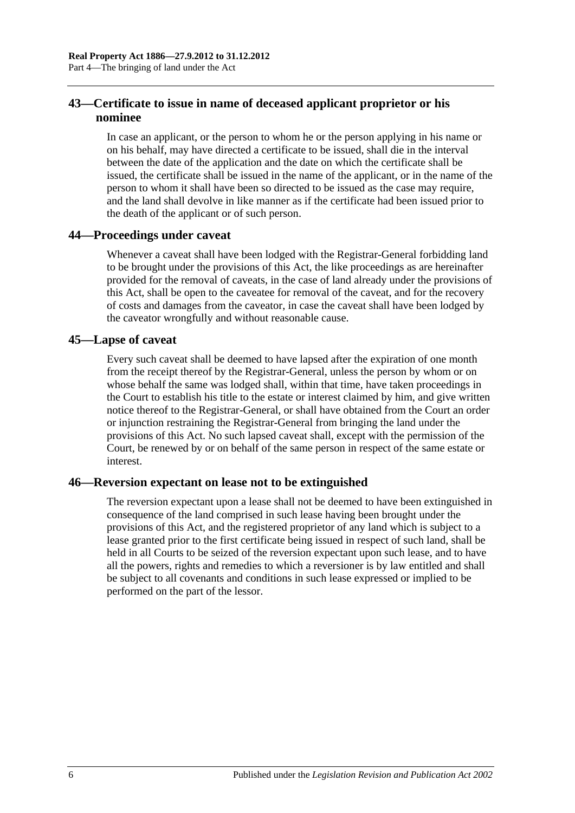## <span id="page-25-0"></span>**43—Certificate to issue in name of deceased applicant proprietor or his nominee**

In case an applicant, or the person to whom he or the person applying in his name or on his behalf, may have directed a certificate to be issued, shall die in the interval between the date of the application and the date on which the certificate shall be issued, the certificate shall be issued in the name of the applicant, or in the name of the person to whom it shall have been so directed to be issued as the case may require, and the land shall devolve in like manner as if the certificate had been issued prior to the death of the applicant or of such person.

## <span id="page-25-1"></span>**44—Proceedings under caveat**

Whenever a caveat shall have been lodged with the Registrar-General forbidding land to be brought under the provisions of this Act, the like proceedings as are hereinafter provided for the removal of caveats, in the case of land already under the provisions of this Act, shall be open to the caveatee for removal of the caveat, and for the recovery of costs and damages from the caveator, in case the caveat shall have been lodged by the caveator wrongfully and without reasonable cause.

## <span id="page-25-2"></span>**45—Lapse of caveat**

Every such caveat shall be deemed to have lapsed after the expiration of one month from the receipt thereof by the Registrar-General, unless the person by whom or on whose behalf the same was lodged shall, within that time, have taken proceedings in the Court to establish his title to the estate or interest claimed by him, and give written notice thereof to the Registrar-General, or shall have obtained from the Court an order or injunction restraining the Registrar-General from bringing the land under the provisions of this Act. No such lapsed caveat shall, except with the permission of the Court, be renewed by or on behalf of the same person in respect of the same estate or interest.

## <span id="page-25-3"></span>**46—Reversion expectant on lease not to be extinguished**

The reversion expectant upon a lease shall not be deemed to have been extinguished in consequence of the land comprised in such lease having been brought under the provisions of this Act, and the registered proprietor of any land which is subject to a lease granted prior to the first certificate being issued in respect of such land, shall be held in all Courts to be seized of the reversion expectant upon such lease, and to have all the powers, rights and remedies to which a reversioner is by law entitled and shall be subject to all covenants and conditions in such lease expressed or implied to be performed on the part of the lessor.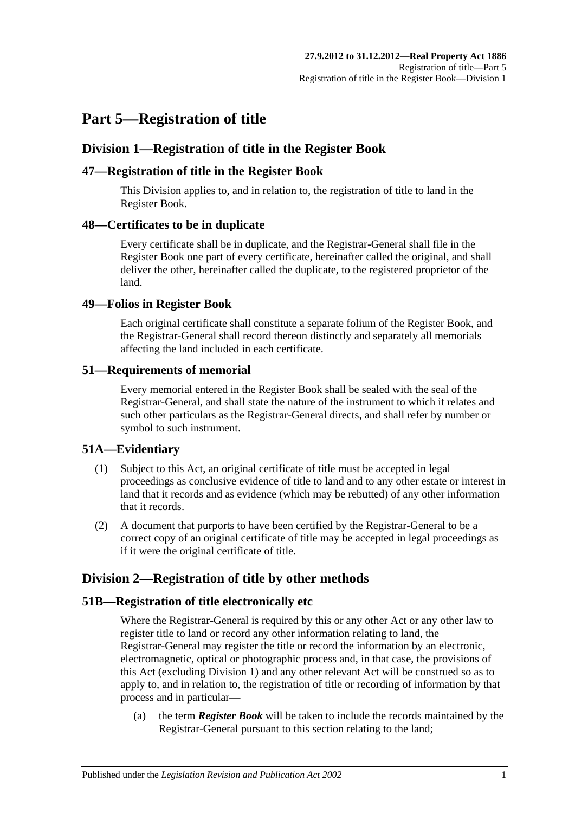## <span id="page-26-0"></span>**Part 5—Registration of title**

## <span id="page-26-1"></span>**Division 1—Registration of title in the Register Book**

## <span id="page-26-2"></span>**47—Registration of title in the Register Book**

This Division applies to, and in relation to, the registration of title to land in the Register Book.

## <span id="page-26-3"></span>**48—Certificates to be in duplicate**

Every certificate shall be in duplicate, and the Registrar-General shall file in the Register Book one part of every certificate, hereinafter called the original, and shall deliver the other, hereinafter called the duplicate, to the registered proprietor of the land.

## <span id="page-26-4"></span>**49—Folios in Register Book**

Each original certificate shall constitute a separate folium of the Register Book, and the Registrar-General shall record thereon distinctly and separately all memorials affecting the land included in each certificate.

## <span id="page-26-5"></span>**51—Requirements of memorial**

Every memorial entered in the Register Book shall be sealed with the seal of the Registrar-General, and shall state the nature of the instrument to which it relates and such other particulars as the Registrar-General directs, and shall refer by number or symbol to such instrument.

## <span id="page-26-6"></span>**51A—Evidentiary**

- (1) Subject to this Act, an original certificate of title must be accepted in legal proceedings as conclusive evidence of title to land and to any other estate or interest in land that it records and as evidence (which may be rebutted) of any other information that it records.
- (2) A document that purports to have been certified by the Registrar-General to be a correct copy of an original certificate of title may be accepted in legal proceedings as if it were the original certificate of title.

## <span id="page-26-7"></span>**Division 2—Registration of title by other methods**

## <span id="page-26-8"></span>**51B—Registration of title electronically etc**

Where the Registrar-General is required by this or any other Act or any other law to register title to land or record any other information relating to land, the Registrar-General may register the title or record the information by an electronic, electromagnetic, optical or photographic process and, in that case, the provisions of this Act (excluding [Division 1\)](#page-26-1) and any other relevant Act will be construed so as to apply to, and in relation to, the registration of title or recording of information by that process and in particular—

(a) the term *Register Book* will be taken to include the records maintained by the Registrar-General pursuant to this section relating to the land;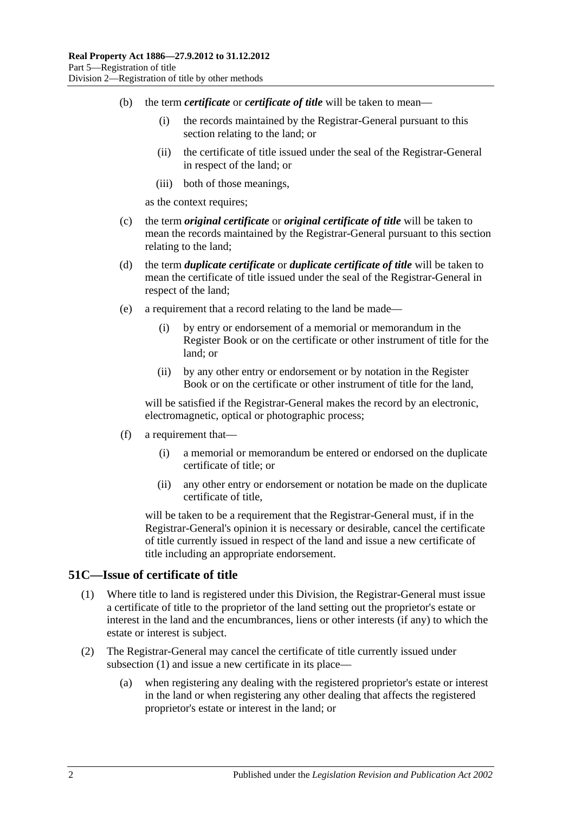- (b) the term *certificate* or *certificate of title* will be taken to mean—
	- (i) the records maintained by the Registrar-General pursuant to this section relating to the land; or
	- (ii) the certificate of title issued under the seal of the Registrar-General in respect of the land; or
	- (iii) both of those meanings,

as the context requires;

- (c) the term *original certificate* or *original certificate of title* will be taken to mean the records maintained by the Registrar-General pursuant to this section relating to the land;
- (d) the term *duplicate certificate* or *duplicate certificate of title* will be taken to mean the certificate of title issued under the seal of the Registrar-General in respect of the land;
- (e) a requirement that a record relating to the land be made—
	- (i) by entry or endorsement of a memorial or memorandum in the Register Book or on the certificate or other instrument of title for the land; or
	- (ii) by any other entry or endorsement or by notation in the Register Book or on the certificate or other instrument of title for the land,

will be satisfied if the Registrar-General makes the record by an electronic, electromagnetic, optical or photographic process;

- (f) a requirement that—
	- (i) a memorial or memorandum be entered or endorsed on the duplicate certificate of title; or
	- (ii) any other entry or endorsement or notation be made on the duplicate certificate of title,

will be taken to be a requirement that the Registrar-General must, if in the Registrar-General's opinion it is necessary or desirable, cancel the certificate of title currently issued in respect of the land and issue a new certificate of title including an appropriate endorsement.

#### <span id="page-27-1"></span><span id="page-27-0"></span>**51C—Issue of certificate of title**

- (1) Where title to land is registered under this Division, the Registrar-General must issue a certificate of title to the proprietor of the land setting out the proprietor's estate or interest in the land and the encumbrances, liens or other interests (if any) to which the estate or interest is subject.
- (2) The Registrar-General may cancel the certificate of title currently issued under [subsection](#page-27-1) (1) and issue a new certificate in its place—
	- (a) when registering any dealing with the registered proprietor's estate or interest in the land or when registering any other dealing that affects the registered proprietor's estate or interest in the land; or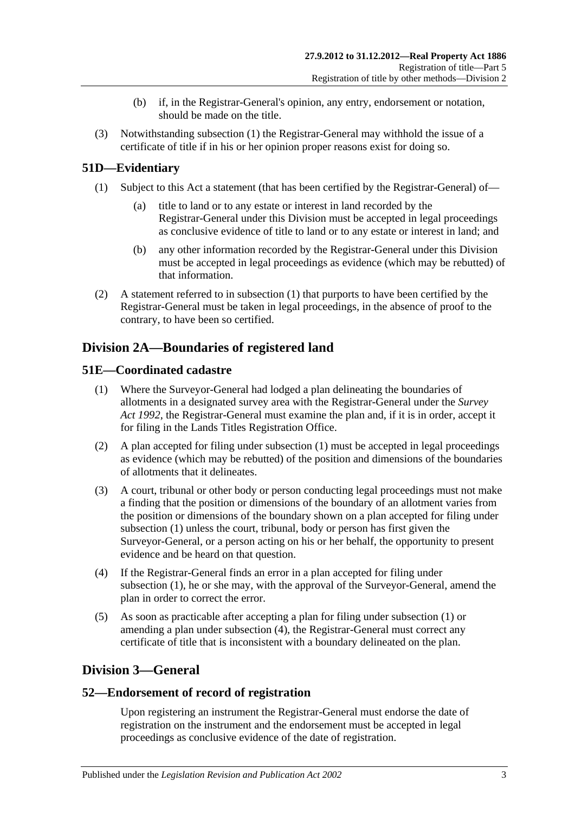- (b) if, in the Registrar-General's opinion, any entry, endorsement or notation, should be made on the title.
- (3) Notwithstanding [subsection](#page-27-1) (1) the Registrar-General may withhold the issue of a certificate of title if in his or her opinion proper reasons exist for doing so.

## <span id="page-28-5"></span><span id="page-28-0"></span>**51D—Evidentiary**

- (1) Subject to this Act a statement (that has been certified by the Registrar-General) of
	- title to land or to any estate or interest in land recorded by the Registrar-General under this Division must be accepted in legal proceedings as conclusive evidence of title to land or to any estate or interest in land; and
	- (b) any other information recorded by the Registrar-General under this Division must be accepted in legal proceedings as evidence (which may be rebutted) of that information.
- (2) A statement referred to in [subsection](#page-28-5) (1) that purports to have been certified by the Registrar-General must be taken in legal proceedings, in the absence of proof to the contrary, to have been so certified.

## <span id="page-28-1"></span>**Division 2A—Boundaries of registered land**

## <span id="page-28-6"></span><span id="page-28-2"></span>**51E—Coordinated cadastre**

- (1) Where the Surveyor-General had lodged a plan delineating the boundaries of allotments in a designated survey area with the Registrar-General under the *[Survey](http://www.legislation.sa.gov.au/index.aspx?action=legref&type=act&legtitle=Survey%20Act%201992)  Act [1992](http://www.legislation.sa.gov.au/index.aspx?action=legref&type=act&legtitle=Survey%20Act%201992)*, the Registrar-General must examine the plan and, if it is in order, accept it for filing in the Lands Titles Registration Office.
- (2) A plan accepted for filing under [subsection](#page-28-6) (1) must be accepted in legal proceedings as evidence (which may be rebutted) of the position and dimensions of the boundaries of allotments that it delineates.
- (3) A court, tribunal or other body or person conducting legal proceedings must not make a finding that the position or dimensions of the boundary of an allotment varies from the position or dimensions of the boundary shown on a plan accepted for filing under [subsection](#page-28-6) (1) unless the court, tribunal, body or person has first given the Surveyor-General, or a person acting on his or her behalf, the opportunity to present evidence and be heard on that question.
- <span id="page-28-7"></span>(4) If the Registrar-General finds an error in a plan accepted for filing under [subsection](#page-28-6) (1), he or she may, with the approval of the Surveyor-General, amend the plan in order to correct the error.
- (5) As soon as practicable after accepting a plan for filing under [subsection](#page-28-6) (1) or amending a plan under [subsection](#page-28-7) (4), the Registrar-General must correct any certificate of title that is inconsistent with a boundary delineated on the plan.

## <span id="page-28-3"></span>**Division 3—General**

## <span id="page-28-4"></span>**52—Endorsement of record of registration**

Upon registering an instrument the Registrar-General must endorse the date of registration on the instrument and the endorsement must be accepted in legal proceedings as conclusive evidence of the date of registration.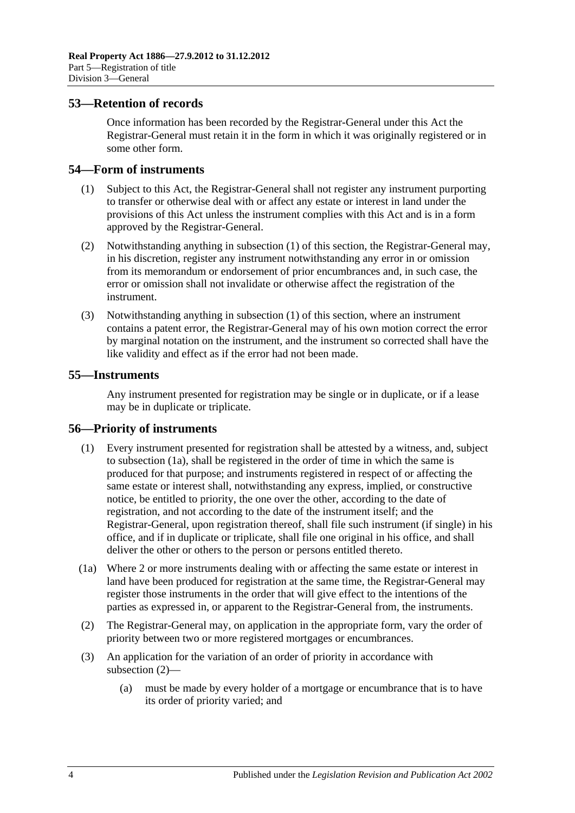## <span id="page-29-0"></span>**53—Retention of records**

Once information has been recorded by the Registrar-General under this Act the Registrar-General must retain it in the form in which it was originally registered or in some other form.

## <span id="page-29-4"></span><span id="page-29-1"></span>**54—Form of instruments**

- (1) Subject to this Act, the Registrar-General shall not register any instrument purporting to transfer or otherwise deal with or affect any estate or interest in land under the provisions of this Act unless the instrument complies with this Act and is in a form approved by the Registrar-General.
- (2) Notwithstanding anything in [subsection](#page-29-4) (1) of this section, the Registrar-General may, in his discretion, register any instrument notwithstanding any error in or omission from its memorandum or endorsement of prior encumbrances and, in such case, the error or omission shall not invalidate or otherwise affect the registration of the instrument.
- (3) Notwithstanding anything in [subsection](#page-29-4) (1) of this section, where an instrument contains a patent error, the Registrar-General may of his own motion correct the error by marginal notation on the instrument, and the instrument so corrected shall have the like validity and effect as if the error had not been made.

## <span id="page-29-2"></span>**55—Instruments**

Any instrument presented for registration may be single or in duplicate, or if a lease may be in duplicate or triplicate.

#### <span id="page-29-3"></span>**56—Priority of instruments**

- (1) Every instrument presented for registration shall be attested by a witness, and, subject to [subsection](#page-29-5) (1a), shall be registered in the order of time in which the same is produced for that purpose; and instruments registered in respect of or affecting the same estate or interest shall, notwithstanding any express, implied, or constructive notice, be entitled to priority, the one over the other, according to the date of registration, and not according to the date of the instrument itself; and the Registrar-General, upon registration thereof, shall file such instrument (if single) in his office, and if in duplicate or triplicate, shall file one original in his office, and shall deliver the other or others to the person or persons entitled thereto.
- <span id="page-29-5"></span>(1a) Where 2 or more instruments dealing with or affecting the same estate or interest in land have been produced for registration at the same time, the Registrar-General may register those instruments in the order that will give effect to the intentions of the parties as expressed in, or apparent to the Registrar-General from, the instruments.
- <span id="page-29-6"></span>(2) The Registrar-General may, on application in the appropriate form, vary the order of priority between two or more registered mortgages or encumbrances.
- (3) An application for the variation of an order of priority in accordance with [subsection](#page-29-6) (2)—
	- (a) must be made by every holder of a mortgage or encumbrance that is to have its order of priority varied; and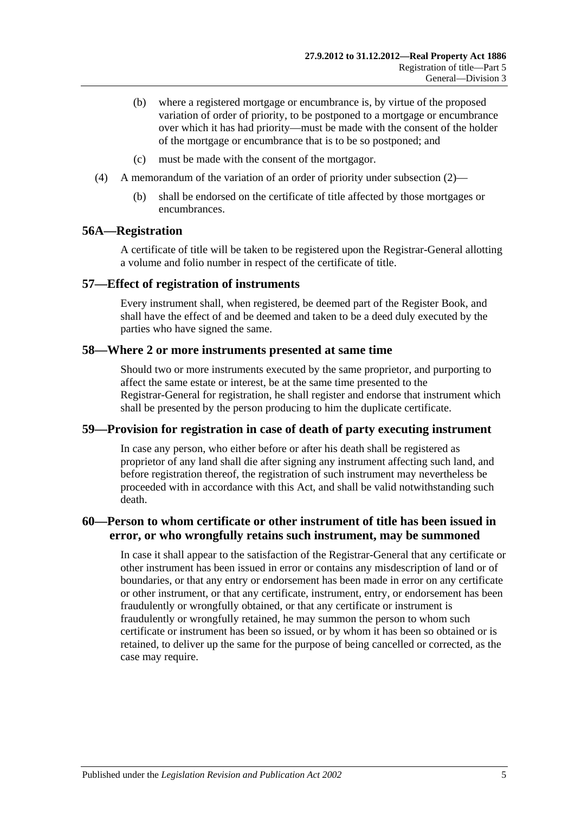- (b) where a registered mortgage or encumbrance is, by virtue of the proposed variation of order of priority, to be postponed to a mortgage or encumbrance over which it has had priority—must be made with the consent of the holder of the mortgage or encumbrance that is to be so postponed; and
- (c) must be made with the consent of the mortgagor.
- (4) A memorandum of the variation of an order of priority under [subsection](#page-29-6) (2)—
	- (b) shall be endorsed on the certificate of title affected by those mortgages or encumbrances.

#### <span id="page-30-0"></span>**56A—Registration**

A certificate of title will be taken to be registered upon the Registrar-General allotting a volume and folio number in respect of the certificate of title.

#### <span id="page-30-1"></span>**57—Effect of registration of instruments**

Every instrument shall, when registered, be deemed part of the Register Book, and shall have the effect of and be deemed and taken to be a deed duly executed by the parties who have signed the same.

#### <span id="page-30-2"></span>**58—Where 2 or more instruments presented at same time**

Should two or more instruments executed by the same proprietor, and purporting to affect the same estate or interest, be at the same time presented to the Registrar-General for registration, he shall register and endorse that instrument which shall be presented by the person producing to him the duplicate certificate.

#### <span id="page-30-3"></span>**59—Provision for registration in case of death of party executing instrument**

In case any person, who either before or after his death shall be registered as proprietor of any land shall die after signing any instrument affecting such land, and before registration thereof, the registration of such instrument may nevertheless be proceeded with in accordance with this Act, and shall be valid notwithstanding such death.

## <span id="page-30-4"></span>**60—Person to whom certificate or other instrument of title has been issued in error, or who wrongfully retains such instrument, may be summoned**

In case it shall appear to the satisfaction of the Registrar-General that any certificate or other instrument has been issued in error or contains any misdescription of land or of boundaries, or that any entry or endorsement has been made in error on any certificate or other instrument, or that any certificate, instrument, entry, or endorsement has been fraudulently or wrongfully obtained, or that any certificate or instrument is fraudulently or wrongfully retained, he may summon the person to whom such certificate or instrument has been so issued, or by whom it has been so obtained or is retained, to deliver up the same for the purpose of being cancelled or corrected, as the case may require.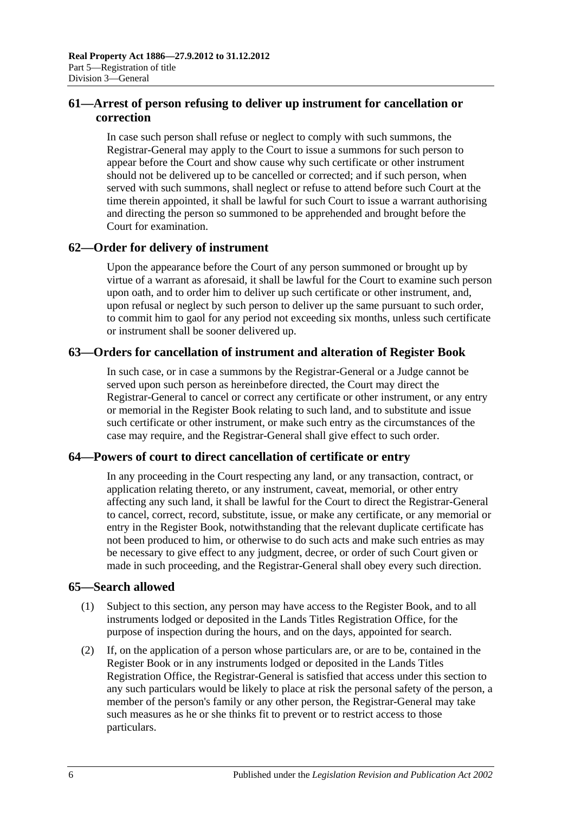## <span id="page-31-0"></span>**61—Arrest of person refusing to deliver up instrument for cancellation or correction**

In case such person shall refuse or neglect to comply with such summons, the Registrar-General may apply to the Court to issue a summons for such person to appear before the Court and show cause why such certificate or other instrument should not be delivered up to be cancelled or corrected; and if such person, when served with such summons, shall neglect or refuse to attend before such Court at the time therein appointed, it shall be lawful for such Court to issue a warrant authorising and directing the person so summoned to be apprehended and brought before the Court for examination.

## <span id="page-31-1"></span>**62—Order for delivery of instrument**

Upon the appearance before the Court of any person summoned or brought up by virtue of a warrant as aforesaid, it shall be lawful for the Court to examine such person upon oath, and to order him to deliver up such certificate or other instrument, and, upon refusal or neglect by such person to deliver up the same pursuant to such order, to commit him to gaol for any period not exceeding six months, unless such certificate or instrument shall be sooner delivered up.

## <span id="page-31-2"></span>**63—Orders for cancellation of instrument and alteration of Register Book**

In such case, or in case a summons by the Registrar-General or a Judge cannot be served upon such person as hereinbefore directed, the Court may direct the Registrar-General to cancel or correct any certificate or other instrument, or any entry or memorial in the Register Book relating to such land, and to substitute and issue such certificate or other instrument, or make such entry as the circumstances of the case may require, and the Registrar-General shall give effect to such order.

## <span id="page-31-3"></span>**64—Powers of court to direct cancellation of certificate or entry**

In any proceeding in the Court respecting any land, or any transaction, contract, or application relating thereto, or any instrument, caveat, memorial, or other entry affecting any such land, it shall be lawful for the Court to direct the Registrar-General to cancel, correct, record, substitute, issue, or make any certificate, or any memorial or entry in the Register Book, notwithstanding that the relevant duplicate certificate has not been produced to him, or otherwise to do such acts and make such entries as may be necessary to give effect to any judgment, decree, or order of such Court given or made in such proceeding, and the Registrar-General shall obey every such direction.

## <span id="page-31-4"></span>**65—Search allowed**

- (1) Subject to this section, any person may have access to the Register Book, and to all instruments lodged or deposited in the Lands Titles Registration Office, for the purpose of inspection during the hours, and on the days, appointed for search.
- <span id="page-31-5"></span>(2) If, on the application of a person whose particulars are, or are to be, contained in the Register Book or in any instruments lodged or deposited in the Lands Titles Registration Office, the Registrar-General is satisfied that access under this section to any such particulars would be likely to place at risk the personal safety of the person, a member of the person's family or any other person, the Registrar-General may take such measures as he or she thinks fit to prevent or to restrict access to those particulars.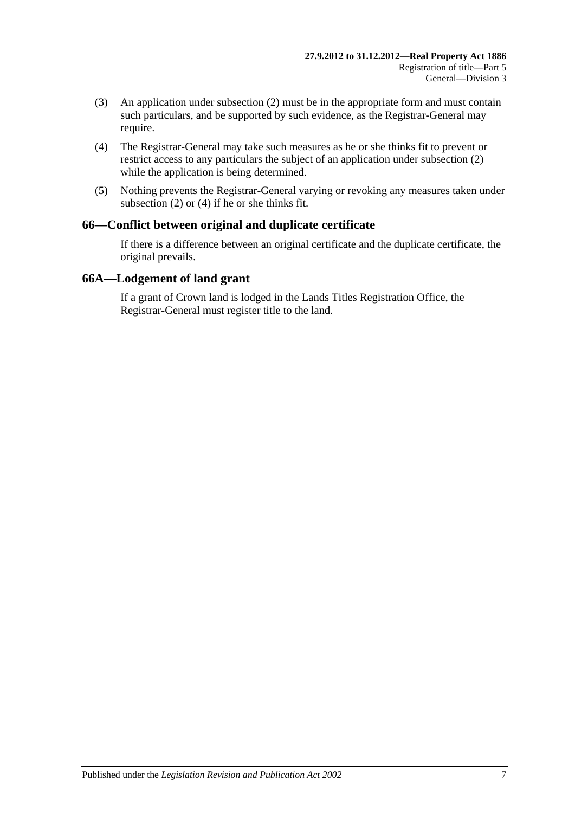- (3) An application under [subsection](#page-31-5) (2) must be in the appropriate form and must contain such particulars, and be supported by such evidence, as the Registrar-General may require.
- <span id="page-32-2"></span>(4) The Registrar-General may take such measures as he or she thinks fit to prevent or restrict access to any particulars the subject of an application under [subsection](#page-31-5) (2) while the application is being determined.
- (5) Nothing prevents the Registrar-General varying or revoking any measures taken under [subsection](#page-31-5) (2) or [\(4\)](#page-32-2) if he or she thinks fit.

## <span id="page-32-0"></span>**66—Conflict between original and duplicate certificate**

If there is a difference between an original certificate and the duplicate certificate, the original prevails.

## <span id="page-32-1"></span>**66A—Lodgement of land grant**

If a grant of Crown land is lodged in the Lands Titles Registration Office, the Registrar-General must register title to the land.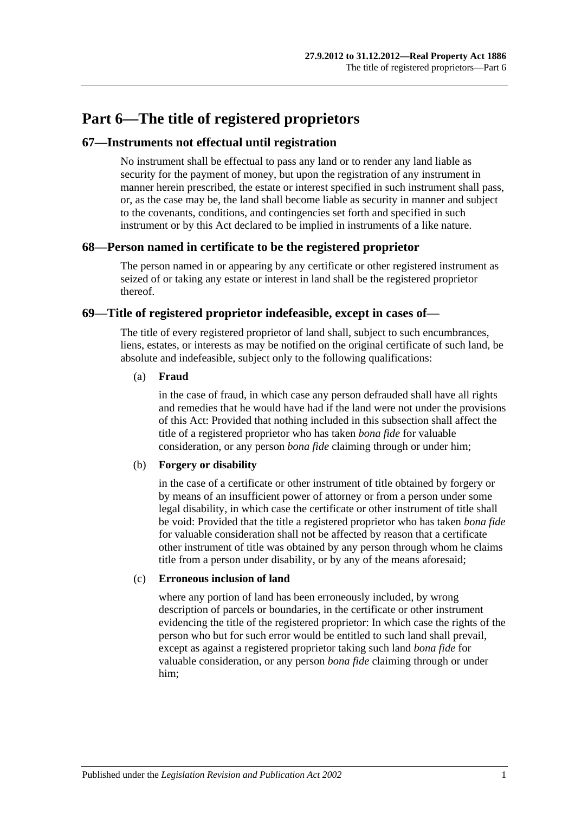## <span id="page-34-0"></span>**Part 6—The title of registered proprietors**

## <span id="page-34-1"></span>**67—Instruments not effectual until registration**

No instrument shall be effectual to pass any land or to render any land liable as security for the payment of money, but upon the registration of any instrument in manner herein prescribed, the estate or interest specified in such instrument shall pass, or, as the case may be, the land shall become liable as security in manner and subject to the covenants, conditions, and contingencies set forth and specified in such instrument or by this Act declared to be implied in instruments of a like nature.

## <span id="page-34-2"></span>**68—Person named in certificate to be the registered proprietor**

The person named in or appearing by any certificate or other registered instrument as seized of or taking any estate or interest in land shall be the registered proprietor thereof.

## <span id="page-34-3"></span>**69—Title of registered proprietor indefeasible, except in cases of—**

The title of every registered proprietor of land shall, subject to such encumbrances, liens, estates, or interests as may be notified on the original certificate of such land, be absolute and indefeasible, subject only to the following qualifications:

#### (a) **Fraud**

in the case of fraud, in which case any person defrauded shall have all rights and remedies that he would have had if the land were not under the provisions of this Act: Provided that nothing included in this subsection shall affect the title of a registered proprietor who has taken *bona fide* for valuable consideration, or any person *bona fide* claiming through or under him;

#### (b) **Forgery or disability**

in the case of a certificate or other instrument of title obtained by forgery or by means of an insufficient power of attorney or from a person under some legal disability, in which case the certificate or other instrument of title shall be void: Provided that the title a registered proprietor who has taken *bona fide* for valuable consideration shall not be affected by reason that a certificate other instrument of title was obtained by any person through whom he claims title from a person under disability, or by any of the means aforesaid;

#### (c) **Erroneous inclusion of land**

where any portion of land has been erroneously included, by wrong description of parcels or boundaries, in the certificate or other instrument evidencing the title of the registered proprietor: In which case the rights of the person who but for such error would be entitled to such land shall prevail, except as against a registered proprietor taking such land *bona fide* for valuable consideration, or any person *bona fide* claiming through or under him;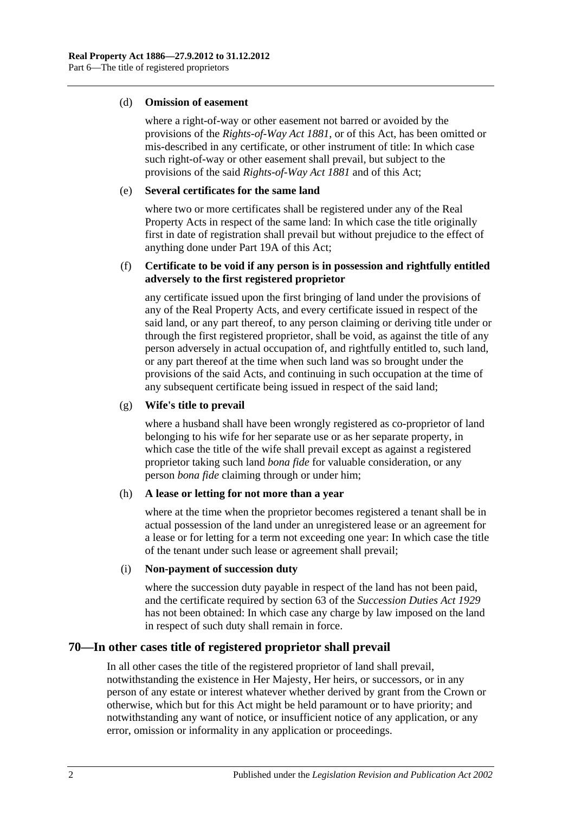#### (d) **Omission of easement**

where a right-of-way or other easement not barred or avoided by the provisions of the *[Rights-of-Way Act](http://www.legislation.sa.gov.au/index.aspx?action=legref&type=act&legtitle=Rights-of-Way%20Act%201881) 1881*, or of this Act, has been omitted or mis-described in any certificate, or other instrument of title: In which case such right-of-way or other easement shall prevail, but subject to the provisions of the said *[Rights-of-Way Act](http://www.legislation.sa.gov.au/index.aspx?action=legref&type=act&legtitle=Rights-of-Way%20Act%201881) 1881* and of this Act;

#### (e) **Several certificates for the same land**

where two or more certificates shall be registered under any of the Real Property Acts in respect of the same land: In which case the title originally first in date of registration shall prevail but without prejudice to the effect of anything done under [Part 19A](#page-100-0) of this Act;

#### (f) **Certificate to be void if any person is in possession and rightfully entitled adversely to the first registered proprietor**

any certificate issued upon the first bringing of land under the provisions of any of the Real Property Acts, and every certificate issued in respect of the said land, or any part thereof, to any person claiming or deriving title under or through the first registered proprietor, shall be void, as against the title of any person adversely in actual occupation of, and rightfully entitled to, such land, or any part thereof at the time when such land was so brought under the provisions of the said Acts, and continuing in such occupation at the time of any subsequent certificate being issued in respect of the said land;

#### (g) **Wife's title to prevail**

where a husband shall have been wrongly registered as co-proprietor of land belonging to his wife for her separate use or as her separate property, in which case the title of the wife shall prevail except as against a registered proprietor taking such land *bona fide* for valuable consideration, or any person *bona fide* claiming through or under him;

#### (h) **A lease or letting for not more than a year**

where at the time when the proprietor becomes registered a tenant shall be in actual possession of the land under an unregistered lease or an agreement for a lease or for letting for a term not exceeding one year: In which case the title of the tenant under such lease or agreement shall prevail;

#### (i) **Non-payment of succession duty**

where the succession duty payable in respect of the land has not been paid, and the certificate required by section 63 of the *[Succession Duties Act](http://www.legislation.sa.gov.au/index.aspx?action=legref&type=act&legtitle=Succession%20Duties%20Act%201929) 1929* has not been obtained: In which case any charge by law imposed on the land in respect of such duty shall remain in force.

## <span id="page-35-0"></span>**70—In other cases title of registered proprietor shall prevail**

In all other cases the title of the registered proprietor of land shall prevail, notwithstanding the existence in Her Majesty, Her heirs, or successors, or in any person of any estate or interest whatever whether derived by grant from the Crown or otherwise, which but for this Act might be held paramount or to have priority; and notwithstanding any want of notice, or insufficient notice of any application, or any error, omission or informality in any application or proceedings.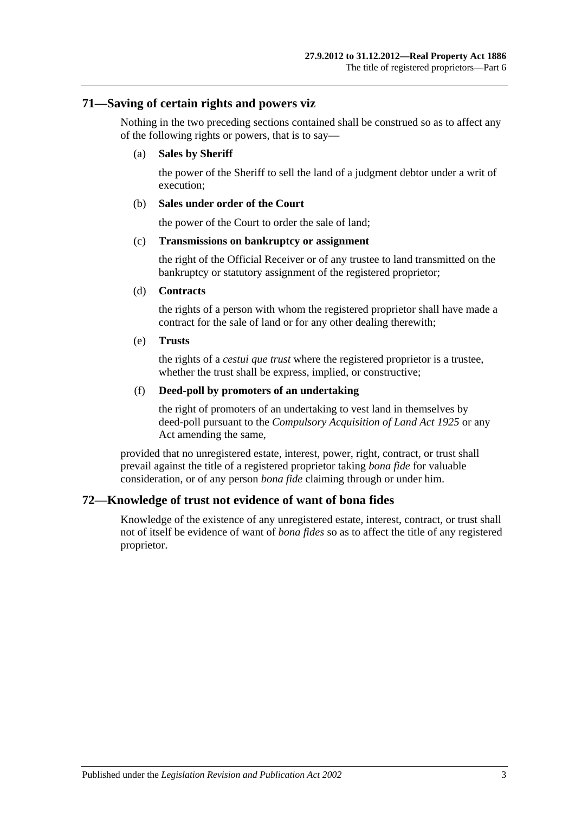## **71—Saving of certain rights and powers viz**

Nothing in the two preceding sections contained shall be construed so as to affect any of the following rights or powers, that is to say—

#### (a) **Sales by Sheriff**

the power of the Sheriff to sell the land of a judgment debtor under a writ of execution;

#### (b) **Sales under order of the Court**

the power of the Court to order the sale of land;

#### (c) **Transmissions on bankruptcy or assignment**

the right of the Official Receiver or of any trustee to land transmitted on the bankruptcy or statutory assignment of the registered proprietor;

#### (d) **Contracts**

the rights of a person with whom the registered proprietor shall have made a contract for the sale of land or for any other dealing therewith;

#### (e) **Trusts**

the rights of a *cestui que trust* where the registered proprietor is a trustee, whether the trust shall be express, implied, or constructive;

#### (f) **Deed-poll by promoters of an undertaking**

the right of promoters of an undertaking to vest land in themselves by deed-poll pursuant to the *[Compulsory Acquisition of Land Act](http://www.legislation.sa.gov.au/index.aspx?action=legref&type=act&legtitle=Compulsory%20Acquisition%20of%20Land%20Act%201925) 1925* or any Act amending the same,

provided that no unregistered estate, interest, power, right, contract, or trust shall prevail against the title of a registered proprietor taking *bona fide* for valuable consideration, or of any person *bona fide* claiming through or under him.

## **72—Knowledge of trust not evidence of want of bona fides**

Knowledge of the existence of any unregistered estate, interest, contract, or trust shall not of itself be evidence of want of *bona fides* so as to affect the title of any registered proprietor.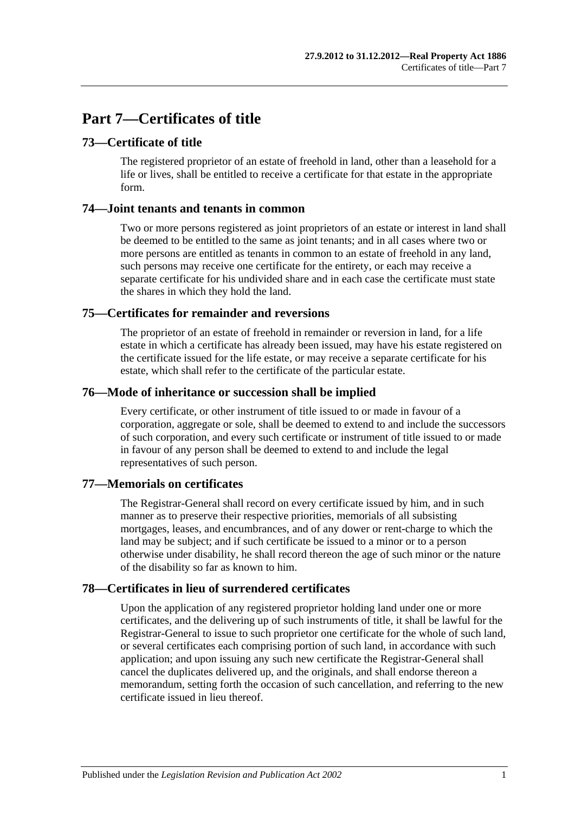# **Part 7—Certificates of title**

## **73—Certificate of title**

The registered proprietor of an estate of freehold in land, other than a leasehold for a life or lives, shall be entitled to receive a certificate for that estate in the appropriate form.

## **74—Joint tenants and tenants in common**

Two or more persons registered as joint proprietors of an estate or interest in land shall be deemed to be entitled to the same as joint tenants; and in all cases where two or more persons are entitled as tenants in common to an estate of freehold in any land, such persons may receive one certificate for the entirety, or each may receive a separate certificate for his undivided share and in each case the certificate must state the shares in which they hold the land.

## **75—Certificates for remainder and reversions**

The proprietor of an estate of freehold in remainder or reversion in land, for a life estate in which a certificate has already been issued, may have his estate registered on the certificate issued for the life estate, or may receive a separate certificate for his estate, which shall refer to the certificate of the particular estate.

## **76—Mode of inheritance or succession shall be implied**

Every certificate, or other instrument of title issued to or made in favour of a corporation, aggregate or sole, shall be deemed to extend to and include the successors of such corporation, and every such certificate or instrument of title issued to or made in favour of any person shall be deemed to extend to and include the legal representatives of such person.

## **77—Memorials on certificates**

The Registrar-General shall record on every certificate issued by him, and in such manner as to preserve their respective priorities, memorials of all subsisting mortgages, leases, and encumbrances, and of any dower or rent-charge to which the land may be subject; and if such certificate be issued to a minor or to a person otherwise under disability, he shall record thereon the age of such minor or the nature of the disability so far as known to him.

## **78—Certificates in lieu of surrendered certificates**

Upon the application of any registered proprietor holding land under one or more certificates, and the delivering up of such instruments of title, it shall be lawful for the Registrar-General to issue to such proprietor one certificate for the whole of such land, or several certificates each comprising portion of such land, in accordance with such application; and upon issuing any such new certificate the Registrar-General shall cancel the duplicates delivered up, and the originals, and shall endorse thereon a memorandum, setting forth the occasion of such cancellation, and referring to the new certificate issued in lieu thereof.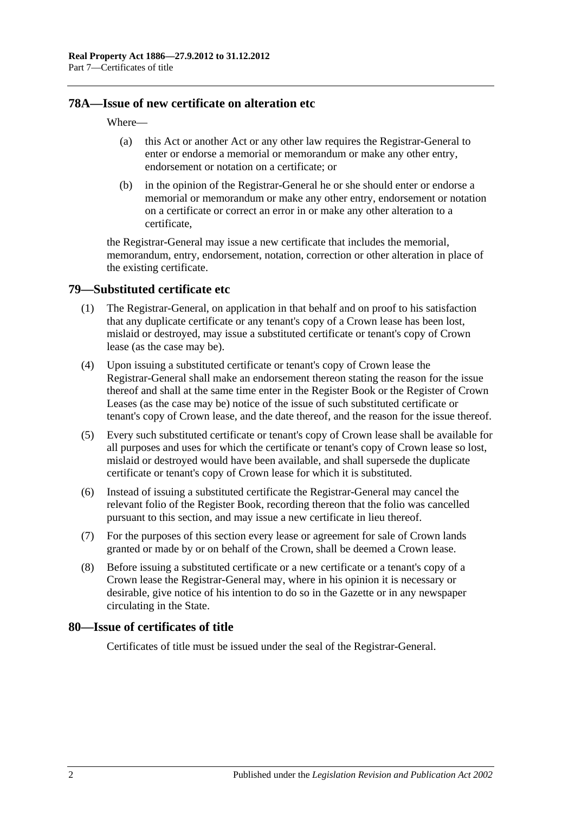## **78A—Issue of new certificate on alteration etc**

#### Where—

- (a) this Act or another Act or any other law requires the Registrar-General to enter or endorse a memorial or memorandum or make any other entry, endorsement or notation on a certificate; or
- (b) in the opinion of the Registrar-General he or she should enter or endorse a memorial or memorandum or make any other entry, endorsement or notation on a certificate or correct an error in or make any other alteration to a certificate,

the Registrar-General may issue a new certificate that includes the memorial, memorandum, entry, endorsement, notation, correction or other alteration in place of the existing certificate.

## <span id="page-39-0"></span>**79—Substituted certificate etc**

- (1) The Registrar-General, on application in that behalf and on proof to his satisfaction that any duplicate certificate or any tenant's copy of a Crown lease has been lost, mislaid or destroyed, may issue a substituted certificate or tenant's copy of Crown lease (as the case may be).
- (4) Upon issuing a substituted certificate or tenant's copy of Crown lease the Registrar-General shall make an endorsement thereon stating the reason for the issue thereof and shall at the same time enter in the Register Book or the Register of Crown Leases (as the case may be) notice of the issue of such substituted certificate or tenant's copy of Crown lease, and the date thereof, and the reason for the issue thereof.
- (5) Every such substituted certificate or tenant's copy of Crown lease shall be available for all purposes and uses for which the certificate or tenant's copy of Crown lease so lost, mislaid or destroyed would have been available, and shall supersede the duplicate certificate or tenant's copy of Crown lease for which it is substituted.
- (6) Instead of issuing a substituted certificate the Registrar-General may cancel the relevant folio of the Register Book, recording thereon that the folio was cancelled pursuant to this section, and may issue a new certificate in lieu thereof.
- (7) For the purposes of this section every lease or agreement for sale of Crown lands granted or made by or on behalf of the Crown, shall be deemed a Crown lease.
- (8) Before issuing a substituted certificate or a new certificate or a tenant's copy of a Crown lease the Registrar-General may, where in his opinion it is necessary or desirable, give notice of his intention to do so in the Gazette or in any newspaper circulating in the State.

#### **80—Issue of certificates of title**

Certificates of title must be issued under the seal of the Registrar-General.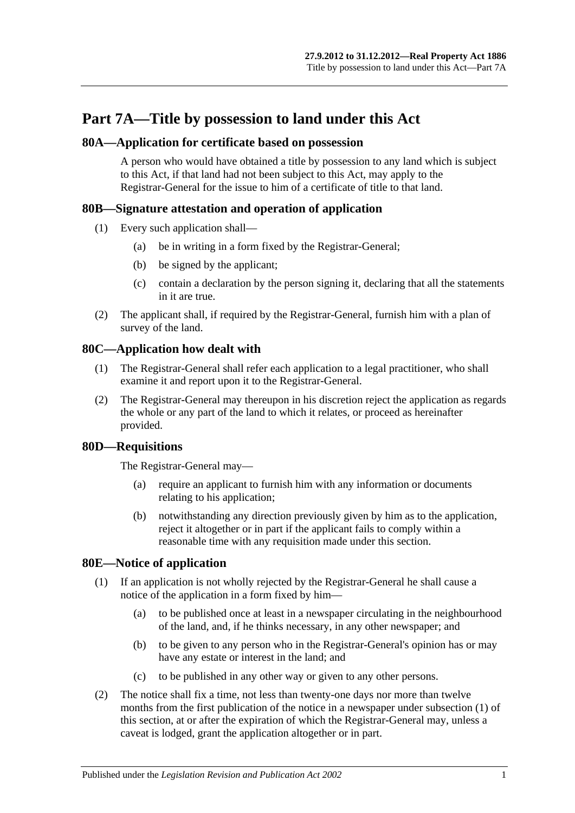# **Part 7A—Title by possession to land under this Act**

## **80A—Application for certificate based on possession**

A person who would have obtained a title by possession to any land which is subject to this Act, if that land had not been subject to this Act, may apply to the Registrar-General for the issue to him of a certificate of title to that land.

# **80B—Signature attestation and operation of application**

- (1) Every such application shall—
	- (a) be in writing in a form fixed by the Registrar-General;
	- (b) be signed by the applicant;
	- (c) contain a declaration by the person signing it, declaring that all the statements in it are true.
- (2) The applicant shall, if required by the Registrar-General, furnish him with a plan of survey of the land.

# **80C—Application how dealt with**

- (1) The Registrar-General shall refer each application to a legal practitioner, who shall examine it and report upon it to the Registrar-General.
- (2) The Registrar-General may thereupon in his discretion reject the application as regards the whole or any part of the land to which it relates, or proceed as hereinafter provided.

# **80D—Requisitions**

The Registrar-General may—

- (a) require an applicant to furnish him with any information or documents relating to his application;
- (b) notwithstanding any direction previously given by him as to the application, reject it altogether or in part if the applicant fails to comply within a reasonable time with any requisition made under this section.

# <span id="page-40-1"></span><span id="page-40-0"></span>**80E—Notice of application**

- (1) If an application is not wholly rejected by the Registrar-General he shall cause a notice of the application in a form fixed by him—
	- (a) to be published once at least in a newspaper circulating in the neighbourhood of the land, and, if he thinks necessary, in any other newspaper; and
	- (b) to be given to any person who in the Registrar-General's opinion has or may have any estate or interest in the land; and
	- (c) to be published in any other way or given to any other persons.
- (2) The notice shall fix a time, not less than twenty-one days nor more than twelve months from the first publication of the notice in a newspaper under [subsection](#page-40-0) (1) of this section, at or after the expiration of which the Registrar-General may, unless a caveat is lodged, grant the application altogether or in part.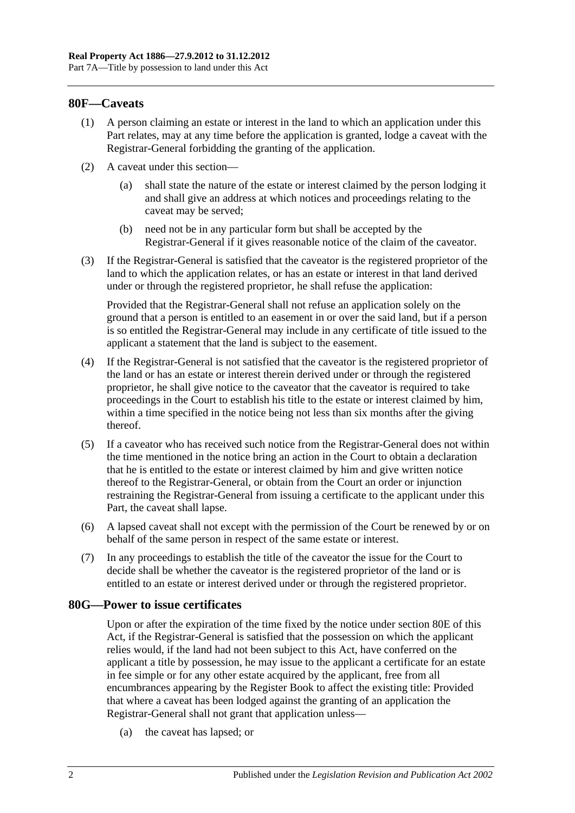## **80F—Caveats**

- (1) A person claiming an estate or interest in the land to which an application under this Part relates, may at any time before the application is granted, lodge a caveat with the Registrar-General forbidding the granting of the application.
- (2) A caveat under this section—
	- (a) shall state the nature of the estate or interest claimed by the person lodging it and shall give an address at which notices and proceedings relating to the caveat may be served;
	- (b) need not be in any particular form but shall be accepted by the Registrar-General if it gives reasonable notice of the claim of the caveator.
- (3) If the Registrar-General is satisfied that the caveator is the registered proprietor of the land to which the application relates, or has an estate or interest in that land derived under or through the registered proprietor, he shall refuse the application:

Provided that the Registrar-General shall not refuse an application solely on the ground that a person is entitled to an easement in or over the said land, but if a person is so entitled the Registrar-General may include in any certificate of title issued to the applicant a statement that the land is subject to the easement.

- (4) If the Registrar-General is not satisfied that the caveator is the registered proprietor of the land or has an estate or interest therein derived under or through the registered proprietor, he shall give notice to the caveator that the caveator is required to take proceedings in the Court to establish his title to the estate or interest claimed by him, within a time specified in the notice being not less than six months after the giving thereof.
- (5) If a caveator who has received such notice from the Registrar-General does not within the time mentioned in the notice bring an action in the Court to obtain a declaration that he is entitled to the estate or interest claimed by him and give written notice thereof to the Registrar-General, or obtain from the Court an order or injunction restraining the Registrar-General from issuing a certificate to the applicant under this Part, the caveat shall lapse.
- (6) A lapsed caveat shall not except with the permission of the Court be renewed by or on behalf of the same person in respect of the same estate or interest.
- (7) In any proceedings to establish the title of the caveator the issue for the Court to decide shall be whether the caveator is the registered proprietor of the land or is entitled to an estate or interest derived under or through the registered proprietor.

#### **80G—Power to issue certificates**

Upon or after the expiration of the time fixed by the notice under [section](#page-40-1) 80E of this Act, if the Registrar-General is satisfied that the possession on which the applicant relies would, if the land had not been subject to this Act, have conferred on the applicant a title by possession, he may issue to the applicant a certificate for an estate in fee simple or for any other estate acquired by the applicant, free from all encumbrances appearing by the Register Book to affect the existing title: Provided that where a caveat has been lodged against the granting of an application the Registrar-General shall not grant that application unless—

(a) the caveat has lapsed; or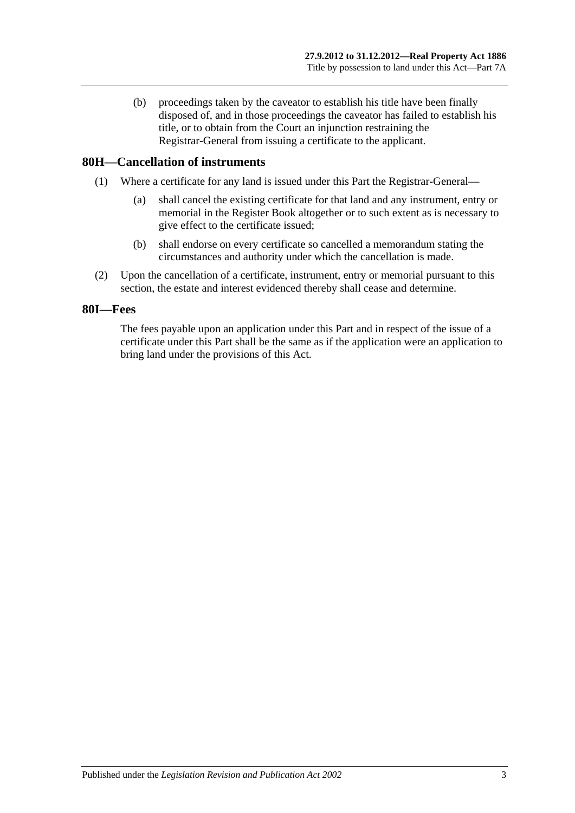(b) proceedings taken by the caveator to establish his title have been finally disposed of, and in those proceedings the caveator has failed to establish his title, or to obtain from the Court an injunction restraining the Registrar-General from issuing a certificate to the applicant.

## **80H—Cancellation of instruments**

- (1) Where a certificate for any land is issued under this Part the Registrar-General—
	- (a) shall cancel the existing certificate for that land and any instrument, entry or memorial in the Register Book altogether or to such extent as is necessary to give effect to the certificate issued;
	- (b) shall endorse on every certificate so cancelled a memorandum stating the circumstances and authority under which the cancellation is made.
- (2) Upon the cancellation of a certificate, instrument, entry or memorial pursuant to this section, the estate and interest evidenced thereby shall cease and determine.

## **80I—Fees**

The fees payable upon an application under this Part and in respect of the issue of a certificate under this Part shall be the same as if the application were an application to bring land under the provisions of this Act.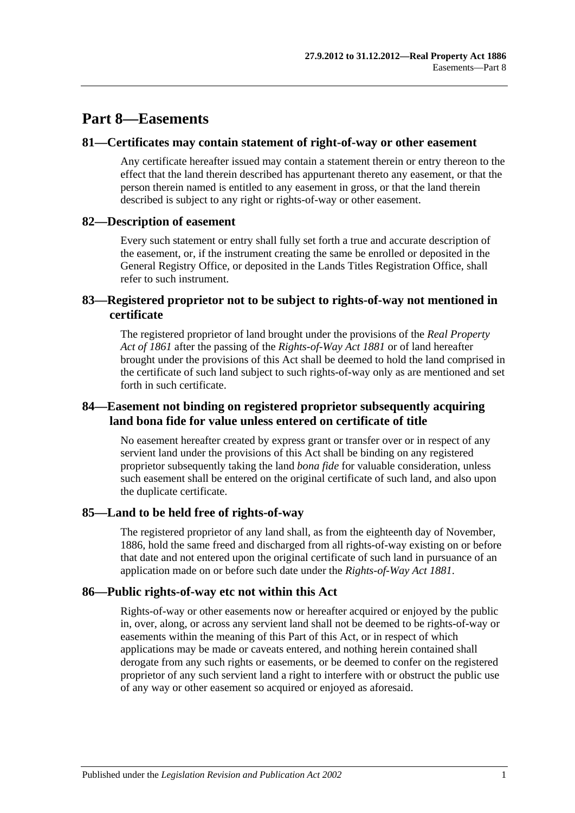# **Part 8—Easements**

## **81—Certificates may contain statement of right-of-way or other easement**

Any certificate hereafter issued may contain a statement therein or entry thereon to the effect that the land therein described has appurtenant thereto any easement, or that the person therein named is entitled to any easement in gross, or that the land therein described is subject to any right or rights-of-way or other easement.

## **82—Description of easement**

Every such statement or entry shall fully set forth a true and accurate description of the easement, or, if the instrument creating the same be enrolled or deposited in the General Registry Office, or deposited in the Lands Titles Registration Office, shall refer to such instrument.

# **83—Registered proprietor not to be subject to rights-of-way not mentioned in certificate**

The registered proprietor of land brought under the provisions of the *[Real Property](http://www.legislation.sa.gov.au/index.aspx?action=legref&type=act&legtitle=Real%20Property%20Act%20of%201861)  [Act of](http://www.legislation.sa.gov.au/index.aspx?action=legref&type=act&legtitle=Real%20Property%20Act%20of%201861) 1861* after the passing of the *[Rights-of-Way Act](http://www.legislation.sa.gov.au/index.aspx?action=legref&type=act&legtitle=Rights-of-Way%20Act%201881) 1881* or of land hereafter brought under the provisions of this Act shall be deemed to hold the land comprised in the certificate of such land subject to such rights-of-way only as are mentioned and set forth in such certificate.

## **84—Easement not binding on registered proprietor subsequently acquiring land bona fide for value unless entered on certificate of title**

No easement hereafter created by express grant or transfer over or in respect of any servient land under the provisions of this Act shall be binding on any registered proprietor subsequently taking the land *bona fide* for valuable consideration, unless such easement shall be entered on the original certificate of such land, and also upon the duplicate certificate.

## **85—Land to be held free of rights-of-way**

The registered proprietor of any land shall, as from the eighteenth day of November, 1886, hold the same freed and discharged from all rights-of-way existing on or before that date and not entered upon the original certificate of such land in pursuance of an application made on or before such date under the *[Rights-of-Way Act](http://www.legislation.sa.gov.au/index.aspx?action=legref&type=act&legtitle=Rights-of-Way%20Act%201881) 1881*.

## **86—Public rights-of-way etc not within this Act**

Rights-of-way or other easements now or hereafter acquired or enjoyed by the public in, over, along, or across any servient land shall not be deemed to be rights-of-way or easements within the meaning of this Part of this Act, or in respect of which applications may be made or caveats entered, and nothing herein contained shall derogate from any such rights or easements, or be deemed to confer on the registered proprietor of any such servient land a right to interfere with or obstruct the public use of any way or other easement so acquired or enjoyed as aforesaid.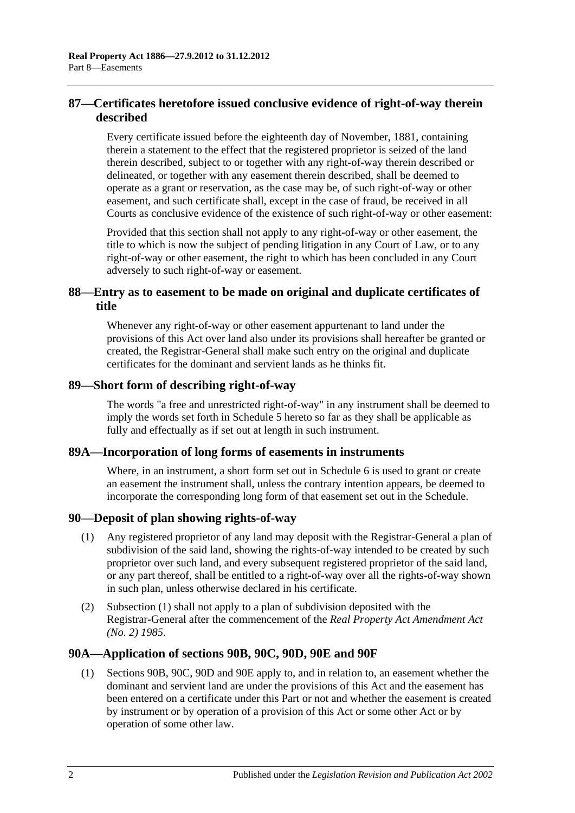# **87—Certificates heretofore issued conclusive evidence of right-of-way therein described**

Every certificate issued before the eighteenth day of November, 1881, containing therein a statement to the effect that the registered proprietor is seized of the land therein described, subject to or together with any right-of-way therein described or delineated, or together with any easement therein described, shall be deemed to operate as a grant or reservation, as the case may be, of such right-of-way or other easement, and such certificate shall, except in the case of fraud, be received in all Courts as conclusive evidence of the existence of such right-of-way or other easement:

Provided that this section shall not apply to any right-of-way or other easement, the title to which is now the subject of pending litigation in any Court of Law, or to any right-of-way or other easement, the right to which has been concluded in any Court adversely to such right-of-way or easement.

# **88—Entry as to easement to be made on original and duplicate certificates of title**

Whenever any right-of-way or other easement appurtenant to land under the provisions of this Act over land also under its provisions shall hereafter be granted or created, the Registrar-General shall make such entry on the original and duplicate certificates for the dominant and servient lands as he thinks fit.

## **89—Short form of describing right-of-way**

The words "a free and unrestricted right-of-way" in any instrument shall be deemed to imply the words set forth in [Schedule 5](#page-132-0) hereto so far as they shall be applicable as fully and effectually as if set out at length in such instrument.

## **89A—Incorporation of long forms of easements in instruments**

Where, in an instrument, a short form set out in [Schedule 6](#page-132-1) is used to grant or create an easement the instrument shall, unless the contrary intention appears, be deemed to incorporate the corresponding long form of that easement set out in the Schedule.

## <span id="page-45-0"></span>**90—Deposit of plan showing rights-of-way**

- (1) Any registered proprietor of any land may deposit with the Registrar-General a plan of subdivision of the said land, showing the rights-of-way intended to be created by such proprietor over such land, and every subsequent registered proprietor of the said land, or any part thereof, shall be entitled to a right-of-way over all the rights-of-way shown in such plan, unless otherwise declared in his certificate.
- (2) [Subsection](#page-45-0) (1) shall not apply to a plan of subdivision deposited with the Registrar-General after the commencement of the *[Real Property Act Amendment Act](http://www.legislation.sa.gov.au/index.aspx?action=legref&type=act&legtitle=Real%20Property%20Act%20Amendment%20Act%20(No.%202)%201985)  (No. 2) [1985](http://www.legislation.sa.gov.au/index.aspx?action=legref&type=act&legtitle=Real%20Property%20Act%20Amendment%20Act%20(No.%202)%201985)*.

## **90A—Application of [sections](#page-46-0) 90B, [90C,](#page-48-0) [90D,](#page-49-0) [90E](#page-49-1) and [90F](#page-49-2)**

(1) [Sections](#page-46-0) 90B, [90C,](#page-48-0) [90D](#page-49-0) and [90E](#page-49-1) apply to, and in relation to, an easement whether the dominant and servient land are under the provisions of this Act and the easement has been entered on a certificate under this Part or not and whether the easement is created by instrument or by operation of a provision of this Act or some other Act or by operation of some other law.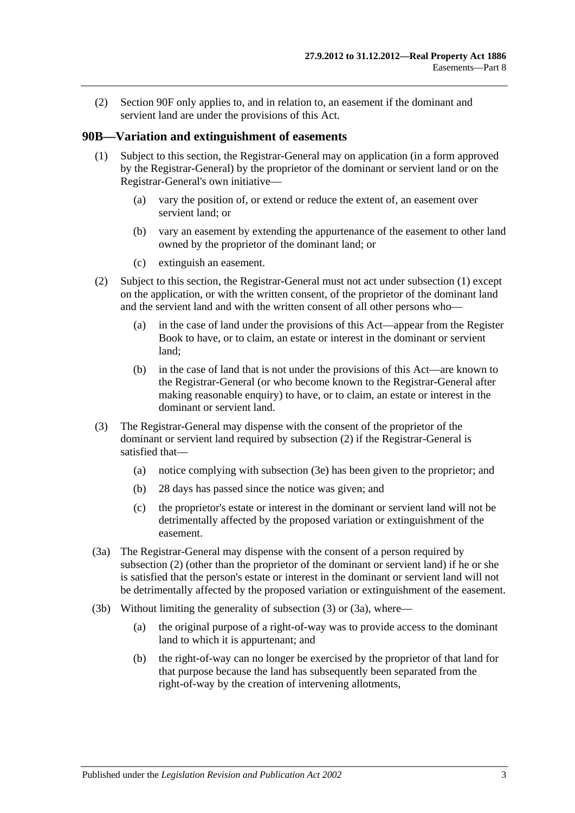(2) [Section](#page-49-2) 90F only applies to, and in relation to, an easement if the dominant and servient land are under the provisions of this Act.

### <span id="page-46-1"></span><span id="page-46-0"></span>**90B—Variation and extinguishment of easements**

- (1) Subject to this section, the Registrar-General may on application (in a form approved by the Registrar-General) by the proprietor of the dominant or servient land or on the Registrar-General's own initiative—
	- (a) vary the position of, or extend or reduce the extent of, an easement over servient land; or
	- (b) vary an easement by extending the appurtenance of the easement to other land owned by the proprietor of the dominant land; or
	- (c) extinguish an easement.
- <span id="page-46-2"></span>(2) Subject to this section, the Registrar-General must not act under [subsection](#page-46-1) (1) except on the application, or with the written consent, of the proprietor of the dominant land and the servient land and with the written consent of all other persons who—
	- (a) in the case of land under the provisions of this Act—appear from the Register Book to have, or to claim, an estate or interest in the dominant or servient land;
	- (b) in the case of land that is not under the provisions of this Act—are known to the Registrar-General (or who become known to the Registrar-General after making reasonable enquiry) to have, or to claim, an estate or interest in the dominant or servient land.
- <span id="page-46-3"></span>(3) The Registrar-General may dispense with the consent of the proprietor of the dominant or servient land required by [subsection](#page-46-2) (2) if the Registrar-General is satisfied that—
	- (a) notice complying with [subsection](#page-47-0) (3e) has been given to the proprietor; and
	- (b) 28 days has passed since the notice was given; and
	- (c) the proprietor's estate or interest in the dominant or servient land will not be detrimentally affected by the proposed variation or extinguishment of the easement.
- <span id="page-46-4"></span>(3a) The Registrar-General may dispense with the consent of a person required by [subsection](#page-46-2) (2) (other than the proprietor of the dominant or servient land) if he or she is satisfied that the person's estate or interest in the dominant or servient land will not be detrimentally affected by the proposed variation or extinguishment of the easement.
- <span id="page-46-5"></span>(3b) Without limiting the generality of [subsection](#page-46-3) (3) or [\(3a\),](#page-46-4) where—
	- (a) the original purpose of a right-of-way was to provide access to the dominant land to which it is appurtenant; and
	- (b) the right-of-way can no longer be exercised by the proprietor of that land for that purpose because the land has subsequently been separated from the right-of-way by the creation of intervening allotments,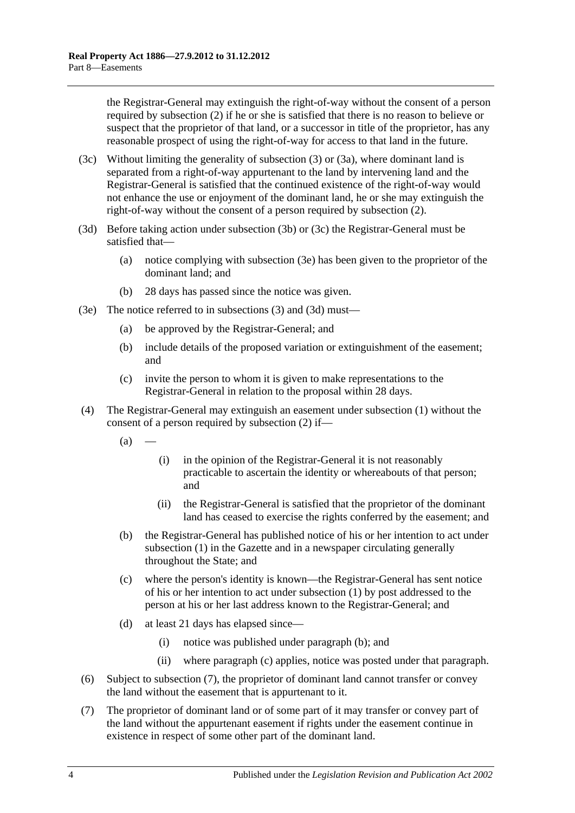the Registrar-General may extinguish the right-of-way without the consent of a person required by [subsection](#page-46-2) (2) if he or she is satisfied that there is no reason to believe or suspect that the proprietor of that land, or a successor in title of the proprietor, has any reasonable prospect of using the right-of-way for access to that land in the future.

- <span id="page-47-1"></span>(3c) Without limiting the generality of [subsection](#page-46-3) (3) or [\(3a\),](#page-46-4) where dominant land is separated from a right-of-way appurtenant to the land by intervening land and the Registrar-General is satisfied that the continued existence of the right-of-way would not enhance the use or enjoyment of the dominant land, he or she may extinguish the right-of-way without the consent of a person required by [subsection](#page-46-2) (2).
- <span id="page-47-2"></span>(3d) Before taking action under [subsection](#page-46-5) (3b) or [\(3c\)](#page-47-1) the Registrar-General must be satisfied that—
	- (a) notice complying with [subsection](#page-47-0) (3e) has been given to the proprietor of the dominant land; and
	- (b) 28 days has passed since the notice was given.
- <span id="page-47-0"></span>(3e) The notice referred to in [subsections](#page-46-3) (3) and [\(3d\)](#page-47-2) must—
	- (a) be approved by the Registrar-General; and
	- (b) include details of the proposed variation or extinguishment of the easement; and
	- (c) invite the person to whom it is given to make representations to the Registrar-General in relation to the proposal within 28 days.
- <span id="page-47-3"></span>(4) The Registrar-General may extinguish an easement under [subsection](#page-46-1) (1) without the consent of a person required by [subsection](#page-46-2) (2) if—
	- $(a)$ 
		- (i) in the opinion of the Registrar-General it is not reasonably practicable to ascertain the identity or whereabouts of that person; and
		- (ii) the Registrar-General is satisfied that the proprietor of the dominant land has ceased to exercise the rights conferred by the easement; and
	- (b) the Registrar-General has published notice of his or her intention to act under [subsection](#page-46-1) (1) in the Gazette and in a newspaper circulating generally throughout the State; and
	- (c) where the person's identity is known—the Registrar-General has sent notice of his or her intention to act under [subsection](#page-46-1) (1) by post addressed to the person at his or her last address known to the Registrar-General; and
	- (d) at least 21 days has elapsed since—
		- (i) notice was published under [paragraph](#page-47-3) (b); and
		- (ii) where [paragraph](#page-47-4) (c) applies, notice was posted under that paragraph.
- <span id="page-47-4"></span>(6) Subject to [subsection](#page-47-5) (7), the proprietor of dominant land cannot transfer or convey the land without the easement that is appurtenant to it.
- <span id="page-47-5"></span>(7) The proprietor of dominant land or of some part of it may transfer or convey part of the land without the appurtenant easement if rights under the easement continue in existence in respect of some other part of the dominant land.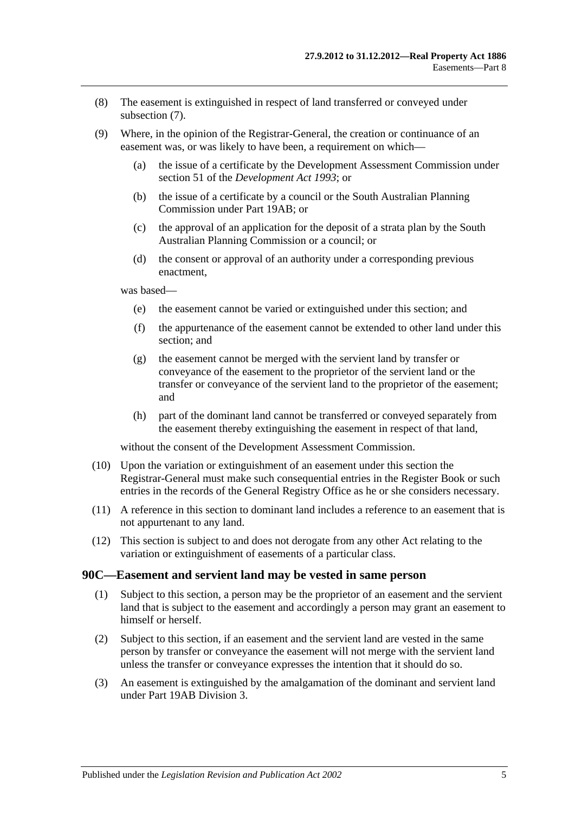- (8) The easement is extinguished in respect of land transferred or conveyed under [subsection](#page-47-5) (7).
- (9) Where, in the opinion of the Registrar-General, the creation or continuance of an easement was, or was likely to have been, a requirement on which—
	- (a) the issue of a certificate by the Development Assessment Commission under section 51 of the *[Development Act](http://www.legislation.sa.gov.au/index.aspx?action=legref&type=act&legtitle=Development%20Act%201993) 1993*; or
	- (b) the issue of a certificate by a council or the South Australian Planning Commission under [Part 19AB;](#page-104-0) or
	- (c) the approval of an application for the deposit of a strata plan by the South Australian Planning Commission or a council; or
	- (d) the consent or approval of an authority under a corresponding previous enactment,

was based—

- (e) the easement cannot be varied or extinguished under this section; and
- (f) the appurtenance of the easement cannot be extended to other land under this section; and
- (g) the easement cannot be merged with the servient land by transfer or conveyance of the easement to the proprietor of the servient land or the transfer or conveyance of the servient land to the proprietor of the easement; and
- (h) part of the dominant land cannot be transferred or conveyed separately from the easement thereby extinguishing the easement in respect of that land,

without the consent of the Development Assessment Commission.

- (10) Upon the variation or extinguishment of an easement under this section the Registrar-General must make such consequential entries in the Register Book or such entries in the records of the General Registry Office as he or she considers necessary.
- (11) A reference in this section to dominant land includes a reference to an easement that is not appurtenant to any land.
- (12) This section is subject to and does not derogate from any other Act relating to the variation or extinguishment of easements of a particular class.

#### <span id="page-48-0"></span>**90C—Easement and servient land may be vested in same person**

- (1) Subject to this section, a person may be the proprietor of an easement and the servient land that is subject to the easement and accordingly a person may grant an easement to himself or herself.
- (2) Subject to this section, if an easement and the servient land are vested in the same person by transfer or conveyance the easement will not merge with the servient land unless the transfer or conveyance expresses the intention that it should do so.
- (3) An easement is extinguished by the amalgamation of the dominant and servient land under [Part 19AB](#page-104-0) [Division 3.](#page-114-0)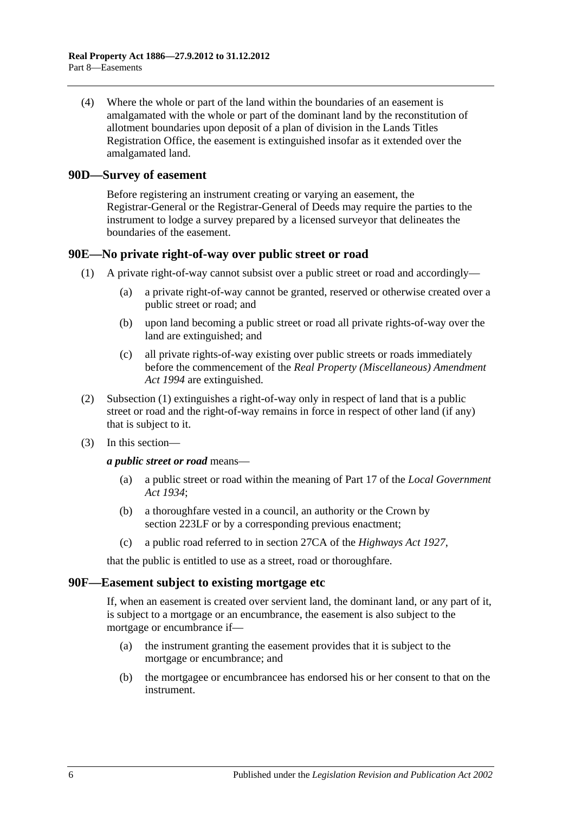(4) Where the whole or part of the land within the boundaries of an easement is amalgamated with the whole or part of the dominant land by the reconstitution of allotment boundaries upon deposit of a plan of division in the Lands Titles Registration Office, the easement is extinguished insofar as it extended over the amalgamated land.

#### <span id="page-49-0"></span>**90D—Survey of easement**

Before registering an instrument creating or varying an easement, the Registrar-General or the Registrar-General of Deeds may require the parties to the instrument to lodge a survey prepared by a licensed surveyor that delineates the boundaries of the easement.

#### <span id="page-49-3"></span><span id="page-49-1"></span>**90E—No private right-of-way over public street or road**

- (1) A private right-of-way cannot subsist over a public street or road and accordingly—
	- (a) a private right-of-way cannot be granted, reserved or otherwise created over a public street or road; and
	- (b) upon land becoming a public street or road all private rights-of-way over the land are extinguished; and
	- (c) all private rights-of-way existing over public streets or roads immediately before the commencement of the *[Real Property \(Miscellaneous\) Amendment](http://www.legislation.sa.gov.au/index.aspx?action=legref&type=act&legtitle=Real%20Property%20(Miscellaneous)%20Amendment%20Act%201994)  Act [1994](http://www.legislation.sa.gov.au/index.aspx?action=legref&type=act&legtitle=Real%20Property%20(Miscellaneous)%20Amendment%20Act%201994)* are extinguished.
- (2) [Subsection](#page-49-3) (1) extinguishes a right-of-way only in respect of land that is a public street or road and the right-of-way remains in force in respect of other land (if any) that is subject to it.
- (3) In this section—

*a public street or road* means—

- (a) a public street or road within the meaning of Part 17 of the *[Local Government](http://www.legislation.sa.gov.au/index.aspx?action=legref&type=act&legtitle=Local%20Government%20Act%201934)  Act [1934](http://www.legislation.sa.gov.au/index.aspx?action=legref&type=act&legtitle=Local%20Government%20Act%201934)*;
- (b) a thoroughfare vested in a council, an authority or the Crown by [section](#page-111-0) 223LF or by a corresponding previous enactment;
- (c) a public road referred to in section 27CA of the *[Highways Act](http://www.legislation.sa.gov.au/index.aspx?action=legref&type=act&legtitle=Highways%20Act%201927) 1927*,

that the public is entitled to use as a street, road or thoroughfare.

#### <span id="page-49-2"></span>**90F—Easement subject to existing mortgage etc**

If, when an easement is created over servient land, the dominant land, or any part of it, is subject to a mortgage or an encumbrance, the easement is also subject to the mortgage or encumbrance if—

- (a) the instrument granting the easement provides that it is subject to the mortgage or encumbrance; and
- (b) the mortgagee or encumbrancee has endorsed his or her consent to that on the instrument.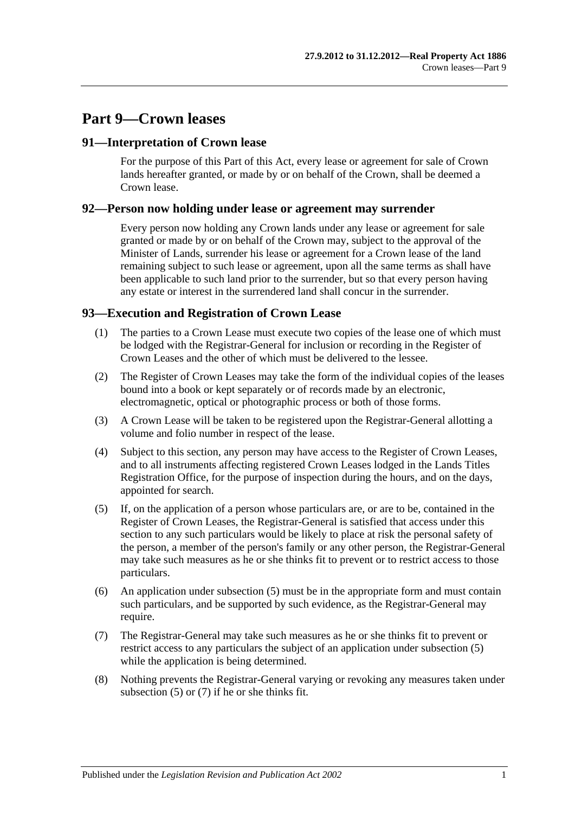# **Part 9—Crown leases**

## **91—Interpretation of Crown lease**

For the purpose of this Part of this Act, every lease or agreement for sale of Crown lands hereafter granted, or made by or on behalf of the Crown, shall be deemed a Crown lease.

## **92—Person now holding under lease or agreement may surrender**

Every person now holding any Crown lands under any lease or agreement for sale granted or made by or on behalf of the Crown may, subject to the approval of the Minister of Lands, surrender his lease or agreement for a Crown lease of the land remaining subject to such lease or agreement, upon all the same terms as shall have been applicable to such land prior to the surrender, but so that every person having any estate or interest in the surrendered land shall concur in the surrender.

# **93—Execution and Registration of Crown Lease**

- (1) The parties to a Crown Lease must execute two copies of the lease one of which must be lodged with the Registrar-General for inclusion or recording in the Register of Crown Leases and the other of which must be delivered to the lessee.
- (2) The Register of Crown Leases may take the form of the individual copies of the leases bound into a book or kept separately or of records made by an electronic, electromagnetic, optical or photographic process or both of those forms.
- (3) A Crown Lease will be taken to be registered upon the Registrar-General allotting a volume and folio number in respect of the lease.
- (4) Subject to this section, any person may have access to the Register of Crown Leases, and to all instruments affecting registered Crown Leases lodged in the Lands Titles Registration Office, for the purpose of inspection during the hours, and on the days, appointed for search.
- <span id="page-50-0"></span>(5) If, on the application of a person whose particulars are, or are to be, contained in the Register of Crown Leases, the Registrar-General is satisfied that access under this section to any such particulars would be likely to place at risk the personal safety of the person, a member of the person's family or any other person, the Registrar-General may take such measures as he or she thinks fit to prevent or to restrict access to those particulars.
- (6) An application under [subsection](#page-50-0) (5) must be in the appropriate form and must contain such particulars, and be supported by such evidence, as the Registrar-General may require.
- <span id="page-50-1"></span>(7) The Registrar-General may take such measures as he or she thinks fit to prevent or restrict access to any particulars the subject of an application under [subsection](#page-50-0) (5) while the application is being determined.
- (8) Nothing prevents the Registrar-General varying or revoking any measures taken under [subsection](#page-50-0) (5) or [\(7\)](#page-50-1) if he or she thinks fit.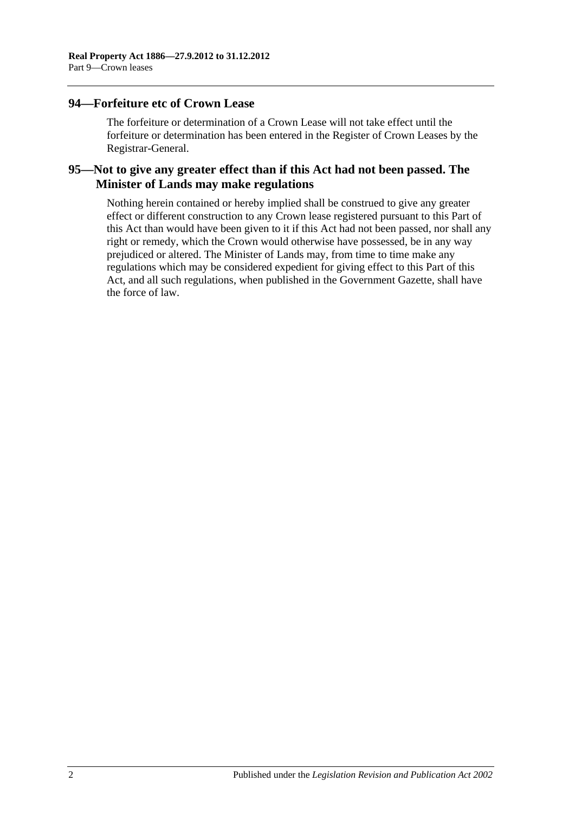## **94—Forfeiture etc of Crown Lease**

The forfeiture or determination of a Crown Lease will not take effect until the forfeiture or determination has been entered in the Register of Crown Leases by the Registrar-General.

## **95—Not to give any greater effect than if this Act had not been passed. The Minister of Lands may make regulations**

Nothing herein contained or hereby implied shall be construed to give any greater effect or different construction to any Crown lease registered pursuant to this Part of this Act than would have been given to it if this Act had not been passed, nor shall any right or remedy, which the Crown would otherwise have possessed, be in any way prejudiced or altered. The Minister of Lands may, from time to time make any regulations which may be considered expedient for giving effect to this Part of this Act, and all such regulations, when published in the Government Gazette, shall have the force of law.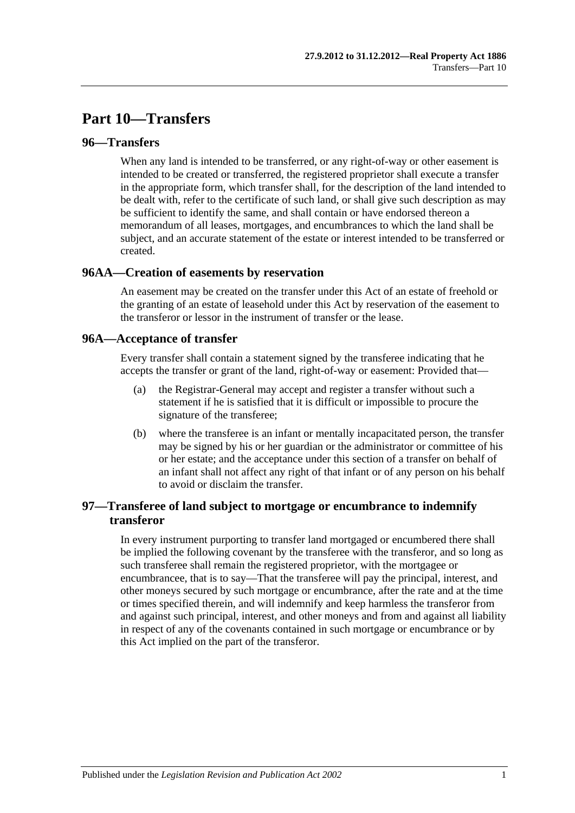# **Part 10—Transfers**

## **96—Transfers**

When any land is intended to be transferred, or any right-of-way or other easement is intended to be created or transferred, the registered proprietor shall execute a transfer in the appropriate form, which transfer shall, for the description of the land intended to be dealt with, refer to the certificate of such land, or shall give such description as may be sufficient to identify the same, and shall contain or have endorsed thereon a memorandum of all leases, mortgages, and encumbrances to which the land shall be subject, and an accurate statement of the estate or interest intended to be transferred or created.

## **96AA—Creation of easements by reservation**

An easement may be created on the transfer under this Act of an estate of freehold or the granting of an estate of leasehold under this Act by reservation of the easement to the transferor or lessor in the instrument of transfer or the lease.

## **96A—Acceptance of transfer**

Every transfer shall contain a statement signed by the transferee indicating that he accepts the transfer or grant of the land, right-of-way or easement: Provided that—

- (a) the Registrar-General may accept and register a transfer without such a statement if he is satisfied that it is difficult or impossible to procure the signature of the transferee;
- (b) where the transferee is an infant or mentally incapacitated person, the transfer may be signed by his or her guardian or the administrator or committee of his or her estate; and the acceptance under this section of a transfer on behalf of an infant shall not affect any right of that infant or of any person on his behalf to avoid or disclaim the transfer.

# **97—Transferee of land subject to mortgage or encumbrance to indemnify transferor**

In every instrument purporting to transfer land mortgaged or encumbered there shall be implied the following covenant by the transferee with the transferor, and so long as such transferee shall remain the registered proprietor, with the mortgagee or encumbrancee, that is to say—That the transferee will pay the principal, interest, and other moneys secured by such mortgage or encumbrance, after the rate and at the time or times specified therein, and will indemnify and keep harmless the transferor from and against such principal, interest, and other moneys and from and against all liability in respect of any of the covenants contained in such mortgage or encumbrance or by this Act implied on the part of the transferor.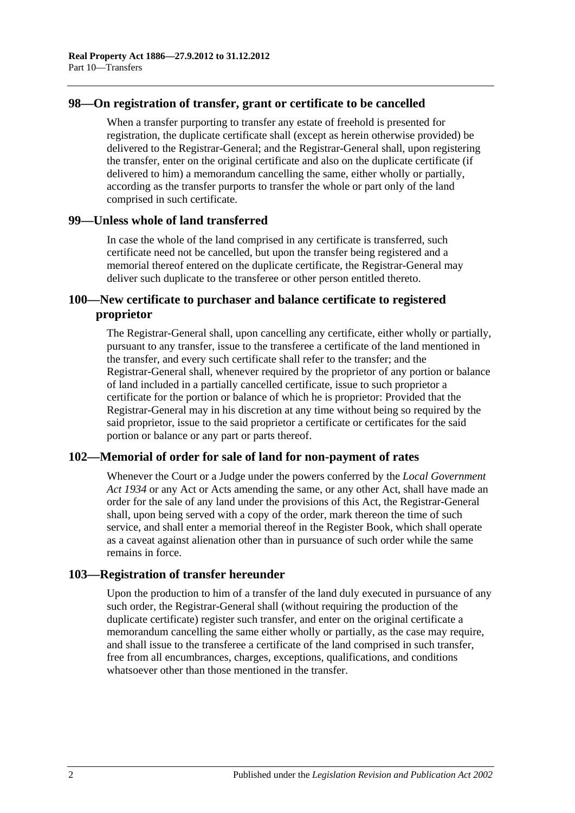## **98—On registration of transfer, grant or certificate to be cancelled**

When a transfer purporting to transfer any estate of freehold is presented for registration, the duplicate certificate shall (except as herein otherwise provided) be delivered to the Registrar-General; and the Registrar-General shall, upon registering the transfer, enter on the original certificate and also on the duplicate certificate (if delivered to him) a memorandum cancelling the same, either wholly or partially, according as the transfer purports to transfer the whole or part only of the land comprised in such certificate.

## **99—Unless whole of land transferred**

In case the whole of the land comprised in any certificate is transferred, such certificate need not be cancelled, but upon the transfer being registered and a memorial thereof entered on the duplicate certificate, the Registrar-General may deliver such duplicate to the transferee or other person entitled thereto.

## **100—New certificate to purchaser and balance certificate to registered proprietor**

The Registrar-General shall, upon cancelling any certificate, either wholly or partially, pursuant to any transfer, issue to the transferee a certificate of the land mentioned in the transfer, and every such certificate shall refer to the transfer; and the Registrar-General shall, whenever required by the proprietor of any portion or balance of land included in a partially cancelled certificate, issue to such proprietor a certificate for the portion or balance of which he is proprietor: Provided that the Registrar-General may in his discretion at any time without being so required by the said proprietor, issue to the said proprietor a certificate or certificates for the said portion or balance or any part or parts thereof.

## **102—Memorial of order for sale of land for non-payment of rates**

Whenever the Court or a Judge under the powers conferred by the *[Local Government](http://www.legislation.sa.gov.au/index.aspx?action=legref&type=act&legtitle=Local%20Government%20Act%201934)  Act [1934](http://www.legislation.sa.gov.au/index.aspx?action=legref&type=act&legtitle=Local%20Government%20Act%201934)* or any Act or Acts amending the same, or any other Act, shall have made an order for the sale of any land under the provisions of this Act, the Registrar-General shall, upon being served with a copy of the order, mark thereon the time of such service, and shall enter a memorial thereof in the Register Book, which shall operate as a caveat against alienation other than in pursuance of such order while the same remains in force.

#### **103—Registration of transfer hereunder**

Upon the production to him of a transfer of the land duly executed in pursuance of any such order, the Registrar-General shall (without requiring the production of the duplicate certificate) register such transfer, and enter on the original certificate a memorandum cancelling the same either wholly or partially, as the case may require, and shall issue to the transferee a certificate of the land comprised in such transfer, free from all encumbrances, charges, exceptions, qualifications, and conditions whatsoever other than those mentioned in the transfer.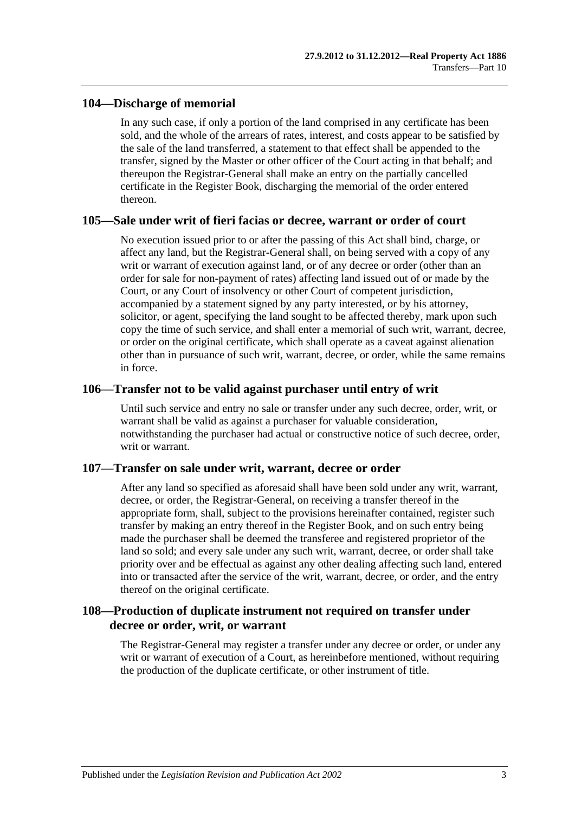## **104—Discharge of memorial**

In any such case, if only a portion of the land comprised in any certificate has been sold, and the whole of the arrears of rates, interest, and costs appear to be satisfied by the sale of the land transferred, a statement to that effect shall be appended to the transfer, signed by the Master or other officer of the Court acting in that behalf; and thereupon the Registrar-General shall make an entry on the partially cancelled certificate in the Register Book, discharging the memorial of the order entered thereon.

#### **105—Sale under writ of fieri facias or decree, warrant or order of court**

No execution issued prior to or after the passing of this Act shall bind, charge, or affect any land, but the Registrar-General shall, on being served with a copy of any writ or warrant of execution against land, or of any decree or order (other than an order for sale for non-payment of rates) affecting land issued out of or made by the Court, or any Court of insolvency or other Court of competent jurisdiction, accompanied by a statement signed by any party interested, or by his attorney, solicitor, or agent, specifying the land sought to be affected thereby, mark upon such copy the time of such service, and shall enter a memorial of such writ, warrant, decree, or order on the original certificate, which shall operate as a caveat against alienation other than in pursuance of such writ, warrant, decree, or order, while the same remains in force.

## **106—Transfer not to be valid against purchaser until entry of writ**

Until such service and entry no sale or transfer under any such decree, order, writ, or warrant shall be valid as against a purchaser for valuable consideration, notwithstanding the purchaser had actual or constructive notice of such decree, order, writ or warrant.

#### **107—Transfer on sale under writ, warrant, decree or order**

After any land so specified as aforesaid shall have been sold under any writ, warrant, decree, or order, the Registrar-General, on receiving a transfer thereof in the appropriate form, shall, subject to the provisions hereinafter contained, register such transfer by making an entry thereof in the Register Book, and on such entry being made the purchaser shall be deemed the transferee and registered proprietor of the land so sold; and every sale under any such writ, warrant, decree, or order shall take priority over and be effectual as against any other dealing affecting such land, entered into or transacted after the service of the writ, warrant, decree, or order, and the entry thereof on the original certificate.

## **108—Production of duplicate instrument not required on transfer under decree or order, writ, or warrant**

The Registrar-General may register a transfer under any decree or order, or under any writ or warrant of execution of a Court, as hereinbefore mentioned, without requiring the production of the duplicate certificate, or other instrument of title.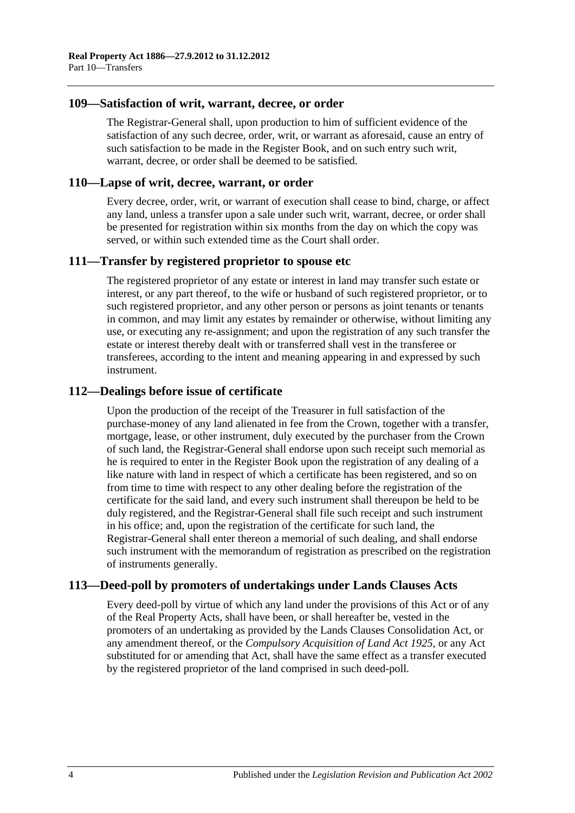### **109—Satisfaction of writ, warrant, decree, or order**

The Registrar-General shall, upon production to him of sufficient evidence of the satisfaction of any such decree, order, writ, or warrant as aforesaid, cause an entry of such satisfaction to be made in the Register Book, and on such entry such writ, warrant, decree, or order shall be deemed to be satisfied.

### **110—Lapse of writ, decree, warrant, or order**

Every decree, order, writ, or warrant of execution shall cease to bind, charge, or affect any land, unless a transfer upon a sale under such writ, warrant, decree, or order shall be presented for registration within six months from the day on which the copy was served, or within such extended time as the Court shall order.

## **111—Transfer by registered proprietor to spouse etc**

The registered proprietor of any estate or interest in land may transfer such estate or interest, or any part thereof, to the wife or husband of such registered proprietor, or to such registered proprietor, and any other person or persons as joint tenants or tenants in common, and may limit any estates by remainder or otherwise, without limiting any use, or executing any re-assignment; and upon the registration of any such transfer the estate or interest thereby dealt with or transferred shall vest in the transferee or transferees, according to the intent and meaning appearing in and expressed by such instrument.

## **112—Dealings before issue of certificate**

Upon the production of the receipt of the Treasurer in full satisfaction of the purchase-money of any land alienated in fee from the Crown, together with a transfer, mortgage, lease, or other instrument, duly executed by the purchaser from the Crown of such land, the Registrar-General shall endorse upon such receipt such memorial as he is required to enter in the Register Book upon the registration of any dealing of a like nature with land in respect of which a certificate has been registered, and so on from time to time with respect to any other dealing before the registration of the certificate for the said land, and every such instrument shall thereupon be held to be duly registered, and the Registrar-General shall file such receipt and such instrument in his office; and, upon the registration of the certificate for such land, the Registrar-General shall enter thereon a memorial of such dealing, and shall endorse such instrument with the memorandum of registration as prescribed on the registration of instruments generally.

## **113—Deed-poll by promoters of undertakings under Lands Clauses Acts**

Every deed-poll by virtue of which any land under the provisions of this Act or of any of the Real Property Acts, shall have been, or shall hereafter be, vested in the promoters of an undertaking as provided by the Lands Clauses Consolidation Act, or any amendment thereof, or the *[Compulsory Acquisition of Land Act](http://www.legislation.sa.gov.au/index.aspx?action=legref&type=act&legtitle=Compulsory%20Acquisition%20of%20Land%20Act%201925) 1925*, or any Act substituted for or amending that Act, shall have the same effect as a transfer executed by the registered proprietor of the land comprised in such deed-poll.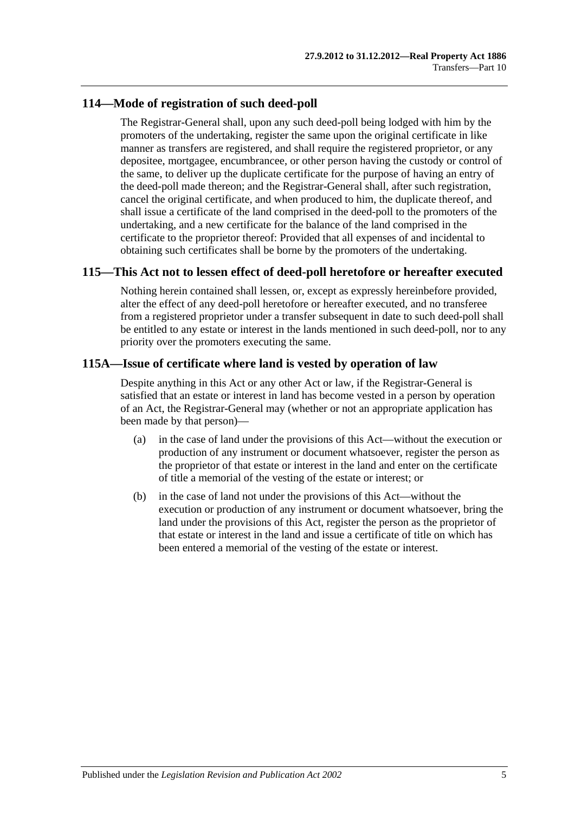## **114—Mode of registration of such deed-poll**

The Registrar-General shall, upon any such deed-poll being lodged with him by the promoters of the undertaking, register the same upon the original certificate in like manner as transfers are registered, and shall require the registered proprietor, or any depositee, mortgagee, encumbrancee, or other person having the custody or control of the same, to deliver up the duplicate certificate for the purpose of having an entry of the deed-poll made thereon; and the Registrar-General shall, after such registration, cancel the original certificate, and when produced to him, the duplicate thereof, and shall issue a certificate of the land comprised in the deed-poll to the promoters of the undertaking, and a new certificate for the balance of the land comprised in the certificate to the proprietor thereof: Provided that all expenses of and incidental to obtaining such certificates shall be borne by the promoters of the undertaking.

## **115—This Act not to lessen effect of deed-poll heretofore or hereafter executed**

Nothing herein contained shall lessen, or, except as expressly hereinbefore provided, alter the effect of any deed-poll heretofore or hereafter executed, and no transferee from a registered proprietor under a transfer subsequent in date to such deed-poll shall be entitled to any estate or interest in the lands mentioned in such deed-poll, nor to any priority over the promoters executing the same.

## **115A—Issue of certificate where land is vested by operation of law**

Despite anything in this Act or any other Act or law, if the Registrar-General is satisfied that an estate or interest in land has become vested in a person by operation of an Act, the Registrar-General may (whether or not an appropriate application has been made by that person)—

- (a) in the case of land under the provisions of this Act—without the execution or production of any instrument or document whatsoever, register the person as the proprietor of that estate or interest in the land and enter on the certificate of title a memorial of the vesting of the estate or interest; or
- (b) in the case of land not under the provisions of this Act—without the execution or production of any instrument or document whatsoever, bring the land under the provisions of this Act, register the person as the proprietor of that estate or interest in the land and issue a certificate of title on which has been entered a memorial of the vesting of the estate or interest.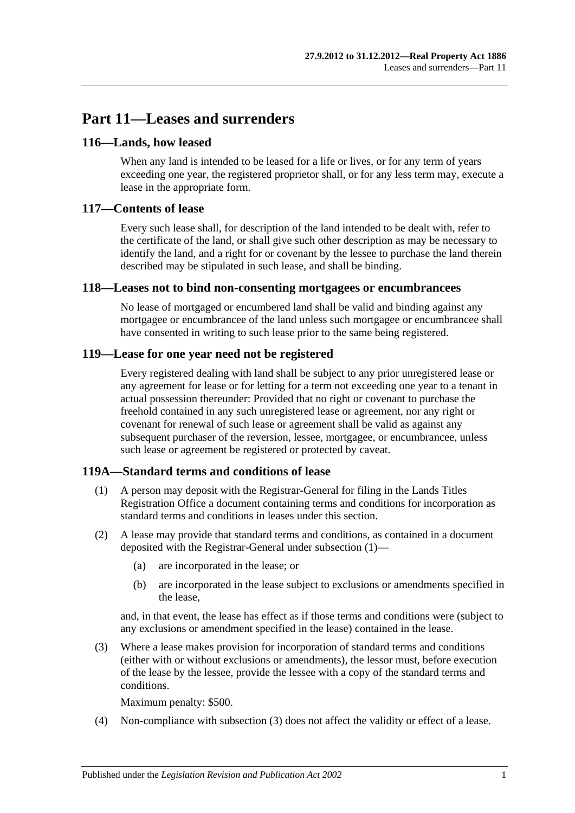# **Part 11—Leases and surrenders**

## **116—Lands, how leased**

When any land is intended to be leased for a life or lives, or for any term of years exceeding one year, the registered proprietor shall, or for any less term may, execute a lease in the appropriate form.

## **117—Contents of lease**

Every such lease shall, for description of the land intended to be dealt with, refer to the certificate of the land, or shall give such other description as may be necessary to identify the land, and a right for or covenant by the lessee to purchase the land therein described may be stipulated in such lease, and shall be binding.

#### **118—Leases not to bind non-consenting mortgagees or encumbrancees**

No lease of mortgaged or encumbered land shall be valid and binding against any mortgagee or encumbrancee of the land unless such mortgagee or encumbrancee shall have consented in writing to such lease prior to the same being registered.

## **119—Lease for one year need not be registered**

Every registered dealing with land shall be subject to any prior unregistered lease or any agreement for lease or for letting for a term not exceeding one year to a tenant in actual possession thereunder: Provided that no right or covenant to purchase the freehold contained in any such unregistered lease or agreement, nor any right or covenant for renewal of such lease or agreement shall be valid as against any subsequent purchaser of the reversion, lessee, mortgagee, or encumbrancee, unless such lease or agreement be registered or protected by caveat.

#### <span id="page-58-0"></span>**119A—Standard terms and conditions of lease**

- (1) A person may deposit with the Registrar-General for filing in the Lands Titles Registration Office a document containing terms and conditions for incorporation as standard terms and conditions in leases under this section.
- (2) A lease may provide that standard terms and conditions, as contained in a document deposited with the Registrar-General under [subsection](#page-58-0) (1)—
	- (a) are incorporated in the lease; or
	- (b) are incorporated in the lease subject to exclusions or amendments specified in the lease,

and, in that event, the lease has effect as if those terms and conditions were (subject to any exclusions or amendment specified in the lease) contained in the lease.

<span id="page-58-1"></span>(3) Where a lease makes provision for incorporation of standard terms and conditions (either with or without exclusions or amendments), the lessor must, before execution of the lease by the lessee, provide the lessee with a copy of the standard terms and conditions.

Maximum penalty: \$500.

(4) Non-compliance with [subsection](#page-58-1) (3) does not affect the validity or effect of a lease.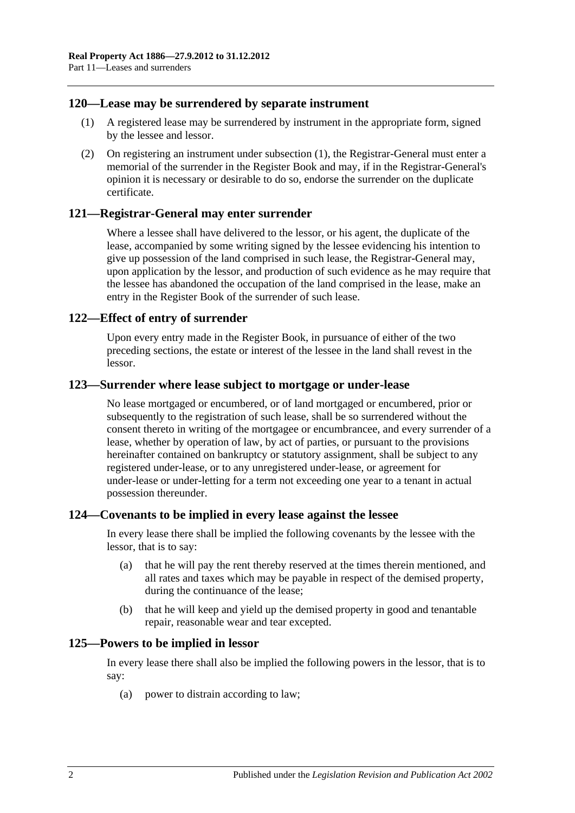## <span id="page-59-0"></span>**120—Lease may be surrendered by separate instrument**

- (1) A registered lease may be surrendered by instrument in the appropriate form, signed by the lessee and lessor.
- (2) On registering an instrument under [subsection](#page-59-0) (1), the Registrar-General must enter a memorial of the surrender in the Register Book and may, if in the Registrar-General's opinion it is necessary or desirable to do so, endorse the surrender on the duplicate certificate.

## **121—Registrar-General may enter surrender**

Where a lessee shall have delivered to the lessor, or his agent, the duplicate of the lease, accompanied by some writing signed by the lessee evidencing his intention to give up possession of the land comprised in such lease, the Registrar-General may, upon application by the lessor, and production of such evidence as he may require that the lessee has abandoned the occupation of the land comprised in the lease, make an entry in the Register Book of the surrender of such lease.

## **122—Effect of entry of surrender**

Upon every entry made in the Register Book, in pursuance of either of the two preceding sections, the estate or interest of the lessee in the land shall revest in the lessor.

#### **123—Surrender where lease subject to mortgage or under-lease**

No lease mortgaged or encumbered, or of land mortgaged or encumbered, prior or subsequently to the registration of such lease, shall be so surrendered without the consent thereto in writing of the mortgagee or encumbrancee, and every surrender of a lease, whether by operation of law, by act of parties, or pursuant to the provisions hereinafter contained on bankruptcy or statutory assignment, shall be subject to any registered under-lease, or to any unregistered under-lease, or agreement for under-lease or under-letting for a term not exceeding one year to a tenant in actual possession thereunder.

#### **124—Covenants to be implied in every lease against the lessee**

In every lease there shall be implied the following covenants by the lessee with the lessor, that is to say:

- (a) that he will pay the rent thereby reserved at the times therein mentioned, and all rates and taxes which may be payable in respect of the demised property, during the continuance of the lease;
- (b) that he will keep and yield up the demised property in good and tenantable repair, reasonable wear and tear excepted.

#### **125—Powers to be implied in lessor**

In every lease there shall also be implied the following powers in the lessor, that is to say:

(a) power to distrain according to law;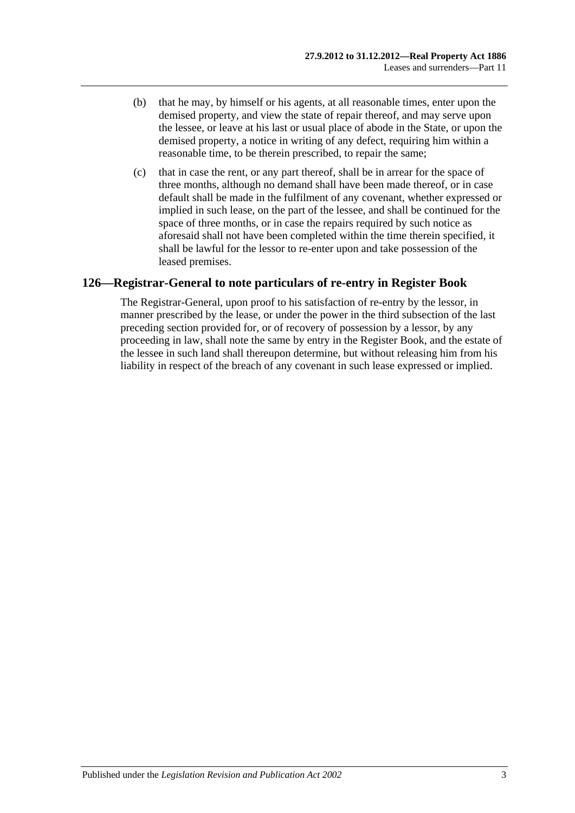- (b) that he may, by himself or his agents, at all reasonable times, enter upon the demised property, and view the state of repair thereof, and may serve upon the lessee, or leave at his last or usual place of abode in the State, or upon the demised property, a notice in writing of any defect, requiring him within a reasonable time, to be therein prescribed, to repair the same;
- (c) that in case the rent, or any part thereof, shall be in arrear for the space of three months, although no demand shall have been made thereof, or in case default shall be made in the fulfilment of any covenant, whether expressed or implied in such lease, on the part of the lessee, and shall be continued for the space of three months, or in case the repairs required by such notice as aforesaid shall not have been completed within the time therein specified, it shall be lawful for the lessor to re-enter upon and take possession of the leased premises.

# **126—Registrar-General to note particulars of re-entry in Register Book**

The Registrar-General, upon proof to his satisfaction of re-entry by the lessor, in manner prescribed by the lease, or under the power in the third subsection of the last preceding section provided for, or of recovery of possession by a lessor, by any proceeding in law, shall note the same by entry in the Register Book, and the estate of the lessee in such land shall thereupon determine, but without releasing him from his liability in respect of the breach of any covenant in such lease expressed or implied.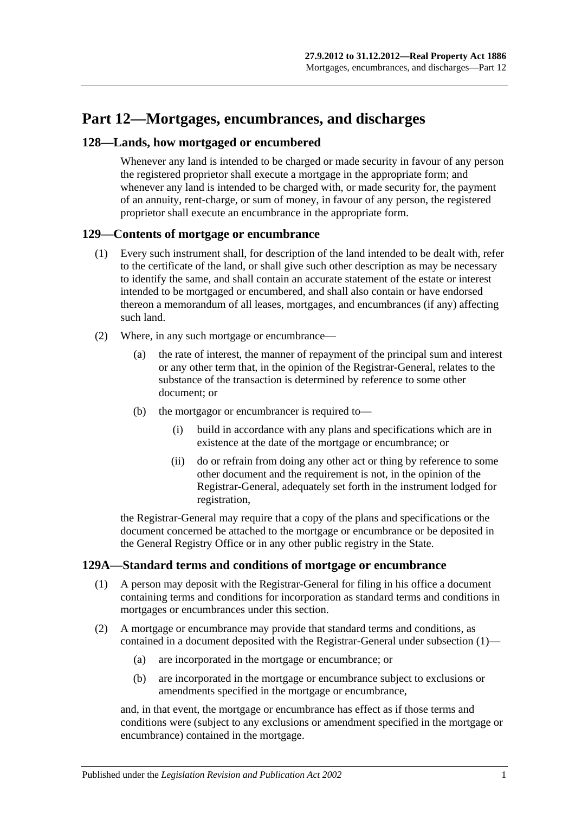# **Part 12—Mortgages, encumbrances, and discharges**

## **128—Lands, how mortgaged or encumbered**

Whenever any land is intended to be charged or made security in favour of any person the registered proprietor shall execute a mortgage in the appropriate form; and whenever any land is intended to be charged with, or made security for, the payment of an annuity, rent-charge, or sum of money, in favour of any person, the registered proprietor shall execute an encumbrance in the appropriate form.

## **129—Contents of mortgage or encumbrance**

- (1) Every such instrument shall, for description of the land intended to be dealt with, refer to the certificate of the land, or shall give such other description as may be necessary to identify the same, and shall contain an accurate statement of the estate or interest intended to be mortgaged or encumbered, and shall also contain or have endorsed thereon a memorandum of all leases, mortgages, and encumbrances (if any) affecting such land.
- (2) Where, in any such mortgage or encumbrance—
	- (a) the rate of interest, the manner of repayment of the principal sum and interest or any other term that, in the opinion of the Registrar-General, relates to the substance of the transaction is determined by reference to some other document; or
	- (b) the mortgagor or encumbrancer is required to—
		- (i) build in accordance with any plans and specifications which are in existence at the date of the mortgage or encumbrance; or
		- (ii) do or refrain from doing any other act or thing by reference to some other document and the requirement is not, in the opinion of the Registrar-General, adequately set forth in the instrument lodged for registration,

the Registrar-General may require that a copy of the plans and specifications or the document concerned be attached to the mortgage or encumbrance or be deposited in the General Registry Office or in any other public registry in the State.

## <span id="page-62-0"></span>**129A—Standard terms and conditions of mortgage or encumbrance**

- (1) A person may deposit with the Registrar-General for filing in his office a document containing terms and conditions for incorporation as standard terms and conditions in mortgages or encumbrances under this section.
- (2) A mortgage or encumbrance may provide that standard terms and conditions, as contained in a document deposited with the Registrar-General under [subsection](#page-62-0) (1)—
	- (a) are incorporated in the mortgage or encumbrance; or
	- (b) are incorporated in the mortgage or encumbrance subject to exclusions or amendments specified in the mortgage or encumbrance,

and, in that event, the mortgage or encumbrance has effect as if those terms and conditions were (subject to any exclusions or amendment specified in the mortgage or encumbrance) contained in the mortgage.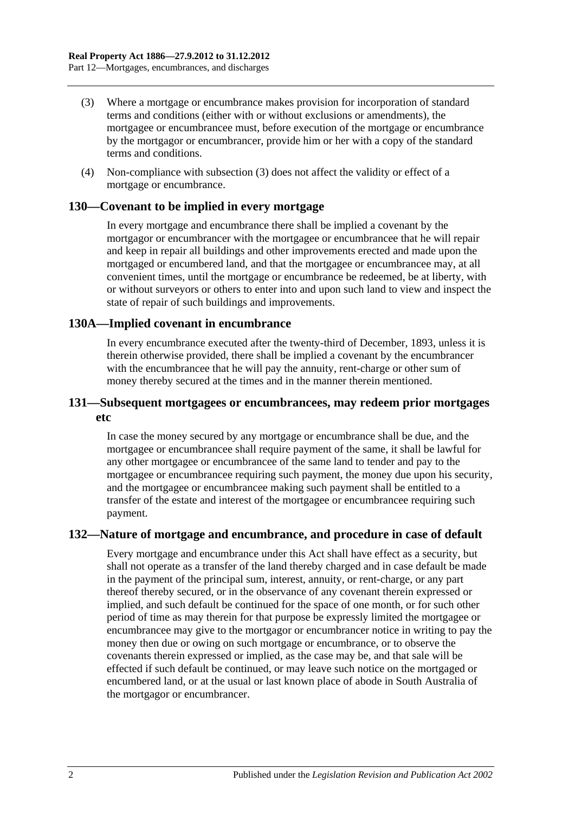- (3) Where a mortgage or encumbrance makes provision for incorporation of standard terms and conditions (either with or without exclusions or amendments), the mortgagee or encumbrancee must, before execution of the mortgage or encumbrance by the mortgagor or encumbrancer, provide him or her with a copy of the standard terms and conditions.
- (4) Non-compliance with subsection (3) does not affect the validity or effect of a mortgage or encumbrance.

## **130—Covenant to be implied in every mortgage**

In every mortgage and encumbrance there shall be implied a covenant by the mortgagor or encumbrancer with the mortgagee or encumbrancee that he will repair and keep in repair all buildings and other improvements erected and made upon the mortgaged or encumbered land, and that the mortgagee or encumbrancee may, at all convenient times, until the mortgage or encumbrance be redeemed, be at liberty, with or without surveyors or others to enter into and upon such land to view and inspect the state of repair of such buildings and improvements.

## **130A—Implied covenant in encumbrance**

In every encumbrance executed after the twenty-third of December, 1893, unless it is therein otherwise provided, there shall be implied a covenant by the encumbrancer with the encumbrancee that he will pay the annuity, rent-charge or other sum of money thereby secured at the times and in the manner therein mentioned.

## **131—Subsequent mortgagees or encumbrancees, may redeem prior mortgages etc**

In case the money secured by any mortgage or encumbrance shall be due, and the mortgagee or encumbrancee shall require payment of the same, it shall be lawful for any other mortgagee or encumbrancee of the same land to tender and pay to the mortgagee or encumbrancee requiring such payment, the money due upon his security, and the mortgagee or encumbrancee making such payment shall be entitled to a transfer of the estate and interest of the mortgagee or encumbrancee requiring such payment.

## **132—Nature of mortgage and encumbrance, and procedure in case of default**

Every mortgage and encumbrance under this Act shall have effect as a security, but shall not operate as a transfer of the land thereby charged and in case default be made in the payment of the principal sum, interest, annuity, or rent-charge, or any part thereof thereby secured, or in the observance of any covenant therein expressed or implied, and such default be continued for the space of one month, or for such other period of time as may therein for that purpose be expressly limited the mortgagee or encumbrancee may give to the mortgagor or encumbrancer notice in writing to pay the money then due or owing on such mortgage or encumbrance, or to observe the covenants therein expressed or implied, as the case may be, and that sale will be effected if such default be continued, or may leave such notice on the mortgaged or encumbered land, or at the usual or last known place of abode in South Australia of the mortgagor or encumbrancer.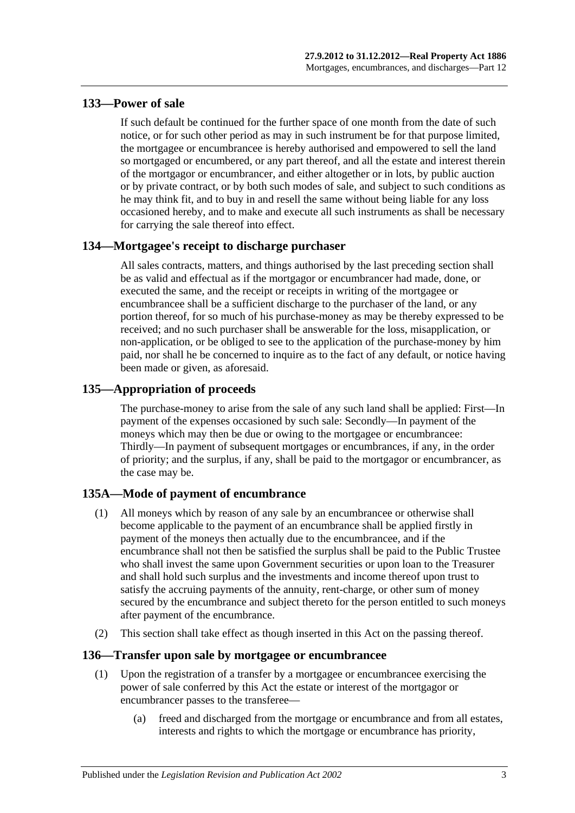# **133—Power of sale**

If such default be continued for the further space of one month from the date of such notice, or for such other period as may in such instrument be for that purpose limited, the mortgagee or encumbrancee is hereby authorised and empowered to sell the land so mortgaged or encumbered, or any part thereof, and all the estate and interest therein of the mortgagor or encumbrancer, and either altogether or in lots, by public auction or by private contract, or by both such modes of sale, and subject to such conditions as he may think fit, and to buy in and resell the same without being liable for any loss occasioned hereby, and to make and execute all such instruments as shall be necessary for carrying the sale thereof into effect.

# **134—Mortgagee's receipt to discharge purchaser**

All sales contracts, matters, and things authorised by the last preceding section shall be as valid and effectual as if the mortgagor or encumbrancer had made, done, or executed the same, and the receipt or receipts in writing of the mortgagee or encumbrancee shall be a sufficient discharge to the purchaser of the land, or any portion thereof, for so much of his purchase-money as may be thereby expressed to be received; and no such purchaser shall be answerable for the loss, misapplication, or non-application, or be obliged to see to the application of the purchase-money by him paid, nor shall he be concerned to inquire as to the fact of any default, or notice having been made or given, as aforesaid.

# **135—Appropriation of proceeds**

The purchase-money to arise from the sale of any such land shall be applied: First—In payment of the expenses occasioned by such sale: Secondly—In payment of the moneys which may then be due or owing to the mortgagee or encumbrancee: Thirdly—In payment of subsequent mortgages or encumbrances, if any, in the order of priority; and the surplus, if any, shall be paid to the mortgagor or encumbrancer, as the case may be.

# **135A—Mode of payment of encumbrance**

- (1) All moneys which by reason of any sale by an encumbrancee or otherwise shall become applicable to the payment of an encumbrance shall be applied firstly in payment of the moneys then actually due to the encumbrancee, and if the encumbrance shall not then be satisfied the surplus shall be paid to the Public Trustee who shall invest the same upon Government securities or upon loan to the Treasurer and shall hold such surplus and the investments and income thereof upon trust to satisfy the accruing payments of the annuity, rent-charge, or other sum of money secured by the encumbrance and subject thereto for the person entitled to such moneys after payment of the encumbrance.
- (2) This section shall take effect as though inserted in this Act on the passing thereof.

## **136—Transfer upon sale by mortgagee or encumbrancee**

- (1) Upon the registration of a transfer by a mortgagee or encumbrancee exercising the power of sale conferred by this Act the estate or interest of the mortgagor or encumbrancer passes to the transferee—
	- (a) freed and discharged from the mortgage or encumbrance and from all estates, interests and rights to which the mortgage or encumbrance has priority,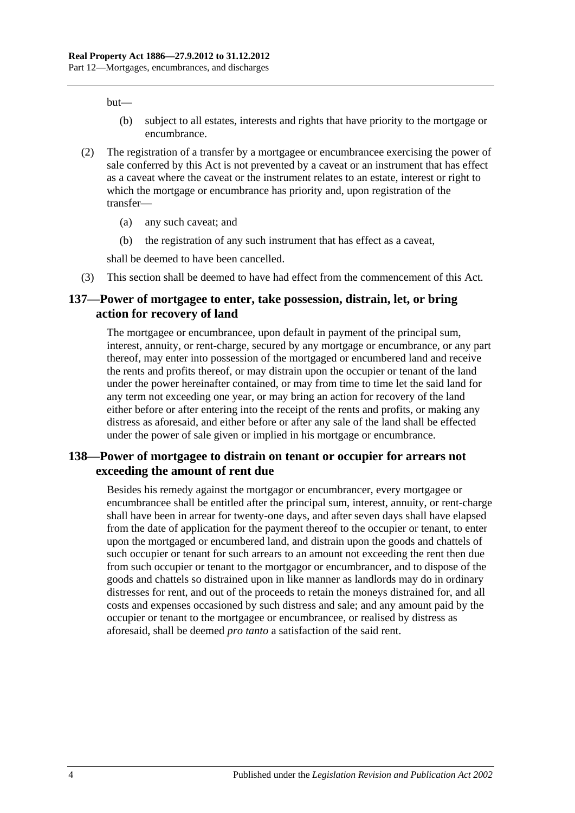but—

- (b) subject to all estates, interests and rights that have priority to the mortgage or encumbrance.
- (2) The registration of a transfer by a mortgagee or encumbrancee exercising the power of sale conferred by this Act is not prevented by a caveat or an instrument that has effect as a caveat where the caveat or the instrument relates to an estate, interest or right to which the mortgage or encumbrance has priority and, upon registration of the transfer—
	- (a) any such caveat; and
	- (b) the registration of any such instrument that has effect as a caveat,

shall be deemed to have been cancelled.

(3) This section shall be deemed to have had effect from the commencement of this Act.

## **137—Power of mortgagee to enter, take possession, distrain, let, or bring action for recovery of land**

The mortgagee or encumbrancee, upon default in payment of the principal sum, interest, annuity, or rent-charge, secured by any mortgage or encumbrance, or any part thereof, may enter into possession of the mortgaged or encumbered land and receive the rents and profits thereof, or may distrain upon the occupier or tenant of the land under the power hereinafter contained, or may from time to time let the said land for any term not exceeding one year, or may bring an action for recovery of the land either before or after entering into the receipt of the rents and profits, or making any distress as aforesaid, and either before or after any sale of the land shall be effected under the power of sale given or implied in his mortgage or encumbrance.

## **138—Power of mortgagee to distrain on tenant or occupier for arrears not exceeding the amount of rent due**

Besides his remedy against the mortgagor or encumbrancer, every mortgagee or encumbrancee shall be entitled after the principal sum, interest, annuity, or rent-charge shall have been in arrear for twenty-one days, and after seven days shall have elapsed from the date of application for the payment thereof to the occupier or tenant, to enter upon the mortgaged or encumbered land, and distrain upon the goods and chattels of such occupier or tenant for such arrears to an amount not exceeding the rent then due from such occupier or tenant to the mortgagor or encumbrancer, and to dispose of the goods and chattels so distrained upon in like manner as landlords may do in ordinary distresses for rent, and out of the proceeds to retain the moneys distrained for, and all costs and expenses occasioned by such distress and sale; and any amount paid by the occupier or tenant to the mortgagee or encumbrancee, or realised by distress as aforesaid, shall be deemed *pro tanto* a satisfaction of the said rent.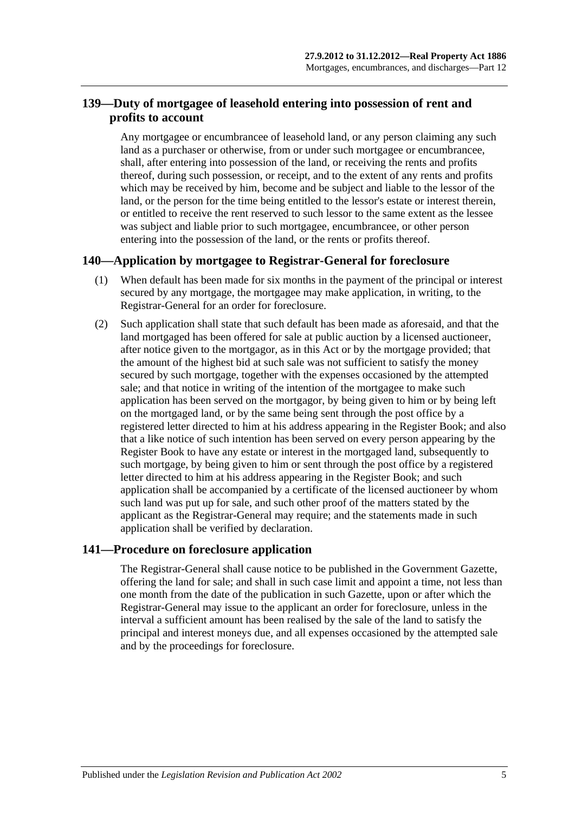# **139—Duty of mortgagee of leasehold entering into possession of rent and profits to account**

Any mortgagee or encumbrancee of leasehold land, or any person claiming any such land as a purchaser or otherwise, from or under such mortgagee or encumbrancee, shall, after entering into possession of the land, or receiving the rents and profits thereof, during such possession, or receipt, and to the extent of any rents and profits which may be received by him, become and be subject and liable to the lessor of the land, or the person for the time being entitled to the lessor's estate or interest therein, or entitled to receive the rent reserved to such lessor to the same extent as the lessee was subject and liable prior to such mortgagee, encumbrancee, or other person entering into the possession of the land, or the rents or profits thereof.

## **140—Application by mortgagee to Registrar-General for foreclosure**

- (1) When default has been made for six months in the payment of the principal or interest secured by any mortgage, the mortgagee may make application, in writing, to the Registrar-General for an order for foreclosure.
- (2) Such application shall state that such default has been made as aforesaid, and that the land mortgaged has been offered for sale at public auction by a licensed auctioneer, after notice given to the mortgagor, as in this Act or by the mortgage provided; that the amount of the highest bid at such sale was not sufficient to satisfy the money secured by such mortgage, together with the expenses occasioned by the attempted sale; and that notice in writing of the intention of the mortgagee to make such application has been served on the mortgagor, by being given to him or by being left on the mortgaged land, or by the same being sent through the post office by a registered letter directed to him at his address appearing in the Register Book; and also that a like notice of such intention has been served on every person appearing by the Register Book to have any estate or interest in the mortgaged land, subsequently to such mortgage, by being given to him or sent through the post office by a registered letter directed to him at his address appearing in the Register Book; and such application shall be accompanied by a certificate of the licensed auctioneer by whom such land was put up for sale, and such other proof of the matters stated by the applicant as the Registrar-General may require; and the statements made in such application shall be verified by declaration.

## **141—Procedure on foreclosure application**

The Registrar-General shall cause notice to be published in the Government Gazette, offering the land for sale; and shall in such case limit and appoint a time, not less than one month from the date of the publication in such Gazette, upon or after which the Registrar-General may issue to the applicant an order for foreclosure, unless in the interval a sufficient amount has been realised by the sale of the land to satisfy the principal and interest moneys due, and all expenses occasioned by the attempted sale and by the proceedings for foreclosure.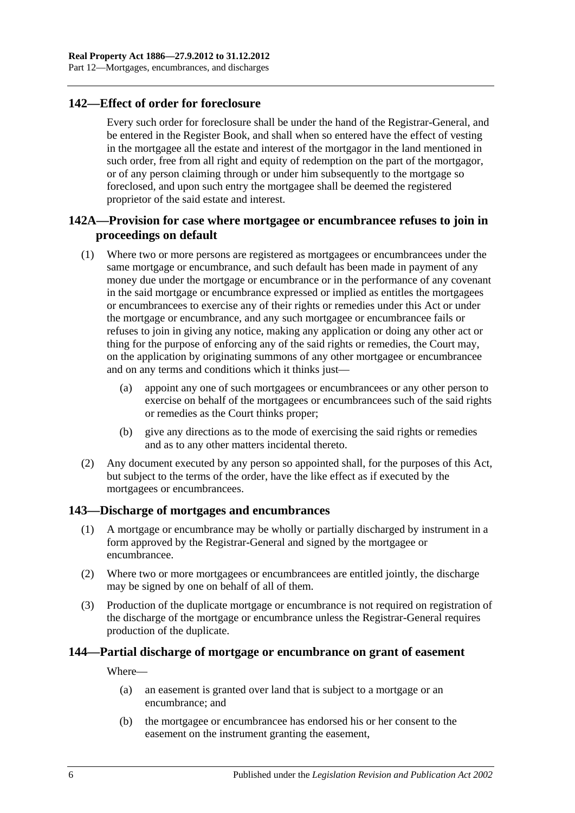## **142—Effect of order for foreclosure**

Every such order for foreclosure shall be under the hand of the Registrar-General, and be entered in the Register Book, and shall when so entered have the effect of vesting in the mortgagee all the estate and interest of the mortgagor in the land mentioned in such order, free from all right and equity of redemption on the part of the mortgagor, or of any person claiming through or under him subsequently to the mortgage so foreclosed, and upon such entry the mortgagee shall be deemed the registered proprietor of the said estate and interest.

# **142A—Provision for case where mortgagee or encumbrancee refuses to join in proceedings on default**

- (1) Where two or more persons are registered as mortgagees or encumbrancees under the same mortgage or encumbrance, and such default has been made in payment of any money due under the mortgage or encumbrance or in the performance of any covenant in the said mortgage or encumbrance expressed or implied as entitles the mortgagees or encumbrancees to exercise any of their rights or remedies under this Act or under the mortgage or encumbrance, and any such mortgagee or encumbrancee fails or refuses to join in giving any notice, making any application or doing any other act or thing for the purpose of enforcing any of the said rights or remedies, the Court may, on the application by originating summons of any other mortgagee or encumbrancee and on any terms and conditions which it thinks just—
	- (a) appoint any one of such mortgagees or encumbrancees or any other person to exercise on behalf of the mortgagees or encumbrancees such of the said rights or remedies as the Court thinks proper;
	- (b) give any directions as to the mode of exercising the said rights or remedies and as to any other matters incidental thereto.
- (2) Any document executed by any person so appointed shall, for the purposes of this Act, but subject to the terms of the order, have the like effect as if executed by the mortgagees or encumbrancees.

## **143—Discharge of mortgages and encumbrances**

- (1) A mortgage or encumbrance may be wholly or partially discharged by instrument in a form approved by the Registrar-General and signed by the mortgagee or encumbrancee.
- (2) Where two or more mortgagees or encumbrancees are entitled jointly, the discharge may be signed by one on behalf of all of them.
- (3) Production of the duplicate mortgage or encumbrance is not required on registration of the discharge of the mortgage or encumbrance unless the Registrar-General requires production of the duplicate.

## **144—Partial discharge of mortgage or encumbrance on grant of easement**

Where—

- (a) an easement is granted over land that is subject to a mortgage or an encumbrance; and
- (b) the mortgagee or encumbrancee has endorsed his or her consent to the easement on the instrument granting the easement,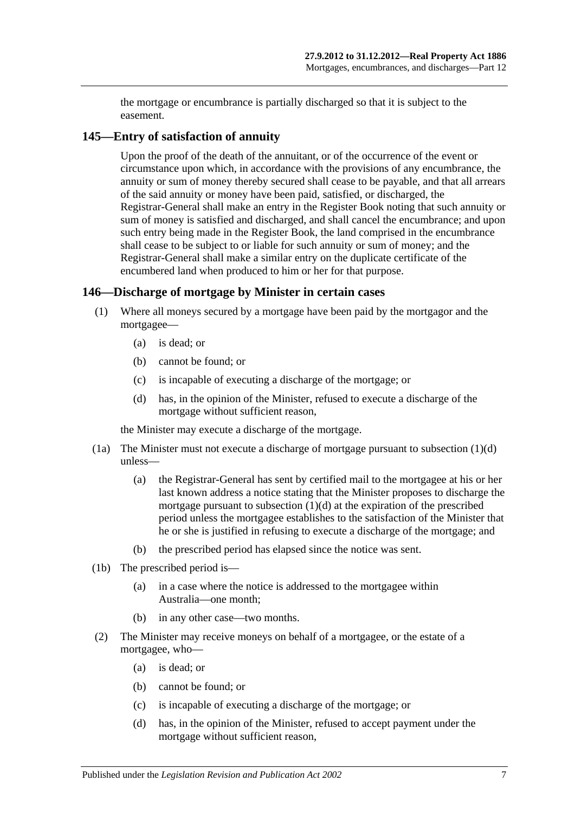the mortgage or encumbrance is partially discharged so that it is subject to the easement.

## **145—Entry of satisfaction of annuity**

Upon the proof of the death of the annuitant, or of the occurrence of the event or circumstance upon which, in accordance with the provisions of any encumbrance, the annuity or sum of money thereby secured shall cease to be payable, and that all arrears of the said annuity or money have been paid, satisfied, or discharged, the Registrar-General shall make an entry in the Register Book noting that such annuity or sum of money is satisfied and discharged, and shall cancel the encumbrance; and upon such entry being made in the Register Book, the land comprised in the encumbrance shall cease to be subject to or liable for such annuity or sum of money; and the Registrar-General shall make a similar entry on the duplicate certificate of the encumbered land when produced to him or her for that purpose.

## **146—Discharge of mortgage by Minister in certain cases**

- (1) Where all moneys secured by a mortgage have been paid by the mortgagor and the mortgagee—
	- (a) is dead; or
	- (b) cannot be found; or
	- (c) is incapable of executing a discharge of the mortgage; or
	- (d) has, in the opinion of the Minister, refused to execute a discharge of the mortgage without sufficient reason,

<span id="page-68-0"></span>the Minister may execute a discharge of the mortgage.

- (1a) The Minister must not execute a discharge of mortgage pursuant to [subsection](#page-68-0) (1)(d) unless—
	- (a) the Registrar-General has sent by certified mail to the mortgagee at his or her last known address a notice stating that the Minister proposes to discharge the mortgage pursuant to [subsection](#page-68-0) (1)(d) at the expiration of the prescribed period unless the mortgagee establishes to the satisfaction of the Minister that he or she is justified in refusing to execute a discharge of the mortgage; and
	- (b) the prescribed period has elapsed since the notice was sent.
- (1b) The prescribed period is—
	- (a) in a case where the notice is addressed to the mortgagee within Australia—one month;
	- (b) in any other case—two months.
- <span id="page-68-1"></span>(2) The Minister may receive moneys on behalf of a mortgagee, or the estate of a mortgagee, who—
	- (a) is dead; or
	- (b) cannot be found; or
	- (c) is incapable of executing a discharge of the mortgage; or
	- (d) has, in the opinion of the Minister, refused to accept payment under the mortgage without sufficient reason,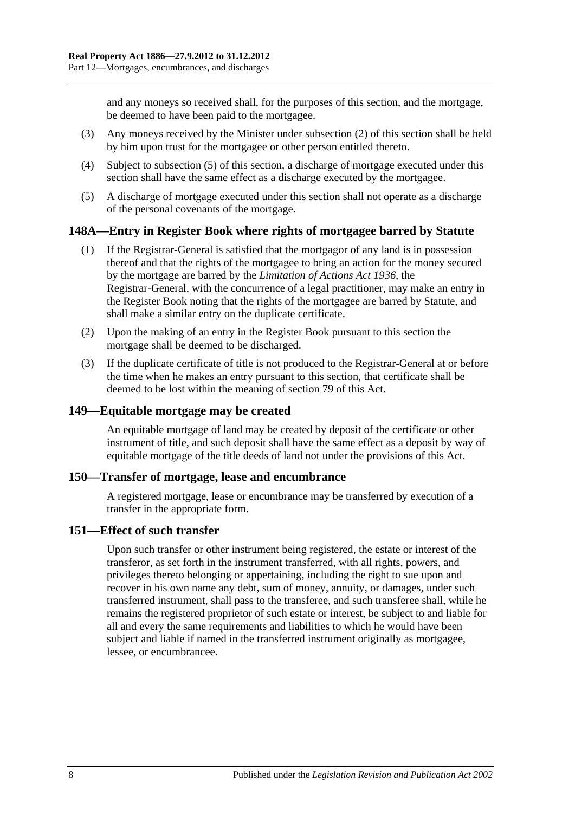and any moneys so received shall, for the purposes of this section, and the mortgage, be deemed to have been paid to the mortgagee.

- (3) Any moneys received by the Minister under [subsection](#page-68-1) (2) of this section shall be held by him upon trust for the mortgagee or other person entitled thereto.
- (4) Subject to [subsection](#page-69-0) (5) of this section, a discharge of mortgage executed under this section shall have the same effect as a discharge executed by the mortgagee.
- <span id="page-69-0"></span>(5) A discharge of mortgage executed under this section shall not operate as a discharge of the personal covenants of the mortgage.

## **148A—Entry in Register Book where rights of mortgagee barred by Statute**

- (1) If the Registrar-General is satisfied that the mortgagor of any land is in possession thereof and that the rights of the mortgagee to bring an action for the money secured by the mortgage are barred by the *[Limitation of Actions Act](http://www.legislation.sa.gov.au/index.aspx?action=legref&type=act&legtitle=Limitation%20of%20Actions%20Act%201936) 1936*, the Registrar-General, with the concurrence of a legal practitioner, may make an entry in the Register Book noting that the rights of the mortgagee are barred by Statute, and shall make a similar entry on the duplicate certificate.
- (2) Upon the making of an entry in the Register Book pursuant to this section the mortgage shall be deemed to be discharged.
- (3) If the duplicate certificate of title is not produced to the Registrar-General at or before the time when he makes an entry pursuant to this section, that certificate shall be deemed to be lost within the meaning of [section](#page-39-0) 79 of this Act.

## **149—Equitable mortgage may be created**

An equitable mortgage of land may be created by deposit of the certificate or other instrument of title, and such deposit shall have the same effect as a deposit by way of equitable mortgage of the title deeds of land not under the provisions of this Act.

#### **150—Transfer of mortgage, lease and encumbrance**

A registered mortgage, lease or encumbrance may be transferred by execution of a transfer in the appropriate form.

## **151—Effect of such transfer**

Upon such transfer or other instrument being registered, the estate or interest of the transferor, as set forth in the instrument transferred, with all rights, powers, and privileges thereto belonging or appertaining, including the right to sue upon and recover in his own name any debt, sum of money, annuity, or damages, under such transferred instrument, shall pass to the transferee, and such transferee shall, while he remains the registered proprietor of such estate or interest, be subject to and liable for all and every the same requirements and liabilities to which he would have been subject and liable if named in the transferred instrument originally as mortgagee, lessee, or encumbrancee.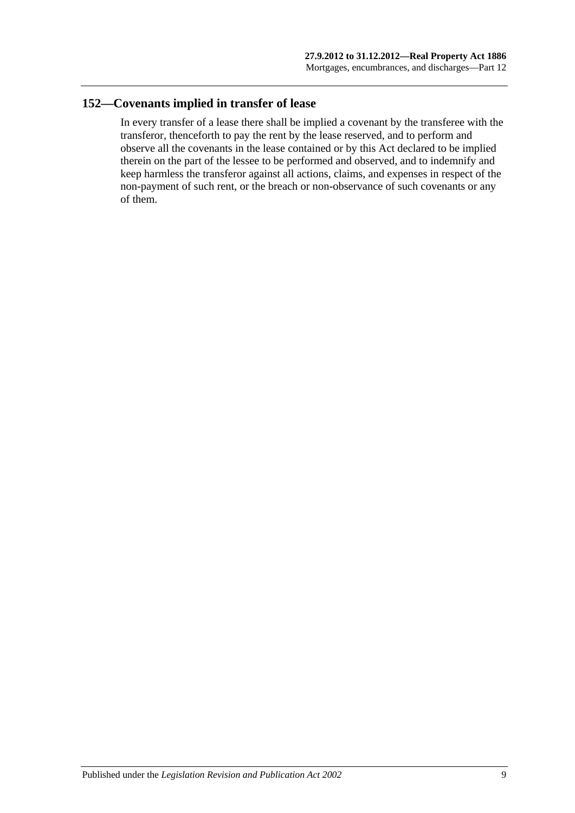## **152—Covenants implied in transfer of lease**

In every transfer of a lease there shall be implied a covenant by the transferee with the transferor, thenceforth to pay the rent by the lease reserved, and to perform and observe all the covenants in the lease contained or by this Act declared to be implied therein on the part of the lessee to be performed and observed, and to indemnify and keep harmless the transferor against all actions, claims, and expenses in respect of the non-payment of such rent, or the breach or non-observance of such covenants or any of them.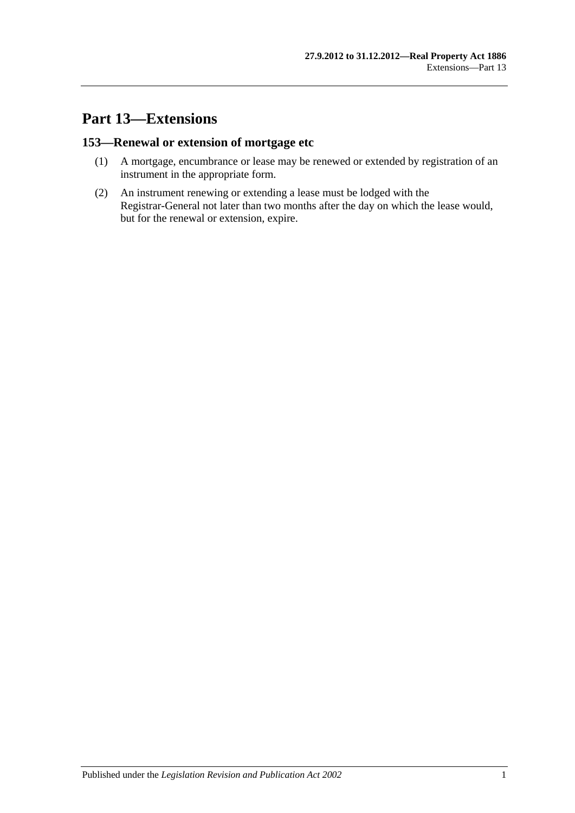# **Part 13—Extensions**

# **153—Renewal or extension of mortgage etc**

- (1) A mortgage, encumbrance or lease may be renewed or extended by registration of an instrument in the appropriate form.
- (2) An instrument renewing or extending a lease must be lodged with the Registrar-General not later than two months after the day on which the lease would, but for the renewal or extension, expire.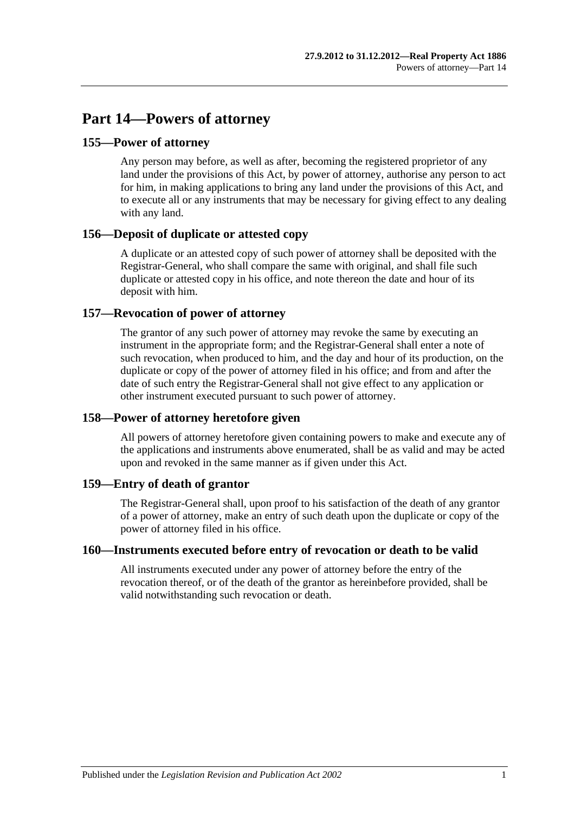# **Part 14—Powers of attorney**

### **155—Power of attorney**

Any person may before, as well as after, becoming the registered proprietor of any land under the provisions of this Act, by power of attorney, authorise any person to act for him, in making applications to bring any land under the provisions of this Act, and to execute all or any instruments that may be necessary for giving effect to any dealing with any land.

#### **156—Deposit of duplicate or attested copy**

A duplicate or an attested copy of such power of attorney shall be deposited with the Registrar-General, who shall compare the same with original, and shall file such duplicate or attested copy in his office, and note thereon the date and hour of its deposit with him.

### **157—Revocation of power of attorney**

The grantor of any such power of attorney may revoke the same by executing an instrument in the appropriate form; and the Registrar-General shall enter a note of such revocation, when produced to him, and the day and hour of its production, on the duplicate or copy of the power of attorney filed in his office; and from and after the date of such entry the Registrar-General shall not give effect to any application or other instrument executed pursuant to such power of attorney.

## **158—Power of attorney heretofore given**

All powers of attorney heretofore given containing powers to make and execute any of the applications and instruments above enumerated, shall be as valid and may be acted upon and revoked in the same manner as if given under this Act.

#### **159—Entry of death of grantor**

The Registrar-General shall, upon proof to his satisfaction of the death of any grantor of a power of attorney, make an entry of such death upon the duplicate or copy of the power of attorney filed in his office.

#### **160—Instruments executed before entry of revocation or death to be valid**

All instruments executed under any power of attorney before the entry of the revocation thereof, or of the death of the grantor as hereinbefore provided, shall be valid notwithstanding such revocation or death.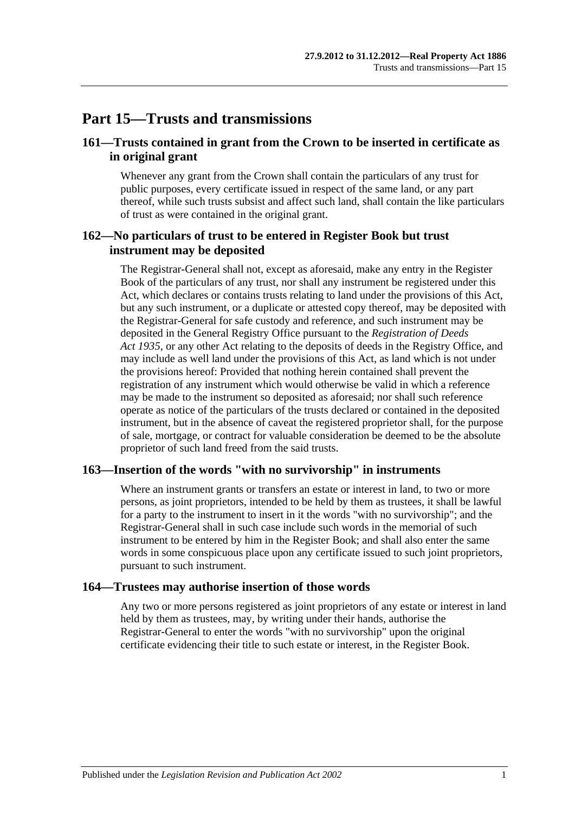# **Part 15—Trusts and transmissions**

## **161—Trusts contained in grant from the Crown to be inserted in certificate as in original grant**

Whenever any grant from the Crown shall contain the particulars of any trust for public purposes, every certificate issued in respect of the same land, or any part thereof, while such trusts subsist and affect such land, shall contain the like particulars of trust as were contained in the original grant.

### **162—No particulars of trust to be entered in Register Book but trust instrument may be deposited**

The Registrar-General shall not, except as aforesaid, make any entry in the Register Book of the particulars of any trust, nor shall any instrument be registered under this Act, which declares or contains trusts relating to land under the provisions of this Act, but any such instrument, or a duplicate or attested copy thereof, may be deposited with the Registrar-General for safe custody and reference, and such instrument may be deposited in the General Registry Office pursuant to the *[Registration of Deeds](http://www.legislation.sa.gov.au/index.aspx?action=legref&type=act&legtitle=Registration%20of%20Deeds%20Act%201935)  Act [1935](http://www.legislation.sa.gov.au/index.aspx?action=legref&type=act&legtitle=Registration%20of%20Deeds%20Act%201935)*, or any other Act relating to the deposits of deeds in the Registry Office, and may include as well land under the provisions of this Act, as land which is not under the provisions hereof: Provided that nothing herein contained shall prevent the registration of any instrument which would otherwise be valid in which a reference may be made to the instrument so deposited as aforesaid; nor shall such reference operate as notice of the particulars of the trusts declared or contained in the deposited instrument, but in the absence of caveat the registered proprietor shall, for the purpose of sale, mortgage, or contract for valuable consideration be deemed to be the absolute proprietor of such land freed from the said trusts.

#### **163—Insertion of the words "with no survivorship" in instruments**

Where an instrument grants or transfers an estate or interest in land, to two or more persons, as joint proprietors, intended to be held by them as trustees, it shall be lawful for a party to the instrument to insert in it the words "with no survivorship"; and the Registrar-General shall in such case include such words in the memorial of such instrument to be entered by him in the Register Book; and shall also enter the same words in some conspicuous place upon any certificate issued to such joint proprietors, pursuant to such instrument.

#### **164—Trustees may authorise insertion of those words**

Any two or more persons registered as joint proprietors of any estate or interest in land held by them as trustees, may, by writing under their hands, authorise the Registrar-General to enter the words "with no survivorship" upon the original certificate evidencing their title to such estate or interest, in the Register Book.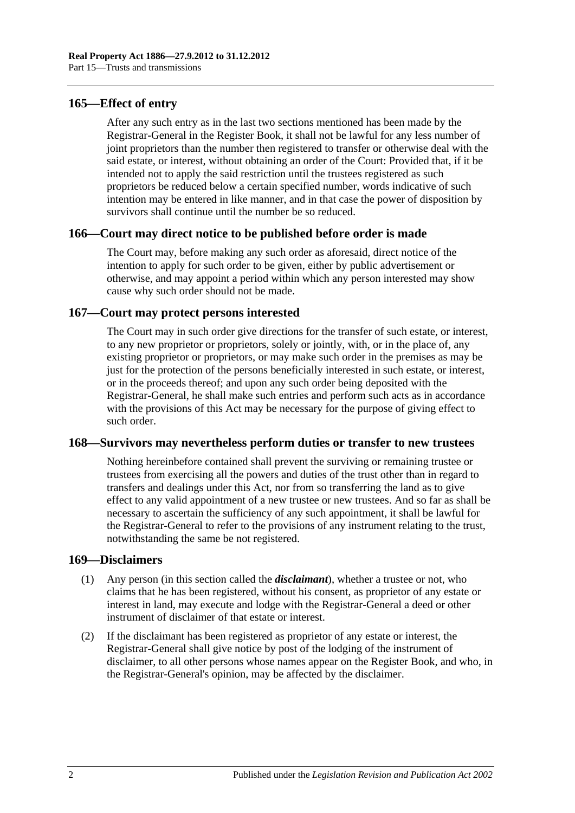### **165—Effect of entry**

After any such entry as in the last two sections mentioned has been made by the Registrar-General in the Register Book, it shall not be lawful for any less number of joint proprietors than the number then registered to transfer or otherwise deal with the said estate, or interest, without obtaining an order of the Court: Provided that, if it be intended not to apply the said restriction until the trustees registered as such proprietors be reduced below a certain specified number, words indicative of such intention may be entered in like manner, and in that case the power of disposition by survivors shall continue until the number be so reduced.

#### **166—Court may direct notice to be published before order is made**

The Court may, before making any such order as aforesaid, direct notice of the intention to apply for such order to be given, either by public advertisement or otherwise, and may appoint a period within which any person interested may show cause why such order should not be made.

## **167—Court may protect persons interested**

The Court may in such order give directions for the transfer of such estate, or interest, to any new proprietor or proprietors, solely or jointly, with, or in the place of, any existing proprietor or proprietors, or may make such order in the premises as may be just for the protection of the persons beneficially interested in such estate, or interest, or in the proceeds thereof; and upon any such order being deposited with the Registrar-General, he shall make such entries and perform such acts as in accordance with the provisions of this Act may be necessary for the purpose of giving effect to such order.

#### **168—Survivors may nevertheless perform duties or transfer to new trustees**

Nothing hereinbefore contained shall prevent the surviving or remaining trustee or trustees from exercising all the powers and duties of the trust other than in regard to transfers and dealings under this Act, nor from so transferring the land as to give effect to any valid appointment of a new trustee or new trustees. And so far as shall be necessary to ascertain the sufficiency of any such appointment, it shall be lawful for the Registrar-General to refer to the provisions of any instrument relating to the trust, notwithstanding the same be not registered.

#### **169—Disclaimers**

- (1) Any person (in this section called the *disclaimant*), whether a trustee or not, who claims that he has been registered, without his consent, as proprietor of any estate or interest in land, may execute and lodge with the Registrar-General a deed or other instrument of disclaimer of that estate or interest.
- (2) If the disclaimant has been registered as proprietor of any estate or interest, the Registrar-General shall give notice by post of the lodging of the instrument of disclaimer, to all other persons whose names appear on the Register Book, and who, in the Registrar-General's opinion, may be affected by the disclaimer.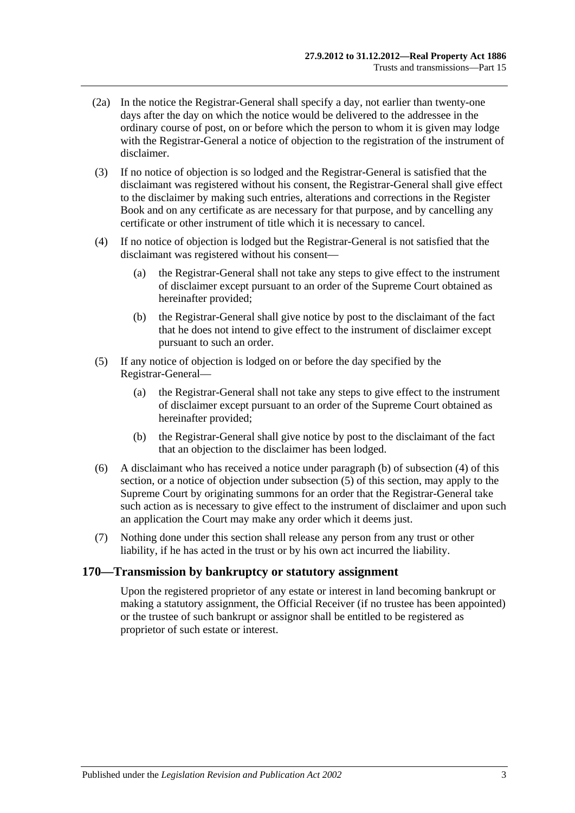- (2a) In the notice the Registrar-General shall specify a day, not earlier than twenty-one days after the day on which the notice would be delivered to the addressee in the ordinary course of post, on or before which the person to whom it is given may lodge with the Registrar-General a notice of objection to the registration of the instrument of disclaimer.
- (3) If no notice of objection is so lodged and the Registrar-General is satisfied that the disclaimant was registered without his consent, the Registrar-General shall give effect to the disclaimer by making such entries, alterations and corrections in the Register Book and on any certificate as are necessary for that purpose, and by cancelling any certificate or other instrument of title which it is necessary to cancel.
- <span id="page-78-1"></span>(4) If no notice of objection is lodged but the Registrar-General is not satisfied that the disclaimant was registered without his consent—
	- (a) the Registrar-General shall not take any steps to give effect to the instrument of disclaimer except pursuant to an order of the Supreme Court obtained as hereinafter provided;
	- (b) the Registrar-General shall give notice by post to the disclaimant of the fact that he does not intend to give effect to the instrument of disclaimer except pursuant to such an order.
- <span id="page-78-2"></span><span id="page-78-0"></span>(5) If any notice of objection is lodged on or before the day specified by the Registrar-General—
	- (a) the Registrar-General shall not take any steps to give effect to the instrument of disclaimer except pursuant to an order of the Supreme Court obtained as hereinafter provided;
	- (b) the Registrar-General shall give notice by post to the disclaimant of the fact that an objection to the disclaimer has been lodged.
- (6) A disclaimant who has received a notice under [paragraph](#page-78-0) (b) of [subsection](#page-78-1) (4) of this section, or a notice of objection under [subsection](#page-78-2) (5) of this section, may apply to the Supreme Court by originating summons for an order that the Registrar-General take such action as is necessary to give effect to the instrument of disclaimer and upon such an application the Court may make any order which it deems just.
- (7) Nothing done under this section shall release any person from any trust or other liability, if he has acted in the trust or by his own act incurred the liability.

#### **170—Transmission by bankruptcy or statutory assignment**

Upon the registered proprietor of any estate or interest in land becoming bankrupt or making a statutory assignment, the Official Receiver (if no trustee has been appointed) or the trustee of such bankrupt or assignor shall be entitled to be registered as proprietor of such estate or interest.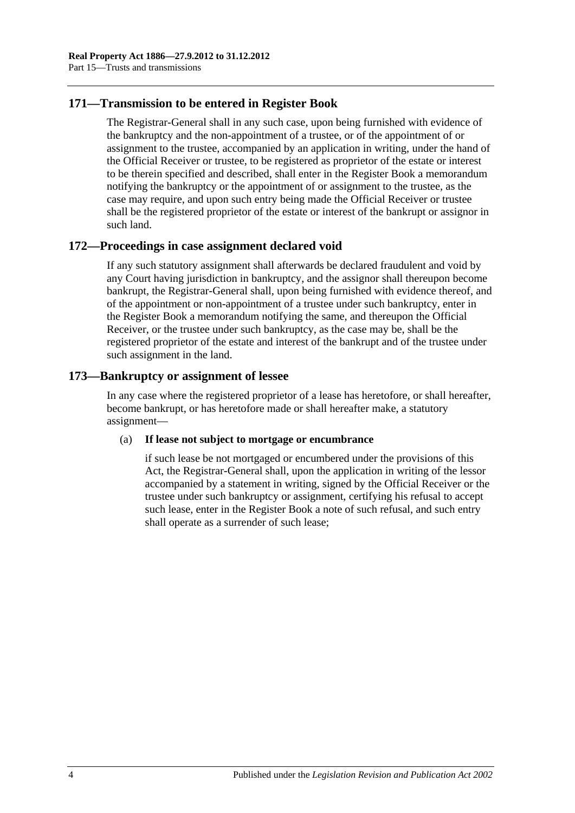## **171—Transmission to be entered in Register Book**

The Registrar-General shall in any such case, upon being furnished with evidence of the bankruptcy and the non-appointment of a trustee, or of the appointment of or assignment to the trustee, accompanied by an application in writing, under the hand of the Official Receiver or trustee, to be registered as proprietor of the estate or interest to be therein specified and described, shall enter in the Register Book a memorandum notifying the bankruptcy or the appointment of or assignment to the trustee, as the case may require, and upon such entry being made the Official Receiver or trustee shall be the registered proprietor of the estate or interest of the bankrupt or assignor in such land.

# **172—Proceedings in case assignment declared void**

If any such statutory assignment shall afterwards be declared fraudulent and void by any Court having jurisdiction in bankruptcy, and the assignor shall thereupon become bankrupt, the Registrar-General shall, upon being furnished with evidence thereof, and of the appointment or non-appointment of a trustee under such bankruptcy, enter in the Register Book a memorandum notifying the same, and thereupon the Official Receiver, or the trustee under such bankruptcy, as the case may be, shall be the registered proprietor of the estate and interest of the bankrupt and of the trustee under such assignment in the land.

# **173—Bankruptcy or assignment of lessee**

In any case where the registered proprietor of a lease has heretofore, or shall hereafter, become bankrupt, or has heretofore made or shall hereafter make, a statutory assignment—

#### (a) **If lease not subject to mortgage or encumbrance**

if such lease be not mortgaged or encumbered under the provisions of this Act, the Registrar-General shall, upon the application in writing of the lessor accompanied by a statement in writing, signed by the Official Receiver or the trustee under such bankruptcy or assignment, certifying his refusal to accept such lease, enter in the Register Book a note of such refusal, and such entry shall operate as a surrender of such lease;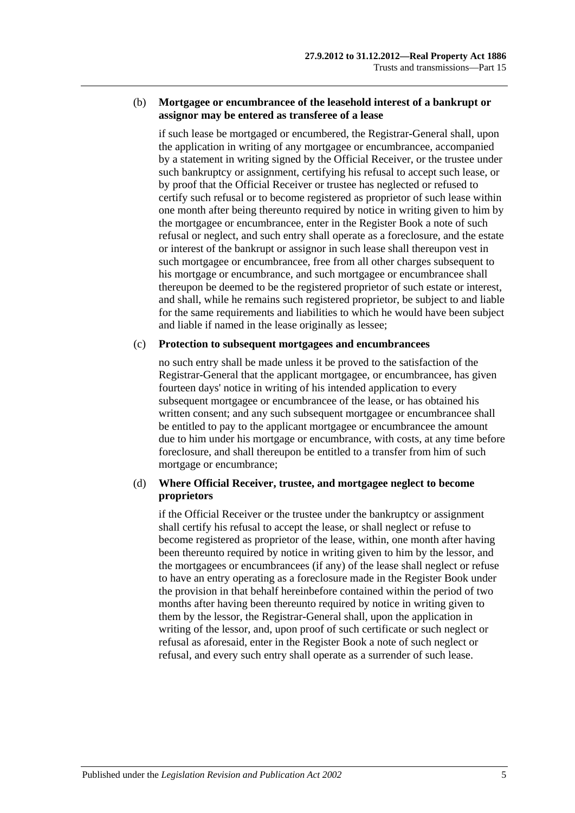#### (b) **Mortgagee or encumbrancee of the leasehold interest of a bankrupt or assignor may be entered as transferee of a lease**

if such lease be mortgaged or encumbered, the Registrar-General shall, upon the application in writing of any mortgagee or encumbrancee, accompanied by a statement in writing signed by the Official Receiver, or the trustee under such bankruptcy or assignment, certifying his refusal to accept such lease, or by proof that the Official Receiver or trustee has neglected or refused to certify such refusal or to become registered as proprietor of such lease within one month after being thereunto required by notice in writing given to him by the mortgagee or encumbrancee, enter in the Register Book a note of such refusal or neglect, and such entry shall operate as a foreclosure, and the estate or interest of the bankrupt or assignor in such lease shall thereupon vest in such mortgagee or encumbrancee, free from all other charges subsequent to his mortgage or encumbrance, and such mortgagee or encumbrancee shall thereupon be deemed to be the registered proprietor of such estate or interest, and shall, while he remains such registered proprietor, be subject to and liable for the same requirements and liabilities to which he would have been subject and liable if named in the lease originally as lessee;

#### (c) **Protection to subsequent mortgagees and encumbrancees**

no such entry shall be made unless it be proved to the satisfaction of the Registrar-General that the applicant mortgagee, or encumbrancee, has given fourteen days' notice in writing of his intended application to every subsequent mortgagee or encumbrancee of the lease, or has obtained his written consent; and any such subsequent mortgagee or encumbrancee shall be entitled to pay to the applicant mortgagee or encumbrancee the amount due to him under his mortgage or encumbrance, with costs, at any time before foreclosure, and shall thereupon be entitled to a transfer from him of such mortgage or encumbrance;

#### (d) **Where Official Receiver, trustee, and mortgagee neglect to become proprietors**

if the Official Receiver or the trustee under the bankruptcy or assignment shall certify his refusal to accept the lease, or shall neglect or refuse to become registered as proprietor of the lease, within, one month after having been thereunto required by notice in writing given to him by the lessor, and the mortgagees or encumbrancees (if any) of the lease shall neglect or refuse to have an entry operating as a foreclosure made in the Register Book under the provision in that behalf hereinbefore contained within the period of two months after having been thereunto required by notice in writing given to them by the lessor, the Registrar-General shall, upon the application in writing of the lessor, and, upon proof of such certificate or such neglect or refusal as aforesaid, enter in the Register Book a note of such neglect or refusal, and every such entry shall operate as a surrender of such lease.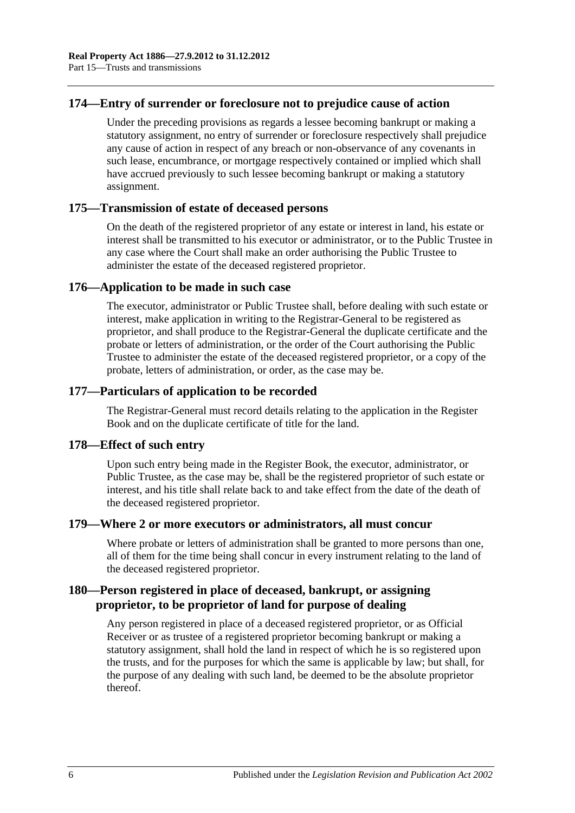### **174—Entry of surrender or foreclosure not to prejudice cause of action**

Under the preceding provisions as regards a lessee becoming bankrupt or making a statutory assignment, no entry of surrender or foreclosure respectively shall prejudice any cause of action in respect of any breach or non-observance of any covenants in such lease, encumbrance, or mortgage respectively contained or implied which shall have accrued previously to such lessee becoming bankrupt or making a statutory assignment.

#### **175—Transmission of estate of deceased persons**

On the death of the registered proprietor of any estate or interest in land, his estate or interest shall be transmitted to his executor or administrator, or to the Public Trustee in any case where the Court shall make an order authorising the Public Trustee to administer the estate of the deceased registered proprietor.

#### **176—Application to be made in such case**

The executor, administrator or Public Trustee shall, before dealing with such estate or interest, make application in writing to the Registrar-General to be registered as proprietor, and shall produce to the Registrar-General the duplicate certificate and the probate or letters of administration, or the order of the Court authorising the Public Trustee to administer the estate of the deceased registered proprietor, or a copy of the probate, letters of administration, or order, as the case may be.

## **177—Particulars of application to be recorded**

The Registrar-General must record details relating to the application in the Register Book and on the duplicate certificate of title for the land.

#### **178—Effect of such entry**

Upon such entry being made in the Register Book, the executor, administrator, or Public Trustee, as the case may be, shall be the registered proprietor of such estate or interest, and his title shall relate back to and take effect from the date of the death of the deceased registered proprietor.

#### **179—Where 2 or more executors or administrators, all must concur**

Where probate or letters of administration shall be granted to more persons than one, all of them for the time being shall concur in every instrument relating to the land of the deceased registered proprietor.

# **180—Person registered in place of deceased, bankrupt, or assigning proprietor, to be proprietor of land for purpose of dealing**

Any person registered in place of a deceased registered proprietor, or as Official Receiver or as trustee of a registered proprietor becoming bankrupt or making a statutory assignment, shall hold the land in respect of which he is so registered upon the trusts, and for the purposes for which the same is applicable by law; but shall, for the purpose of any dealing with such land, be deemed to be the absolute proprietor thereof.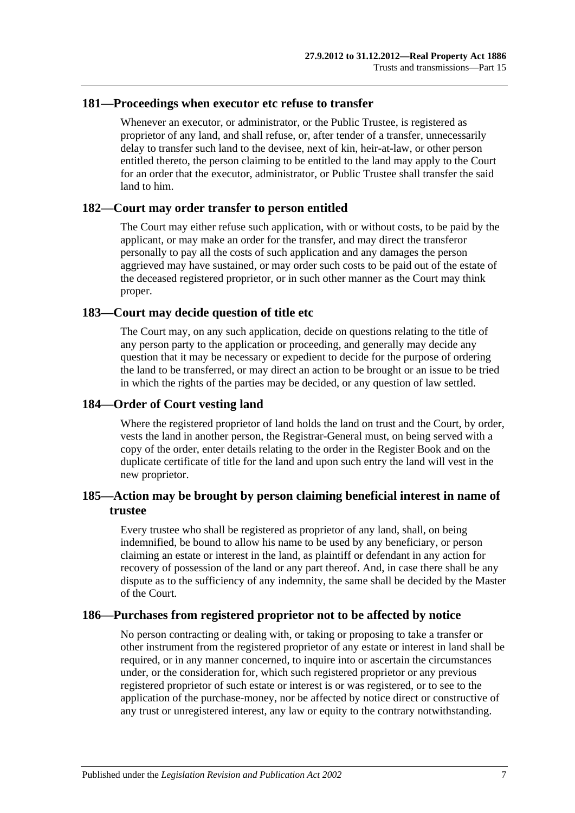#### **181—Proceedings when executor etc refuse to transfer**

Whenever an executor, or administrator, or the Public Trustee, is registered as proprietor of any land, and shall refuse, or, after tender of a transfer, unnecessarily delay to transfer such land to the devisee, next of kin, heir-at-law, or other person entitled thereto, the person claiming to be entitled to the land may apply to the Court for an order that the executor, administrator, or Public Trustee shall transfer the said land to him.

#### **182—Court may order transfer to person entitled**

The Court may either refuse such application, with or without costs, to be paid by the applicant, or may make an order for the transfer, and may direct the transferor personally to pay all the costs of such application and any damages the person aggrieved may have sustained, or may order such costs to be paid out of the estate of the deceased registered proprietor, or in such other manner as the Court may think proper.

#### **183—Court may decide question of title etc**

The Court may, on any such application, decide on questions relating to the title of any person party to the application or proceeding, and generally may decide any question that it may be necessary or expedient to decide for the purpose of ordering the land to be transferred, or may direct an action to be brought or an issue to be tried in which the rights of the parties may be decided, or any question of law settled.

#### **184—Order of Court vesting land**

Where the registered proprietor of land holds the land on trust and the Court, by order, vests the land in another person, the Registrar-General must, on being served with a copy of the order, enter details relating to the order in the Register Book and on the duplicate certificate of title for the land and upon such entry the land will vest in the new proprietor.

# **185—Action may be brought by person claiming beneficial interest in name of trustee**

Every trustee who shall be registered as proprietor of any land, shall, on being indemnified, be bound to allow his name to be used by any beneficiary, or person claiming an estate or interest in the land, as plaintiff or defendant in any action for recovery of possession of the land or any part thereof. And, in case there shall be any dispute as to the sufficiency of any indemnity, the same shall be decided by the Master of the Court.

## **186—Purchases from registered proprietor not to be affected by notice**

No person contracting or dealing with, or taking or proposing to take a transfer or other instrument from the registered proprietor of any estate or interest in land shall be required, or in any manner concerned, to inquire into or ascertain the circumstances under, or the consideration for, which such registered proprietor or any previous registered proprietor of such estate or interest is or was registered, or to see to the application of the purchase-money, nor be affected by notice direct or constructive of any trust or unregistered interest, any law or equity to the contrary notwithstanding.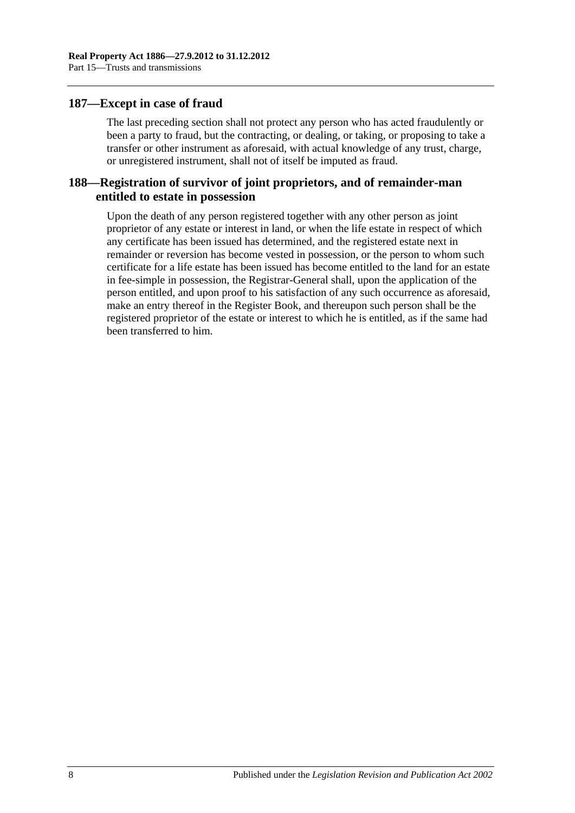#### **187—Except in case of fraud**

The last preceding section shall not protect any person who has acted fraudulently or been a party to fraud, but the contracting, or dealing, or taking, or proposing to take a transfer or other instrument as aforesaid, with actual knowledge of any trust, charge, or unregistered instrument, shall not of itself be imputed as fraud.

## **188—Registration of survivor of joint proprietors, and of remainder-man entitled to estate in possession**

Upon the death of any person registered together with any other person as joint proprietor of any estate or interest in land, or when the life estate in respect of which any certificate has been issued has determined, and the registered estate next in remainder or reversion has become vested in possession, or the person to whom such certificate for a life estate has been issued has become entitled to the land for an estate in fee-simple in possession, the Registrar-General shall, upon the application of the person entitled, and upon proof to his satisfaction of any such occurrence as aforesaid, make an entry thereof in the Register Book, and thereupon such person shall be the registered proprietor of the estate or interest to which he is entitled, as if the same had been transferred to him.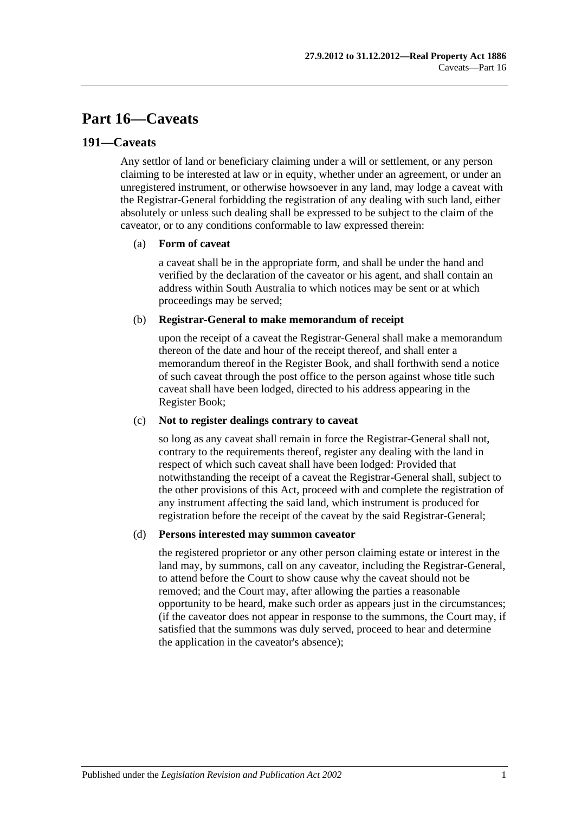# **Part 16—Caveats**

### **191—Caveats**

Any settlor of land or beneficiary claiming under a will or settlement, or any person claiming to be interested at law or in equity, whether under an agreement, or under an unregistered instrument, or otherwise howsoever in any land, may lodge a caveat with the Registrar-General forbidding the registration of any dealing with such land, either absolutely or unless such dealing shall be expressed to be subject to the claim of the caveator, or to any conditions conformable to law expressed therein:

#### (a) **Form of caveat**

a caveat shall be in the appropriate form, and shall be under the hand and verified by the declaration of the caveator or his agent, and shall contain an address within South Australia to which notices may be sent or at which proceedings may be served;

#### (b) **Registrar-General to make memorandum of receipt**

upon the receipt of a caveat the Registrar-General shall make a memorandum thereon of the date and hour of the receipt thereof, and shall enter a memorandum thereof in the Register Book, and shall forthwith send a notice of such caveat through the post office to the person against whose title such caveat shall have been lodged, directed to his address appearing in the Register Book;

#### (c) **Not to register dealings contrary to caveat**

so long as any caveat shall remain in force the Registrar-General shall not, contrary to the requirements thereof, register any dealing with the land in respect of which such caveat shall have been lodged: Provided that notwithstanding the receipt of a caveat the Registrar-General shall, subject to the other provisions of this Act, proceed with and complete the registration of any instrument affecting the said land, which instrument is produced for registration before the receipt of the caveat by the said Registrar-General;

#### (d) **Persons interested may summon caveator**

the registered proprietor or any other person claiming estate or interest in the land may, by summons, call on any caveator, including the Registrar-General, to attend before the Court to show cause why the caveat should not be removed; and the Court may, after allowing the parties a reasonable opportunity to be heard, make such order as appears just in the circumstances; (if the caveator does not appear in response to the summons, the Court may, if satisfied that the summons was duly served, proceed to hear and determine the application in the caveator's absence);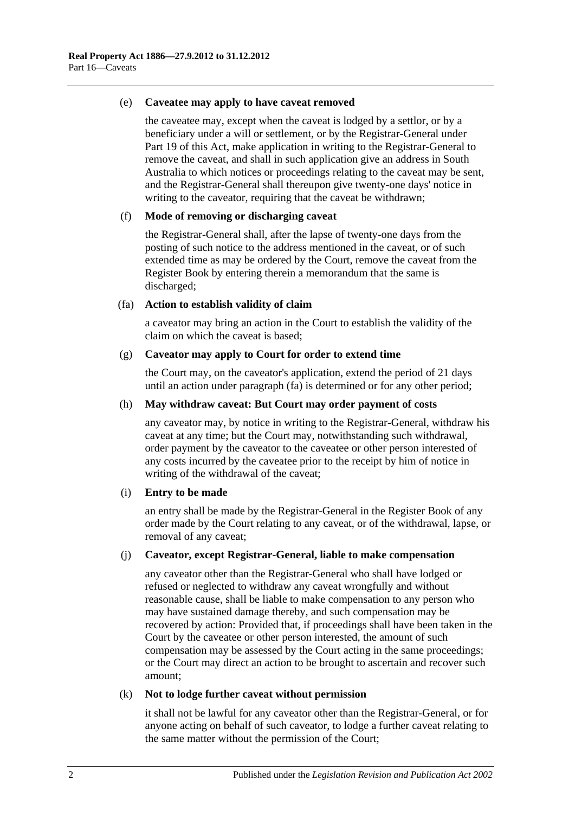#### (e) **Caveatee may apply to have caveat removed**

the caveatee may, except when the caveat is lodged by a settlor, or by a beneficiary under a will or settlement, or by the Registrar-General under [Part](#page-96-0) 19 of this Act, make application in writing to the Registrar-General to remove the caveat, and shall in such application give an address in South Australia to which notices or proceedings relating to the caveat may be sent, and the Registrar-General shall thereupon give twenty-one days' notice in writing to the caveator, requiring that the caveat be withdrawn;

#### (f) **Mode of removing or discharging caveat**

the Registrar-General shall, after the lapse of twenty-one days from the posting of such notice to the address mentioned in the caveat, or of such extended time as may be ordered by the Court, remove the caveat from the Register Book by entering therein a memorandum that the same is discharged;

#### <span id="page-85-0"></span>(fa) **Action to establish validity of claim**

a caveator may bring an action in the Court to establish the validity of the claim on which the caveat is based;

#### (g) **Caveator may apply to Court for order to extend time**

the Court may, on the caveator's application, extend the period of 21 days until an action under [paragraph](#page-85-0) (fa) is determined or for any other period;

#### (h) **May withdraw caveat: But Court may order payment of costs**

any caveator may, by notice in writing to the Registrar-General, withdraw his caveat at any time; but the Court may, notwithstanding such withdrawal, order payment by the caveator to the caveatee or other person interested of any costs incurred by the caveatee prior to the receipt by him of notice in writing of the withdrawal of the caveat;

#### (i) **Entry to be made**

an entry shall be made by the Registrar-General in the Register Book of any order made by the Court relating to any caveat, or of the withdrawal, lapse, or removal of any caveat;

#### (j) **Caveator, except Registrar-General, liable to make compensation**

any caveator other than the Registrar-General who shall have lodged or refused or neglected to withdraw any caveat wrongfully and without reasonable cause, shall be liable to make compensation to any person who may have sustained damage thereby, and such compensation may be recovered by action: Provided that, if proceedings shall have been taken in the Court by the caveatee or other person interested, the amount of such compensation may be assessed by the Court acting in the same proceedings; or the Court may direct an action to be brought to ascertain and recover such amount;

#### (k) **Not to lodge further caveat without permission**

it shall not be lawful for any caveator other than the Registrar-General, or for anyone acting on behalf of such caveator, to lodge a further caveat relating to the same matter without the permission of the Court;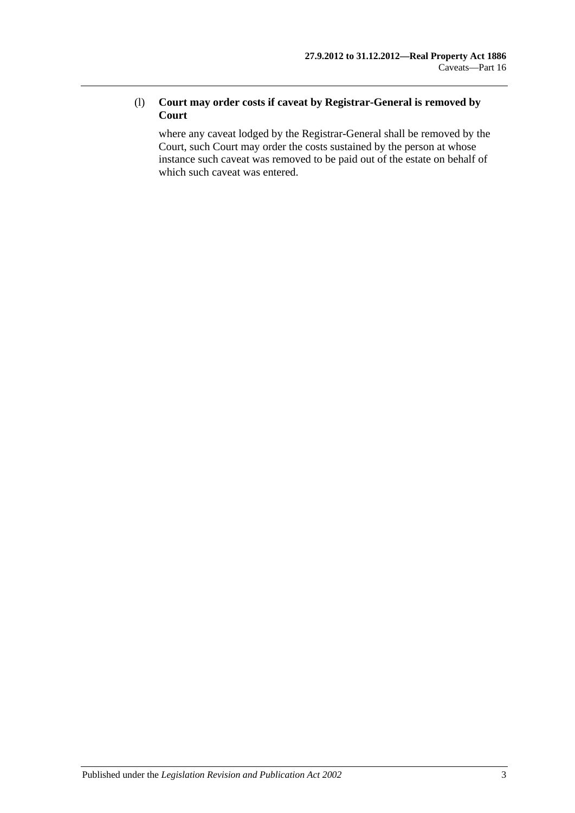## (l) **Court may order costs if caveat by Registrar-General is removed by Court**

where any caveat lodged by the Registrar-General shall be removed by the Court, such Court may order the costs sustained by the person at whose instance such caveat was removed to be paid out of the estate on behalf of which such caveat was entered.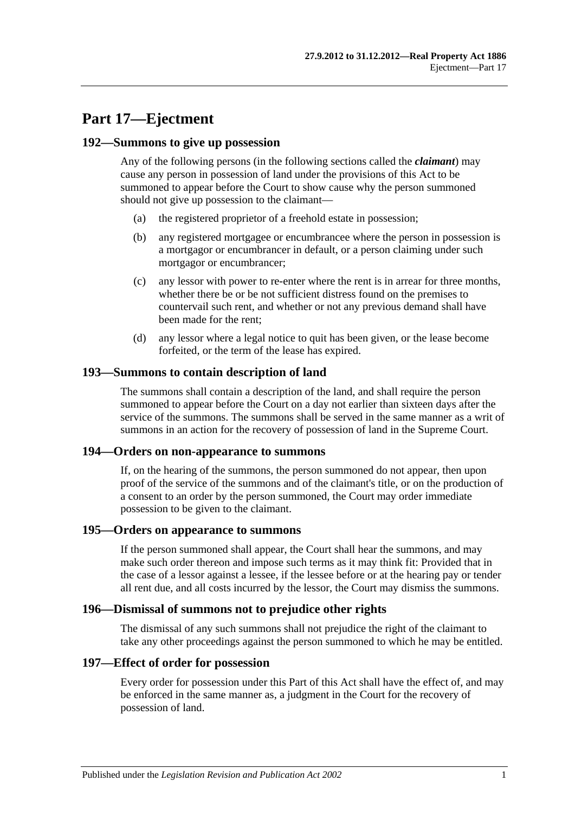# **Part 17—Ejectment**

#### **192—Summons to give up possession**

Any of the following persons (in the following sections called the *claimant*) may cause any person in possession of land under the provisions of this Act to be summoned to appear before the Court to show cause why the person summoned should not give up possession to the claimant—

- (a) the registered proprietor of a freehold estate in possession;
- (b) any registered mortgagee or encumbrancee where the person in possession is a mortgagor or encumbrancer in default, or a person claiming under such mortgagor or encumbrancer;
- (c) any lessor with power to re-enter where the rent is in arrear for three months, whether there be or be not sufficient distress found on the premises to countervail such rent, and whether or not any previous demand shall have been made for the rent;
- (d) any lessor where a legal notice to quit has been given, or the lease become forfeited, or the term of the lease has expired.

#### **193—Summons to contain description of land**

The summons shall contain a description of the land, and shall require the person summoned to appear before the Court on a day not earlier than sixteen days after the service of the summons. The summons shall be served in the same manner as a writ of summons in an action for the recovery of possession of land in the Supreme Court.

#### **194—Orders on non-appearance to summons**

If, on the hearing of the summons, the person summoned do not appear, then upon proof of the service of the summons and of the claimant's title, or on the production of a consent to an order by the person summoned, the Court may order immediate possession to be given to the claimant.

#### **195—Orders on appearance to summons**

If the person summoned shall appear, the Court shall hear the summons, and may make such order thereon and impose such terms as it may think fit: Provided that in the case of a lessor against a lessee, if the lessee before or at the hearing pay or tender all rent due, and all costs incurred by the lessor, the Court may dismiss the summons.

#### **196—Dismissal of summons not to prejudice other rights**

The dismissal of any such summons shall not prejudice the right of the claimant to take any other proceedings against the person summoned to which he may be entitled.

#### **197—Effect of order for possession**

Every order for possession under this Part of this Act shall have the effect of, and may be enforced in the same manner as, a judgment in the Court for the recovery of possession of land.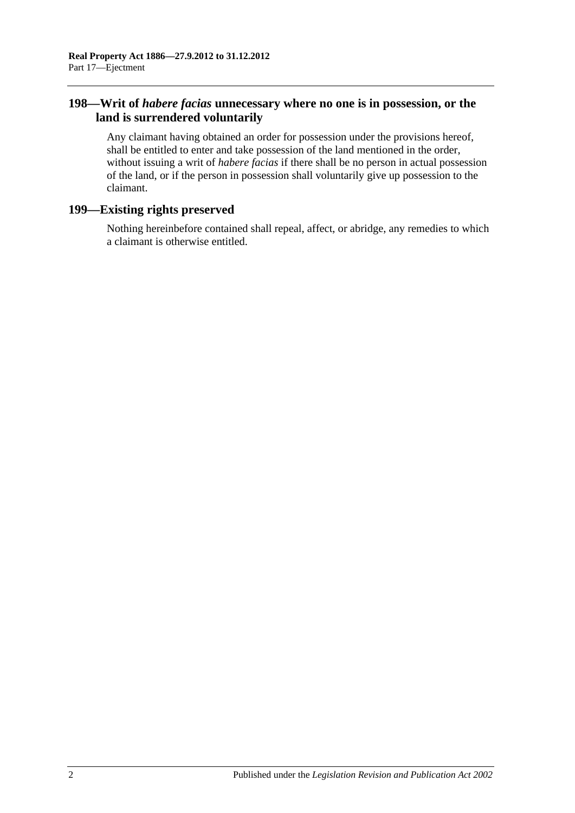# **198—Writ of** *habere facias* **unnecessary where no one is in possession, or the land is surrendered voluntarily**

Any claimant having obtained an order for possession under the provisions hereof, shall be entitled to enter and take possession of the land mentioned in the order, without issuing a writ of *habere facias* if there shall be no person in actual possession of the land, or if the person in possession shall voluntarily give up possession to the claimant.

# **199—Existing rights preserved**

Nothing hereinbefore contained shall repeal, affect, or abridge, any remedies to which a claimant is otherwise entitled.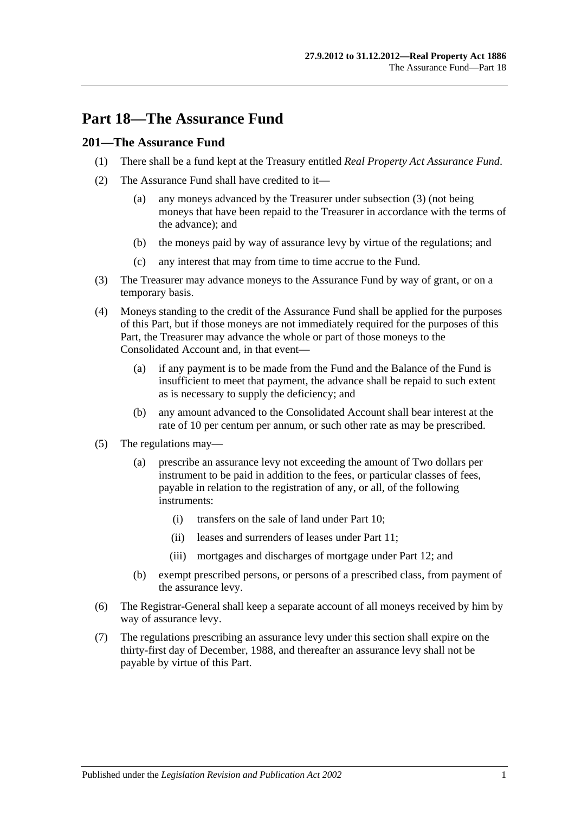# **Part 18—The Assurance Fund**

## **201—The Assurance Fund**

- (1) There shall be a fund kept at the Treasury entitled *Real Property Act Assurance Fund*.
- (2) The Assurance Fund shall have credited to it—
	- (a) any moneys advanced by the Treasurer under [subsection](#page-90-0) (3) (not being moneys that have been repaid to the Treasurer in accordance with the terms of the advance); and
	- (b) the moneys paid by way of assurance levy by virtue of the regulations; and
	- (c) any interest that may from time to time accrue to the Fund.
- <span id="page-90-0"></span>(3) The Treasurer may advance moneys to the Assurance Fund by way of grant, or on a temporary basis.
- (4) Moneys standing to the credit of the Assurance Fund shall be applied for the purposes of this Part, but if those moneys are not immediately required for the purposes of this Part, the Treasurer may advance the whole or part of those moneys to the Consolidated Account and, in that event—
	- (a) if any payment is to be made from the Fund and the Balance of the Fund is insufficient to meet that payment, the advance shall be repaid to such extent as is necessary to supply the deficiency; and
	- (b) any amount advanced to the Consolidated Account shall bear interest at the rate of 10 per centum per annum, or such other rate as may be prescribed.
- (5) The regulations may—
	- (a) prescribe an assurance levy not exceeding the amount of Two dollars per instrument to be paid in addition to the fees, or particular classes of fees, payable in relation to the registration of any, or all, of the following instruments:
		- (i) transfers on the sale of land under [Part 10;](#page-52-0)
		- (ii) leases and surrenders of leases under [Part 11;](#page-58-0)
		- (iii) mortgages and discharges of mortgage under [Part 12;](#page-62-0) and
	- (b) exempt prescribed persons, or persons of a prescribed class, from payment of the assurance levy.
- (6) The Registrar-General shall keep a separate account of all moneys received by him by way of assurance levy.
- (7) The regulations prescribing an assurance levy under this section shall expire on the thirty-first day of December, 1988, and thereafter an assurance levy shall not be payable by virtue of this Part.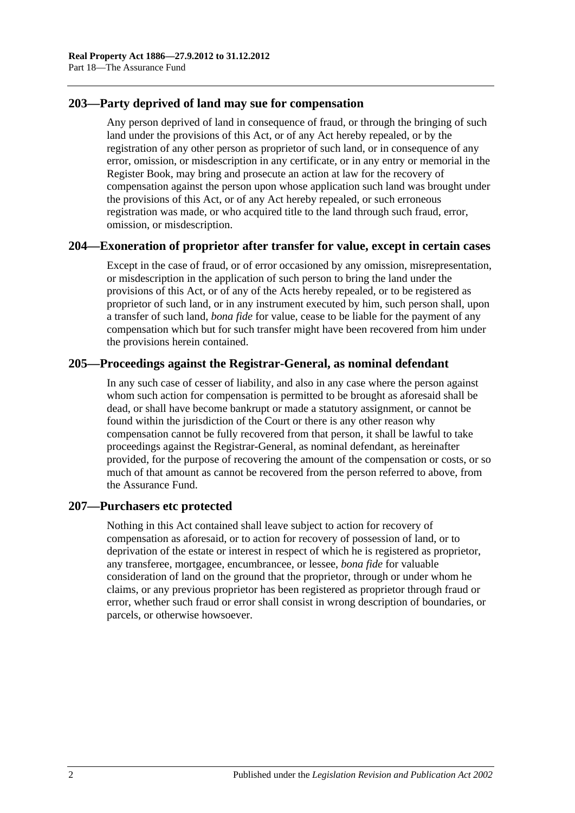## **203—Party deprived of land may sue for compensation**

Any person deprived of land in consequence of fraud, or through the bringing of such land under the provisions of this Act, or of any Act hereby repealed, or by the registration of any other person as proprietor of such land, or in consequence of any error, omission, or misdescription in any certificate, or in any entry or memorial in the Register Book, may bring and prosecute an action at law for the recovery of compensation against the person upon whose application such land was brought under the provisions of this Act, or of any Act hereby repealed, or such erroneous registration was made, or who acquired title to the land through such fraud, error, omission, or misdescription.

#### **204—Exoneration of proprietor after transfer for value, except in certain cases**

Except in the case of fraud, or of error occasioned by any omission, misrepresentation, or misdescription in the application of such person to bring the land under the provisions of this Act, or of any of the Acts hereby repealed, or to be registered as proprietor of such land, or in any instrument executed by him, such person shall, upon a transfer of such land, *bona fide* for value, cease to be liable for the payment of any compensation which but for such transfer might have been recovered from him under the provisions herein contained.

## **205—Proceedings against the Registrar-General, as nominal defendant**

In any such case of cesser of liability, and also in any case where the person against whom such action for compensation is permitted to be brought as aforesaid shall be dead, or shall have become bankrupt or made a statutory assignment, or cannot be found within the jurisdiction of the Court or there is any other reason why compensation cannot be fully recovered from that person, it shall be lawful to take proceedings against the Registrar-General, as nominal defendant, as hereinafter provided, for the purpose of recovering the amount of the compensation or costs, or so much of that amount as cannot be recovered from the person referred to above, from the Assurance Fund.

#### **207—Purchasers etc protected**

Nothing in this Act contained shall leave subject to action for recovery of compensation as aforesaid, or to action for recovery of possession of land, or to deprivation of the estate or interest in respect of which he is registered as proprietor, any transferee, mortgagee, encumbrancee, or lessee, *bona fide* for valuable consideration of land on the ground that the proprietor, through or under whom he claims, or any previous proprietor has been registered as proprietor through fraud or error, whether such fraud or error shall consist in wrong description of boundaries, or parcels, or otherwise howsoever.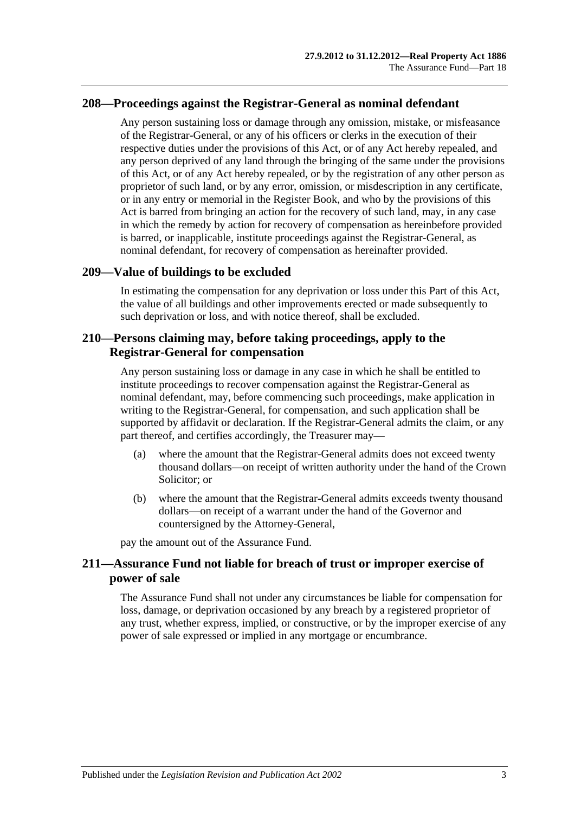#### **208—Proceedings against the Registrar-General as nominal defendant**

Any person sustaining loss or damage through any omission, mistake, or misfeasance of the Registrar-General, or any of his officers or clerks in the execution of their respective duties under the provisions of this Act, or of any Act hereby repealed, and any person deprived of any land through the bringing of the same under the provisions of this Act, or of any Act hereby repealed, or by the registration of any other person as proprietor of such land, or by any error, omission, or misdescription in any certificate, or in any entry or memorial in the Register Book, and who by the provisions of this Act is barred from bringing an action for the recovery of such land, may, in any case in which the remedy by action for recovery of compensation as hereinbefore provided is barred, or inapplicable, institute proceedings against the Registrar-General, as nominal defendant, for recovery of compensation as hereinafter provided.

#### **209—Value of buildings to be excluded**

In estimating the compensation for any deprivation or loss under this Part of this Act, the value of all buildings and other improvements erected or made subsequently to such deprivation or loss, and with notice thereof, shall be excluded.

### **210—Persons claiming may, before taking proceedings, apply to the Registrar-General for compensation**

Any person sustaining loss or damage in any case in which he shall be entitled to institute proceedings to recover compensation against the Registrar-General as nominal defendant, may, before commencing such proceedings, make application in writing to the Registrar-General, for compensation, and such application shall be supported by affidavit or declaration. If the Registrar-General admits the claim, or any part thereof, and certifies accordingly, the Treasurer may—

- (a) where the amount that the Registrar-General admits does not exceed twenty thousand dollars—on receipt of written authority under the hand of the Crown Solicitor; or
- (b) where the amount that the Registrar-General admits exceeds twenty thousand dollars—on receipt of a warrant under the hand of the Governor and countersigned by the Attorney-General,

pay the amount out of the Assurance Fund.

## **211—Assurance Fund not liable for breach of trust or improper exercise of power of sale**

The Assurance Fund shall not under any circumstances be liable for compensation for loss, damage, or deprivation occasioned by any breach by a registered proprietor of any trust, whether express, implied, or constructive, or by the improper exercise of any power of sale expressed or implied in any mortgage or encumbrance.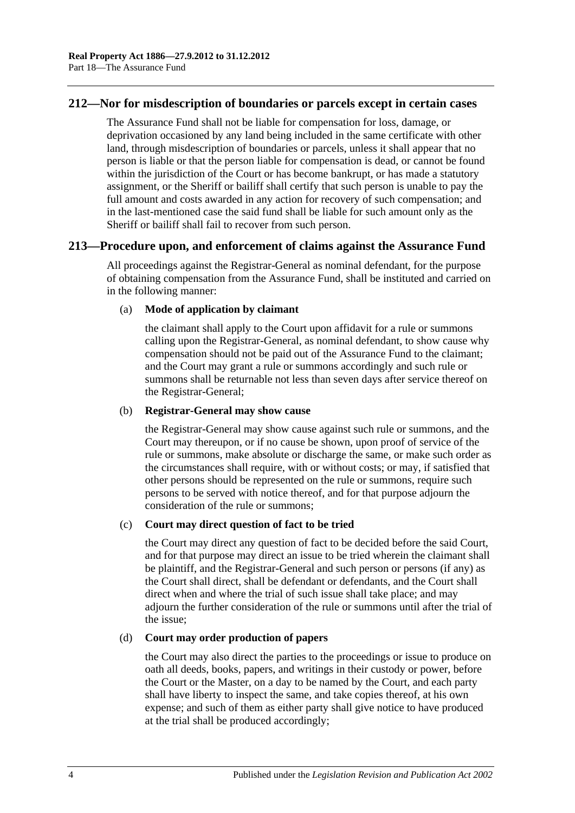### **212—Nor for misdescription of boundaries or parcels except in certain cases**

The Assurance Fund shall not be liable for compensation for loss, damage, or deprivation occasioned by any land being included in the same certificate with other land, through misdescription of boundaries or parcels, unless it shall appear that no person is liable or that the person liable for compensation is dead, or cannot be found within the jurisdiction of the Court or has become bankrupt, or has made a statutory assignment, or the Sheriff or bailiff shall certify that such person is unable to pay the full amount and costs awarded in any action for recovery of such compensation; and in the last-mentioned case the said fund shall be liable for such amount only as the Sheriff or bailiff shall fail to recover from such person.

#### **213—Procedure upon, and enforcement of claims against the Assurance Fund**

All proceedings against the Registrar-General as nominal defendant, for the purpose of obtaining compensation from the Assurance Fund, shall be instituted and carried on in the following manner:

#### (a) **Mode of application by claimant**

the claimant shall apply to the Court upon affidavit for a rule or summons calling upon the Registrar-General, as nominal defendant, to show cause why compensation should not be paid out of the Assurance Fund to the claimant; and the Court may grant a rule or summons accordingly and such rule or summons shall be returnable not less than seven days after service thereof on the Registrar-General;

#### (b) **Registrar-General may show cause**

the Registrar-General may show cause against such rule or summons, and the Court may thereupon, or if no cause be shown, upon proof of service of the rule or summons, make absolute or discharge the same, or make such order as the circumstances shall require, with or without costs; or may, if satisfied that other persons should be represented on the rule or summons, require such persons to be served with notice thereof, and for that purpose adjourn the consideration of the rule or summons;

#### (c) **Court may direct question of fact to be tried**

the Court may direct any question of fact to be decided before the said Court, and for that purpose may direct an issue to be tried wherein the claimant shall be plaintiff, and the Registrar-General and such person or persons (if any) as the Court shall direct, shall be defendant or defendants, and the Court shall direct when and where the trial of such issue shall take place; and may adjourn the further consideration of the rule or summons until after the trial of the issue;

#### (d) **Court may order production of papers**

the Court may also direct the parties to the proceedings or issue to produce on oath all deeds, books, papers, and writings in their custody or power, before the Court or the Master, on a day to be named by the Court, and each party shall have liberty to inspect the same, and take copies thereof, at his own expense; and such of them as either party shall give notice to have produced at the trial shall be produced accordingly;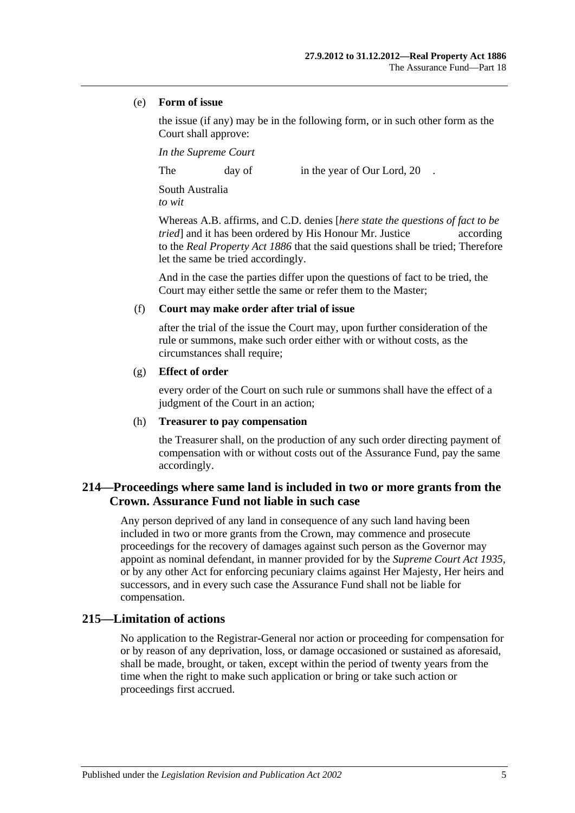#### (e) **Form of issue**

the issue (if any) may be in the following form, or in such other form as the Court shall approve:

*In the Supreme Court*

The day of in the year of Our Lord, 20

South Australia *to wit*

Whereas A.B. affirms, and C.D. denies [*here state the questions of fact to be tried* and it has been ordered by His Honour Mr. Justice according to the *[Real Property Act](http://www.legislation.sa.gov.au/index.aspx?action=legref&type=act&legtitle=Real%20Property%20Act%201886) 1886* that the said questions shall be tried; Therefore let the same be tried accordingly.

And in the case the parties differ upon the questions of fact to be tried, the Court may either settle the same or refer them to the Master;

#### (f) **Court may make order after trial of issue**

after the trial of the issue the Court may, upon further consideration of the rule or summons, make such order either with or without costs, as the circumstances shall require;

#### (g) **Effect of order**

every order of the Court on such rule or summons shall have the effect of a judgment of the Court in an action;

#### (h) **Treasurer to pay compensation**

the Treasurer shall, on the production of any such order directing payment of compensation with or without costs out of the Assurance Fund, pay the same accordingly.

# **214—Proceedings where same land is included in two or more grants from the Crown. Assurance Fund not liable in such case**

Any person deprived of any land in consequence of any such land having been included in two or more grants from the Crown, may commence and prosecute proceedings for the recovery of damages against such person as the Governor may appoint as nominal defendant, in manner provided for by the *[Supreme Court Act](http://www.legislation.sa.gov.au/index.aspx?action=legref&type=act&legtitle=Supreme%20Court%20Act%201935) 1935*, or by any other Act for enforcing pecuniary claims against Her Majesty, Her heirs and successors, and in every such case the Assurance Fund shall not be liable for compensation.

## **215—Limitation of actions**

No application to the Registrar-General nor action or proceeding for compensation for or by reason of any deprivation, loss, or damage occasioned or sustained as aforesaid, shall be made, brought, or taken, except within the period of twenty years from the time when the right to make such application or bring or take such action or proceedings first accrued.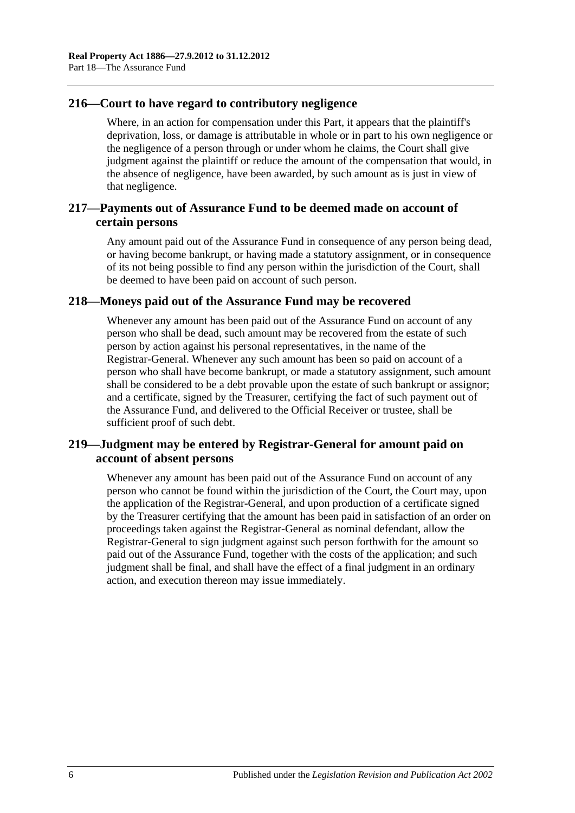## **216—Court to have regard to contributory negligence**

Where, in an action for compensation under this Part, it appears that the plaintiff's deprivation, loss, or damage is attributable in whole or in part to his own negligence or the negligence of a person through or under whom he claims, the Court shall give judgment against the plaintiff or reduce the amount of the compensation that would, in the absence of negligence, have been awarded, by such amount as is just in view of that negligence.

# **217—Payments out of Assurance Fund to be deemed made on account of certain persons**

Any amount paid out of the Assurance Fund in consequence of any person being dead, or having become bankrupt, or having made a statutory assignment, or in consequence of its not being possible to find any person within the jurisdiction of the Court, shall be deemed to have been paid on account of such person.

## **218—Moneys paid out of the Assurance Fund may be recovered**

Whenever any amount has been paid out of the Assurance Fund on account of any person who shall be dead, such amount may be recovered from the estate of such person by action against his personal representatives, in the name of the Registrar-General. Whenever any such amount has been so paid on account of a person who shall have become bankrupt, or made a statutory assignment, such amount shall be considered to be a debt provable upon the estate of such bankrupt or assignor; and a certificate, signed by the Treasurer, certifying the fact of such payment out of the Assurance Fund, and delivered to the Official Receiver or trustee, shall be sufficient proof of such debt.

# **219—Judgment may be entered by Registrar-General for amount paid on account of absent persons**

Whenever any amount has been paid out of the Assurance Fund on account of any person who cannot be found within the jurisdiction of the Court, the Court may, upon the application of the Registrar-General, and upon production of a certificate signed by the Treasurer certifying that the amount has been paid in satisfaction of an order on proceedings taken against the Registrar-General as nominal defendant, allow the Registrar-General to sign judgment against such person forthwith for the amount so paid out of the Assurance Fund, together with the costs of the application; and such judgment shall be final, and shall have the effect of a final judgment in an ordinary action, and execution thereon may issue immediately.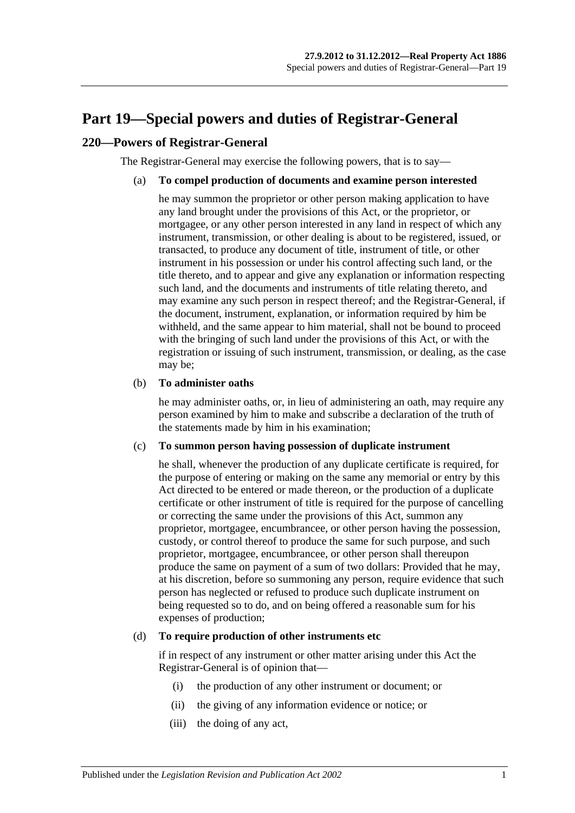# <span id="page-96-0"></span>**Part 19—Special powers and duties of Registrar-General**

## **220—Powers of Registrar-General**

The Registrar-General may exercise the following powers, that is to say—

#### (a) **To compel production of documents and examine person interested**

he may summon the proprietor or other person making application to have any land brought under the provisions of this Act, or the proprietor, or mortgagee, or any other person interested in any land in respect of which any instrument, transmission, or other dealing is about to be registered, issued, or transacted, to produce any document of title, instrument of title, or other instrument in his possession or under his control affecting such land, or the title thereto, and to appear and give any explanation or information respecting such land, and the documents and instruments of title relating thereto, and may examine any such person in respect thereof; and the Registrar-General, if the document, instrument, explanation, or information required by him be withheld, and the same appear to him material, shall not be bound to proceed with the bringing of such land under the provisions of this Act, or with the registration or issuing of such instrument, transmission, or dealing, as the case may be;

#### (b) **To administer oaths**

he may administer oaths, or, in lieu of administering an oath, may require any person examined by him to make and subscribe a declaration of the truth of the statements made by him in his examination;

#### (c) **To summon person having possession of duplicate instrument**

he shall, whenever the production of any duplicate certificate is required, for the purpose of entering or making on the same any memorial or entry by this Act directed to be entered or made thereon, or the production of a duplicate certificate or other instrument of title is required for the purpose of cancelling or correcting the same under the provisions of this Act, summon any proprietor, mortgagee, encumbrancee, or other person having the possession, custody, or control thereof to produce the same for such purpose, and such proprietor, mortgagee, encumbrancee, or other person shall thereupon produce the same on payment of a sum of two dollars: Provided that he may, at his discretion, before so summoning any person, require evidence that such person has neglected or refused to produce such duplicate instrument on being requested so to do, and on being offered a reasonable sum for his expenses of production;

#### <span id="page-96-1"></span>(d) **To require production of other instruments etc**

if in respect of any instrument or other matter arising under this Act the Registrar-General is of opinion that—

- (i) the production of any other instrument or document; or
- (ii) the giving of any information evidence or notice; or
- (iii) the doing of any act,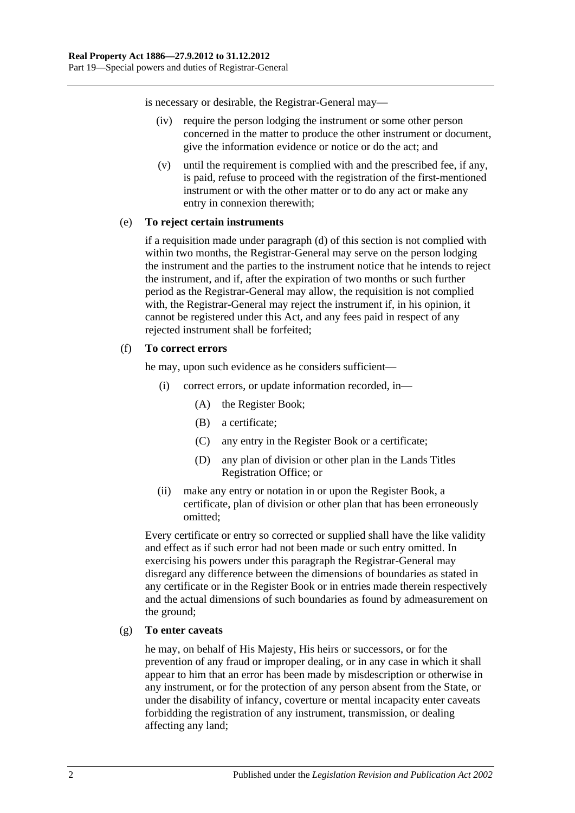is necessary or desirable, the Registrar-General may—

- (iv) require the person lodging the instrument or some other person concerned in the matter to produce the other instrument or document, give the information evidence or notice or do the act; and
- (v) until the requirement is complied with and the prescribed fee, if any, is paid, refuse to proceed with the registration of the first-mentioned instrument or with the other matter or to do any act or make any entry in connexion therewith;

#### (e) **To reject certain instruments**

if a requisition made under [paragraph](#page-96-1) (d) of this section is not complied with within two months, the Registrar-General may serve on the person lodging the instrument and the parties to the instrument notice that he intends to reject the instrument, and if, after the expiration of two months or such further period as the Registrar-General may allow, the requisition is not complied with, the Registrar-General may reject the instrument if, in his opinion, it cannot be registered under this Act, and any fees paid in respect of any rejected instrument shall be forfeited;

#### (f) **To correct errors**

he may, upon such evidence as he considers sufficient—

- (i) correct errors, or update information recorded, in—
	- (A) the Register Book;
	- (B) a certificate;
	- (C) any entry in the Register Book or a certificate;
	- (D) any plan of division or other plan in the Lands Titles Registration Office; or
- (ii) make any entry or notation in or upon the Register Book, a certificate, plan of division or other plan that has been erroneously omitted;

Every certificate or entry so corrected or supplied shall have the like validity and effect as if such error had not been made or such entry omitted. In exercising his powers under this paragraph the Registrar-General may disregard any difference between the dimensions of boundaries as stated in any certificate or in the Register Book or in entries made therein respectively and the actual dimensions of such boundaries as found by admeasurement on the ground;

#### (g) **To enter caveats**

he may, on behalf of His Majesty, His heirs or successors, or for the prevention of any fraud or improper dealing, or in any case in which it shall appear to him that an error has been made by misdescription or otherwise in any instrument, or for the protection of any person absent from the State, or under the disability of infancy, coverture or mental incapacity enter caveats forbidding the registration of any instrument, transmission, or dealing affecting any land;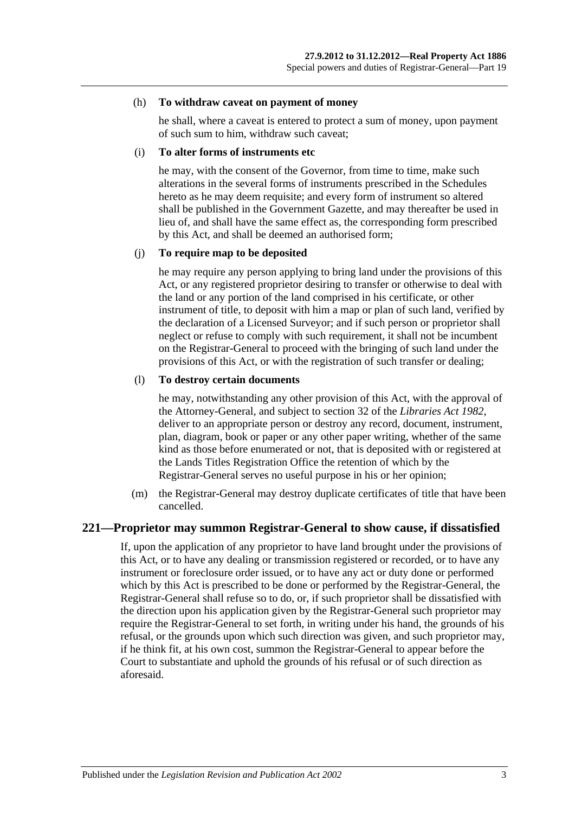#### (h) **To withdraw caveat on payment of money**

he shall, where a caveat is entered to protect a sum of money, upon payment of such sum to him, withdraw such caveat;

#### (i) **To alter forms of instruments etc**

he may, with the consent of the Governor, from time to time, make such alterations in the several forms of instruments prescribed in the Schedules hereto as he may deem requisite; and every form of instrument so altered shall be published in the Government Gazette, and may thereafter be used in lieu of, and shall have the same effect as, the corresponding form prescribed by this Act, and shall be deemed an authorised form;

#### (j) **To require map to be deposited**

he may require any person applying to bring land under the provisions of this Act, or any registered proprietor desiring to transfer or otherwise to deal with the land or any portion of the land comprised in his certificate, or other instrument of title, to deposit with him a map or plan of such land, verified by the declaration of a Licensed Surveyor; and if such person or proprietor shall neglect or refuse to comply with such requirement, it shall not be incumbent on the Registrar-General to proceed with the bringing of such land under the provisions of this Act, or with the registration of such transfer or dealing;

#### (l) **To destroy certain documents**

he may, notwithstanding any other provision of this Act, with the approval of the Attorney-General, and subject to section 32 of the *[Libraries Act](http://www.legislation.sa.gov.au/index.aspx?action=legref&type=act&legtitle=Libraries%20Act%201982) 1982*, deliver to an appropriate person or destroy any record, document, instrument, plan, diagram, book or paper or any other paper writing, whether of the same kind as those before enumerated or not, that is deposited with or registered at the Lands Titles Registration Office the retention of which by the Registrar-General serves no useful purpose in his or her opinion;

(m) the Registrar-General may destroy duplicate certificates of title that have been cancelled.

#### **221—Proprietor may summon Registrar-General to show cause, if dissatisfied**

If, upon the application of any proprietor to have land brought under the provisions of this Act, or to have any dealing or transmission registered or recorded, or to have any instrument or foreclosure order issued, or to have any act or duty done or performed which by this Act is prescribed to be done or performed by the Registrar-General, the Registrar-General shall refuse so to do, or, if such proprietor shall be dissatisfied with the direction upon his application given by the Registrar-General such proprietor may require the Registrar-General to set forth, in writing under his hand, the grounds of his refusal, or the grounds upon which such direction was given, and such proprietor may, if he think fit, at his own cost, summon the Registrar-General to appear before the Court to substantiate and uphold the grounds of his refusal or of such direction as aforesaid.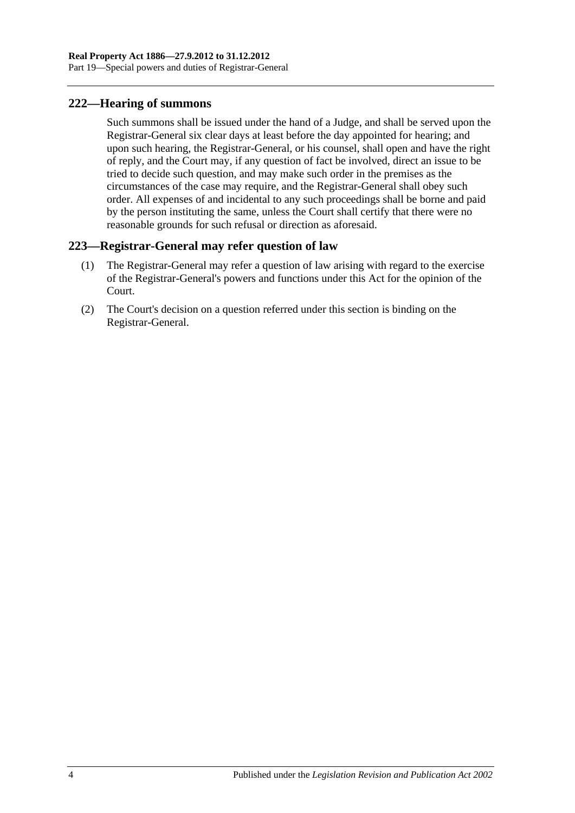## **222—Hearing of summons**

Such summons shall be issued under the hand of a Judge, and shall be served upon the Registrar-General six clear days at least before the day appointed for hearing; and upon such hearing, the Registrar-General, or his counsel, shall open and have the right of reply, and the Court may, if any question of fact be involved, direct an issue to be tried to decide such question, and may make such order in the premises as the circumstances of the case may require, and the Registrar-General shall obey such order. All expenses of and incidental to any such proceedings shall be borne and paid by the person instituting the same, unless the Court shall certify that there were no reasonable grounds for such refusal or direction as aforesaid.

# **223—Registrar-General may refer question of law**

- (1) The Registrar-General may refer a question of law arising with regard to the exercise of the Registrar-General's powers and functions under this Act for the opinion of the Court.
- (2) The Court's decision on a question referred under this section is binding on the Registrar-General.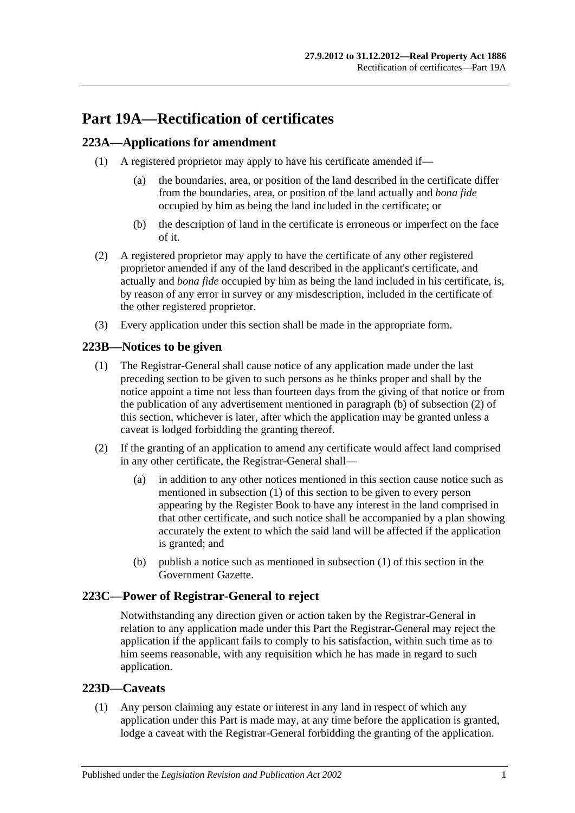# **Part 19A—Rectification of certificates**

# <span id="page-100-3"></span>**223A—Applications for amendment**

- (1) A registered proprietor may apply to have his certificate amended if—
	- (a) the boundaries, area, or position of the land described in the certificate differ from the boundaries, area, or position of the land actually and *bona fide* occupied by him as being the land included in the certificate; or
	- (b) the description of land in the certificate is erroneous or imperfect on the face of it.
- (2) A registered proprietor may apply to have the certificate of any other registered proprietor amended if any of the land described in the applicant's certificate, and actually and *bona fide* occupied by him as being the land included in his certificate, is, by reason of any error in survey or any misdescription, included in the certificate of the other registered proprietor.
- (3) Every application under this section shall be made in the appropriate form.

# <span id="page-100-2"></span>**223B—Notices to be given**

- (1) The Registrar-General shall cause notice of any application made under the last preceding section to be given to such persons as he thinks proper and shall by the notice appoint a time not less than fourteen days from the giving of that notice or from the publication of any advertisement mentioned in [paragraph](#page-100-0) (b) of [subsection](#page-100-1) (2) of this section, whichever is later, after which the application may be granted unless a caveat is lodged forbidding the granting thereof.
- <span id="page-100-1"></span>(2) If the granting of an application to amend any certificate would affect land comprised in any other certificate, the Registrar-General shall—
	- (a) in addition to any other notices mentioned in this section cause notice such as mentioned in [subsection](#page-100-2) (1) of this section to be given to every person appearing by the Register Book to have any interest in the land comprised in that other certificate, and such notice shall be accompanied by a plan showing accurately the extent to which the said land will be affected if the application is granted; and
	- (b) publish a notice such as mentioned in [subsection](#page-100-2) (1) of this section in the Government Gazette.

## <span id="page-100-0"></span>**223C—Power of Registrar-General to reject**

Notwithstanding any direction given or action taken by the Registrar-General in relation to any application made under this Part the Registrar-General may reject the application if the applicant fails to comply to his satisfaction, within such time as to him seems reasonable, with any requisition which he has made in regard to such application.

## **223D—Caveats**

(1) Any person claiming any estate or interest in any land in respect of which any application under this Part is made may, at any time before the application is granted, lodge a caveat with the Registrar-General forbidding the granting of the application.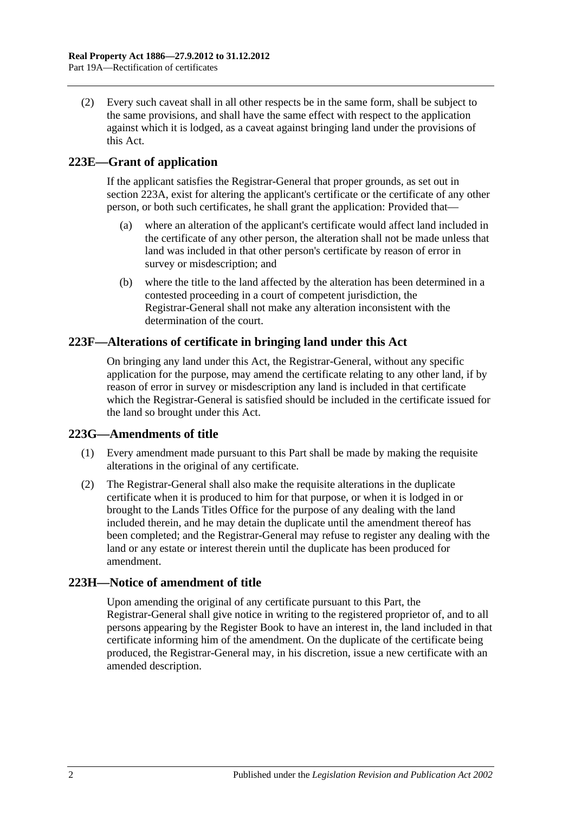(2) Every such caveat shall in all other respects be in the same form, shall be subject to the same provisions, and shall have the same effect with respect to the application against which it is lodged, as a caveat against bringing land under the provisions of this Act.

# **223E—Grant of application**

If the applicant satisfies the Registrar-General that proper grounds, as set out in [section](#page-100-3) 223A, exist for altering the applicant's certificate or the certificate of any other person, or both such certificates, he shall grant the application: Provided that—

- (a) where an alteration of the applicant's certificate would affect land included in the certificate of any other person, the alteration shall not be made unless that land was included in that other person's certificate by reason of error in survey or misdescription; and
- (b) where the title to the land affected by the alteration has been determined in a contested proceeding in a court of competent jurisdiction, the Registrar-General shall not make any alteration inconsistent with the determination of the court.

## **223F—Alterations of certificate in bringing land under this Act**

On bringing any land under this Act, the Registrar-General, without any specific application for the purpose, may amend the certificate relating to any other land, if by reason of error in survey or misdescription any land is included in that certificate which the Registrar-General is satisfied should be included in the certificate issued for the land so brought under this Act.

## **223G—Amendments of title**

- (1) Every amendment made pursuant to this Part shall be made by making the requisite alterations in the original of any certificate.
- (2) The Registrar-General shall also make the requisite alterations in the duplicate certificate when it is produced to him for that purpose, or when it is lodged in or brought to the Lands Titles Office for the purpose of any dealing with the land included therein, and he may detain the duplicate until the amendment thereof has been completed; and the Registrar-General may refuse to register any dealing with the land or any estate or interest therein until the duplicate has been produced for amendment.

## **223H—Notice of amendment of title**

Upon amending the original of any certificate pursuant to this Part, the Registrar-General shall give notice in writing to the registered proprietor of, and to all persons appearing by the Register Book to have an interest in, the land included in that certificate informing him of the amendment. On the duplicate of the certificate being produced, the Registrar-General may, in his discretion, issue a new certificate with an amended description.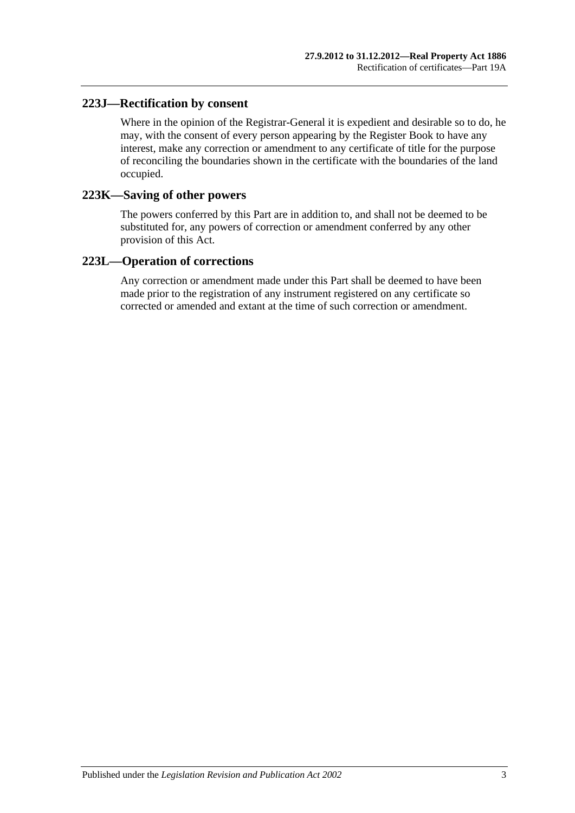## **223J—Rectification by consent**

Where in the opinion of the Registrar-General it is expedient and desirable so to do, he may, with the consent of every person appearing by the Register Book to have any interest, make any correction or amendment to any certificate of title for the purpose of reconciling the boundaries shown in the certificate with the boundaries of the land occupied.

#### **223K—Saving of other powers**

The powers conferred by this Part are in addition to, and shall not be deemed to be substituted for, any powers of correction or amendment conferred by any other provision of this Act.

### **223L—Operation of corrections**

Any correction or amendment made under this Part shall be deemed to have been made prior to the registration of any instrument registered on any certificate so corrected or amended and extant at the time of such correction or amendment.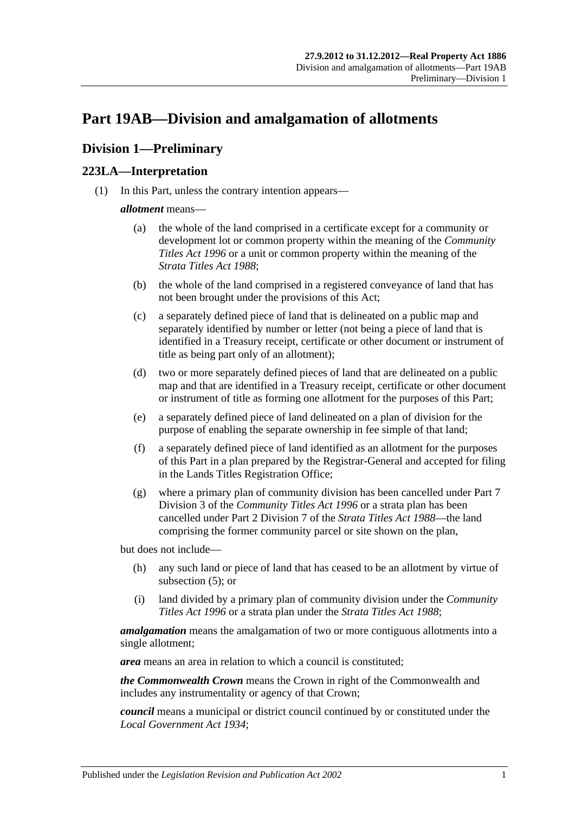# <span id="page-104-2"></span>**Part 19AB—Division and amalgamation of allotments**

# **Division 1—Preliminary**

# <span id="page-104-1"></span>**223LA—Interpretation**

(1) In this Part, unless the contrary intention appears—

#### *allotment* means—

- (a) the whole of the land comprised in a certificate except for a community or development lot or common property within the meaning of the *[Community](http://www.legislation.sa.gov.au/index.aspx?action=legref&type=act&legtitle=Community%20Titles%20Act%201996)  [Titles Act](http://www.legislation.sa.gov.au/index.aspx?action=legref&type=act&legtitle=Community%20Titles%20Act%201996) 1996* or a unit or common property within the meaning of the *[Strata Titles Act](http://www.legislation.sa.gov.au/index.aspx?action=legref&type=act&legtitle=Strata%20Titles%20Act%201988) 1988*;
- (b) the whole of the land comprised in a registered conveyance of land that has not been brought under the provisions of this Act;
- (c) a separately defined piece of land that is delineated on a public map and separately identified by number or letter (not being a piece of land that is identified in a Treasury receipt, certificate or other document or instrument of title as being part only of an allotment);
- (d) two or more separately defined pieces of land that are delineated on a public map and that are identified in a Treasury receipt, certificate or other document or instrument of title as forming one allotment for the purposes of this Part;
- <span id="page-104-0"></span>(e) a separately defined piece of land delineated on a plan of division for the purpose of enabling the separate ownership in fee simple of that land;
- (f) a separately defined piece of land identified as an allotment for the purposes of this Part in a plan prepared by the Registrar-General and accepted for filing in the Lands Titles Registration Office;
- (g) where a primary plan of community division has been cancelled under Part 7 Division 3 of the *[Community Titles Act](http://www.legislation.sa.gov.au/index.aspx?action=legref&type=act&legtitle=Community%20Titles%20Act%201996) 1996* or a strata plan has been cancelled under Part 2 Division 7 of the *[Strata Titles Act](http://www.legislation.sa.gov.au/index.aspx?action=legref&type=act&legtitle=Strata%20Titles%20Act%201988) 1988*—the land comprising the former community parcel or site shown on the plan,

but does not include—

- (h) any such land or piece of land that has ceased to be an allotment by virtue of [subsection](#page-106-0) (5); or
- (i) land divided by a primary plan of community division under the *[Community](http://www.legislation.sa.gov.au/index.aspx?action=legref&type=act&legtitle=Community%20Titles%20Act%201996)  [Titles Act](http://www.legislation.sa.gov.au/index.aspx?action=legref&type=act&legtitle=Community%20Titles%20Act%201996) 1996* or a strata plan under the *[Strata Titles Act](http://www.legislation.sa.gov.au/index.aspx?action=legref&type=act&legtitle=Strata%20Titles%20Act%201988) 1988*;

*amalgamation* means the amalgamation of two or more contiguous allotments into a single allotment;

*area* means an area in relation to which a council is constituted;

*the Commonwealth Crown* means the Crown in right of the Commonwealth and includes any instrumentality or agency of that Crown;

*council* means a municipal or district council continued by or constituted under the *[Local Government Act](http://www.legislation.sa.gov.au/index.aspx?action=legref&type=act&legtitle=Local%20Government%20Act%201934) 1934*;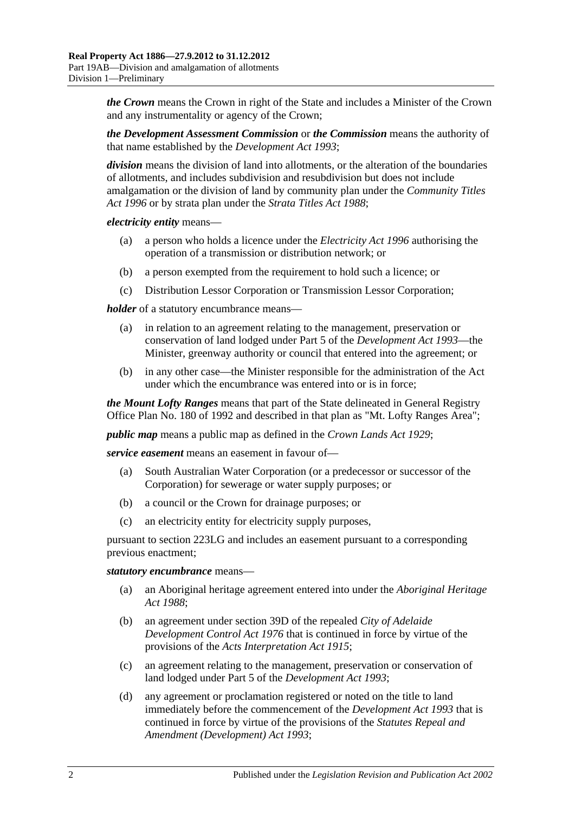*the Crown* means the Crown in right of the State and includes a Minister of the Crown and any instrumentality or agency of the Crown;

*the Development Assessment Commission* or *the Commission* means the authority of that name established by the *[Development Act](http://www.legislation.sa.gov.au/index.aspx?action=legref&type=act&legtitle=Development%20Act%201993) 1993*;

*division* means the division of land into allotments, or the alteration of the boundaries of allotments, and includes subdivision and resubdivision but does not include amalgamation or the division of land by community plan under the *[Community Titles](http://www.legislation.sa.gov.au/index.aspx?action=legref&type=act&legtitle=Community%20Titles%20Act%201996)  Act [1996](http://www.legislation.sa.gov.au/index.aspx?action=legref&type=act&legtitle=Community%20Titles%20Act%201996)* or by strata plan under the *[Strata Titles Act](http://www.legislation.sa.gov.au/index.aspx?action=legref&type=act&legtitle=Strata%20Titles%20Act%201988) 1988*;

*electricity entity* means—

- (a) a person who holds a licence under the *[Electricity Act](http://www.legislation.sa.gov.au/index.aspx?action=legref&type=act&legtitle=Electricity%20Act%201996) 1996* authorising the operation of a transmission or distribution network; or
- (b) a person exempted from the requirement to hold such a licence; or
- (c) Distribution Lessor Corporation or Transmission Lessor Corporation;

*holder* of a statutory encumbrance means—

- (a) in relation to an agreement relating to the management, preservation or conservation of land lodged under Part 5 of the *[Development Act](http://www.legislation.sa.gov.au/index.aspx?action=legref&type=act&legtitle=Development%20Act%201993) 1993*—the Minister, greenway authority or council that entered into the agreement; or
- (b) in any other case—the Minister responsible for the administration of the Act under which the encumbrance was entered into or is in force;

*the Mount Lofty Ranges* means that part of the State delineated in General Registry Office Plan No. 180 of 1992 and described in that plan as "Mt. Lofty Ranges Area";

*public map* means a public map as defined in the *[Crown Lands Act](http://www.legislation.sa.gov.au/index.aspx?action=legref&type=act&legtitle=Crown%20Lands%20Act%201929) 1929*;

*service easement* means an easement in favour of—

- (a) South Australian Water Corporation (or a predecessor or successor of the Corporation) for sewerage or water supply purposes; or
- (b) a council or the Crown for drainage purposes; or
- (c) an electricity entity for electricity supply purposes,

pursuant to [section](#page-112-0) 223LG and includes an easement pursuant to a corresponding previous enactment;

#### *statutory encumbrance* means—

- (a) an Aboriginal heritage agreement entered into under the *[Aboriginal Heritage](http://www.legislation.sa.gov.au/index.aspx?action=legref&type=act&legtitle=Aboriginal%20Heritage%20Act%201988)  Act [1988](http://www.legislation.sa.gov.au/index.aspx?action=legref&type=act&legtitle=Aboriginal%20Heritage%20Act%201988)*;
- (b) an agreement under section 39D of the repealed *[City of Adelaide](http://www.legislation.sa.gov.au/index.aspx?action=legref&type=act&legtitle=City%20of%20Adelaide%20Development%20Control%20Act%201976)  [Development Control Act](http://www.legislation.sa.gov.au/index.aspx?action=legref&type=act&legtitle=City%20of%20Adelaide%20Development%20Control%20Act%201976) 1976* that is continued in force by virtue of the provisions of the *[Acts Interpretation Act](http://www.legislation.sa.gov.au/index.aspx?action=legref&type=act&legtitle=Acts%20Interpretation%20Act%201915) 1915*;
- (c) an agreement relating to the management, preservation or conservation of land lodged under Part 5 of the *[Development Act](http://www.legislation.sa.gov.au/index.aspx?action=legref&type=act&legtitle=Development%20Act%201993) 1993*;
- (d) any agreement or proclamation registered or noted on the title to land immediately before the commencement of the *[Development Act](http://www.legislation.sa.gov.au/index.aspx?action=legref&type=act&legtitle=Development%20Act%201993) 1993* that is continued in force by virtue of the provisions of the *[Statutes Repeal and](http://www.legislation.sa.gov.au/index.aspx?action=legref&type=act&legtitle=Statutes%20Repeal%20and%20Amendment%20(Development)%20Act%201993)  [Amendment \(Development\) Act](http://www.legislation.sa.gov.au/index.aspx?action=legref&type=act&legtitle=Statutes%20Repeal%20and%20Amendment%20(Development)%20Act%201993) 1993*;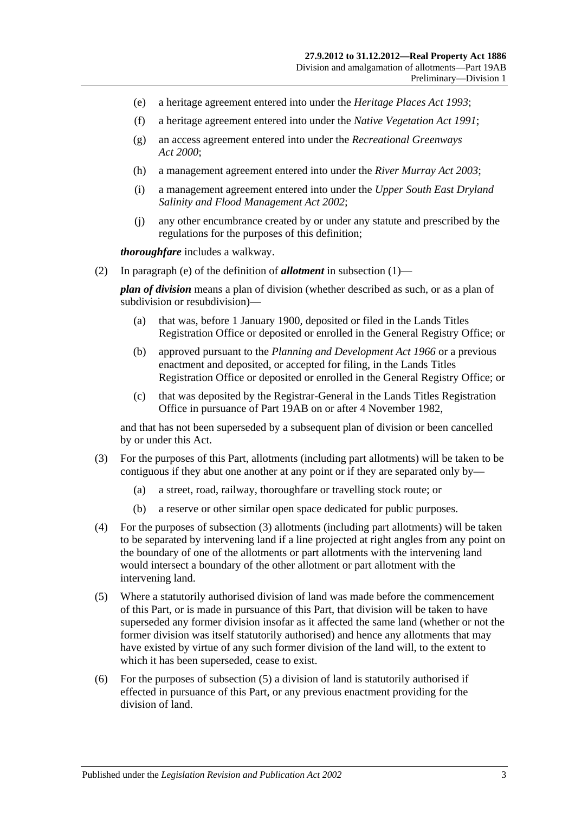- (e) a heritage agreement entered into under the *[Heritage Places Act](http://www.legislation.sa.gov.au/index.aspx?action=legref&type=act&legtitle=Heritage%20Places%20Act%201993) 1993*;
- (f) a heritage agreement entered into under the *[Native Vegetation Act](http://www.legislation.sa.gov.au/index.aspx?action=legref&type=act&legtitle=Native%20Vegetation%20Act%201991) 1991*;
- (g) an access agreement entered into under the *[Recreational Greenways](http://www.legislation.sa.gov.au/index.aspx?action=legref&type=act&legtitle=Recreational%20Greenways%20Act%202000)  Act [2000](http://www.legislation.sa.gov.au/index.aspx?action=legref&type=act&legtitle=Recreational%20Greenways%20Act%202000)*;
- (h) a management agreement entered into under the *[River Murray Act](http://www.legislation.sa.gov.au/index.aspx?action=legref&type=act&legtitle=River%20Murray%20Act%202003) 2003*;
- (i) a management agreement entered into under the *[Upper South East Dryland](http://www.legislation.sa.gov.au/index.aspx?action=legref&type=act&legtitle=Upper%20South%20East%20Dryland%20Salinity%20and%20Flood%20Management%20Act%202002)  [Salinity and Flood Management Act](http://www.legislation.sa.gov.au/index.aspx?action=legref&type=act&legtitle=Upper%20South%20East%20Dryland%20Salinity%20and%20Flood%20Management%20Act%202002) 2002*;
- (j) any other encumbrance created by or under any statute and prescribed by the regulations for the purposes of this definition;

*thoroughfare* includes a walkway.

(2) In [paragraph](#page-104-0) (e) of the definition of *allotment* in [subsection](#page-104-1) (1)—

*plan of division* means a plan of division (whether described as such, or as a plan of subdivision or resubdivision)—

- (a) that was, before 1 January 1900, deposited or filed in the Lands Titles Registration Office or deposited or enrolled in the General Registry Office; or
- (b) approved pursuant to the *[Planning and Development Act](http://www.legislation.sa.gov.au/index.aspx?action=legref&type=act&legtitle=Planning%20and%20Development%20Act%201966) 1966* or a previous enactment and deposited, or accepted for filing, in the Lands Titles Registration Office or deposited or enrolled in the General Registry Office; or
- (c) that was deposited by the Registrar-General in the Lands Titles Registration Office in pursuance of [Part 19AB](#page-104-2) on or after 4 November 1982,

and that has not been superseded by a subsequent plan of division or been cancelled by or under this Act.

- <span id="page-106-1"></span>(3) For the purposes of this Part, allotments (including part allotments) will be taken to be contiguous if they abut one another at any point or if they are separated only by—
	- (a) a street, road, railway, thoroughfare or travelling stock route; or
	- (b) a reserve or other similar open space dedicated for public purposes.
- (4) For the purposes of [subsection](#page-106-1) (3) allotments (including part allotments) will be taken to be separated by intervening land if a line projected at right angles from any point on the boundary of one of the allotments or part allotments with the intervening land would intersect a boundary of the other allotment or part allotment with the intervening land.
- <span id="page-106-0"></span>(5) Where a statutorily authorised division of land was made before the commencement of this Part, or is made in pursuance of this Part, that division will be taken to have superseded any former division insofar as it affected the same land (whether or not the former division was itself statutorily authorised) and hence any allotments that may have existed by virtue of any such former division of the land will, to the extent to which it has been superseded, cease to exist.
- (6) For the purposes of [subsection](#page-106-0) (5) a division of land is statutorily authorised if effected in pursuance of this Part, or any previous enactment providing for the division of land.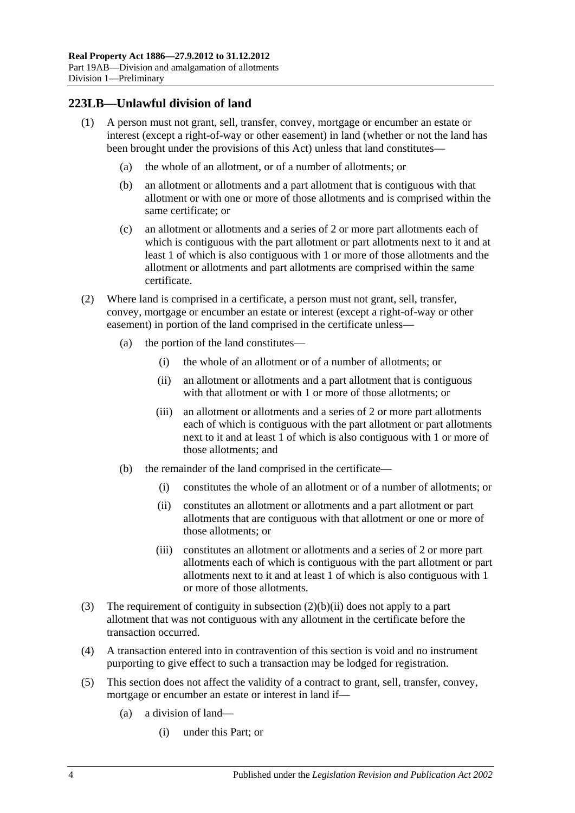## **223LB—Unlawful division of land**

- (1) A person must not grant, sell, transfer, convey, mortgage or encumber an estate or interest (except a right-of-way or other easement) in land (whether or not the land has been brought under the provisions of this Act) unless that land constitutes—
	- (a) the whole of an allotment, or of a number of allotments; or
	- (b) an allotment or allotments and a part allotment that is contiguous with that allotment or with one or more of those allotments and is comprised within the same certificate; or
	- (c) an allotment or allotments and a series of 2 or more part allotments each of which is contiguous with the part allotment or part allotments next to it and at least 1 of which is also contiguous with 1 or more of those allotments and the allotment or allotments and part allotments are comprised within the same certificate.
- (2) Where land is comprised in a certificate, a person must not grant, sell, transfer, convey, mortgage or encumber an estate or interest (except a right-of-way or other easement) in portion of the land comprised in the certificate unless—
	- (a) the portion of the land constitutes—
		- (i) the whole of an allotment or of a number of allotments; or
		- (ii) an allotment or allotments and a part allotment that is contiguous with that allotment or with 1 or more of those allotments; or
		- (iii) an allotment or allotments and a series of 2 or more part allotments each of which is contiguous with the part allotment or part allotments next to it and at least 1 of which is also contiguous with 1 or more of those allotments; and
	- (b) the remainder of the land comprised in the certificate—
		- (i) constitutes the whole of an allotment or of a number of allotments; or
		- (ii) constitutes an allotment or allotments and a part allotment or part allotments that are contiguous with that allotment or one or more of those allotments; or
		- (iii) constitutes an allotment or allotments and a series of 2 or more part allotments each of which is contiguous with the part allotment or part allotments next to it and at least 1 of which is also contiguous with 1 or more of those allotments.
- <span id="page-107-0"></span>(3) The requirement of contiguity in [subsection](#page-107-0) (2)(b)(ii) does not apply to a part allotment that was not contiguous with any allotment in the certificate before the transaction occurred.
- (4) A transaction entered into in contravention of this section is void and no instrument purporting to give effect to such a transaction may be lodged for registration.
- (5) This section does not affect the validity of a contract to grant, sell, transfer, convey, mortgage or encumber an estate or interest in land if—
	- (a) a division of land—
		- (i) under this Part; or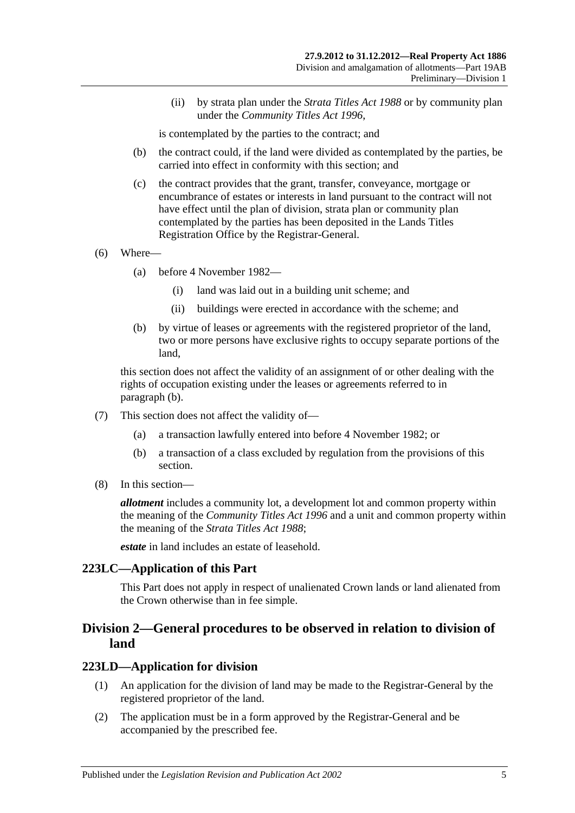(ii) by strata plan under the *[Strata Titles Act](http://www.legislation.sa.gov.au/index.aspx?action=legref&type=act&legtitle=Strata%20Titles%20Act%201988) 1988* or by community plan under the *[Community Titles Act](http://www.legislation.sa.gov.au/index.aspx?action=legref&type=act&legtitle=Community%20Titles%20Act%201996) 1996*,

is contemplated by the parties to the contract; and

- (b) the contract could, if the land were divided as contemplated by the parties, be carried into effect in conformity with this section; and
- (c) the contract provides that the grant, transfer, conveyance, mortgage or encumbrance of estates or interests in land pursuant to the contract will not have effect until the plan of division, strata plan or community plan contemplated by the parties has been deposited in the Lands Titles Registration Office by the Registrar-General.
- (6) Where—
	- (a) before 4 November 1982—
		- (i) land was laid out in a building unit scheme; and
		- (ii) buildings were erected in accordance with the scheme; and
	- (b) by virtue of leases or agreements with the registered proprietor of the land, two or more persons have exclusive rights to occupy separate portions of the land,

<span id="page-108-0"></span>this section does not affect the validity of an assignment of or other dealing with the rights of occupation existing under the leases or agreements referred to in [paragraph](#page-108-0) (b).

- (7) This section does not affect the validity of—
	- (a) a transaction lawfully entered into before 4 November 1982; or
	- (b) a transaction of a class excluded by regulation from the provisions of this section.
- (8) In this section—

*allotment* includes a community lot, a development lot and common property within the meaning of the *[Community Titles Act](http://www.legislation.sa.gov.au/index.aspx?action=legref&type=act&legtitle=Community%20Titles%20Act%201996) 1996* and a unit and common property within the meaning of the *[Strata Titles Act](http://www.legislation.sa.gov.au/index.aspx?action=legref&type=act&legtitle=Strata%20Titles%20Act%201988) 1988*;

*estate* in land includes an estate of leasehold.

#### **223LC—Application of this Part**

This Part does not apply in respect of unalienated Crown lands or land alienated from the Crown otherwise than in fee simple.

## **Division 2—General procedures to be observed in relation to division of land**

#### <span id="page-108-1"></span>**223LD—Application for division**

- (1) An application for the division of land may be made to the Registrar-General by the registered proprietor of the land.
- (2) The application must be in a form approved by the Registrar-General and be accompanied by the prescribed fee.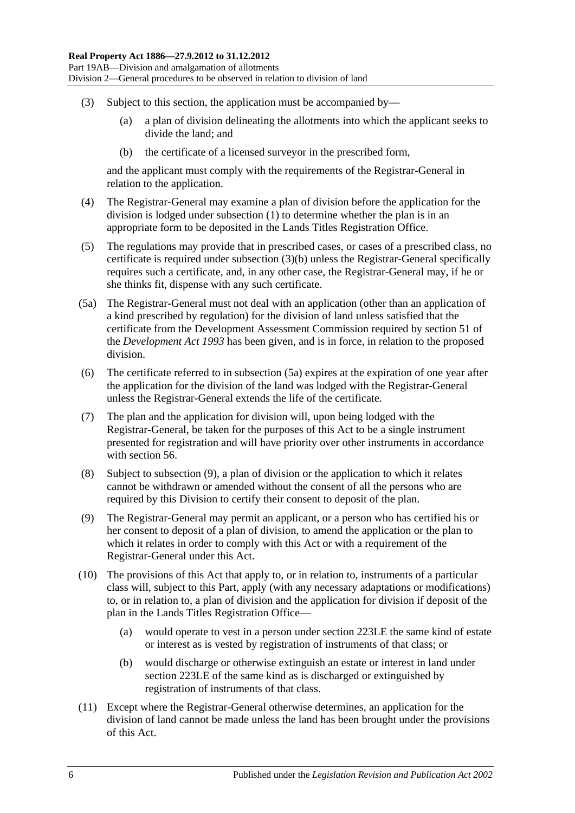- <span id="page-109-0"></span>(3) Subject to this section, the application must be accompanied by—
	- (a) a plan of division delineating the allotments into which the applicant seeks to divide the land; and
	- (b) the certificate of a licensed surveyor in the prescribed form,

and the applicant must comply with the requirements of the Registrar-General in relation to the application.

- (4) The Registrar-General may examine a plan of division before the application for the division is lodged under [subsection](#page-108-1) (1) to determine whether the plan is in an appropriate form to be deposited in the Lands Titles Registration Office.
- (5) The regulations may provide that in prescribed cases, or cases of a prescribed class, no certificate is required under [subsection](#page-109-0) (3)(b) unless the Registrar-General specifically requires such a certificate, and, in any other case, the Registrar-General may, if he or she thinks fit, dispense with any such certificate.
- <span id="page-109-1"></span>(5a) The Registrar-General must not deal with an application (other than an application of a kind prescribed by regulation) for the division of land unless satisfied that the certificate from the Development Assessment Commission required by section 51 of the *[Development Act](http://www.legislation.sa.gov.au/index.aspx?action=legref&type=act&legtitle=Development%20Act%201993) 1993* has been given, and is in force, in relation to the proposed division.
- (6) The certificate referred to in [subsection](#page-109-1) (5a) expires at the expiration of one year after the application for the division of the land was lodged with the Registrar-General unless the Registrar-General extends the life of the certificate.
- (7) The plan and the application for division will, upon being lodged with the Registrar-General, be taken for the purposes of this Act to be a single instrument presented for registration and will have priority over other instruments in accordance with [section](#page-29-0) 56.
- (8) Subject to [subsection](#page-109-2) (9), a plan of division or the application to which it relates cannot be withdrawn or amended without the consent of all the persons who are required by this Division to certify their consent to deposit of the plan.
- <span id="page-109-2"></span>(9) The Registrar-General may permit an applicant, or a person who has certified his or her consent to deposit of a plan of division, to amend the application or the plan to which it relates in order to comply with this Act or with a requirement of the Registrar-General under this Act.
- (10) The provisions of this Act that apply to, or in relation to, instruments of a particular class will, subject to this Part, apply (with any necessary adaptations or modifications) to, or in relation to, a plan of division and the application for division if deposit of the plan in the Lands Titles Registration Office—
	- (a) would operate to vest in a person under [section](#page-110-0) 223LE the same kind of estate or interest as is vested by registration of instruments of that class; or
	- (b) would discharge or otherwise extinguish an estate or interest in land under [section](#page-110-0) 223LE of the same kind as is discharged or extinguished by registration of instruments of that class.
- (11) Except where the Registrar-General otherwise determines, an application for the division of land cannot be made unless the land has been brought under the provisions of this Act.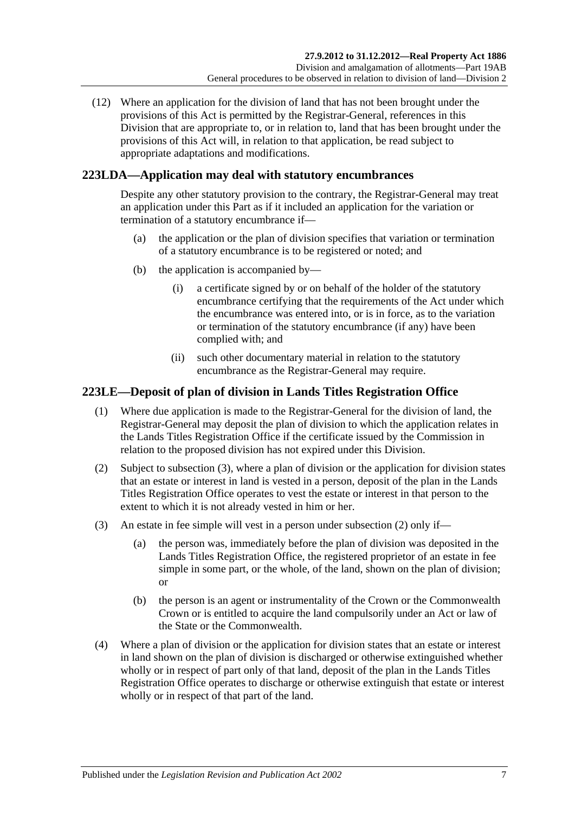(12) Where an application for the division of land that has not been brought under the provisions of this Act is permitted by the Registrar-General, references in this Division that are appropriate to, or in relation to, land that has been brought under the provisions of this Act will, in relation to that application, be read subject to appropriate adaptations and modifications.

## **223LDA—Application may deal with statutory encumbrances**

Despite any other statutory provision to the contrary, the Registrar-General may treat an application under this Part as if it included an application for the variation or termination of a statutory encumbrance if—

- (a) the application or the plan of division specifies that variation or termination of a statutory encumbrance is to be registered or noted; and
- (b) the application is accompanied by—
	- (i) a certificate signed by or on behalf of the holder of the statutory encumbrance certifying that the requirements of the Act under which the encumbrance was entered into, or is in force, as to the variation or termination of the statutory encumbrance (if any) have been complied with; and
	- (ii) such other documentary material in relation to the statutory encumbrance as the Registrar-General may require.

## <span id="page-110-0"></span>**223LE—Deposit of plan of division in Lands Titles Registration Office**

- (1) Where due application is made to the Registrar-General for the division of land, the Registrar-General may deposit the plan of division to which the application relates in the Lands Titles Registration Office if the certificate issued by the Commission in relation to the proposed division has not expired under this Division.
- <span id="page-110-2"></span>(2) Subject to [subsection](#page-110-1) (3), where a plan of division or the application for division states that an estate or interest in land is vested in a person, deposit of the plan in the Lands Titles Registration Office operates to vest the estate or interest in that person to the extent to which it is not already vested in him or her.
- <span id="page-110-1"></span>(3) An estate in fee simple will vest in a person under [subsection](#page-110-2) (2) only if—
	- (a) the person was, immediately before the plan of division was deposited in the Lands Titles Registration Office, the registered proprietor of an estate in fee simple in some part, or the whole, of the land, shown on the plan of division; or
	- (b) the person is an agent or instrumentality of the Crown or the Commonwealth Crown or is entitled to acquire the land compulsorily under an Act or law of the State or the Commonwealth.
- (4) Where a plan of division or the application for division states that an estate or interest in land shown on the plan of division is discharged or otherwise extinguished whether wholly or in respect of part only of that land, deposit of the plan in the Lands Titles Registration Office operates to discharge or otherwise extinguish that estate or interest wholly or in respect of that part of the land.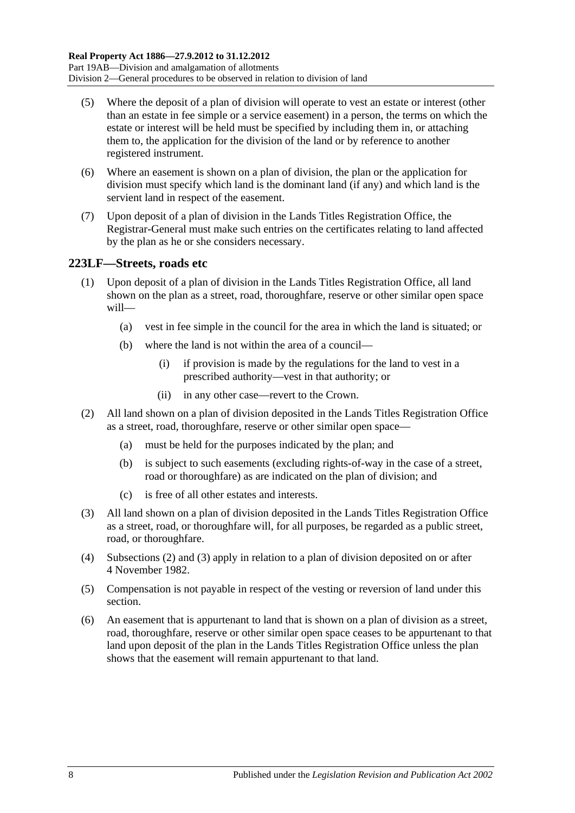- (5) Where the deposit of a plan of division will operate to vest an estate or interest (other than an estate in fee simple or a service easement) in a person, the terms on which the estate or interest will be held must be specified by including them in, or attaching them to, the application for the division of the land or by reference to another registered instrument.
- (6) Where an easement is shown on a plan of division, the plan or the application for division must specify which land is the dominant land (if any) and which land is the servient land in respect of the easement.
- (7) Upon deposit of a plan of division in the Lands Titles Registration Office, the Registrar-General must make such entries on the certificates relating to land affected by the plan as he or she considers necessary.

## <span id="page-111-2"></span>**223LF—Streets, roads etc**

- (1) Upon deposit of a plan of division in the Lands Titles Registration Office, all land shown on the plan as a street, road, thoroughfare, reserve or other similar open space will—
	- (a) vest in fee simple in the council for the area in which the land is situated; or
	- (b) where the land is not within the area of a council—
		- (i) if provision is made by the regulations for the land to vest in a prescribed authority—vest in that authority; or
		- (ii) in any other case—revert to the Crown.
- <span id="page-111-0"></span>(2) All land shown on a plan of division deposited in the Lands Titles Registration Office as a street, road, thoroughfare, reserve or other similar open space—
	- (a) must be held for the purposes indicated by the plan; and
	- (b) is subject to such easements (excluding rights-of-way in the case of a street, road or thoroughfare) as are indicated on the plan of division; and
	- (c) is free of all other estates and interests.
- <span id="page-111-1"></span>(3) All land shown on a plan of division deposited in the Lands Titles Registration Office as a street, road, or thoroughfare will, for all purposes, be regarded as a public street, road, or thoroughfare.
- (4) [Subsections](#page-111-0) (2) and [\(3\)](#page-111-1) apply in relation to a plan of division deposited on or after 4 November 1982.
- (5) Compensation is not payable in respect of the vesting or reversion of land under this section.
- (6) An easement that is appurtenant to land that is shown on a plan of division as a street, road, thoroughfare, reserve or other similar open space ceases to be appurtenant to that land upon deposit of the plan in the Lands Titles Registration Office unless the plan shows that the easement will remain appurtenant to that land.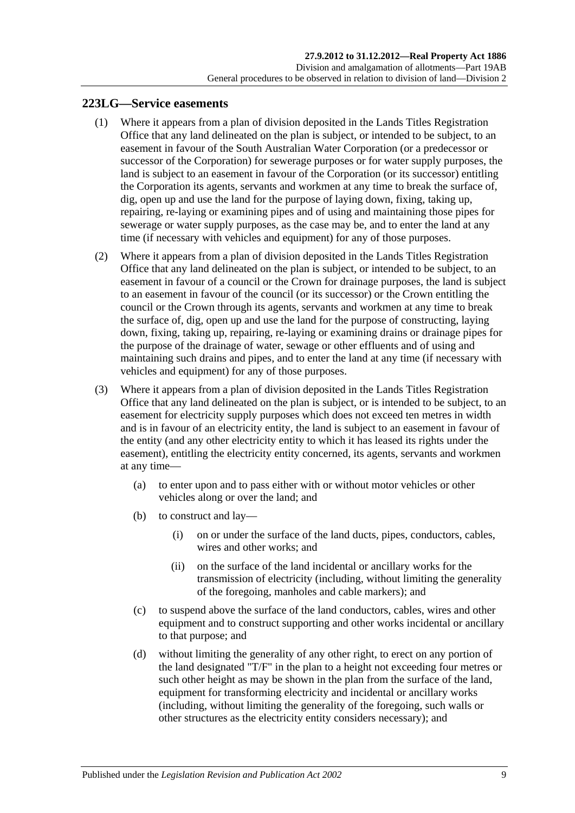### <span id="page-112-3"></span><span id="page-112-0"></span>**223LG—Service easements**

- (1) Where it appears from a plan of division deposited in the Lands Titles Registration Office that any land delineated on the plan is subject, or intended to be subject, to an easement in favour of the South Australian Water Corporation (or a predecessor or successor of the Corporation) for sewerage purposes or for water supply purposes, the land is subject to an easement in favour of the Corporation (or its successor) entitling the Corporation its agents, servants and workmen at any time to break the surface of, dig, open up and use the land for the purpose of laying down, fixing, taking up, repairing, re-laying or examining pipes and of using and maintaining those pipes for sewerage or water supply purposes, as the case may be, and to enter the land at any time (if necessary with vehicles and equipment) for any of those purposes.
- <span id="page-112-1"></span>(2) Where it appears from a plan of division deposited in the Lands Titles Registration Office that any land delineated on the plan is subject, or intended to be subject, to an easement in favour of a council or the Crown for drainage purposes, the land is subject to an easement in favour of the council (or its successor) or the Crown entitling the council or the Crown through its agents, servants and workmen at any time to break the surface of, dig, open up and use the land for the purpose of constructing, laying down, fixing, taking up, repairing, re-laying or examining drains or drainage pipes for the purpose of the drainage of water, sewage or other effluents and of using and maintaining such drains and pipes, and to enter the land at any time (if necessary with vehicles and equipment) for any of those purposes.
- <span id="page-112-2"></span>(3) Where it appears from a plan of division deposited in the Lands Titles Registration Office that any land delineated on the plan is subject, or is intended to be subject, to an easement for electricity supply purposes which does not exceed ten metres in width and is in favour of an electricity entity, the land is subject to an easement in favour of the entity (and any other electricity entity to which it has leased its rights under the easement), entitling the electricity entity concerned, its agents, servants and workmen at any time—
	- (a) to enter upon and to pass either with or without motor vehicles or other vehicles along or over the land; and
	- (b) to construct and lay—
		- (i) on or under the surface of the land ducts, pipes, conductors, cables, wires and other works; and
		- (ii) on the surface of the land incidental or ancillary works for the transmission of electricity (including, without limiting the generality of the foregoing, manholes and cable markers); and
	- (c) to suspend above the surface of the land conductors, cables, wires and other equipment and to construct supporting and other works incidental or ancillary to that purpose; and
	- (d) without limiting the generality of any other right, to erect on any portion of the land designated "T/F" in the plan to a height not exceeding four metres or such other height as may be shown in the plan from the surface of the land, equipment for transforming electricity and incidental or ancillary works (including, without limiting the generality of the foregoing, such walls or other structures as the electricity entity considers necessary); and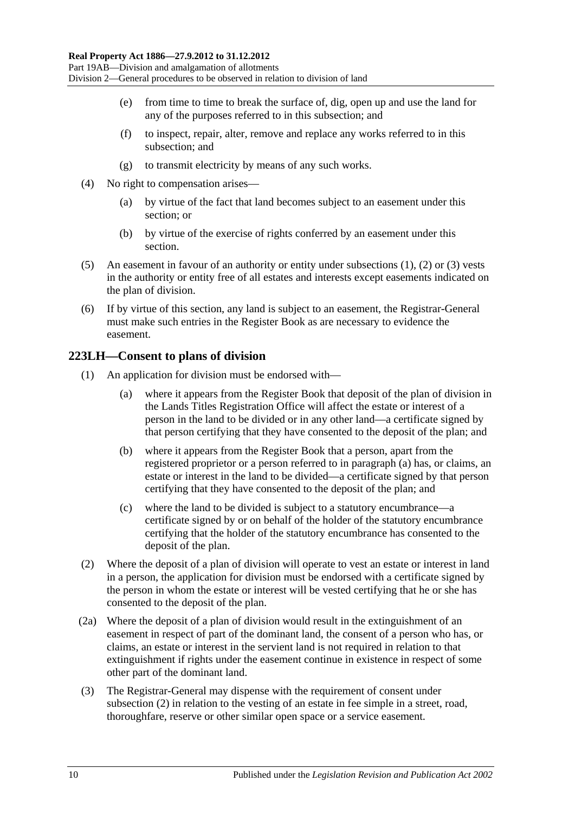- (e) from time to time to break the surface of, dig, open up and use the land for any of the purposes referred to in this subsection; and
- (f) to inspect, repair, alter, remove and replace any works referred to in this subsection; and
- (g) to transmit electricity by means of any such works.
- (4) No right to compensation arises—
	- (a) by virtue of the fact that land becomes subject to an easement under this section; or
	- (b) by virtue of the exercise of rights conferred by an easement under this section.
- (5) An easement in favour of an authority or entity under [subsections](#page-112-0) (1), [\(2\)](#page-112-1) or [\(3\)](#page-112-2) vests in the authority or entity free of all estates and interests except easements indicated on the plan of division.
- (6) If by virtue of this section, any land is subject to an easement, the Registrar-General must make such entries in the Register Book as are necessary to evidence the easement.

## **223LH—Consent to plans of division**

- <span id="page-113-0"></span>(1) An application for division must be endorsed with—
	- (a) where it appears from the Register Book that deposit of the plan of division in the Lands Titles Registration Office will affect the estate or interest of a person in the land to be divided or in any other land—a certificate signed by that person certifying that they have consented to the deposit of the plan; and
	- (b) where it appears from the Register Book that a person, apart from the registered proprietor or a person referred to in [paragraph](#page-113-0) (a) has, or claims, an estate or interest in the land to be divided—a certificate signed by that person certifying that they have consented to the deposit of the plan; and
	- (c) where the land to be divided is subject to a statutory encumbrance—a certificate signed by or on behalf of the holder of the statutory encumbrance certifying that the holder of the statutory encumbrance has consented to the deposit of the plan.
- <span id="page-113-1"></span>(2) Where the deposit of a plan of division will operate to vest an estate or interest in land in a person, the application for division must be endorsed with a certificate signed by the person in whom the estate or interest will be vested certifying that he or she has consented to the deposit of the plan.
- (2a) Where the deposit of a plan of division would result in the extinguishment of an easement in respect of part of the dominant land, the consent of a person who has, or claims, an estate or interest in the servient land is not required in relation to that extinguishment if rights under the easement continue in existence in respect of some other part of the dominant land.
- (3) The Registrar-General may dispense with the requirement of consent under [subsection](#page-113-1) (2) in relation to the vesting of an estate in fee simple in a street, road, thoroughfare, reserve or other similar open space or a service easement.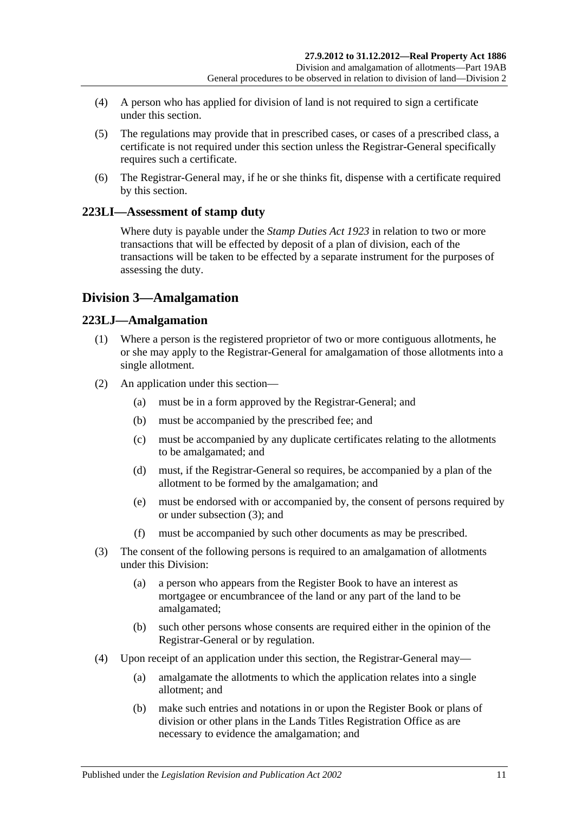- (4) A person who has applied for division of land is not required to sign a certificate under this section.
- (5) The regulations may provide that in prescribed cases, or cases of a prescribed class, a certificate is not required under this section unless the Registrar-General specifically requires such a certificate.
- (6) The Registrar-General may, if he or she thinks fit, dispense with a certificate required by this section.

## **223LI—Assessment of stamp duty**

Where duty is payable under the *[Stamp Duties Act](http://www.legislation.sa.gov.au/index.aspx?action=legref&type=act&legtitle=Stamp%20Duties%20Act%201923) 1923* in relation to two or more transactions that will be effected by deposit of a plan of division, each of the transactions will be taken to be effected by a separate instrument for the purposes of assessing the duty.

## **Division 3—Amalgamation**

## **223LJ—Amalgamation**

- (1) Where a person is the registered proprietor of two or more contiguous allotments, he or she may apply to the Registrar-General for amalgamation of those allotments into a single allotment.
- (2) An application under this section—
	- (a) must be in a form approved by the Registrar-General; and
	- (b) must be accompanied by the prescribed fee; and
	- (c) must be accompanied by any duplicate certificates relating to the allotments to be amalgamated; and
	- (d) must, if the Registrar-General so requires, be accompanied by a plan of the allotment to be formed by the amalgamation; and
	- (e) must be endorsed with or accompanied by, the consent of persons required by or under [subsection](#page-114-0) (3); and
	- (f) must be accompanied by such other documents as may be prescribed.
- <span id="page-114-0"></span>(3) The consent of the following persons is required to an amalgamation of allotments under this Division:
	- (a) a person who appears from the Register Book to have an interest as mortgagee or encumbrancee of the land or any part of the land to be amalgamated;
	- (b) such other persons whose consents are required either in the opinion of the Registrar-General or by regulation.
- (4) Upon receipt of an application under this section, the Registrar-General may—
	- (a) amalgamate the allotments to which the application relates into a single allotment; and
	- (b) make such entries and notations in or upon the Register Book or plans of division or other plans in the Lands Titles Registration Office as are necessary to evidence the amalgamation; and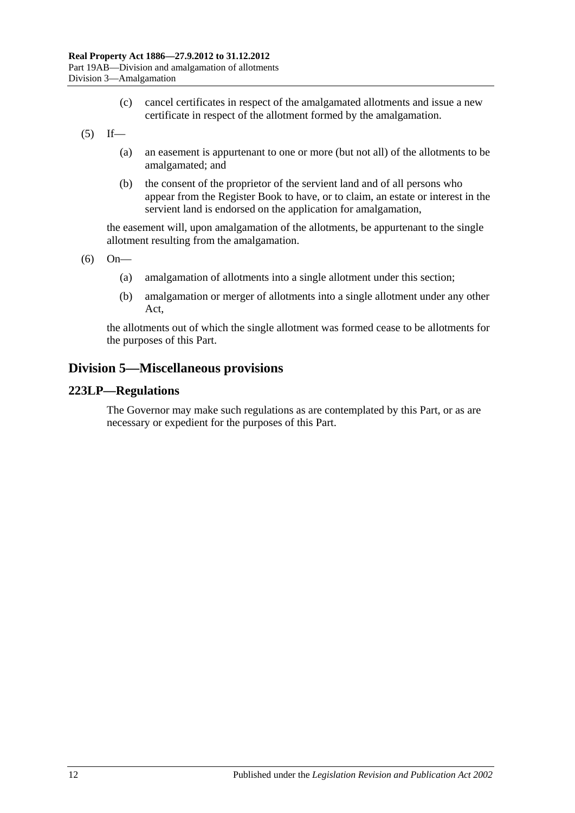- (c) cancel certificates in respect of the amalgamated allotments and issue a new certificate in respect of the allotment formed by the amalgamation.
- $(5)$  If—
	- (a) an easement is appurtenant to one or more (but not all) of the allotments to be amalgamated; and
	- (b) the consent of the proprietor of the servient land and of all persons who appear from the Register Book to have, or to claim, an estate or interest in the servient land is endorsed on the application for amalgamation,

the easement will, upon amalgamation of the allotments, be appurtenant to the single allotment resulting from the amalgamation.

(6) On—

- (a) amalgamation of allotments into a single allotment under this section;
- (b) amalgamation or merger of allotments into a single allotment under any other Act,

the allotments out of which the single allotment was formed cease to be allotments for the purposes of this Part.

## **Division 5—Miscellaneous provisions**

#### **223LP—Regulations**

The Governor may make such regulations as are contemplated by this Part, or as are necessary or expedient for the purposes of this Part.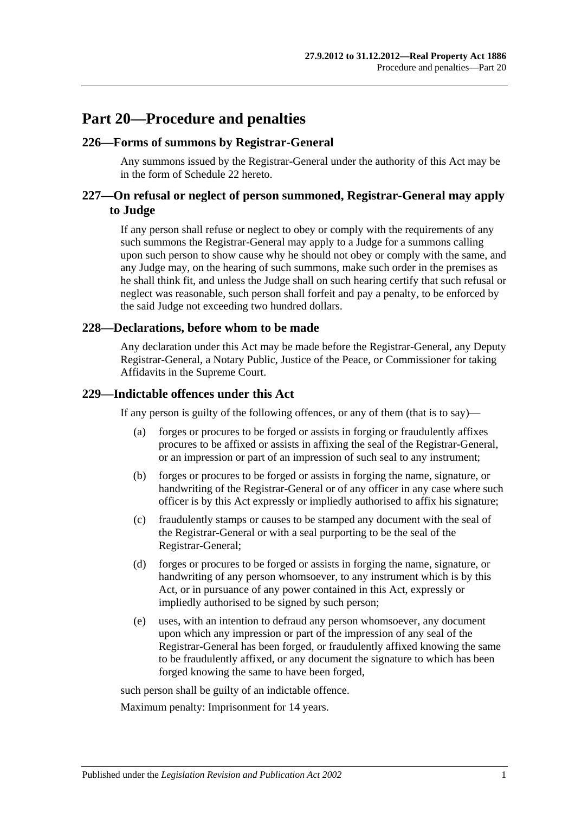## **Part 20—Procedure and penalties**

#### **226—Forms of summons by Registrar-General**

Any summons issued by the Registrar-General under the authority of this Act may be in the form of [Schedule 22](#page-137-0) hereto.

## **227—On refusal or neglect of person summoned, Registrar-General may apply to Judge**

If any person shall refuse or neglect to obey or comply with the requirements of any such summons the Registrar-General may apply to a Judge for a summons calling upon such person to show cause why he should not obey or comply with the same, and any Judge may, on the hearing of such summons, make such order in the premises as he shall think fit, and unless the Judge shall on such hearing certify that such refusal or neglect was reasonable, such person shall forfeit and pay a penalty, to be enforced by the said Judge not exceeding two hundred dollars.

#### **228—Declarations, before whom to be made**

Any declaration under this Act may be made before the Registrar-General, any Deputy Registrar-General, a Notary Public, Justice of the Peace, or Commissioner for taking Affidavits in the Supreme Court.

#### **229—Indictable offences under this Act**

If any person is guilty of the following offences, or any of them (that is to say)—

- (a) forges or procures to be forged or assists in forging or fraudulently affixes procures to be affixed or assists in affixing the seal of the Registrar-General, or an impression or part of an impression of such seal to any instrument;
- (b) forges or procures to be forged or assists in forging the name, signature, or handwriting of the Registrar-General or of any officer in any case where such officer is by this Act expressly or impliedly authorised to affix his signature;
- (c) fraudulently stamps or causes to be stamped any document with the seal of the Registrar-General or with a seal purporting to be the seal of the Registrar-General;
- (d) forges or procures to be forged or assists in forging the name, signature, or handwriting of any person whomsoever, to any instrument which is by this Act, or in pursuance of any power contained in this Act, expressly or impliedly authorised to be signed by such person;
- (e) uses, with an intention to defraud any person whomsoever, any document upon which any impression or part of the impression of any seal of the Registrar-General has been forged, or fraudulently affixed knowing the same to be fraudulently affixed, or any document the signature to which has been forged knowing the same to have been forged,

such person shall be guilty of an indictable offence.

Maximum penalty: Imprisonment for 14 years.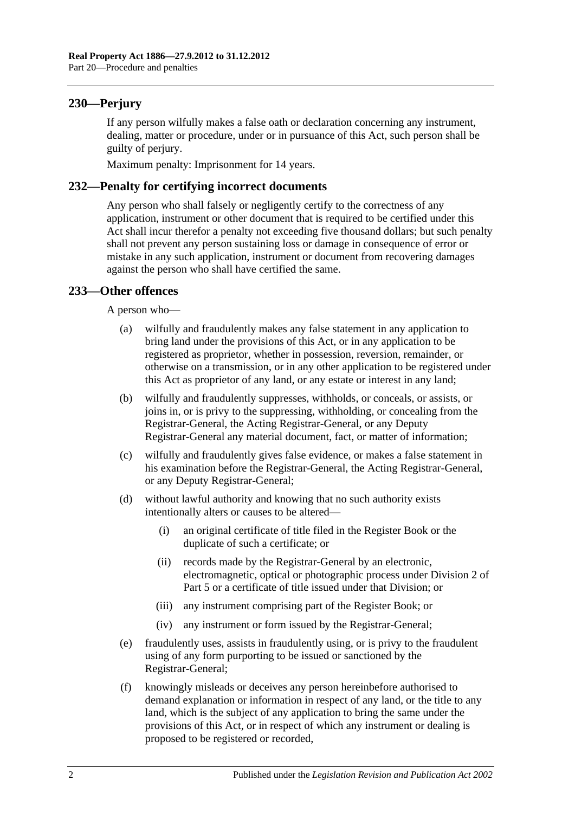## **230—Perjury**

If any person wilfully makes a false oath or declaration concerning any instrument, dealing, matter or procedure, under or in pursuance of this Act, such person shall be guilty of perjury.

Maximum penalty: Imprisonment for 14 years.

## **232—Penalty for certifying incorrect documents**

Any person who shall falsely or negligently certify to the correctness of any application, instrument or other document that is required to be certified under this Act shall incur therefor a penalty not exceeding five thousand dollars; but such penalty shall not prevent any person sustaining loss or damage in consequence of error or mistake in any such application, instrument or document from recovering damages against the person who shall have certified the same.

## **233—Other offences**

A person who—

- (a) wilfully and fraudulently makes any false statement in any application to bring land under the provisions of this Act, or in any application to be registered as proprietor, whether in possession, reversion, remainder, or otherwise on a transmission, or in any other application to be registered under this Act as proprietor of any land, or any estate or interest in any land;
- (b) wilfully and fraudulently suppresses, withholds, or conceals, or assists, or joins in, or is privy to the suppressing, withholding, or concealing from the Registrar-General, the Acting Registrar-General, or any Deputy Registrar-General any material document, fact, or matter of information;
- (c) wilfully and fraudulently gives false evidence, or makes a false statement in his examination before the Registrar-General, the Acting Registrar-General, or any Deputy Registrar-General;
- (d) without lawful authority and knowing that no such authority exists intentionally alters or causes to be altered—
	- (i) an original certificate of title filed in the Register Book or the duplicate of such a certificate; or
	- (ii) records made by the Registrar-General by an electronic, electromagnetic, optical or photographic process under [Division 2](#page-26-0) of [Part 5](#page-26-1) or a certificate of title issued under that Division; or
	- (iii) any instrument comprising part of the Register Book; or
	- (iv) any instrument or form issued by the Registrar-General;
- (e) fraudulently uses, assists in fraudulently using, or is privy to the fraudulent using of any form purporting to be issued or sanctioned by the Registrar-General;
- (f) knowingly misleads or deceives any person hereinbefore authorised to demand explanation or information in respect of any land, or the title to any land, which is the subject of any application to bring the same under the provisions of this Act, or in respect of which any instrument or dealing is proposed to be registered or recorded,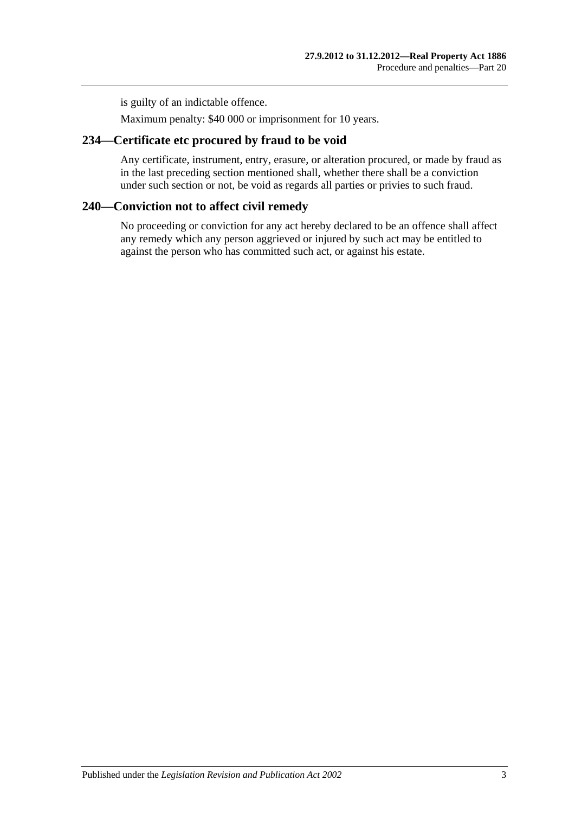is guilty of an indictable offence.

Maximum penalty: \$40 000 or imprisonment for 10 years.

## **234—Certificate etc procured by fraud to be void**

Any certificate, instrument, entry, erasure, or alteration procured, or made by fraud as in the last preceding section mentioned shall, whether there shall be a conviction under such section or not, be void as regards all parties or privies to such fraud.

## **240—Conviction not to affect civil remedy**

No proceeding or conviction for any act hereby declared to be an offence shall affect any remedy which any person aggrieved or injured by such act may be entitled to against the person who has committed such act, or against his estate.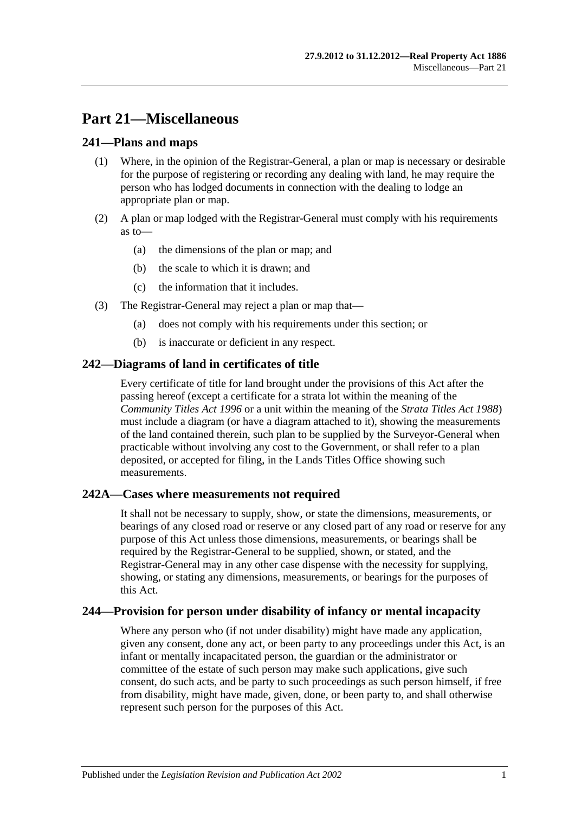## **Part 21—Miscellaneous**

## **241—Plans and maps**

- (1) Where, in the opinion of the Registrar-General, a plan or map is necessary or desirable for the purpose of registering or recording any dealing with land, he may require the person who has lodged documents in connection with the dealing to lodge an appropriate plan or map.
- (2) A plan or map lodged with the Registrar-General must comply with his requirements as to—
	- (a) the dimensions of the plan or map; and
	- (b) the scale to which it is drawn; and
	- (c) the information that it includes.
- (3) The Registrar-General may reject a plan or map that—
	- (a) does not comply with his requirements under this section; or
	- (b) is inaccurate or deficient in any respect.

## **242—Diagrams of land in certificates of title**

Every certificate of title for land brought under the provisions of this Act after the passing hereof (except a certificate for a strata lot within the meaning of the *[Community Titles Act](http://www.legislation.sa.gov.au/index.aspx?action=legref&type=act&legtitle=Community%20Titles%20Act%201996) 1996* or a unit within the meaning of the *[Strata Titles Act](http://www.legislation.sa.gov.au/index.aspx?action=legref&type=act&legtitle=Strata%20Titles%20Act%201988) 1988*) must include a diagram (or have a diagram attached to it), showing the measurements of the land contained therein, such plan to be supplied by the Surveyor-General when practicable without involving any cost to the Government, or shall refer to a plan deposited, or accepted for filing, in the Lands Titles Office showing such measurements.

## **242A—Cases where measurements not required**

It shall not be necessary to supply, show, or state the dimensions, measurements, or bearings of any closed road or reserve or any closed part of any road or reserve for any purpose of this Act unless those dimensions, measurements, or bearings shall be required by the Registrar-General to be supplied, shown, or stated, and the Registrar-General may in any other case dispense with the necessity for supplying, showing, or stating any dimensions, measurements, or bearings for the purposes of this Act.

## **244—Provision for person under disability of infancy or mental incapacity**

Where any person who (if not under disability) might have made any application, given any consent, done any act, or been party to any proceedings under this Act, is an infant or mentally incapacitated person, the guardian or the administrator or committee of the estate of such person may make such applications, give such consent, do such acts, and be party to such proceedings as such person himself, if free from disability, might have made, given, done, or been party to, and shall otherwise represent such person for the purposes of this Act.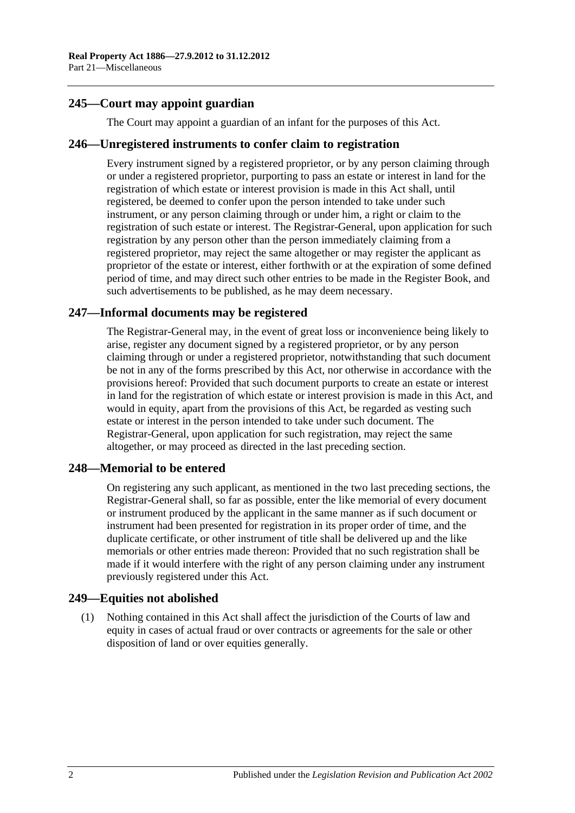## **245—Court may appoint guardian**

The Court may appoint a guardian of an infant for the purposes of this Act.

#### **246—Unregistered instruments to confer claim to registration**

Every instrument signed by a registered proprietor, or by any person claiming through or under a registered proprietor, purporting to pass an estate or interest in land for the registration of which estate or interest provision is made in this Act shall, until registered, be deemed to confer upon the person intended to take under such instrument, or any person claiming through or under him, a right or claim to the registration of such estate or interest. The Registrar-General, upon application for such registration by any person other than the person immediately claiming from a registered proprietor, may reject the same altogether or may register the applicant as proprietor of the estate or interest, either forthwith or at the expiration of some defined period of time, and may direct such other entries to be made in the Register Book, and such advertisements to be published, as he may deem necessary.

## **247—Informal documents may be registered**

The Registrar-General may, in the event of great loss or inconvenience being likely to arise, register any document signed by a registered proprietor, or by any person claiming through or under a registered proprietor, notwithstanding that such document be not in any of the forms prescribed by this Act, nor otherwise in accordance with the provisions hereof: Provided that such document purports to create an estate or interest in land for the registration of which estate or interest provision is made in this Act, and would in equity, apart from the provisions of this Act, be regarded as vesting such estate or interest in the person intended to take under such document. The Registrar-General, upon application for such registration, may reject the same altogether, or may proceed as directed in the last preceding section.

#### **248—Memorial to be entered**

On registering any such applicant, as mentioned in the two last preceding sections, the Registrar-General shall, so far as possible, enter the like memorial of every document or instrument produced by the applicant in the same manner as if such document or instrument had been presented for registration in its proper order of time, and the duplicate certificate, or other instrument of title shall be delivered up and the like memorials or other entries made thereon: Provided that no such registration shall be made if it would interfere with the right of any person claiming under any instrument previously registered under this Act.

#### **249—Equities not abolished**

(1) Nothing contained in this Act shall affect the jurisdiction of the Courts of law and equity in cases of actual fraud or over contracts or agreements for the sale or other disposition of land or over equities generally.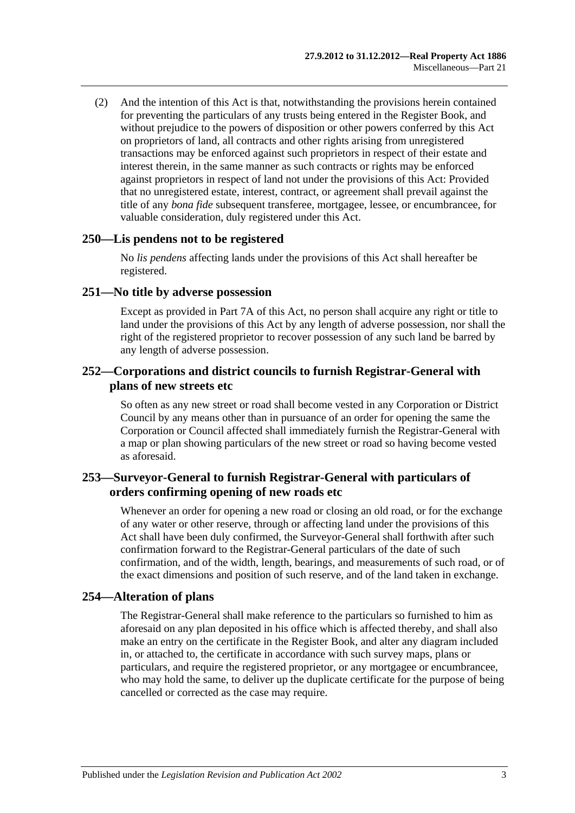(2) And the intention of this Act is that, notwithstanding the provisions herein contained for preventing the particulars of any trusts being entered in the Register Book, and without prejudice to the powers of disposition or other powers conferred by this Act on proprietors of land, all contracts and other rights arising from unregistered transactions may be enforced against such proprietors in respect of their estate and interest therein, in the same manner as such contracts or rights may be enforced against proprietors in respect of land not under the provisions of this Act: Provided that no unregistered estate, interest, contract, or agreement shall prevail against the title of any *bona fide* subsequent transferee, mortgagee, lessee, or encumbrancee, for valuable consideration, duly registered under this Act.

#### **250—Lis pendens not to be registered**

No *lis pendens* affecting lands under the provisions of this Act shall hereafter be registered.

#### **251—No title by adverse possession**

Except as provided in [Part 7A](#page-40-0) of this Act, no person shall acquire any right or title to land under the provisions of this Act by any length of adverse possession, nor shall the right of the registered proprietor to recover possession of any such land be barred by any length of adverse possession.

### **252—Corporations and district councils to furnish Registrar-General with plans of new streets etc**

So often as any new street or road shall become vested in any Corporation or District Council by any means other than in pursuance of an order for opening the same the Corporation or Council affected shall immediately furnish the Registrar-General with a map or plan showing particulars of the new street or road so having become vested as aforesaid.

## **253—Surveyor-General to furnish Registrar-General with particulars of orders confirming opening of new roads etc**

Whenever an order for opening a new road or closing an old road, or for the exchange of any water or other reserve, through or affecting land under the provisions of this Act shall have been duly confirmed, the Surveyor-General shall forthwith after such confirmation forward to the Registrar-General particulars of the date of such confirmation, and of the width, length, bearings, and measurements of such road, or of the exact dimensions and position of such reserve, and of the land taken in exchange.

## **254—Alteration of plans**

The Registrar-General shall make reference to the particulars so furnished to him as aforesaid on any plan deposited in his office which is affected thereby, and shall also make an entry on the certificate in the Register Book, and alter any diagram included in, or attached to, the certificate in accordance with such survey maps, plans or particulars, and require the registered proprietor, or any mortgagee or encumbrancee, who may hold the same, to deliver up the duplicate certificate for the purpose of being cancelled or corrected as the case may require.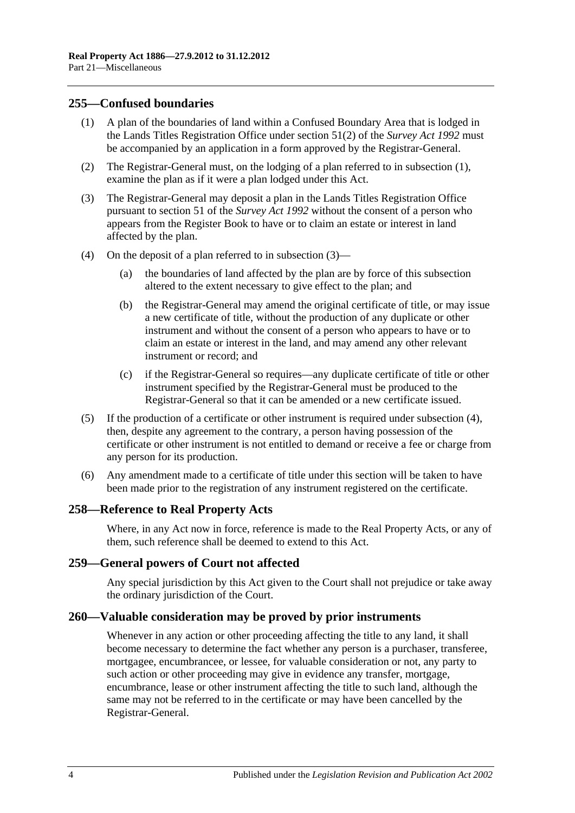### <span id="page-123-0"></span>**255—Confused boundaries**

- (1) A plan of the boundaries of land within a Confused Boundary Area that is lodged in the Lands Titles Registration Office under section 51(2) of the *[Survey Act](http://www.legislation.sa.gov.au/index.aspx?action=legref&type=act&legtitle=Survey%20Act%201992) 1992* must be accompanied by an application in a form approved by the Registrar-General.
- (2) The Registrar-General must, on the lodging of a plan referred to in [subsection](#page-123-0) (1), examine the plan as if it were a plan lodged under this Act.
- <span id="page-123-1"></span>(3) The Registrar-General may deposit a plan in the Lands Titles Registration Office pursuant to section 51 of the *[Survey Act](http://www.legislation.sa.gov.au/index.aspx?action=legref&type=act&legtitle=Survey%20Act%201992) 1992* without the consent of a person who appears from the Register Book to have or to claim an estate or interest in land affected by the plan.
- <span id="page-123-2"></span>(4) On the deposit of a plan referred to in [subsection](#page-123-1) (3)—
	- (a) the boundaries of land affected by the plan are by force of this subsection altered to the extent necessary to give effect to the plan; and
	- (b) the Registrar-General may amend the original certificate of title, or may issue a new certificate of title, without the production of any duplicate or other instrument and without the consent of a person who appears to have or to claim an estate or interest in the land, and may amend any other relevant instrument or record; and
	- (c) if the Registrar-General so requires—any duplicate certificate of title or other instrument specified by the Registrar-General must be produced to the Registrar-General so that it can be amended or a new certificate issued.
- (5) If the production of a certificate or other instrument is required under [subsection](#page-123-2) (4), then, despite any agreement to the contrary, a person having possession of the certificate or other instrument is not entitled to demand or receive a fee or charge from any person for its production.
- (6) Any amendment made to a certificate of title under this section will be taken to have been made prior to the registration of any instrument registered on the certificate.

#### **258—Reference to Real Property Acts**

Where, in any Act now in force, reference is made to the Real Property Acts, or any of them, such reference shall be deemed to extend to this Act.

#### **259—General powers of Court not affected**

Any special jurisdiction by this Act given to the Court shall not prejudice or take away the ordinary jurisdiction of the Court.

#### **260—Valuable consideration may be proved by prior instruments**

Whenever in any action or other proceeding affecting the title to any land, it shall become necessary to determine the fact whether any person is a purchaser, transferee, mortgagee, encumbrancee, or lessee, for valuable consideration or not, any party to such action or other proceeding may give in evidence any transfer, mortgage, encumbrance, lease or other instrument affecting the title to such land, although the same may not be referred to in the certificate or may have been cancelled by the Registrar-General.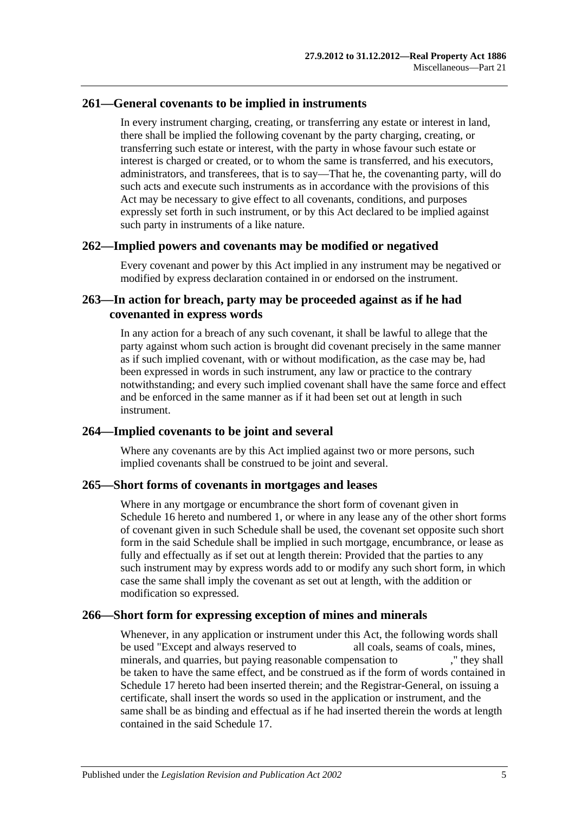### **261—General covenants to be implied in instruments**

In every instrument charging, creating, or transferring any estate or interest in land, there shall be implied the following covenant by the party charging, creating, or transferring such estate or interest, with the party in whose favour such estate or interest is charged or created, or to whom the same is transferred, and his executors, administrators, and transferees, that is to say—That he, the covenanting party, will do such acts and execute such instruments as in accordance with the provisions of this Act may be necessary to give effect to all covenants, conditions, and purposes expressly set forth in such instrument, or by this Act declared to be implied against such party in instruments of a like nature.

#### **262—Implied powers and covenants may be modified or negatived**

Every covenant and power by this Act implied in any instrument may be negatived or modified by express declaration contained in or endorsed on the instrument.

## **263—In action for breach, party may be proceeded against as if he had covenanted in express words**

In any action for a breach of any such covenant, it shall be lawful to allege that the party against whom such action is brought did covenant precisely in the same manner as if such implied covenant, with or without modification, as the case may be, had been expressed in words in such instrument, any law or practice to the contrary notwithstanding; and every such implied covenant shall have the same force and effect and be enforced in the same manner as if it had been set out at length in such instrument.

## **264—Implied covenants to be joint and several**

Where any covenants are by this Act implied against two or more persons, such implied covenants shall be construed to be joint and several.

#### **265—Short forms of covenants in mortgages and leases**

Where in any mortgage or encumbrance the short form of covenant given in [Schedule](#page-135-0) 16 hereto and numbered 1, or where in any lease any of the other short forms of covenant given in such Schedule shall be used, the covenant set opposite such short form in the said Schedule shall be implied in such mortgage, encumbrance, or lease as fully and effectually as if set out at length therein: Provided that the parties to any such instrument may by express words add to or modify any such short form, in which case the same shall imply the covenant as set out at length, with the addition or modification so expressed.

### **266—Short form for expressing exception of mines and minerals**

Whenever, in any application or instrument under this Act, the following words shall be used "Except and always reserved to all coals, seams of coals, mines, minerals, and quarries, but paying reasonable compensation to ," they shall be taken to have the same effect, and be construed as if the form of words contained in [Schedule 17](#page-137-1) hereto had been inserted therein; and the Registrar-General, on issuing a certificate, shall insert the words so used in the application or instrument, and the same shall be as binding and effectual as if he had inserted therein the words at length contained in the said [Schedule 17.](#page-137-1)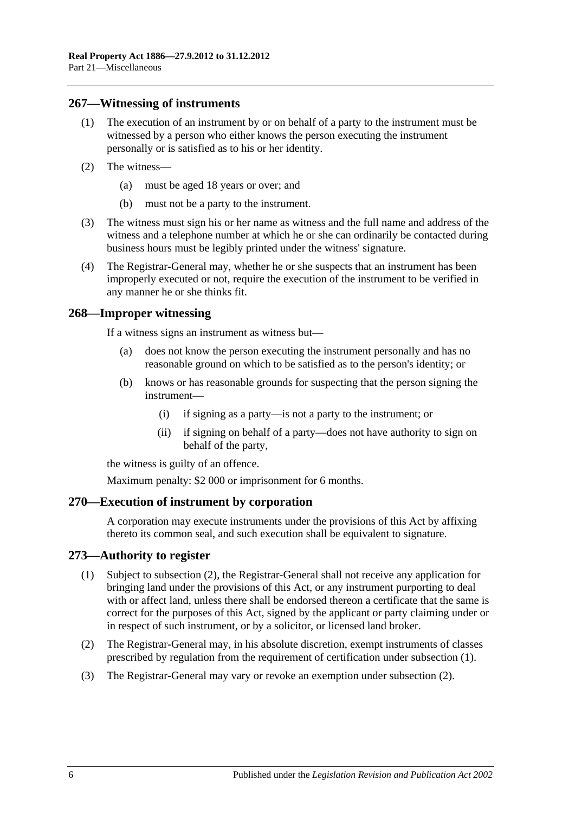### **267—Witnessing of instruments**

- (1) The execution of an instrument by or on behalf of a party to the instrument must be witnessed by a person who either knows the person executing the instrument personally or is satisfied as to his or her identity.
- (2) The witness—
	- (a) must be aged 18 years or over; and
	- (b) must not be a party to the instrument.
- (3) The witness must sign his or her name as witness and the full name and address of the witness and a telephone number at which he or she can ordinarily be contacted during business hours must be legibly printed under the witness' signature.
- (4) The Registrar-General may, whether he or she suspects that an instrument has been improperly executed or not, require the execution of the instrument to be verified in any manner he or she thinks fit.

#### **268—Improper witnessing**

If a witness signs an instrument as witness but—

- (a) does not know the person executing the instrument personally and has no reasonable ground on which to be satisfied as to the person's identity; or
- (b) knows or has reasonable grounds for suspecting that the person signing the instrument—
	- (i) if signing as a party—is not a party to the instrument; or
	- (ii) if signing on behalf of a party—does not have authority to sign on behalf of the party,

the witness is guilty of an offence.

Maximum penalty: \$2 000 or imprisonment for 6 months.

#### **270—Execution of instrument by corporation**

A corporation may execute instruments under the provisions of this Act by affixing thereto its common seal, and such execution shall be equivalent to signature.

## <span id="page-125-1"></span>**273—Authority to register**

- (1) Subject to [subsection](#page-125-0) (2), the Registrar-General shall not receive any application for bringing land under the provisions of this Act, or any instrument purporting to deal with or affect land, unless there shall be endorsed thereon a certificate that the same is correct for the purposes of this Act, signed by the applicant or party claiming under or in respect of such instrument, or by a solicitor, or licensed land broker.
- <span id="page-125-0"></span>(2) The Registrar-General may, in his absolute discretion, exempt instruments of classes prescribed by regulation from the requirement of certification under [subsection](#page-125-1) (1).
- (3) The Registrar-General may vary or revoke an exemption under [subsection](#page-125-0) (2).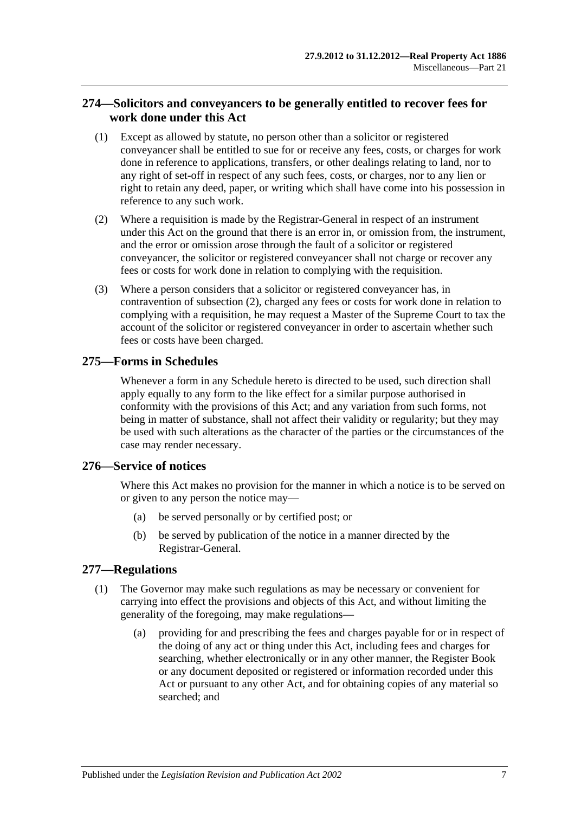## **274—Solicitors and conveyancers to be generally entitled to recover fees for work done under this Act**

- (1) Except as allowed by statute, no person other than a solicitor or registered conveyancer shall be entitled to sue for or receive any fees, costs, or charges for work done in reference to applications, transfers, or other dealings relating to land, nor to any right of set-off in respect of any such fees, costs, or charges, nor to any lien or right to retain any deed, paper, or writing which shall have come into his possession in reference to any such work.
- <span id="page-126-0"></span>(2) Where a requisition is made by the Registrar-General in respect of an instrument under this Act on the ground that there is an error in, or omission from, the instrument, and the error or omission arose through the fault of a solicitor or registered conveyancer, the solicitor or registered conveyancer shall not charge or recover any fees or costs for work done in relation to complying with the requisition.
- (3) Where a person considers that a solicitor or registered conveyancer has, in contravention of [subsection](#page-126-0) (2), charged any fees or costs for work done in relation to complying with a requisition, he may request a Master of the Supreme Court to tax the account of the solicitor or registered conveyancer in order to ascertain whether such fees or costs have been charged.

## **275—Forms in Schedules**

Whenever a form in any Schedule hereto is directed to be used, such direction shall apply equally to any form to the like effect for a similar purpose authorised in conformity with the provisions of this Act; and any variation from such forms, not being in matter of substance, shall not affect their validity or regularity; but they may be used with such alterations as the character of the parties or the circumstances of the case may render necessary.

## **276—Service of notices**

Where this Act makes no provision for the manner in which a notice is to be served on or given to any person the notice may—

- (a) be served personally or by certified post; or
- (b) be served by publication of the notice in a manner directed by the Registrar-General.

## <span id="page-126-1"></span>**277—Regulations**

- (1) The Governor may make such regulations as may be necessary or convenient for carrying into effect the provisions and objects of this Act, and without limiting the generality of the foregoing, may make regulations—
	- (a) providing for and prescribing the fees and charges payable for or in respect of the doing of any act or thing under this Act, including fees and charges for searching, whether electronically or in any other manner, the Register Book or any document deposited or registered or information recorded under this Act or pursuant to any other Act, and for obtaining copies of any material so searched; and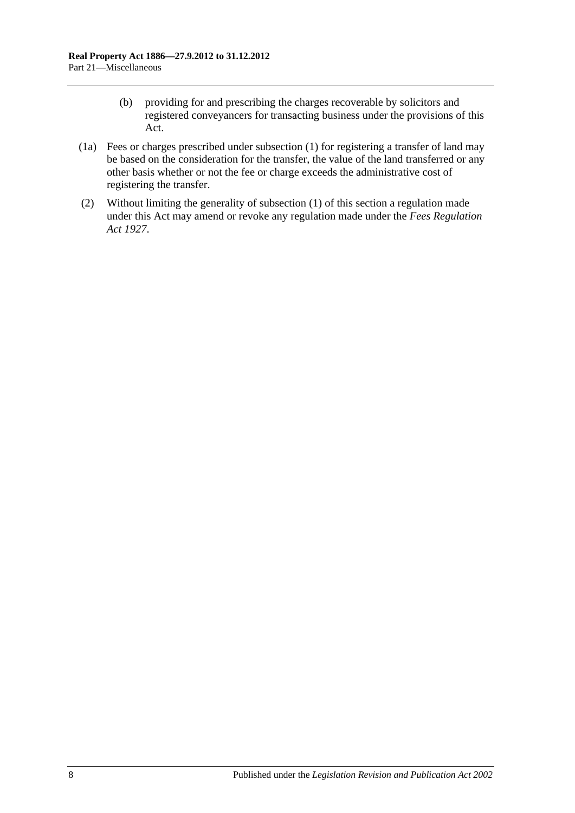- (b) providing for and prescribing the charges recoverable by solicitors and registered conveyancers for transacting business under the provisions of this Act.
- (1a) Fees or charges prescribed under [subsection](#page-126-1) (1) for registering a transfer of land may be based on the consideration for the transfer, the value of the land transferred or any other basis whether or not the fee or charge exceeds the administrative cost of registering the transfer.
- (2) Without limiting the generality of [subsection](#page-126-1) (1) of this section a regulation made under this Act may amend or revoke any regulation made under the *[Fees Regulation](http://www.legislation.sa.gov.au/index.aspx?action=legref&type=act&legtitle=Fees%20Regulation%20Act%201927)  Act [1927](http://www.legislation.sa.gov.au/index.aspx?action=legref&type=act&legtitle=Fees%20Regulation%20Act%201927)*.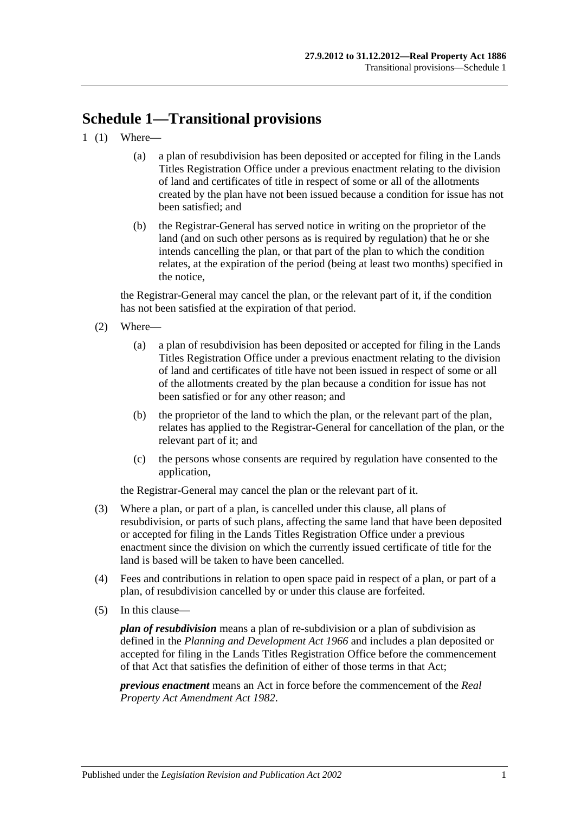# **Schedule 1—Transitional provisions**

- 1 (1) Where—
	- (a) a plan of resubdivision has been deposited or accepted for filing in the Lands Titles Registration Office under a previous enactment relating to the division of land and certificates of title in respect of some or all of the allotments created by the plan have not been issued because a condition for issue has not been satisfied; and
	- (b) the Registrar-General has served notice in writing on the proprietor of the land (and on such other persons as is required by regulation) that he or she intends cancelling the plan, or that part of the plan to which the condition relates, at the expiration of the period (being at least two months) specified in the notice,

the Registrar-General may cancel the plan, or the relevant part of it, if the condition has not been satisfied at the expiration of that period.

- (2) Where—
	- (a) a plan of resubdivision has been deposited or accepted for filing in the Lands Titles Registration Office under a previous enactment relating to the division of land and certificates of title have not been issued in respect of some or all of the allotments created by the plan because a condition for issue has not been satisfied or for any other reason; and
	- (b) the proprietor of the land to which the plan, or the relevant part of the plan, relates has applied to the Registrar-General for cancellation of the plan, or the relevant part of it; and
	- (c) the persons whose consents are required by regulation have consented to the application,

the Registrar-General may cancel the plan or the relevant part of it.

- (3) Where a plan, or part of a plan, is cancelled under this clause, all plans of resubdivision, or parts of such plans, affecting the same land that have been deposited or accepted for filing in the Lands Titles Registration Office under a previous enactment since the division on which the currently issued certificate of title for the land is based will be taken to have been cancelled.
- (4) Fees and contributions in relation to open space paid in respect of a plan, or part of a plan, of resubdivision cancelled by or under this clause are forfeited.
- (5) In this clause—

*plan of resubdivision* means a plan of re-subdivision or a plan of subdivision as defined in the *[Planning and Development Act](http://www.legislation.sa.gov.au/index.aspx?action=legref&type=act&legtitle=Planning%20and%20Development%20Act%201966) 1966* and includes a plan deposited or accepted for filing in the Lands Titles Registration Office before the commencement of that Act that satisfies the definition of either of those terms in that Act;

*previous enactment* means an Act in force before the commencement of the *[Real](http://www.legislation.sa.gov.au/index.aspx?action=legref&type=act&legtitle=Real%20Property%20Act%20Amendment%20Act%201982)  [Property Act Amendment Act](http://www.legislation.sa.gov.au/index.aspx?action=legref&type=act&legtitle=Real%20Property%20Act%20Amendment%20Act%201982) 1982*.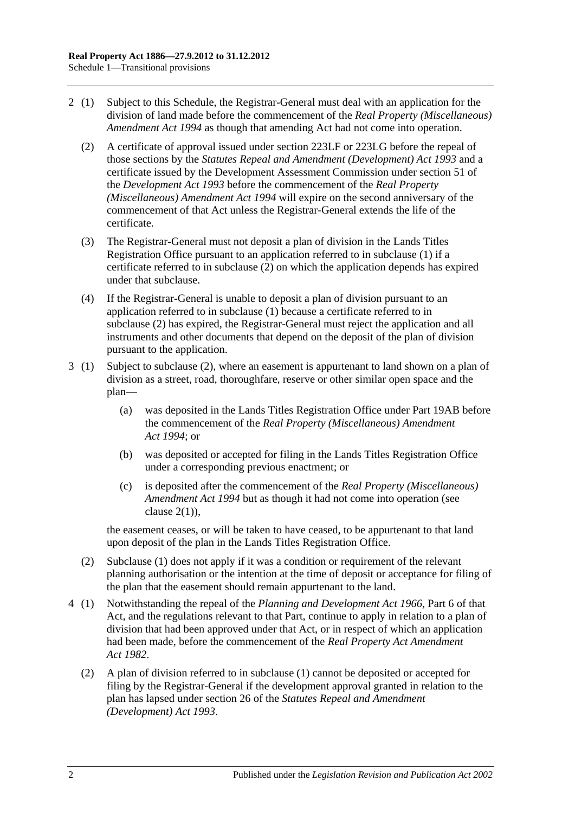- <span id="page-129-0"></span>2 (1) Subject to this Schedule, the Registrar-General must deal with an application for the division of land made before the commencement of the *[Real Property \(Miscellaneous\)](http://www.legislation.sa.gov.au/index.aspx?action=legref&type=act&legtitle=Real%20Property%20(Miscellaneous)%20Amendment%20Act%201994)  [Amendment Act](http://www.legislation.sa.gov.au/index.aspx?action=legref&type=act&legtitle=Real%20Property%20(Miscellaneous)%20Amendment%20Act%201994) 1994* as though that amending Act had not come into operation.
	- (2) A certificate of approval issued under [section](#page-111-2) 223LF or [223LG](#page-112-3) before the repeal of those sections by the *[Statutes Repeal and Amendment \(Development\) Act](http://www.legislation.sa.gov.au/index.aspx?action=legref&type=act&legtitle=Statutes%20Repeal%20and%20Amendment%20(Development)%20Act%201993) 1993* and a certificate issued by the Development Assessment Commission under section 51 of the *[Development Act](http://www.legislation.sa.gov.au/index.aspx?action=legref&type=act&legtitle=Development%20Act%201993) 1993* before the commencement of the *[Real Property](http://www.legislation.sa.gov.au/index.aspx?action=legref&type=act&legtitle=Real%20Property%20(Miscellaneous)%20Amendment%20Act%201994)  [\(Miscellaneous\) Amendment Act](http://www.legislation.sa.gov.au/index.aspx?action=legref&type=act&legtitle=Real%20Property%20(Miscellaneous)%20Amendment%20Act%201994) 1994* will expire on the second anniversary of the commencement of that Act unless the Registrar-General extends the life of the certificate.
	- (3) The Registrar-General must not deposit a plan of division in the Lands Titles Registration Office pursuant to an application referred to in subclause (1) if a certificate referred to in [subclause](#page-129-0) (2) on which the application depends has expired under that subclause.
	- (4) If the Registrar-General is unable to deposit a plan of division pursuant to an application referred to in subclause (1) because a certificate referred to in [subclause](#page-129-0) (2) has expired, the Registrar-General must reject the application and all instruments and other documents that depend on the deposit of the plan of division pursuant to the application.
- 3 (1) Subject to [subclause](#page-129-1) (2), where an easement is appurtenant to land shown on a plan of division as a street, road, thoroughfare, reserve or other similar open space and the plan—
	- (a) was deposited in the Lands Titles Registration Office under [Part 19AB](#page-104-0) before the commencement of the *[Real Property \(Miscellaneous\) Amendment](http://www.legislation.sa.gov.au/index.aspx?action=legref&type=act&legtitle=Real%20Property%20(Miscellaneous)%20Amendment%20Act%201994)  Act [1994](http://www.legislation.sa.gov.au/index.aspx?action=legref&type=act&legtitle=Real%20Property%20(Miscellaneous)%20Amendment%20Act%201994)*; or
	- (b) was deposited or accepted for filing in the Lands Titles Registration Office under a corresponding previous enactment; or
	- (c) is deposited after the commencement of the *[Real Property \(Miscellaneous\)](http://www.legislation.sa.gov.au/index.aspx?action=legref&type=act&legtitle=Real%20Property%20(Miscellaneous)%20Amendment%20Act%201994)  [Amendment Act](http://www.legislation.sa.gov.au/index.aspx?action=legref&type=act&legtitle=Real%20Property%20(Miscellaneous)%20Amendment%20Act%201994) 1994* but as though it had not come into operation (see clause  $2(1)$ ).

the easement ceases, or will be taken to have ceased, to be appurtenant to that land upon deposit of the plan in the Lands Titles Registration Office.

- <span id="page-129-1"></span>(2) Subclause (1) does not apply if it was a condition or requirement of the relevant planning authorisation or the intention at the time of deposit or acceptance for filing of the plan that the easement should remain appurtenant to the land.
- 4 (1) Notwithstanding the repeal of the *[Planning and Development Act](http://www.legislation.sa.gov.au/index.aspx?action=legref&type=act&legtitle=Planning%20and%20Development%20Act%201966) 1966*, Part 6 of that Act, and the regulations relevant to that Part, continue to apply in relation to a plan of division that had been approved under that Act, or in respect of which an application had been made, before the commencement of the *[Real Property Act Amendment](http://www.legislation.sa.gov.au/index.aspx?action=legref&type=act&legtitle=Real%20Property%20Act%20Amendment%20Act%201982)  Act [1982](http://www.legislation.sa.gov.au/index.aspx?action=legref&type=act&legtitle=Real%20Property%20Act%20Amendment%20Act%201982)*.
	- (2) A plan of division referred to in subclause (1) cannot be deposited or accepted for filing by the Registrar-General if the development approval granted in relation to the plan has lapsed under section 26 of the *[Statutes Repeal and Amendment](http://www.legislation.sa.gov.au/index.aspx?action=legref&type=act&legtitle=Statutes%20Repeal%20and%20Amendment%20(Development)%20Act%201993)  [\(Development\) Act](http://www.legislation.sa.gov.au/index.aspx?action=legref&type=act&legtitle=Statutes%20Repeal%20and%20Amendment%20(Development)%20Act%201993) 1993*.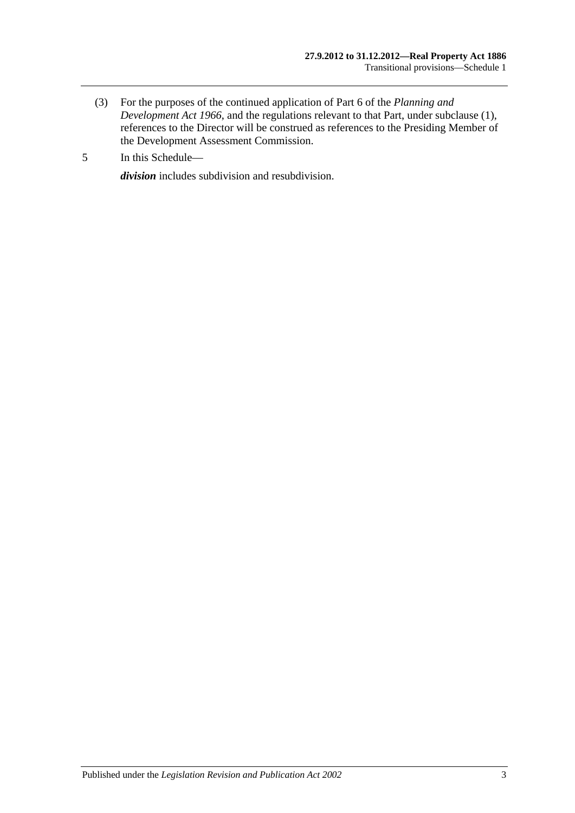- (3) For the purposes of the continued application of Part 6 of the *[Planning and](http://www.legislation.sa.gov.au/index.aspx?action=legref&type=act&legtitle=Planning%20and%20Development%20Act%201966)  [Development Act](http://www.legislation.sa.gov.au/index.aspx?action=legref&type=act&legtitle=Planning%20and%20Development%20Act%201966) 1966*, and the regulations relevant to that Part, under subclause (1), references to the Director will be construed as references to the Presiding Member of the Development Assessment Commission.
- 5 In this Schedule—

*division* includes subdivision and resubdivision.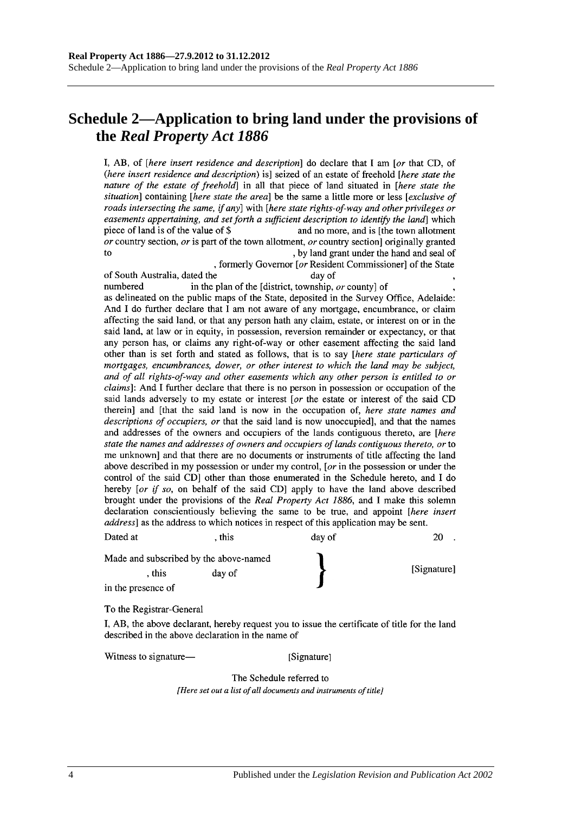## **Schedule 2—Application to bring land under the provisions of the** *Real Property Act 1886*

I, AB, of *[here insert residence and description*] do declare that I am *[or that CD, of* (here insert residence and description) is] seized of an estate of freehold [here state the nature of the estate of freehold] in all that piece of land situated in [here state the situation] containing [here state the area] be the same a little more or less [exclusive of roads intersecting the same, if any] with [here state rights-of-way and other privileges or easements appertaining, and set forth a sufficient description to identify the land which piece of land is of the value of \$ and no more, and is [the town allotment] or country section, or is part of the town allotment, or country section originally granted  $f<sub>O</sub>$ , by land grant under the hand and seal of

, formerly Governor [or Resident Commissioner] of the State of South Australia, dated the day of numbered in the plan of the [district, township, or county] of as delineated on the public maps of the State, deposited in the Survey Office, Adelaide: And I do further declare that I am not aware of any mortgage, encumbrance, or claim affecting the said land, or that any person hath any claim, estate, or interest on or in the said land, at law or in equity, in possession, reversion remainder or expectancy, or that any person has, or claims any right-of-way or other easement affecting the said land other than is set forth and stated as follows, that is to say [here state particulars of mortgages, encumbrances, dower, or other interest to which the land may be subject, and of all rights-of-way and other easements which any other person is entitled to or *claims*]: And I further declare that there is no person in possession or occupation of the said lands adversely to my estate or interest [or the estate or interest of the said CD therein] and [that the said land is now in the occupation of, here state names and descriptions of occupiers, or that the said land is now unoccupied], and that the names and addresses of the owners and occupiers of the lands contiguous thereto, are [here state the names and addresses of owners and occupiers of lands contiguous thereto, or to me unknown] and that there are no documents or instruments of title affecting the land above described in my possession or under my control, [ $or$  in the possession or under the control of the said CD] other than those enumerated in the Schedule hereto, and I do hereby [or if so, on behalf of the said CD] apply to have the land above described brought under the provisions of the Real Property Act 1886, and I make this solemn declaration conscientiously believing the same to be true, and appoint [here insert address] as the address to which notices in respect of this application may be sent. Dated at , this day of  $20$ .

| Made and subscribed by the above-named |        |             |
|----------------------------------------|--------|-------------|
| this                                   | day of | [Signature] |
| in the presence of                     |        |             |

To the Registrar-General

I, AB, the above declarant, hereby request you to issue the certificate of title for the land described in the above declaration in the name of

Witness to signature—

[Signature]

The Schedule referred to [Here set out a list of all documents and instruments of title]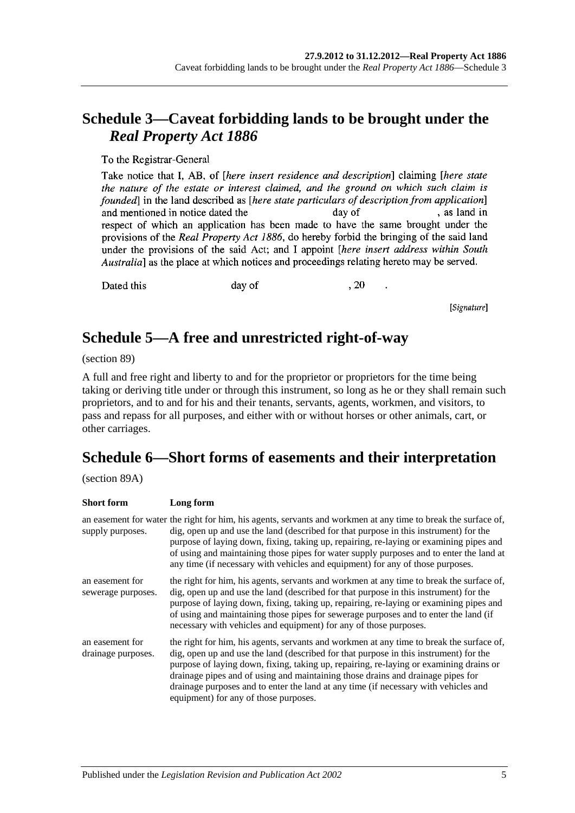## **Schedule 3—Caveat forbidding lands to be brought under the**  *Real Property Act 1886*

To the Registrar-General

Take notice that I, AB, of *[here insert residence and description*] claiming *[here state* the nature of the estate or interest claimed, and the ground on which such claim is founded in the land described as *[here state particulars of description from application*] , as land in and mentioned in notice dated the day of respect of which an application has been made to have the same brought under the provisions of the Real Property Act 1886, do hereby forbid the bringing of the said land under the provisions of the said Act; and I appoint *[here insert address within South* Australia] as the place at which notices and proceedings relating hereto may be served.

Dated this

day of

, 20

[Signature]

## **Schedule 5—A free and unrestricted right-of-way**

(section 89)

A full and free right and liberty to and for the proprietor or proprietors for the time being taking or deriving title under or through this instrument, so long as he or they shall remain such proprietors, and to and for his and their tenants, servants, agents, workmen, and visitors, to pass and repass for all purposes, and either with or without horses or other animals, cart, or other carriages.

# **Schedule 6—Short forms of easements and their interpretation**

(section 89A)

| <b>Short form</b>                     | Long form                                                                                                                                                                                                                                                                                                                                                                                                                                                                                      |
|---------------------------------------|------------------------------------------------------------------------------------------------------------------------------------------------------------------------------------------------------------------------------------------------------------------------------------------------------------------------------------------------------------------------------------------------------------------------------------------------------------------------------------------------|
| supply purposes.                      | an easement for water the right for him, his agents, servants and workmen at any time to break the surface of,<br>dig, open up and use the land (described for that purpose in this instrument) for the<br>purpose of laying down, fixing, taking up, repairing, re-laying or examining pipes and<br>of using and maintaining those pipes for water supply purposes and to enter the land at<br>any time (if necessary with vehicles and equipment) for any of those purposes.                 |
| an easement for<br>sewerage purposes. | the right for him, his agents, servants and workmen at any time to break the surface of,<br>dig, open up and use the land (described for that purpose in this instrument) for the<br>purpose of laying down, fixing, taking up, repairing, re-laying or examining pipes and<br>of using and maintaining those pipes for sewerage purposes and to enter the land (if<br>necessary with vehicles and equipment) for any of those purposes.                                                       |
| an easement for<br>drainage purposes. | the right for him, his agents, servants and workmen at any time to break the surface of,<br>dig, open up and use the land (described for that purpose in this instrument) for the<br>purpose of laying down, fixing, taking up, repairing, re-laying or examining drains or<br>drainage pipes and of using and maintaining those drains and drainage pipes for<br>drainage purposes and to enter the land at any time (if necessary with vehicles and<br>equipment) for any of those purposes. |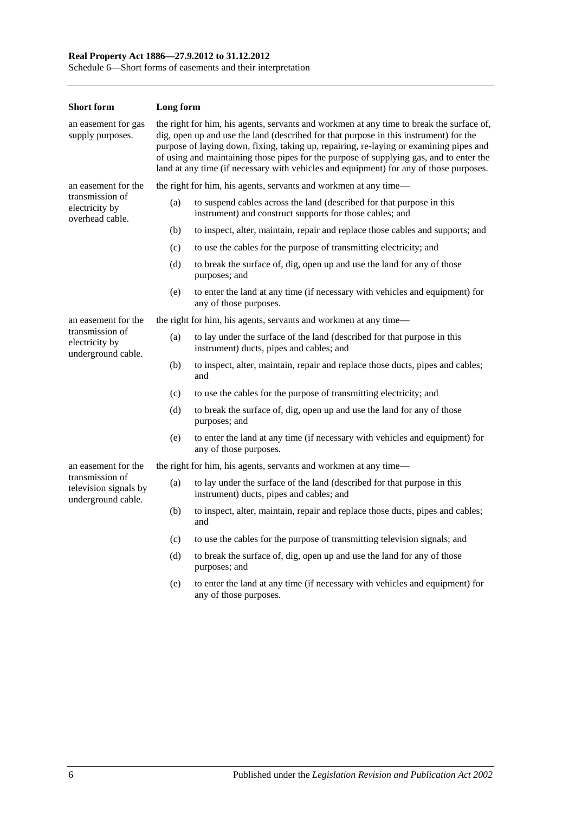#### **Real Property Act 1886—27.9.2012 to 31.12.2012**

Schedule 6—Short forms of easements and their interpretation

| <b>Short form</b>                                              | Long form                                                                                                                                                                                                                                                                                                                                                                                                                                                        |                                                                                                                                   |  |  |
|----------------------------------------------------------------|------------------------------------------------------------------------------------------------------------------------------------------------------------------------------------------------------------------------------------------------------------------------------------------------------------------------------------------------------------------------------------------------------------------------------------------------------------------|-----------------------------------------------------------------------------------------------------------------------------------|--|--|
| an easement for gas<br>supply purposes.                        | the right for him, his agents, servants and workmen at any time to break the surface of,<br>dig, open up and use the land (described for that purpose in this instrument) for the<br>purpose of laying down, fixing, taking up, repairing, re-laying or examining pipes and<br>of using and maintaining those pipes for the purpose of supplying gas, and to enter the<br>land at any time (if necessary with vehicles and equipment) for any of those purposes. |                                                                                                                                   |  |  |
| an easement for the                                            |                                                                                                                                                                                                                                                                                                                                                                                                                                                                  | the right for him, his agents, servants and workmen at any time—                                                                  |  |  |
| transmission of<br>electricity by<br>overhead cable.           | (a)                                                                                                                                                                                                                                                                                                                                                                                                                                                              | to suspend cables across the land (described for that purpose in this<br>instrument) and construct supports for those cables; and |  |  |
|                                                                | (b)                                                                                                                                                                                                                                                                                                                                                                                                                                                              | to inspect, alter, maintain, repair and replace those cables and supports; and                                                    |  |  |
|                                                                | (c)                                                                                                                                                                                                                                                                                                                                                                                                                                                              | to use the cables for the purpose of transmitting electricity; and                                                                |  |  |
|                                                                | (d)                                                                                                                                                                                                                                                                                                                                                                                                                                                              | to break the surface of, dig, open up and use the land for any of those<br>purposes; and                                          |  |  |
|                                                                | (e)                                                                                                                                                                                                                                                                                                                                                                                                                                                              | to enter the land at any time (if necessary with vehicles and equipment) for<br>any of those purposes.                            |  |  |
| an easement for the                                            |                                                                                                                                                                                                                                                                                                                                                                                                                                                                  | the right for him, his agents, servants and workmen at any time—                                                                  |  |  |
| transmission of<br>electricity by<br>underground cable.        | (a)                                                                                                                                                                                                                                                                                                                                                                                                                                                              | to lay under the surface of the land (described for that purpose in this<br>instrument) ducts, pipes and cables; and              |  |  |
|                                                                | (b)                                                                                                                                                                                                                                                                                                                                                                                                                                                              | to inspect, alter, maintain, repair and replace those ducts, pipes and cables;<br>and                                             |  |  |
|                                                                | (c)                                                                                                                                                                                                                                                                                                                                                                                                                                                              | to use the cables for the purpose of transmitting electricity; and                                                                |  |  |
|                                                                | (d)                                                                                                                                                                                                                                                                                                                                                                                                                                                              | to break the surface of, dig, open up and use the land for any of those<br>purposes; and                                          |  |  |
|                                                                | (e)                                                                                                                                                                                                                                                                                                                                                                                                                                                              | to enter the land at any time (if necessary with vehicles and equipment) for<br>any of those purposes.                            |  |  |
| an easement for the                                            |                                                                                                                                                                                                                                                                                                                                                                                                                                                                  | the right for him, his agents, servants and workmen at any time—                                                                  |  |  |
| transmission of<br>television signals by<br>underground cable. | (a)                                                                                                                                                                                                                                                                                                                                                                                                                                                              | to lay under the surface of the land (described for that purpose in this<br>instrument) ducts, pipes and cables; and              |  |  |
|                                                                | (b)                                                                                                                                                                                                                                                                                                                                                                                                                                                              | to inspect, alter, maintain, repair and replace those ducts, pipes and cables;<br>and                                             |  |  |
|                                                                | (c)                                                                                                                                                                                                                                                                                                                                                                                                                                                              | to use the cables for the purpose of transmitting television signals; and                                                         |  |  |
|                                                                | (d)                                                                                                                                                                                                                                                                                                                                                                                                                                                              | to break the surface of, dig, open up and use the land for any of those<br>purposes; and                                          |  |  |
|                                                                | (e)                                                                                                                                                                                                                                                                                                                                                                                                                                                              | to enter the land at any time (if necessary with vehicles and equipment) for<br>any of those purposes.                            |  |  |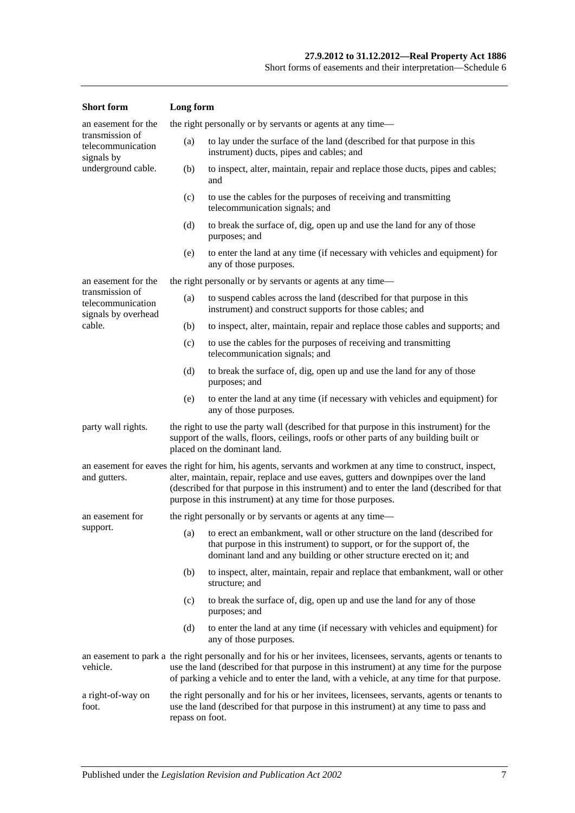| <b>Short</b> form                                                                                                                                                                                                                      | Long form                                                                                                                                                                                                                                                                                                                                                       |                                                                                                                                                                                                                                   |  |
|----------------------------------------------------------------------------------------------------------------------------------------------------------------------------------------------------------------------------------------|-----------------------------------------------------------------------------------------------------------------------------------------------------------------------------------------------------------------------------------------------------------------------------------------------------------------------------------------------------------------|-----------------------------------------------------------------------------------------------------------------------------------------------------------------------------------------------------------------------------------|--|
| an easement for the                                                                                                                                                                                                                    |                                                                                                                                                                                                                                                                                                                                                                 | the right personally or by servants or agents at any time—                                                                                                                                                                        |  |
| transmission of<br>telecommunication<br>signals by                                                                                                                                                                                     | (a)                                                                                                                                                                                                                                                                                                                                                             | to lay under the surface of the land (described for that purpose in this<br>instrument) ducts, pipes and cables; and                                                                                                              |  |
| underground cable.                                                                                                                                                                                                                     | (b)                                                                                                                                                                                                                                                                                                                                                             | to inspect, alter, maintain, repair and replace those ducts, pipes and cables;<br>and                                                                                                                                             |  |
|                                                                                                                                                                                                                                        | (c)                                                                                                                                                                                                                                                                                                                                                             | to use the cables for the purposes of receiving and transmitting<br>telecommunication signals; and                                                                                                                                |  |
|                                                                                                                                                                                                                                        | (d)                                                                                                                                                                                                                                                                                                                                                             | to break the surface of, dig, open up and use the land for any of those<br>purposes; and                                                                                                                                          |  |
|                                                                                                                                                                                                                                        | (e)                                                                                                                                                                                                                                                                                                                                                             | to enter the land at any time (if necessary with vehicles and equipment) for<br>any of those purposes.                                                                                                                            |  |
| an easement for the                                                                                                                                                                                                                    |                                                                                                                                                                                                                                                                                                                                                                 | the right personally or by servants or agents at any time—                                                                                                                                                                        |  |
| transmission of<br>telecommunication<br>signals by overhead                                                                                                                                                                            | (a)                                                                                                                                                                                                                                                                                                                                                             | to suspend cables across the land (described for that purpose in this<br>instrument) and construct supports for those cables; and                                                                                                 |  |
| cable.                                                                                                                                                                                                                                 | (b)                                                                                                                                                                                                                                                                                                                                                             | to inspect, alter, maintain, repair and replace those cables and supports; and                                                                                                                                                    |  |
|                                                                                                                                                                                                                                        | (c)                                                                                                                                                                                                                                                                                                                                                             | to use the cables for the purposes of receiving and transmitting<br>telecommunication signals; and                                                                                                                                |  |
|                                                                                                                                                                                                                                        | (d)                                                                                                                                                                                                                                                                                                                                                             | to break the surface of, dig, open up and use the land for any of those<br>purposes; and                                                                                                                                          |  |
|                                                                                                                                                                                                                                        | (e)                                                                                                                                                                                                                                                                                                                                                             | to enter the land at any time (if necessary with vehicles and equipment) for<br>any of those purposes.                                                                                                                            |  |
| the right to use the party wall (described for that purpose in this instrument) for the<br>party wall rights.<br>support of the walls, floors, ceilings, roofs or other parts of any building built or<br>placed on the dominant land. |                                                                                                                                                                                                                                                                                                                                                                 |                                                                                                                                                                                                                                   |  |
| and gutters.                                                                                                                                                                                                                           | an easement for eaves the right for him, his agents, servants and workmen at any time to construct, inspect,<br>alter, maintain, repair, replace and use eaves, gutters and downpipes over the land<br>(described for that purpose in this instrument) and to enter the land (described for that<br>purpose in this instrument) at any time for those purposes. |                                                                                                                                                                                                                                   |  |
| an easement for                                                                                                                                                                                                                        |                                                                                                                                                                                                                                                                                                                                                                 | the right personally or by servants or agents at any time—                                                                                                                                                                        |  |
| support.                                                                                                                                                                                                                               |                                                                                                                                                                                                                                                                                                                                                                 | (a) to erect an embankment, wall or other structure on the land (described for<br>that purpose in this instrument) to support, or for the support of, the<br>dominant land and any building or other structure erected on it; and |  |
|                                                                                                                                                                                                                                        | (b)                                                                                                                                                                                                                                                                                                                                                             | to inspect, alter, maintain, repair and replace that embankment, wall or other<br>structure; and                                                                                                                                  |  |
|                                                                                                                                                                                                                                        | (c)                                                                                                                                                                                                                                                                                                                                                             | to break the surface of, dig, open up and use the land for any of those<br>purposes; and                                                                                                                                          |  |
|                                                                                                                                                                                                                                        | (d)                                                                                                                                                                                                                                                                                                                                                             | to enter the land at any time (if necessary with vehicles and equipment) for<br>any of those purposes.                                                                                                                            |  |
| vehicle.                                                                                                                                                                                                                               | an easement to park a the right personally and for his or her invitees, licensees, servants, agents or tenants to<br>use the land (described for that purpose in this instrument) at any time for the purpose<br>of parking a vehicle and to enter the land, with a vehicle, at any time for that purpose.                                                      |                                                                                                                                                                                                                                   |  |
| a right-of-way on<br>foot.<br>repass on foot.                                                                                                                                                                                          |                                                                                                                                                                                                                                                                                                                                                                 | the right personally and for his or her invitees, licensees, servants, agents or tenants to<br>use the land (described for that purpose in this instrument) at any time to pass and                                               |  |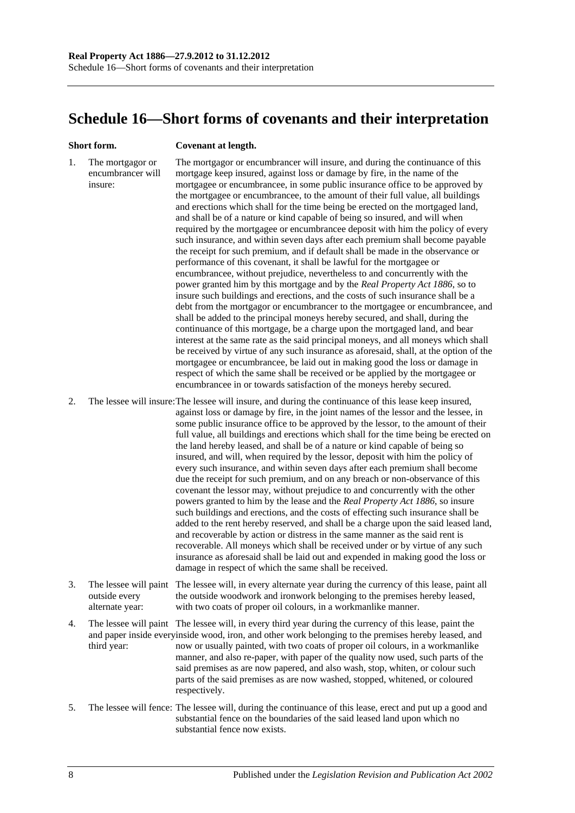## <span id="page-135-0"></span>**Schedule 16—Short forms of covenants and their interpretation**

#### **Short form. Covenant at length.**

1. The mortgagor or encumbrancer will insure: The mortgagor or encumbrancer will insure, and during the continuance of this mortgage keep insured, against loss or damage by fire, in the name of the mortgagee or encumbrancee, in some public insurance office to be approved by the mortgagee or encumbrancee, to the amount of their full value, all buildings and erections which shall for the time being be erected on the mortgaged land, and shall be of a nature or kind capable of being so insured, and will when required by the mortgagee or encumbrancee deposit with him the policy of every such insurance, and within seven days after each premium shall become payable the receipt for such premium, and if default shall be made in the observance or performance of this covenant, it shall be lawful for the mortgagee or encumbrancee, without prejudice, nevertheless to and concurrently with the power granted him by this mortgage and by the *[Real Property Act](http://www.legislation.sa.gov.au/index.aspx?action=legref&type=act&legtitle=Real%20Property%20Act%201886) 1886*, so to insure such buildings and erections, and the costs of such insurance shall be a debt from the mortgagor or encumbrancer to the mortgagee or encumbrancee, and shall be added to the principal moneys hereby secured, and shall, during the continuance of this mortgage, be a charge upon the mortgaged land, and bear interest at the same rate as the said principal moneys, and all moneys which shall be received by virtue of any such insurance as aforesaid, shall, at the option of the mortgagee or encumbrancee, be laid out in making good the loss or damage in respect of which the same shall be received or be applied by the mortgagee or encumbrancee in or towards satisfaction of the moneys hereby secured.

2. The lessee will insure:The lessee will insure, and during the continuance of this lease keep insured, against loss or damage by fire, in the joint names of the lessor and the lessee, in some public insurance office to be approved by the lessor, to the amount of their full value, all buildings and erections which shall for the time being be erected on the land hereby leased, and shall be of a nature or kind capable of being so insured, and will, when required by the lessor, deposit with him the policy of every such insurance, and within seven days after each premium shall become due the receipt for such premium, and on any breach or non-observance of this covenant the lessor may, without prejudice to and concurrently with the other powers granted to him by the lease and the *[Real Property Act](http://www.legislation.sa.gov.au/index.aspx?action=legref&type=act&legtitle=Real%20Property%20Act%201886) 1886*, so insure such buildings and erections, and the costs of effecting such insurance shall be added to the rent hereby reserved, and shall be a charge upon the said leased land, and recoverable by action or distress in the same manner as the said rent is recoverable. All moneys which shall be received under or by virtue of any such insurance as aforesaid shall be laid out and expended in making good the loss or damage in respect of which the same shall be received.

- 3. The lessee will paint The lessee will, in every alternate year during the currency of this lease, paint all outside every alternate year: the outside woodwork and ironwork belonging to the premises hereby leased, with two coats of proper oil colours, in a workmanlike manner.
- 4. The lessee will paint The lessee will, in every third year during the currency of this lease, paint the and paper inside everyinside wood, iron, and other work belonging to the premises hereby leased, and third year: now or usually painted, with two coats of proper oil colours, in a workmanlike manner, and also re-paper, with paper of the quality now used, such parts of the said premises as are now papered, and also wash, stop, whiten, or colour such parts of the said premises as are now washed, stopped, whitened, or coloured respectively.
- 5. The lessee will fence: The lessee will, during the continuance of this lease, erect and put up a good and substantial fence on the boundaries of the said leased land upon which no substantial fence now exists.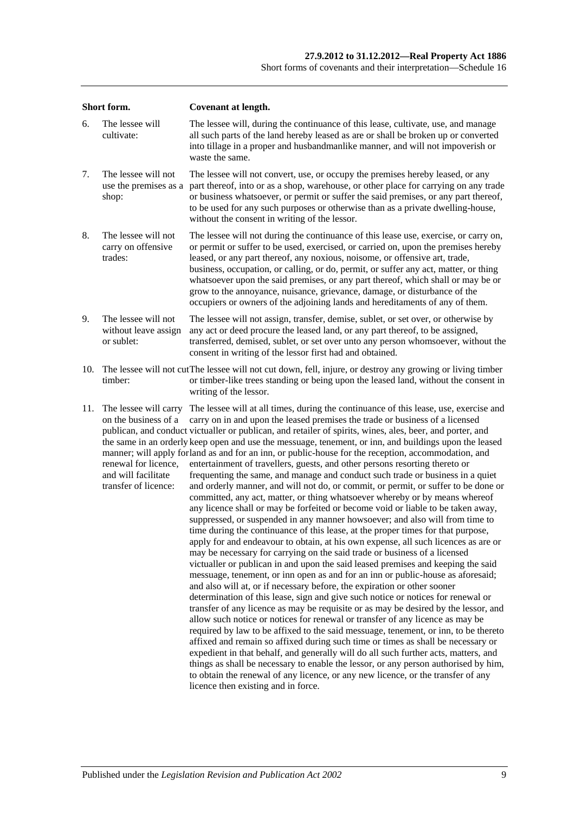| Short form. |                                                                                                                      | <b>Covenant at length.</b>                                                                                                                                                                                                                                                                                                                                                                                                                                                                                                                                                                                                                                                                                                                                                                                                                                                                                                                                                                                                                                                                                                                                                                                                                                                                                                                                                                                                                                                                                                                                                                                                                                                                                                                                                                                                                                                                                                                                                                                                                                                                                                                                                                                                       |  |  |  |
|-------------|----------------------------------------------------------------------------------------------------------------------|----------------------------------------------------------------------------------------------------------------------------------------------------------------------------------------------------------------------------------------------------------------------------------------------------------------------------------------------------------------------------------------------------------------------------------------------------------------------------------------------------------------------------------------------------------------------------------------------------------------------------------------------------------------------------------------------------------------------------------------------------------------------------------------------------------------------------------------------------------------------------------------------------------------------------------------------------------------------------------------------------------------------------------------------------------------------------------------------------------------------------------------------------------------------------------------------------------------------------------------------------------------------------------------------------------------------------------------------------------------------------------------------------------------------------------------------------------------------------------------------------------------------------------------------------------------------------------------------------------------------------------------------------------------------------------------------------------------------------------------------------------------------------------------------------------------------------------------------------------------------------------------------------------------------------------------------------------------------------------------------------------------------------------------------------------------------------------------------------------------------------------------------------------------------------------------------------------------------------------|--|--|--|
| 6.          | The lessee will<br>cultivate:                                                                                        | The lessee will, during the continuance of this lease, cultivate, use, and manage<br>all such parts of the land hereby leased as are or shall be broken up or converted<br>into tillage in a proper and husbandmanlike manner, and will not impoverish or<br>waste the same.                                                                                                                                                                                                                                                                                                                                                                                                                                                                                                                                                                                                                                                                                                                                                                                                                                                                                                                                                                                                                                                                                                                                                                                                                                                                                                                                                                                                                                                                                                                                                                                                                                                                                                                                                                                                                                                                                                                                                     |  |  |  |
| 7.          | The lessee will not<br>use the premises as a<br>shop:                                                                | The lessee will not convert, use, or occupy the premises hereby leased, or any<br>part thereof, into or as a shop, warehouse, or other place for carrying on any trade<br>or business whatsoever, or permit or suffer the said premises, or any part thereof,<br>to be used for any such purposes or otherwise than as a private dwelling-house,<br>without the consent in writing of the lessor.                                                                                                                                                                                                                                                                                                                                                                                                                                                                                                                                                                                                                                                                                                                                                                                                                                                                                                                                                                                                                                                                                                                                                                                                                                                                                                                                                                                                                                                                                                                                                                                                                                                                                                                                                                                                                                |  |  |  |
| 8.          | The lessee will not<br>carry on offensive<br>trades:                                                                 | The lessee will not during the continuance of this lease use, exercise, or carry on,<br>or permit or suffer to be used, exercised, or carried on, upon the premises hereby<br>leased, or any part thereof, any noxious, noisome, or offensive art, trade,<br>business, occupation, or calling, or do, permit, or suffer any act, matter, or thing<br>whatsoever upon the said premises, or any part thereof, which shall or may be or<br>grow to the annoyance, nuisance, grievance, damage, or disturbance of the<br>occupiers or owners of the adjoining lands and hereditaments of any of them.                                                                                                                                                                                                                                                                                                                                                                                                                                                                                                                                                                                                                                                                                                                                                                                                                                                                                                                                                                                                                                                                                                                                                                                                                                                                                                                                                                                                                                                                                                                                                                                                                               |  |  |  |
| 9.          | The lessee will not<br>without leave assign<br>or sublet:                                                            | The lessee will not assign, transfer, demise, sublet, or set over, or otherwise by<br>any act or deed procure the leased land, or any part thereof, to be assigned,<br>transferred, demised, sublet, or set over unto any person whomsoever, without the<br>consent in writing of the lessor first had and obtained.                                                                                                                                                                                                                                                                                                                                                                                                                                                                                                                                                                                                                                                                                                                                                                                                                                                                                                                                                                                                                                                                                                                                                                                                                                                                                                                                                                                                                                                                                                                                                                                                                                                                                                                                                                                                                                                                                                             |  |  |  |
| 10.         | timber:                                                                                                              | The lessee will not cut The lessee will not cut down, fell, injure, or destroy any growing or living timber<br>or timber-like trees standing or being upon the leased land, without the consent in<br>writing of the lessor.                                                                                                                                                                                                                                                                                                                                                                                                                                                                                                                                                                                                                                                                                                                                                                                                                                                                                                                                                                                                                                                                                                                                                                                                                                                                                                                                                                                                                                                                                                                                                                                                                                                                                                                                                                                                                                                                                                                                                                                                     |  |  |  |
| 11.         | The lessee will carry<br>on the business of a<br>renewal for licence,<br>and will facilitate<br>transfer of licence: | The lessee will at all times, during the continuance of this lease, use, exercise and<br>carry on in and upon the leased premises the trade or business of a licensed<br>publican, and conduct victualler or publican, and retailer of spirits, wines, ales, beer, and porter, and<br>the same in an orderly keep open and use the messuage, tenement, or inn, and buildings upon the leased<br>manner; will apply forland as and for an inn, or public-house for the reception, accommodation, and<br>entertainment of travellers, guests, and other persons resorting thereto or<br>frequenting the same, and manage and conduct such trade or business in a quiet<br>and orderly manner, and will not do, or commit, or permit, or suffer to be done or<br>committed, any act, matter, or thing whatsoever whereby or by means whereof<br>any licence shall or may be forfeited or become void or liable to be taken away,<br>suppressed, or suspended in any manner howsoever; and also will from time to<br>time during the continuance of this lease, at the proper times for that purpose,<br>apply for and endeavour to obtain, at his own expense, all such licences as are or<br>may be necessary for carrying on the said trade or business of a licensed<br>victualler or publican in and upon the said leased premises and keeping the said<br>messuage, tenement, or inn open as and for an inn or public-house as aforesaid;<br>and also will at, or if necessary before, the expiration or other sooner<br>determination of this lease, sign and give such notice or notices for renewal or<br>transfer of any licence as may be requisite or as may be desired by the lessor, and<br>allow such notice or notices for renewal or transfer of any licence as may be<br>required by law to be affixed to the said messuage, tenement, or inn, to be thereto<br>affixed and remain so affixed during such time or times as shall be necessary or<br>expedient in that behalf, and generally will do all such further acts, matters, and<br>things as shall be necessary to enable the lessor, or any person authorised by him,<br>to obtain the renewal of any licence, or any new licence, or the transfer of any |  |  |  |

licence then existing and in force.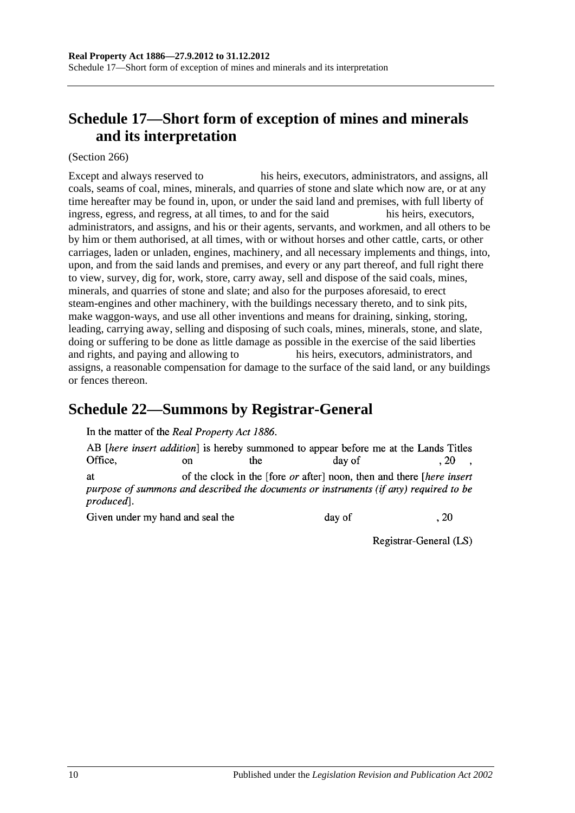# <span id="page-137-1"></span>**Schedule 17—Short form of exception of mines and minerals and its interpretation**

(Section 266)

Except and always reserved to his heirs, executors, administrators, and assigns, all coals, seams of coal, mines, minerals, and quarries of stone and slate which now are, or at any time hereafter may be found in, upon, or under the said land and premises, with full liberty of ingress, egress, and regress, at all times, to and for the said his heirs, executors, administrators, and assigns, and his or their agents, servants, and workmen, and all others to be by him or them authorised, at all times, with or without horses and other cattle, carts, or other carriages, laden or unladen, engines, machinery, and all necessary implements and things, into, upon, and from the said lands and premises, and every or any part thereof, and full right there to view, survey, dig for, work, store, carry away, sell and dispose of the said coals, mines, minerals, and quarries of stone and slate; and also for the purposes aforesaid, to erect steam-engines and other machinery, with the buildings necessary thereto, and to sink pits, make waggon-ways, and use all other inventions and means for draining, sinking, storing, leading, carrying away, selling and disposing of such coals, mines, minerals, stone, and slate, doing or suffering to be done as little damage as possible in the exercise of the said liberties and rights, and paying and allowing to his heirs, executors, administrators, and assigns, a reasonable compensation for damage to the surface of the said land, or any buildings or fences thereon.

## <span id="page-137-0"></span>**Schedule 22—Summons by Registrar-General**

In the matter of the Real Property Act 1886.

AB *[here insert addition]* is hereby summoned to appear before me at the Lands Titles Office. the  $.20$  $\alpha$ n day of of the clock in the [fore *or* after] noon, then and there [*here insert* **at** purpose of summons and described the documents or instruments (if any) required to be produced].

Given under my hand and seal the

day of

Registrar-General (LS)

, 20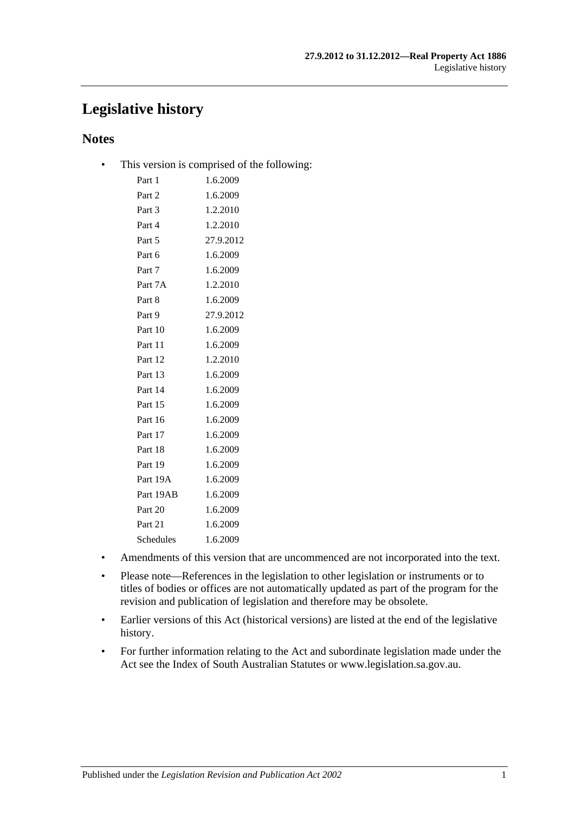## **Legislative history**

## **Notes**

• This version is comprised of the following:

| Part 1    | 1.6.2009  |
|-----------|-----------|
| Part 2    | 1.6.2009  |
| Part 3    | 1.2.2010  |
| Part 4    | 1.2.2010  |
| Part 5    | 27.9.2012 |
| Part 6    | 1.6.2009  |
| Part 7    | 1.6.2009  |
| Part 7A   | 1.2.2010  |
| Part 8    | 1.6.2009  |
| Part 9    | 27.9.2012 |
| Part 10   | 1.6.2009  |
| Part 11   | 1.6.2009  |
| Part 12   | 1.2.2010  |
| Part 13   | 1.6.2009  |
| Part 14   | 1.6.2009  |
| Part 15   | 1.6.2009  |
| Part 16   | 1.6.2009  |
| Part 17   | 1.6.2009  |
| Part 18   | 1.6.2009  |
| Part 19   | 1.6.2009  |
| Part 19A  | 1.6.2009  |
| Part 19AB | 1.6.2009  |
| Part 20   | 1.6.2009  |
| Part 21   | 1.6.2009  |
| Schedules | 1.6.2009  |
|           |           |

- Amendments of this version that are uncommenced are not incorporated into the text.
- Please note—References in the legislation to other legislation or instruments or to titles of bodies or offices are not automatically updated as part of the program for the revision and publication of legislation and therefore may be obsolete.
- Earlier versions of this Act (historical versions) are listed at the end of the legislative history.
- For further information relating to the Act and subordinate legislation made under the Act see the Index of South Australian Statutes or www.legislation.sa.gov.au.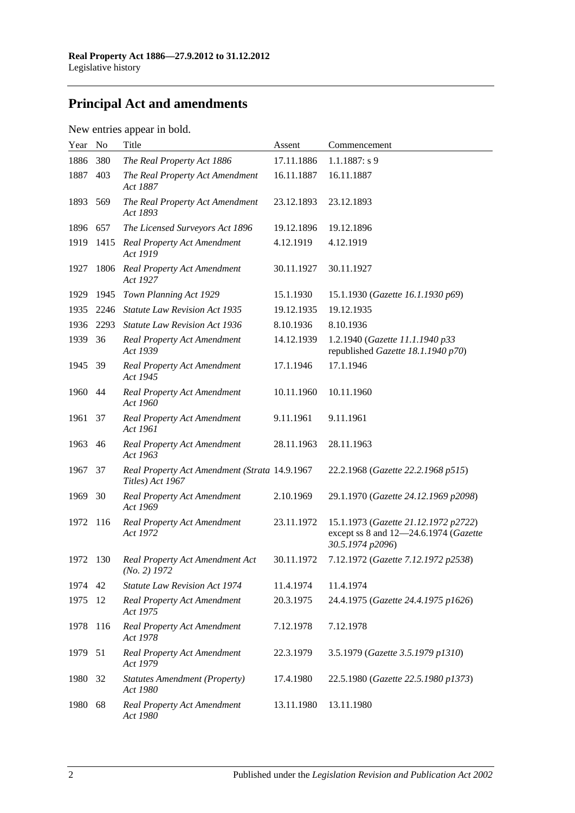# **Principal Act and amendments**

## New entries appear in bold.

| Year | No   | Title                                                             | Assent     | Commencement                                                                                      |
|------|------|-------------------------------------------------------------------|------------|---------------------------------------------------------------------------------------------------|
| 1886 | 380  | The Real Property Act 1886                                        | 17.11.1886 | $1.1.1887: s$ 9                                                                                   |
| 1887 | 403  | The Real Property Act Amendment<br>Act 1887                       | 16.11.1887 | 16.11.1887                                                                                        |
| 1893 | 569  | The Real Property Act Amendment<br>Act 1893                       | 23.12.1893 | 23.12.1893                                                                                        |
| 1896 | 657  | The Licensed Surveyors Act 1896                                   | 19.12.1896 | 19.12.1896                                                                                        |
| 1919 | 1415 | <b>Real Property Act Amendment</b><br>Act 1919                    | 4.12.1919  | 4.12.1919                                                                                         |
| 1927 | 1806 | Real Property Act Amendment<br>Act 1927                           | 30.11.1927 | 30.11.1927                                                                                        |
| 1929 | 1945 | Town Planning Act 1929                                            | 15.1.1930  | 15.1.1930 (Gazette 16.1.1930 p69)                                                                 |
| 1935 | 2246 | <b>Statute Law Revision Act 1935</b>                              | 19.12.1935 | 19.12.1935                                                                                        |
| 1936 | 2293 | <b>Statute Law Revision Act 1936</b>                              | 8.10.1936  | 8.10.1936                                                                                         |
| 1939 | 36   | <b>Real Property Act Amendment</b><br>Act 1939                    | 14.12.1939 | 1.2.1940 (Gazette 11.1.1940 p33<br>republished Gazette 18.1.1940 p70)                             |
| 1945 | - 39 | <b>Real Property Act Amendment</b><br>Act 1945                    | 17.1.1946  | 17.1.1946                                                                                         |
| 1960 | 44   | <b>Real Property Act Amendment</b><br>Act 1960                    | 10.11.1960 | 10.11.1960                                                                                        |
| 1961 | 37   | <b>Real Property Act Amendment</b><br>Act 1961                    | 9.11.1961  | 9.11.1961                                                                                         |
| 1963 | 46   | <b>Real Property Act Amendment</b><br>Act 1963                    | 28.11.1963 | 28.11.1963                                                                                        |
| 1967 | 37   | Real Property Act Amendment (Strata 14.9.1967<br>Titles) Act 1967 |            | 22.2.1968 (Gazette 22.2.1968 p515)                                                                |
| 1969 | 30   | <b>Real Property Act Amendment</b><br>Act 1969                    | 2.10.1969  | 29.1.1970 (Gazette 24.12.1969 p2098)                                                              |
| 1972 | 116  | <b>Real Property Act Amendment</b><br>Act 1972                    | 23.11.1972 | 15.1.1973 (Gazette 21.12.1972 p2722)<br>except ss 8 and 12-24.6.1974 (Gazette<br>30.5.1974 p2096) |
| 1972 | 130  | Real Property Act Amendment Act<br>$(No. 2)$ 1972                 | 30.11.1972 | 7.12.1972 (Gazette 7.12.1972 p2538)                                                               |
| 1974 | 42   | <b>Statute Law Revision Act 1974</b>                              | 11.4.1974  | 11.4.1974                                                                                         |
| 1975 | 12   | <b>Real Property Act Amendment</b><br>Act 1975                    | 20.3.1975  | 24.4.1975 (Gazette 24.4.1975 p1626)                                                               |
| 1978 | 116  | Real Property Act Amendment<br>Act 1978                           | 7.12.1978  | 7.12.1978                                                                                         |
| 1979 | 51   | <b>Real Property Act Amendment</b><br>Act 1979                    | 22.3.1979  | 3.5.1979 (Gazette 3.5.1979 p1310)                                                                 |
| 1980 | 32   | <b>Statutes Amendment (Property)</b><br>Act 1980                  | 17.4.1980  | 22.5.1980 (Gazette 22.5.1980 p1373)                                                               |
| 1980 | 68   | <b>Real Property Act Amendment</b><br>Act 1980                    | 13.11.1980 | 13.11.1980                                                                                        |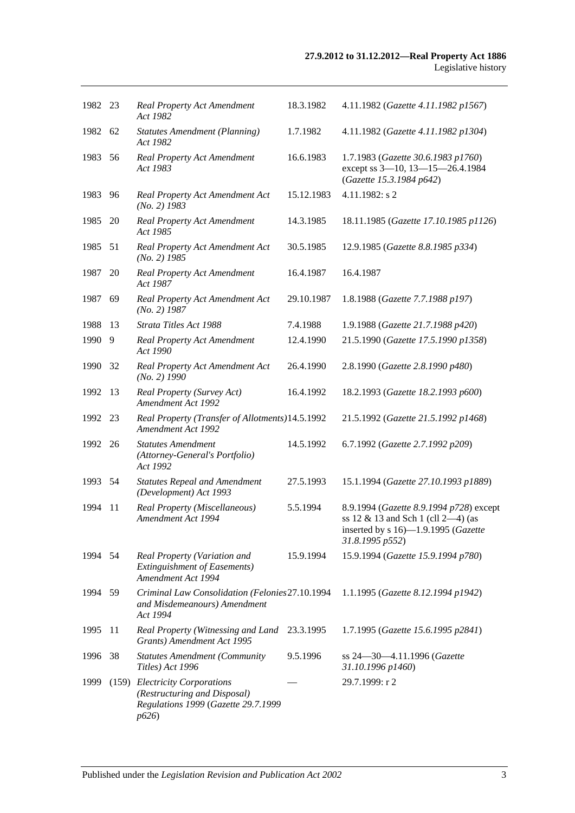| 1982 23 |    | <b>Real Property Act Amendment</b><br>Act 1982                                                                | 18.3.1982  | 4.11.1982 (Gazette 4.11.1982 p1567)                                                                                                        |
|---------|----|---------------------------------------------------------------------------------------------------------------|------------|--------------------------------------------------------------------------------------------------------------------------------------------|
| 1982 62 |    | <b>Statutes Amendment (Planning)</b><br>Act 1982                                                              | 1.7.1982   | 4.11.1982 (Gazette 4.11.1982 p1304)                                                                                                        |
| 1983    | 56 | Real Property Act Amendment<br>Act 1983                                                                       | 16.6.1983  | 1.7.1983 (Gazette 30.6.1983 p1760)<br>except ss 3-10, 13-15-26.4.1984<br>(Gazette 15.3.1984 p642)                                          |
| 1983    | 96 | Real Property Act Amendment Act<br>$(No. 2)$ 1983                                                             | 15.12.1983 | 4.11.1982: s 2                                                                                                                             |
| 1985    | 20 | Real Property Act Amendment<br>Act 1985                                                                       | 14.3.1985  | 18.11.1985 (Gazette 17.10.1985 p1126)                                                                                                      |
| 1985    | 51 | Real Property Act Amendment Act<br>$(No. 2)$ 1985                                                             | 30.5.1985  | 12.9.1985 (Gazette 8.8.1985 p334)                                                                                                          |
| 1987    | 20 | Real Property Act Amendment<br>Act 1987                                                                       | 16.4.1987  | 16.4.1987                                                                                                                                  |
| 1987    | 69 | Real Property Act Amendment Act<br>$(No. 2)$ 1987                                                             | 29.10.1987 | 1.8.1988 (Gazette 7.7.1988 p197)                                                                                                           |
| 1988    | 13 | Strata Titles Act 1988                                                                                        | 7.4.1988   | 1.9.1988 (Gazette 21.7.1988 p420)                                                                                                          |
| 1990    | 9  | <b>Real Property Act Amendment</b><br>Act 1990                                                                | 12.4.1990  | 21.5.1990 (Gazette 17.5.1990 p1358)                                                                                                        |
| 1990    | 32 | Real Property Act Amendment Act<br>$(No. 2)$ 1990                                                             | 26.4.1990  | 2.8.1990 (Gazette 2.8.1990 p480)                                                                                                           |
| 1992    | 13 | Real Property (Survey Act)<br>Amendment Act 1992                                                              | 16.4.1992  | 18.2.1993 (Gazette 18.2.1993 p600)                                                                                                         |
| 1992    | 23 | Real Property (Transfer of Allotments)14.5.1992<br>Amendment Act 1992                                         |            | 21.5.1992 (Gazette 21.5.1992 p1468)                                                                                                        |
| 1992    | 26 | <b>Statutes Amendment</b><br>(Attorney-General's Portfolio)<br>Act 1992                                       | 14.5.1992  | 6.7.1992 (Gazette 2.7.1992 p209)                                                                                                           |
| 1993 54 |    | <b>Statutes Repeal and Amendment</b><br>(Development) Act 1993                                                | 27.5.1993  | 15.1.1994 (Gazette 27.10.1993 p1889)                                                                                                       |
| 1994    | 11 | Real Property (Miscellaneous)<br>Amendment Act 1994                                                           | 5.5.1994   | 8.9.1994 (Gazette 8.9.1994 p728) except<br>ss $12 \& 13$ and Sch 1 (cll 2-4) (as<br>inserted by s 16)-1.9.1995 (Gazette<br>31.8.1995 p552) |
| 1994 54 |    | Real Property (Variation and<br><b>Extinguishment of Easements)</b><br>Amendment Act 1994                     | 15.9.1994  | 15.9.1994 (Gazette 15.9.1994 p780)                                                                                                         |
| 1994 59 |    | Criminal Law Consolidation (Felonies 27.10.1994<br>and Misdemeanours) Amendment<br>Act 1994                   |            | 1.1.1995 (Gazette 8.12.1994 p1942)                                                                                                         |
| 1995    | 11 | Real Property (Witnessing and Land<br>Grants) Amendment Act 1995                                              | 23.3.1995  | 1.7.1995 (Gazette 15.6.1995 p2841)                                                                                                         |
| 1996    | 38 | <b>Statutes Amendment (Community</b><br>Titles) Act 1996                                                      | 9.5.1996   | ss 24-30-4.11.1996 (Gazette<br>31.10.1996 p1460)                                                                                           |
| 1999    |    | (159) Electricity Corporations<br>(Restructuring and Disposal)<br>Regulations 1999 (Gazette 29.7.1999<br>p626 |            | 29.7.1999: r 2                                                                                                                             |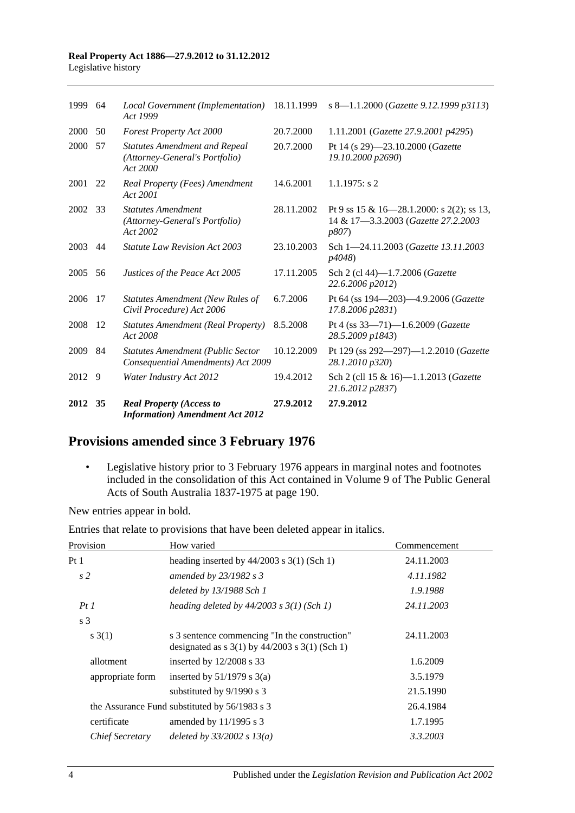#### **Real Property Act 1886—27.9.2012 to 31.12.2012** Legislative history

| 1999 64 |     | Local Government (Implementation) 18.11.1999<br>Act 1999                           |            | s 8-1.1.2000 (Gazette 9.12.1999 p3113)                                                            |
|---------|-----|------------------------------------------------------------------------------------|------------|---------------------------------------------------------------------------------------------------|
| 2000    | 50  | Forest Property Act 2000                                                           | 20.7.2000  | 1.11.2001 (Gazette 27.9.2001 p4295)                                                               |
| 2000    | 57  | <b>Statutes Amendment and Repeal</b><br>(Attorney-General's Portfolio)<br>Act 2000 | 20.7.2000  | Pt 14 (s 29)-23.10.2000 (Gazette<br>19.10.2000 p2690)                                             |
| 2001 22 |     | Real Property (Fees) Amendment<br>Act 2001                                         | 14.6.2001  | $1.1.1975$ : s 2                                                                                  |
| 2002    | -33 | <b>Statutes Amendment</b><br>(Attorney-General's Portfolio)<br>Act 2002            | 28.11.2002 | Pt 9 ss 15 & 16–28.1.2000: s 2(2); ss 13,<br>14 & 17-3.3.2003 (Gazette 27.2.2003<br><i>p807</i> ) |
| 2003    | 44  | <b>Statute Law Revision Act 2003</b>                                               | 23.10.2003 | Sch 1-24.11.2003 (Gazette 13.11.2003<br><i>p4048</i> )                                            |
| 2005    | 56  | Justices of the Peace Act 2005                                                     | 17.11.2005 | Sch 2 (cl 44)-1.7.2006 ( <i>Gazette</i><br>22.6.2006 p2012)                                       |
| 2006    | 17  | <b>Statutes Amendment (New Rules of</b><br>Civil Procedure) Act 2006               | 6.7.2006   | Pt 64 (ss 194—203)—4.9.2006 (Gazette<br>17.8.2006 p2831)                                          |
| 2008    | 12  | <b>Statutes Amendment (Real Property)</b><br>Act 2008                              | 8.5.2008   | Pt 4 (ss $33-71$ )-1.6.2009 (Gazette<br>28.5.2009 p1843)                                          |
| 2009    | 84  | <b>Statutes Amendment (Public Sector</b><br>Consequential Amendments) Act 2009     | 10.12.2009 | Pt 129 (ss 292-297)-1.2.2010 (Gazette<br>28.1.2010 p320)                                          |
| 2012    | 9   | Water Industry Act 2012                                                            | 19.4.2012  | Sch 2 (cll 15 & 16)-1.1.2013 (Gazette<br>21.6.2012 p2837)                                         |
| 2012 35 |     | <b>Real Property (Access to</b><br><b>Information</b> ) Amendment Act 2012         | 27.9.2012  | 27.9.2012                                                                                         |

# **Provisions amended since 3 February 1976**

• Legislative history prior to 3 February 1976 appears in marginal notes and footnotes included in the consolidation of this Act contained in Volume 9 of The Public General Acts of South Australia 1837-1975 at page 190.

New entries appear in bold.

|  |  | Entries that relate to provisions that have been deleted appear in italics. |
|--|--|-----------------------------------------------------------------------------|
|--|--|-----------------------------------------------------------------------------|

| Provision        | How varied                                                                                                                           | Commencement |
|------------------|--------------------------------------------------------------------------------------------------------------------------------------|--------------|
| Pt <sub>1</sub>  | heading inserted by $44/2003$ s 3(1) (Sch 1)                                                                                         | 24.11.2003   |
| s <sub>2</sub>   | amended by 23/1982 s 3                                                                                                               | 4.11.1982    |
|                  | deleted by 13/1988 Sch 1                                                                                                             | 1.9.1988     |
| PtI              | heading deleted by $44/2003$ s $3(1)$ (Sch 1)                                                                                        | 24.11.2003   |
| s <sub>3</sub>   |                                                                                                                                      |              |
| s(3(1))          | s 3 sentence commencing "In the construction"<br>designated as $s \frac{3(1)}{y} \frac{44}{2003} \frac{s \frac{3(1)}{5}}{h}$ (Sch 1) | 24.11.2003   |
| allotment        | inserted by $12/2008$ s 33                                                                                                           | 1.6.2009     |
| appropriate form | inserted by $51/1979$ s 3(a)                                                                                                         | 3.5.1979     |
|                  | substituted by 9/1990 s 3                                                                                                            | 21.5.1990    |
|                  | the Assurance Fund substituted by 56/1983 s 3                                                                                        | 26.4.1984    |
| certificate      | amended by $11/1995$ s 3                                                                                                             | 1.7.1995     |
| Chief Secretary  | deleted by $33/2002 s 13(a)$                                                                                                         | 3.3.2003     |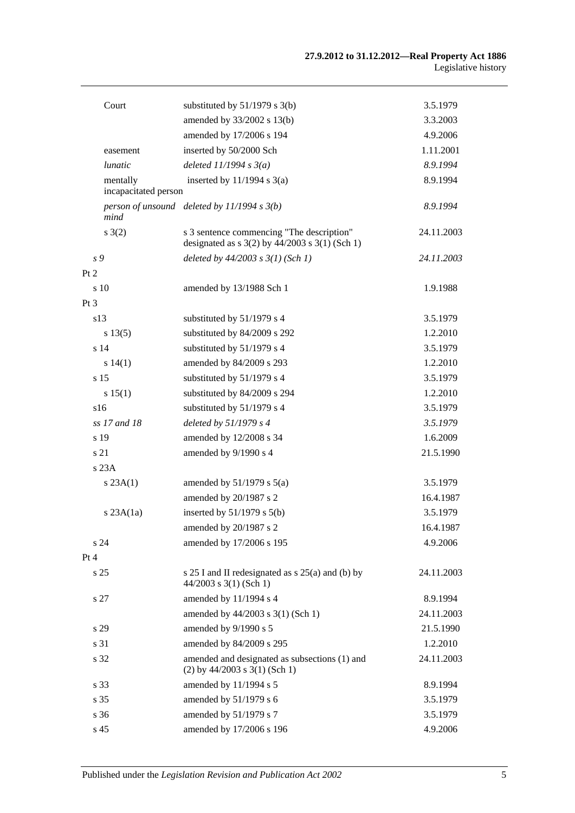| Court                            | substituted by $51/1979$ s 3(b)                                                                 | 3.5.1979   |
|----------------------------------|-------------------------------------------------------------------------------------------------|------------|
|                                  | amended by 33/2002 s 13(b)                                                                      | 3.3.2003   |
|                                  | amended by 17/2006 s 194                                                                        | 4.9.2006   |
| easement                         | inserted by 50/2000 Sch                                                                         | 1.11.2001  |
| <i>lunatic</i>                   | deleted $11/1994 s3(a)$                                                                         | 8.9.1994   |
| mentally<br>incapacitated person | inserted by $11/1994$ s $3(a)$                                                                  | 8.9.1994   |
| mind                             | person of unsound deleted by $11/1994 s 3(b)$                                                   | 8.9.1994   |
| s(2)                             | s 3 sentence commencing "The description"<br>designated as $s$ 3(2) by 44/2003 $s$ 3(1) (Sch 1) | 24.11.2003 |
| s 9                              | deleted by $44/2003$ s $3(1)$ (Sch 1)                                                           | 24.11.2003 |
| Pt 2                             |                                                                                                 |            |
| s 10                             | amended by 13/1988 Sch 1                                                                        | 1.9.1988   |
| Pt 3                             |                                                                                                 |            |
| s13                              | substituted by 51/1979 s 4                                                                      | 3.5.1979   |
| s 13(5)                          | substituted by 84/2009 s 292                                                                    | 1.2.2010   |
| s 14                             | substituted by 51/1979 s 4                                                                      | 3.5.1979   |
| s 14(1)                          | amended by 84/2009 s 293                                                                        | 1.2.2010   |
| s 15                             | substituted by 51/1979 s 4                                                                      | 3.5.1979   |
| s 15(1)                          | substituted by 84/2009 s 294                                                                    | 1.2.2010   |
| s16                              | substituted by 51/1979 s 4                                                                      | 3.5.1979   |
| ss 17 and 18                     | deleted by $51/1979 s 4$                                                                        | 3.5.1979   |
| s 19                             | amended by 12/2008 s 34                                                                         | 1.6.2009   |
| s 21                             | amended by 9/1990 s 4                                                                           | 21.5.1990  |
| s 23A                            |                                                                                                 |            |
| s 23A(1)                         | amended by $51/1979$ s $5(a)$                                                                   | 3.5.1979   |
|                                  | amended by 20/1987 s 2                                                                          | 16.4.1987  |
| $s$ 23A $(1a)$                   | inserted by $51/1979$ s $5(b)$                                                                  | 3.5.1979   |
|                                  | amended by 20/1987 s 2                                                                          | 16.4.1987  |
| s 24                             | amended by 17/2006 s 195                                                                        | 4.9.2006   |
| Pt 4                             |                                                                                                 |            |
| s <sub>25</sub>                  | s 25 I and II redesignated as s 25(a) and (b) by<br>$44/2003$ s 3(1) (Sch 1)                    | 24.11.2003 |
| s 27                             | amended by 11/1994 s 4                                                                          | 8.9.1994   |
|                                  | amended by 44/2003 s 3(1) (Sch 1)                                                               | 24.11.2003 |
| s 29                             | amended by 9/1990 s 5                                                                           | 21.5.1990  |
| s 31                             | amended by 84/2009 s 295                                                                        | 1.2.2010   |
| s 32                             | amended and designated as subsections (1) and<br>$(2)$ by 44/2003 s 3(1) (Sch 1)                | 24.11.2003 |
| s 33                             | amended by 11/1994 s 5                                                                          | 8.9.1994   |
| s 35                             | amended by 51/1979 s 6                                                                          | 3.5.1979   |
| s 36                             | amended by 51/1979 s 7                                                                          | 3.5.1979   |
| s 45                             | amended by 17/2006 s 196                                                                        | 4.9.2006   |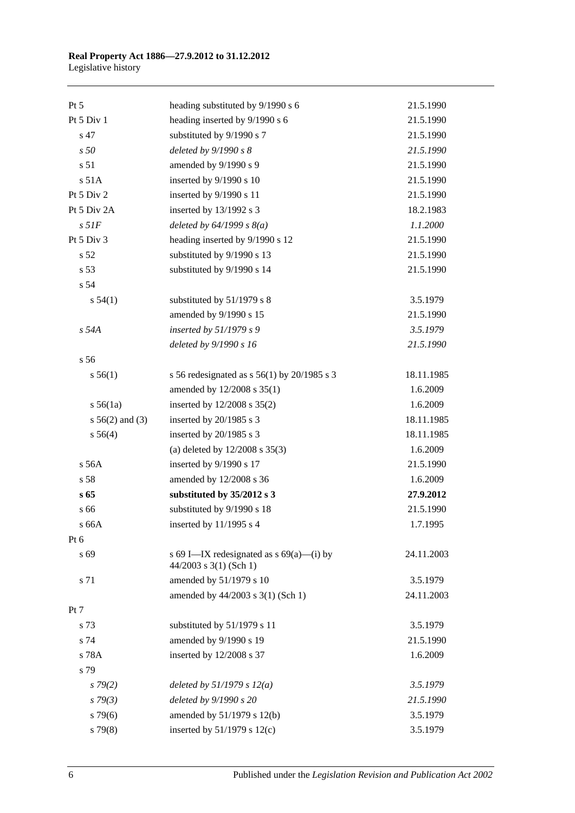#### **Real Property Act 1886—27.9.2012 to 31.12.2012** Legislative history

| $Pt\,5$            | heading substituted by 9/1990 s 6                                    | 21.5.1990  |
|--------------------|----------------------------------------------------------------------|------------|
| Pt 5 Div 1         | heading inserted by 9/1990 s 6                                       | 21.5.1990  |
| s 47               | substituted by 9/1990 s 7                                            | 21.5.1990  |
| s50                | deleted by $9/1990 s 8$                                              | 21.5.1990  |
| s 51               | amended by 9/1990 s 9                                                | 21.5.1990  |
| s 51A              | inserted by 9/1990 s 10                                              | 21.5.1990  |
| Pt 5 Div 2         | inserted by 9/1990 s 11                                              | 21.5.1990  |
| Pt 5 Div 2A        | inserted by 13/1992 s 3                                              | 18.2.1983  |
| $s$ 51 $F$         | deleted by $64/1999 s 8(a)$                                          | 1.1.2000   |
| Pt 5 Div 3         | heading inserted by 9/1990 s 12                                      | 21.5.1990  |
| s 52               | substituted by 9/1990 s 13                                           | 21.5.1990  |
| s 53               | substituted by 9/1990 s 14                                           | 21.5.1990  |
| s 54               |                                                                      |            |
| s 54(1)            | substituted by 51/1979 s 8                                           | 3.5.1979   |
|                    | amended by 9/1990 s 15                                               | 21.5.1990  |
| s 54A              | inserted by 51/1979 s 9                                              | 3.5.1979   |
|                    | deleted by 9/1990 s 16                                               | 21.5.1990  |
| s 56               |                                                                      |            |
| s 56(1)            | s 56 redesignated as s $56(1)$ by 20/1985 s 3                        | 18.11.1985 |
|                    | amended by 12/2008 s 35(1)                                           | 1.6.2009   |
| s 56(1a)           | inserted by 12/2008 s 35(2)                                          | 1.6.2009   |
| $s\,56(2)$ and (3) | inserted by 20/1985 s 3                                              | 18.11.1985 |
| s 56(4)            | inserted by 20/1985 s 3                                              | 18.11.1985 |
|                    | (a) deleted by $12/2008$ s $35(3)$                                   | 1.6.2009   |
| s 56A              | inserted by 9/1990 s 17                                              | 21.5.1990  |
| s 58               | amended by 12/2008 s 36                                              | 1.6.2009   |
| s 65               | substituted by 35/2012 s 3                                           | 27.9.2012  |
| s 66               | substituted by 9/1990 s 18                                           | 21.5.1990  |
| s 66A              | inserted by 11/1995 s 4                                              | 1.7.1995   |
| Pt 6               |                                                                      |            |
| s 69               | s 69 I—IX redesignated as $s$ 69(a)—(i) by<br>44/2003 s 3(1) (Sch 1) | 24.11.2003 |
| s 71               | amended by 51/1979 s 10                                              | 3.5.1979   |
|                    | amended by 44/2003 s 3(1) (Sch 1)                                    | 24.11.2003 |
| Pt 7               |                                                                      |            |
| s 73               | substituted by 51/1979 s 11                                          | 3.5.1979   |
| s 74               | amended by 9/1990 s 19                                               | 21.5.1990  |
| s 78A              | inserted by 12/2008 s 37                                             | 1.6.2009   |
| s 79               |                                                                      |            |
| $s\,79(2)$         | deleted by $51/1979 s 12(a)$                                         | 3.5.1979   |
| s79(3)             | deleted by 9/1990 s 20                                               | 21.5.1990  |
| $s\,79(6)$         | amended by 51/1979 s 12(b)                                           | 3.5.1979   |
| $s\,79(8)$         | inserted by $51/1979$ s $12(c)$                                      | 3.5.1979   |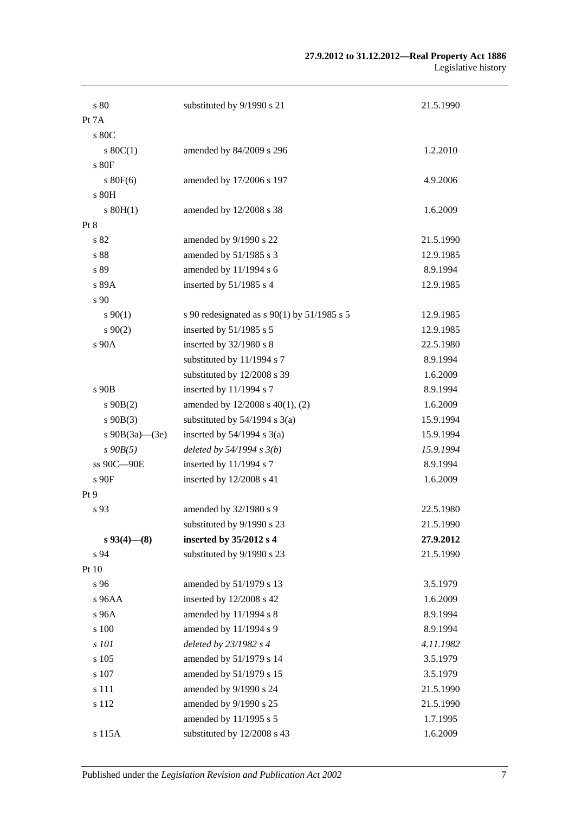| s 80                 | substituted by 9/1990 s 21                    | 21.5.1990 |
|----------------------|-----------------------------------------------|-----------|
| Pt 7A                |                                               |           |
| s 80C                |                                               |           |
| $s\ 80C(1)$          | amended by 84/2009 s 296                      | 1.2.2010  |
| s 80F                |                                               |           |
| $s$ 80 $F(6)$        | amended by 17/2006 s 197                      | 4.9.2006  |
| s 80H                |                                               |           |
| $s$ 80H(1)           | amended by 12/2008 s 38                       | 1.6.2009  |
| Pt 8                 |                                               |           |
| s 82                 | amended by 9/1990 s 22                        | 21.5.1990 |
| s 88                 | amended by 51/1985 s 3                        | 12.9.1985 |
| s 89                 | amended by 11/1994 s 6                        | 8.9.1994  |
| s 89A                | inserted by $51/1985$ s 4                     | 12.9.1985 |
| s 90                 |                                               |           |
| $s\,90(1)$           | s 90 redesignated as $s$ 90(1) by 51/1985 s 5 | 12.9.1985 |
| $s\,90(2)$           | inserted by 51/1985 s 5                       | 12.9.1985 |
| s 90A                | inserted by 32/1980 s 8                       | 22.5.1980 |
|                      | substituted by 11/1994 s 7                    | 8.9.1994  |
|                      | substituted by 12/2008 s 39                   | 1.6.2009  |
| s 90B                | inserted by 11/1994 s 7                       | 8.9.1994  |
| $s\ 90B(2)$          | amended by 12/2008 s 40(1), (2)               | 1.6.2009  |
| $s\ 90B(3)$          | substituted by $54/1994$ s $3(a)$             | 15.9.1994 |
| s $90B(3a)$ — $(3e)$ | inserted by $54/1994$ s $3(a)$                | 15.9.1994 |
| $s$ 90 $B(5)$        | deleted by $54/1994 s 3(b)$                   | 15.9.1994 |
| ss 90C-90E           | inserted by 11/1994 s 7                       | 8.9.1994  |
| s 90F                | inserted by 12/2008 s 41                      | 1.6.2009  |
| Pt 9                 |                                               |           |
| s 93                 | amended by 32/1980 s 9                        | 22.5.1980 |
|                      | substituted by 9/1990 s 23                    | 21.5.1990 |
| $s\,93(4)$ — $(8)$   | inserted by 35/2012 s 4                       | 27.9.2012 |
| s 94                 | substituted by 9/1990 s 23                    | 21.5.1990 |
| Pt 10                |                                               |           |
| s 96                 | amended by 51/1979 s 13                       | 3.5.1979  |
| s 96AA               | inserted by 12/2008 s 42                      | 1.6.2009  |
| s 96A                | amended by 11/1994 s 8                        | 8.9.1994  |
| s 100                | amended by 11/1994 s 9                        | 8.9.1994  |
| s 101                | deleted by 23/1982 s 4                        | 4.11.1982 |
| s 105                | amended by 51/1979 s 14                       | 3.5.1979  |
| s 107                | amended by 51/1979 s 15                       | 3.5.1979  |
| s 111                | amended by 9/1990 s 24                        | 21.5.1990 |
| s 112                | amended by 9/1990 s 25                        | 21.5.1990 |
|                      | amended by 11/1995 s 5                        | 1.7.1995  |
| s 115A               | substituted by 12/2008 s 43                   | 1.6.2009  |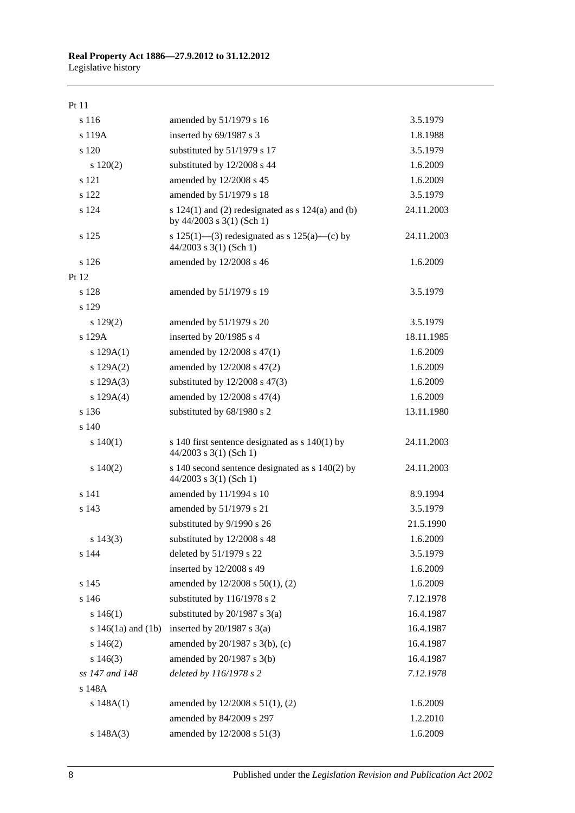## Pt 11

| s 116                  | amended by 51/1979 s 16                                                              | 3.5.1979   |
|------------------------|--------------------------------------------------------------------------------------|------------|
| s 119A                 | inserted by 69/1987 s 3                                                              | 1.8.1988   |
| s 120                  | substituted by 51/1979 s 17                                                          | 3.5.1979   |
| 120(2)                 | substituted by 12/2008 s 44                                                          | 1.6.2009   |
| s 121                  | amended by 12/2008 s 45                                                              | 1.6.2009   |
| s 122                  | amended by 51/1979 s 18                                                              | 3.5.1979   |
| s 124                  | s $124(1)$ and (2) redesignated as s $124(a)$ and (b)<br>by $44/2003$ s 3(1) (Sch 1) | 24.11.2003 |
| s 125                  | s 125(1)—(3) redesignated as s 125(a)—(c) by<br>$44/2003$ s 3(1) (Sch 1)             | 24.11.2003 |
| s 126                  | amended by 12/2008 s 46                                                              | 1.6.2009   |
| Pt 12                  |                                                                                      |            |
| s 128                  | amended by 51/1979 s 19                                                              | 3.5.1979   |
| s 129                  |                                                                                      |            |
| $s\ 129(2)$            | amended by 51/1979 s 20                                                              | 3.5.1979   |
| s 129A                 | inserted by 20/1985 s 4                                                              | 18.11.1985 |
| s 129A(1)              | amended by 12/2008 s 47(1)                                                           | 1.6.2009   |
| s 129A(2)              | amended by 12/2008 s 47(2)                                                           | 1.6.2009   |
| s 129A(3)              | substituted by $12/2008$ s $47(3)$                                                   | 1.6.2009   |
| s $129A(4)$            | amended by 12/2008 s 47(4)                                                           | 1.6.2009   |
| s 136                  | substituted by 68/1980 s 2                                                           | 13.11.1980 |
| s 140                  |                                                                                      |            |
| s 140(1)               | s 140 first sentence designated as $s$ 140(1) by<br>$44/2003$ s 3(1) (Sch 1)         | 24.11.2003 |
| $s\ 140(2)$            | s 140 second sentence designated as s 140(2) by<br>$44/2003$ s 3(1) (Sch 1)          | 24.11.2003 |
| s 141                  | amended by 11/1994 s 10                                                              | 8.9.1994   |
| s 143                  | amended by 51/1979 s 21                                                              | 3.5.1979   |
|                        | substituted by 9/1990 s 26                                                           | 21.5.1990  |
| $s\ 143(3)$            | substituted by 12/2008 s 48                                                          | 1.6.2009   |
| s 144                  | deleted by 51/1979 s 22                                                              | 3.5.1979   |
|                        | inserted by 12/2008 s 49                                                             | 1.6.2009   |
| s 145                  | amended by 12/2008 s 50(1), (2)                                                      | 1.6.2009   |
| s 146                  | substituted by 116/1978 s 2                                                          | 7.12.1978  |
| s 146(1)               | substituted by $20/1987$ s $3(a)$                                                    | 16.4.1987  |
| s $146(1a)$ and $(1b)$ | inserted by $20/1987$ s $3(a)$                                                       | 16.4.1987  |
| s146(2)                | amended by 20/1987 s 3(b), (c)                                                       | 16.4.1987  |
| $s\ 146(3)$            | amended by 20/1987 s 3(b)                                                            | 16.4.1987  |
| ss 147 and 148         | deleted by 116/1978 s 2                                                              | 7.12.1978  |
| s 148A                 |                                                                                      |            |
| s $148A(1)$            | amended by 12/2008 s 51(1), (2)                                                      | 1.6.2009   |
|                        | amended by 84/2009 s 297                                                             | 1.2.2010   |
| s 148A(3)              | amended by 12/2008 s 51(3)                                                           | 1.6.2009   |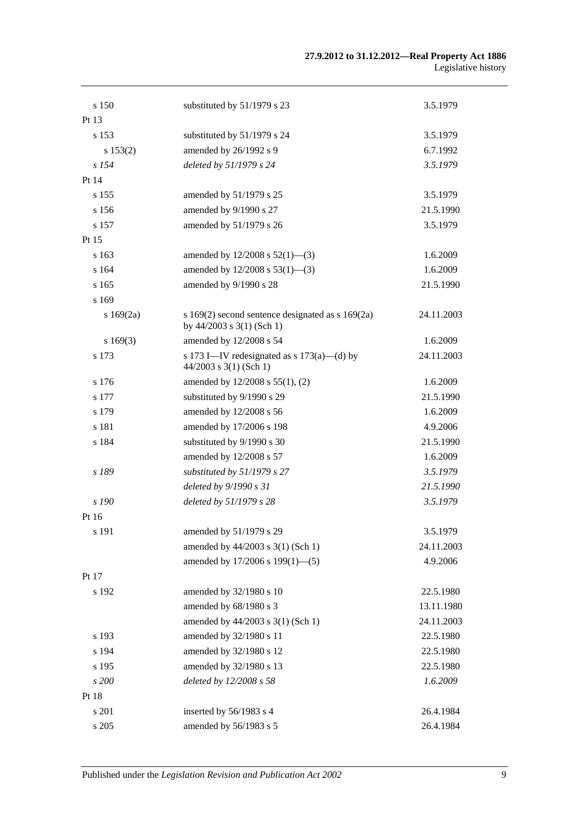| s 150    | substituted by 51/1979 s 23                                                       | 3.5.1979   |
|----------|-----------------------------------------------------------------------------------|------------|
| Pt 13    |                                                                                   |            |
| s 153    | substituted by 51/1979 s 24                                                       | 3.5.1979   |
| s 153(2) | amended by 26/1992 s 9                                                            | 6.7.1992   |
| $s$ 154  | deleted by 51/1979 s 24                                                           | 3.5.1979   |
| Pt 14    |                                                                                   |            |
| s 155    | amended by 51/1979 s 25                                                           | 3.5.1979   |
| s 156    | amended by 9/1990 s 27                                                            | 21.5.1990  |
| s 157    | amended by 51/1979 s 26                                                           | 3.5.1979   |
| Pt 15    |                                                                                   |            |
| s 163    | amended by $12/2008$ s $52(1)$ —(3)                                               | 1.6.2009   |
| s 164    | amended by $12/2008$ s $53(1)$ —(3)                                               | 1.6.2009   |
| s 165    | amended by 9/1990 s 28                                                            | 21.5.1990  |
| s 169    |                                                                                   |            |
| s169(2a) | s $169(2)$ second sentence designated as s $169(2a)$<br>by 44/2003 s 3(1) (Sch 1) | 24.11.2003 |
| s169(3)  | amended by 12/2008 s 54                                                           | 1.6.2009   |
| s 173    | s 173 I—IV redesignated as s $173(a)$ —(d) by<br>$44/2003$ s 3(1) (Sch 1)         | 24.11.2003 |
| s 176    | amended by 12/2008 s 55(1), (2)                                                   | 1.6.2009   |
| s 177    | substituted by 9/1990 s 29                                                        | 21.5.1990  |
| s 179    | amended by 12/2008 s 56                                                           | 1.6.2009   |
| s 181    | amended by 17/2006 s 198                                                          | 4.9.2006   |
| s 184    | substituted by 9/1990 s 30                                                        | 21.5.1990  |
|          | amended by 12/2008 s 57                                                           | 1.6.2009   |
| s 189    | substituted by 51/1979 s 27                                                       | 3.5.1979   |
|          | deleted by 9/1990 s 31                                                            | 21.5.1990  |
| s 190    | deleted by 51/1979 s 28                                                           | 3.5.1979   |
| Pt 16    |                                                                                   |            |
| s 191    | amended by 51/1979 s 29                                                           | 3.5.1979   |
|          | amended by 44/2003 s 3(1) (Sch 1)                                                 | 24.11.2003 |
|          | amended by 17/2006 s 199(1)-(5)                                                   | 4.9.2006   |
| Pt 17    |                                                                                   |            |
| s 192    | amended by 32/1980 s 10                                                           | 22.5.1980  |
|          | amended by 68/1980 s 3                                                            | 13.11.1980 |
|          | amended by 44/2003 s 3(1) (Sch 1)                                                 | 24.11.2003 |
| s 193    | amended by 32/1980 s 11                                                           | 22.5.1980  |
| s 194    | amended by 32/1980 s 12                                                           | 22.5.1980  |
| s 195    | amended by 32/1980 s 13                                                           | 22.5.1980  |
| s 200    | deleted by 12/2008 s 58                                                           | 1.6.2009   |
| Pt 18    |                                                                                   |            |
| s 201    | inserted by 56/1983 s 4                                                           | 26.4.1984  |
| s 205    | amended by 56/1983 s 5                                                            | 26.4.1984  |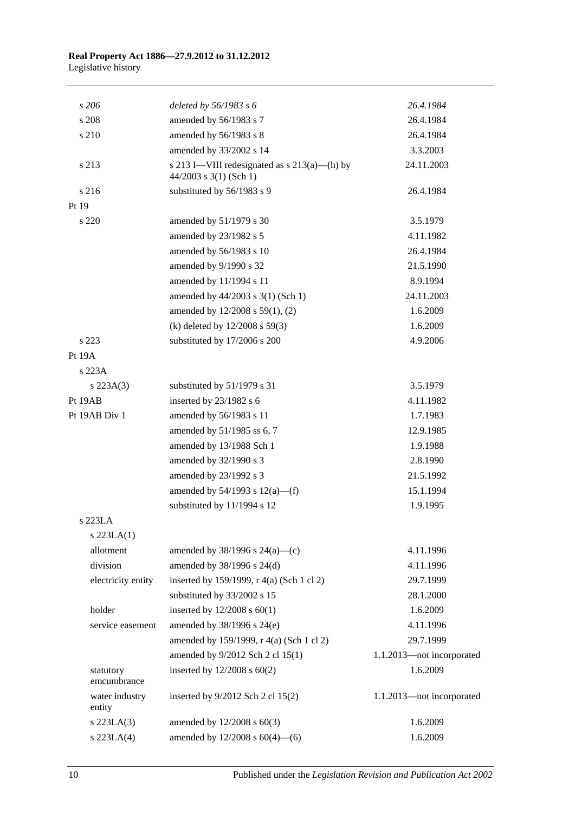| s206                     | deleted by $56/1983$ s 6                                                   | 26.4.1984                 |
|--------------------------|----------------------------------------------------------------------------|---------------------------|
| s 208                    | amended by 56/1983 s 7                                                     | 26.4.1984                 |
| s 210                    | amended by 56/1983 s 8                                                     | 26.4.1984                 |
|                          | amended by 33/2002 s 14                                                    | 3.3.2003                  |
| s 213                    | s 213 I—VIII redesignated as $s$ 213(a)—(h) by<br>$44/2003$ s 3(1) (Sch 1) | 24.11.2003                |
| s 216                    | substituted by 56/1983 s 9                                                 | 26.4.1984                 |
| Pt 19                    |                                                                            |                           |
| s 220                    | amended by 51/1979 s 30                                                    | 3.5.1979                  |
|                          | amended by 23/1982 s 5                                                     | 4.11.1982                 |
|                          | amended by 56/1983 s 10                                                    | 26.4.1984                 |
|                          | amended by 9/1990 s 32                                                     | 21.5.1990                 |
|                          | amended by 11/1994 s 11                                                    | 8.9.1994                  |
|                          | amended by 44/2003 s 3(1) (Sch 1)                                          | 24.11.2003                |
|                          | amended by 12/2008 s 59(1), (2)                                            | 1.6.2009                  |
|                          | (k) deleted by $12/2008$ s 59(3)                                           | 1.6.2009                  |
| s 223                    | substituted by 17/2006 s 200                                               | 4.9.2006                  |
| Pt 19A                   |                                                                            |                           |
| s 223A                   |                                                                            |                           |
| $s\,223A(3)$             | substituted by 51/1979 s 31                                                | 3.5.1979                  |
| Pt 19AB                  | inserted by $23/1982$ s 6                                                  | 4.11.1982                 |
| Pt 19AB Div 1            | amended by 56/1983 s 11                                                    | 1.7.1983                  |
|                          | amended by 51/1985 ss 6, 7                                                 | 12.9.1985                 |
|                          | amended by 13/1988 Sch 1                                                   | 1.9.1988                  |
|                          | amended by 32/1990 s 3                                                     | 2.8.1990                  |
|                          | amended by 23/1992 s 3                                                     | 21.5.1992                 |
|                          | amended by $54/1993$ s $12(a)$ —(f)                                        | 15.1.1994                 |
|                          | substituted by 11/1994 s 12                                                | 1.9.1995                  |
| s 223LA                  |                                                                            |                           |
| $s$ 223LA $(1)$          |                                                                            |                           |
| allotment                | amended by $38/1996$ s $24(a)$ —(c)                                        | 4.11.1996                 |
| division                 | amended by 38/1996 s 24(d)                                                 | 4.11.1996                 |
| electricity entity       | inserted by 159/1999, r 4(a) (Sch 1 cl 2)                                  | 29.7.1999                 |
|                          | substituted by 33/2002 s 15                                                | 28.1.2000                 |
| holder                   | inserted by $12/2008$ s $60(1)$                                            | 1.6.2009                  |
| service easement         | amended by 38/1996 s 24(e)                                                 | 4.11.1996                 |
|                          | amended by 159/1999, r 4(a) (Sch 1 cl 2)                                   | 29.7.1999                 |
|                          | amended by 9/2012 Sch 2 cl 15(1)                                           | 1.1.2013-not incorporated |
| statutory<br>emcumbrance | inserted by $12/2008$ s $60(2)$                                            | 1.6.2009                  |
| water industry<br>entity | inserted by 9/2012 Sch 2 cl 15(2)                                          | 1.1.2013-not incorporated |
| s 223LA(3)               | amended by 12/2008 s 60(3)                                                 | 1.6.2009                  |
| s 223LA(4)               | amended by $12/2008$ s $60(4)$ —(6)                                        | 1.6.2009                  |
|                          |                                                                            |                           |

10 Published under the *Legislation Revision and Publication Act 2002*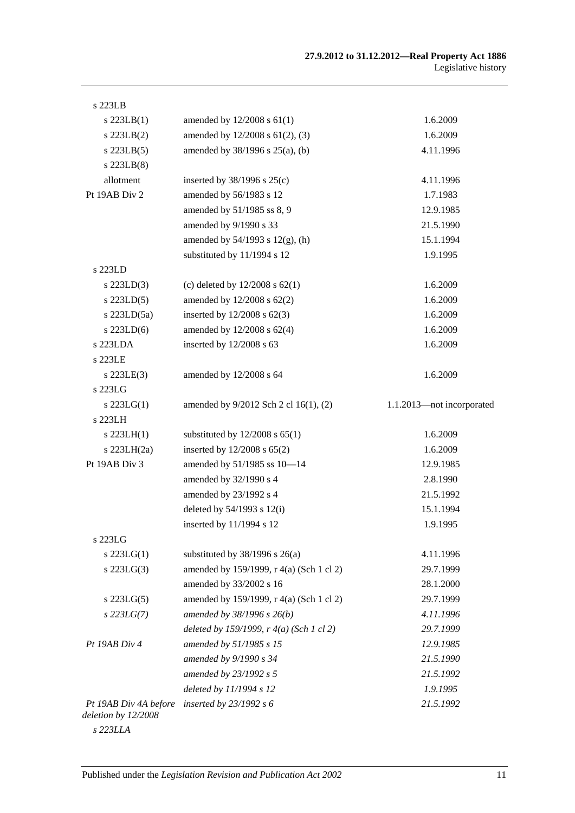| s 223LB                                      |                                                  |                           |
|----------------------------------------------|--------------------------------------------------|---------------------------|
| $s$ 223LB $(1)$                              | amended by $12/2008$ s $61(1)$                   | 1.6.2009                  |
| $s$ 223LB $(2)$                              | amended by 12/2008 s 61(2), (3)                  | 1.6.2009                  |
| $s$ 223LB $(5)$                              | amended by $38/1996$ s $25(a)$ , (b)             | 4.11.1996                 |
| $s$ 223LB $(8)$                              |                                                  |                           |
| allotment                                    | inserted by $38/1996$ s $25(c)$                  | 4.11.1996                 |
| Pt 19AB Div 2                                | amended by 56/1983 s 12                          | 1.7.1983                  |
|                                              | amended by 51/1985 ss 8, 9                       | 12.9.1985                 |
|                                              | amended by 9/1990 s 33                           | 21.5.1990                 |
|                                              | amended by $54/1993$ s $12(g)$ , (h)             | 15.1.1994                 |
|                                              | substituted by 11/1994 s 12                      | 1.9.1995                  |
| s 223LD                                      |                                                  |                           |
| $s$ 223LD $(3)$                              | (c) deleted by $12/2008$ s $62(1)$               | 1.6.2009                  |
| $s$ 223LD(5)                                 | amended by $12/2008$ s $62(2)$                   | 1.6.2009                  |
| s $223LD(5a)$                                | inserted by $12/2008$ s $62(3)$                  | 1.6.2009                  |
| $s$ 223LD(6)                                 | amended by 12/2008 s 62(4)                       | 1.6.2009                  |
| s 223LDA                                     | inserted by $12/2008$ s 63                       | 1.6.2009                  |
| s 223LE                                      |                                                  |                           |
| $s$ 223LE $(3)$                              | amended by 12/2008 s 64                          | 1.6.2009                  |
| s 223LG                                      |                                                  |                           |
| $s$ 223LG(1)                                 | amended by 9/2012 Sch 2 cl 16(1), (2)            | 1.1.2013-not incorporated |
| s 223LH                                      |                                                  |                           |
| $s$ 223LH(1)                                 | substituted by $12/2008$ s $65(1)$               | 1.6.2009                  |
| s $223LH(2a)$                                | inserted by $12/2008$ s $65(2)$                  | 1.6.2009                  |
| Pt 19AB Div 3                                | amended by 51/1985 ss 10-14                      | 12.9.1985                 |
|                                              | amended by 32/1990 s 4                           | 2.8.1990                  |
|                                              | amended by 23/1992 s 4                           | 21.5.1992                 |
|                                              | deleted by 54/1993 s 12(i)                       | 15.1.1994                 |
|                                              | inserted by 11/1994 s 12                         | 1.9.1995                  |
| s 223LG                                      |                                                  |                           |
| $s$ 223LG(1)                                 | substituted by $38/1996$ s $26(a)$               | 4.11.1996                 |
| $s$ 223LG $(3)$                              | amended by 159/1999, r 4(a) (Sch 1 cl 2)         | 29.7.1999                 |
|                                              | amended by 33/2002 s 16                          | 28.1.2000                 |
| s $223LG(5)$                                 | amended by 159/1999, r 4(a) (Sch 1 cl 2)         | 29.7.1999                 |
| $s$ 223LG(7)                                 | amended by 38/1996 s 26(b)                       | 4.11.1996                 |
|                                              | deleted by 159/1999, $r \cdot 4(a)$ (Sch 1 cl 2) | 29.7.1999                 |
| Pt 19AB Div 4                                | amended by 51/1985 s 15                          | 12.9.1985                 |
|                                              | amended by 9/1990 s 34                           | 21.5.1990                 |
|                                              | amended by 23/1992 s 5                           | 21.5.1992                 |
|                                              | deleted by 11/1994 s 12                          | 1.9.1995                  |
| Pt 19AB Div 4A before<br>deletion by 12/2008 | inserted by $23/1992 s 6$                        | 21.5.1992                 |
|                                              |                                                  |                           |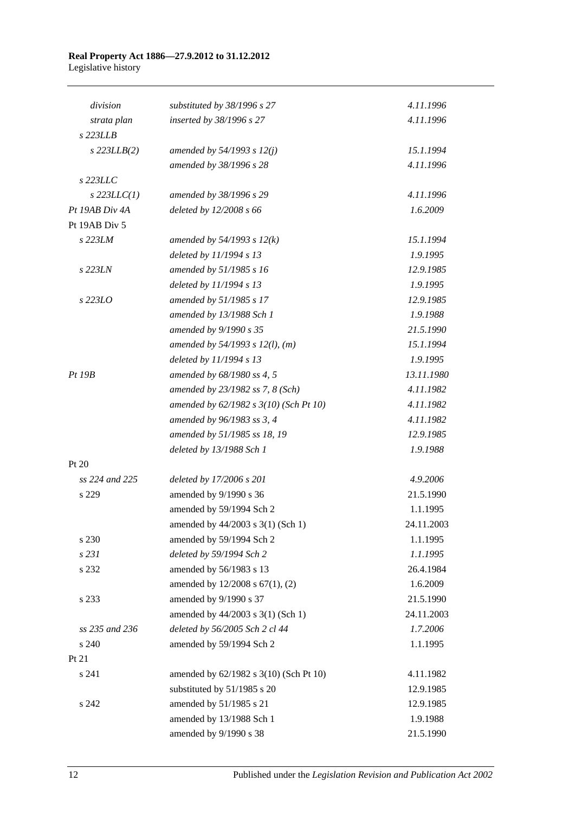#### **Real Property Act 1886—27.9.2012 to 31.12.2012** Legislative history

| division         | substituted by 38/1996 s 27            | 4.11.1996  |
|------------------|----------------------------------------|------------|
| strata plan      | inserted by 38/1996 s 27               | 4.11.1996  |
| s 223LLB         |                                        |            |
| $s$ 223LLB $(2)$ | amended by $54/1993 s 12(j)$           | 15.1.1994  |
|                  | amended by 38/1996 s 28                | 4.11.1996  |
| s 223LLC         |                                        |            |
| $s$ 223LLC(1)    | amended by 38/1996 s 29                | 4.11.1996  |
| Pt 19AB Div 4A   | deleted by 12/2008 s 66                | 1.6.2009   |
| Pt 19AB Div 5    |                                        |            |
| s 223LM          | amended by $54/1993$ s $12(k)$         | 15.1.1994  |
|                  | deleted by 11/1994 s 13                | 1.9.1995   |
| s 223LN          | amended by 51/1985 s 16                | 12.9.1985  |
|                  | deleted by 11/1994 s 13                | 1.9.1995   |
| s 223LO          | amended by 51/1985 s 17                | 12.9.1985  |
|                  | amended by 13/1988 Sch 1               | 1.9.1988   |
|                  | amended by 9/1990 s 35                 | 21.5.1990  |
|                  | amended by $54/1993$ s $12(l)$ , (m)   | 15.1.1994  |
|                  | deleted by 11/1994 s 13                | 1.9.1995   |
| Pt~19B           | amended by 68/1980 ss 4, 5             | 13.11.1980 |
|                  | amended by 23/1982 ss 7, 8 (Sch)       | 4.11.1982  |
|                  | amended by 62/1982 s 3(10) (Sch Pt 10) | 4.11.1982  |
|                  | amended by 96/1983 ss 3, 4             | 4.11.1982  |
|                  | amended by 51/1985 ss 18, 19           | 12.9.1985  |
|                  | deleted by 13/1988 Sch 1               | 1.9.1988   |
| Pt 20            |                                        |            |
| ss 224 and 225   | deleted by 17/2006 s 201               | 4.9.2006   |
| s 229            | amended by 9/1990 s 36                 | 21.5.1990  |
|                  | amended by 59/1994 Sch 2               | 1.1.1995   |
|                  | amended by $44/2003$ s 3(1) (Sch 1)    | 24.11.2003 |
| s 230            | amended by 59/1994 Sch 2               | 1.1.1995   |
| s 231            | deleted by 59/1994 Sch 2               | 1.1.1995   |
| s 232            | amended by 56/1983 s 13                | 26.4.1984  |
|                  | amended by 12/2008 s 67(1), (2)        | 1.6.2009   |
| s 233            | amended by 9/1990 s 37                 | 21.5.1990  |
|                  | amended by 44/2003 s 3(1) (Sch 1)      | 24.11.2003 |
| ss 235 and 236   | deleted by 56/2005 Sch 2 cl 44         | 1.7.2006   |
| s 240            | amended by 59/1994 Sch 2               | 1.1.1995   |
| Pt 21            |                                        |            |
| s 241            | amended by 62/1982 s 3(10) (Sch Pt 10) | 4.11.1982  |
|                  | substituted by 51/1985 s 20            | 12.9.1985  |
| s 242            | amended by 51/1985 s 21                | 12.9.1985  |
|                  | amended by 13/1988 Sch 1               | 1.9.1988   |
|                  | amended by 9/1990 s 38                 | 21.5.1990  |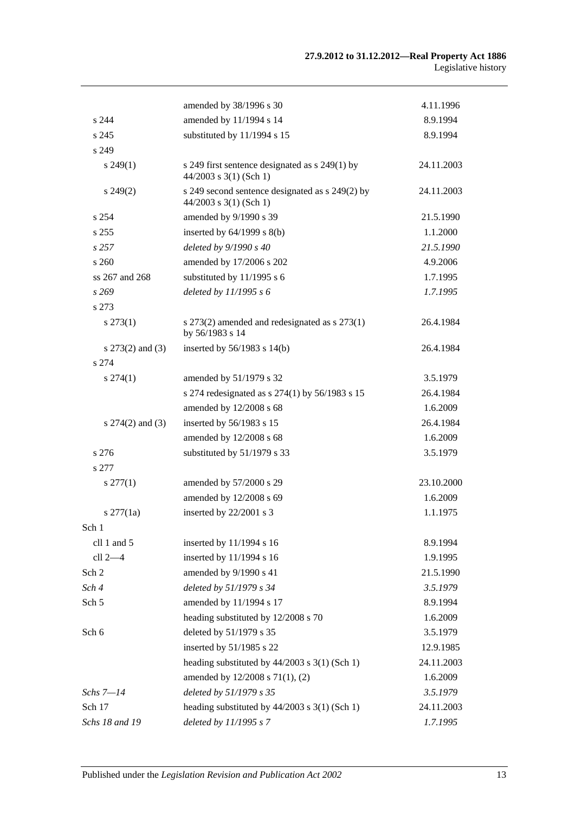|                      | amended by 38/1996 s 30                                                     | 4.11.1996  |
|----------------------|-----------------------------------------------------------------------------|------------|
| s 244                | amended by 11/1994 s 14                                                     | 8.9.1994   |
| s 245                | substituted by 11/1994 s 15                                                 | 8.9.1994   |
| s 249                |                                                                             |            |
| $s\,249(1)$          | s 249 first sentence designated as s 249(1) by<br>$44/2003$ s 3(1) (Sch 1)  | 24.11.2003 |
| $s\,249(2)$          | s 249 second sentence designated as s 249(2) by<br>$44/2003$ s 3(1) (Sch 1) | 24.11.2003 |
| s 254                | amended by 9/1990 s 39                                                      | 21.5.1990  |
| s 255                | inserted by $64/1999$ s $8(b)$                                              | 1.1.2000   |
| s257                 | deleted by 9/1990 s 40                                                      | 21.5.1990  |
| s260                 | amended by 17/2006 s 202                                                    | 4.9.2006   |
| ss 267 and 268       | substituted by $11/1995$ s 6                                                | 1.7.1995   |
| s269                 | deleted by 11/1995 s 6                                                      | 1.7.1995   |
| s 273                |                                                                             |            |
| $s\,273(1)$          | s 273(2) amended and redesignated as s 273(1)<br>by 56/1983 s 14            | 26.4.1984  |
| s $273(2)$ and $(3)$ | inserted by $56/1983$ s $14(b)$                                             | 26.4.1984  |
| s 274                |                                                                             |            |
| $s\,274(1)$          | amended by 51/1979 s 32                                                     | 3.5.1979   |
|                      | s 274 redesignated as s 274(1) by 56/1983 s 15                              | 26.4.1984  |
|                      | amended by 12/2008 s 68                                                     | 1.6.2009   |
| s $274(2)$ and $(3)$ | inserted by 56/1983 s 15                                                    | 26.4.1984  |
|                      | amended by 12/2008 s 68                                                     | 1.6.2009   |
| s 276                | substituted by 51/1979 s 33                                                 | 3.5.1979   |
| s 277                |                                                                             |            |
| $s \, 277(1)$        | amended by 57/2000 s 29                                                     | 23.10.2000 |
|                      | amended by 12/2008 s 69                                                     | 1.6.2009   |
| $s \frac{277}{1a}$   | inserted by 22/2001 s 3                                                     | 1.1.1975   |
| Sch 1                |                                                                             |            |
| cll 1 and 5          | inserted by 11/1994 s 16                                                    | 8.9.1994   |
| cll 2-4              | inserted by 11/1994 s 16                                                    | 1.9.1995   |
| Sch 2                | amended by 9/1990 s 41                                                      | 21.5.1990  |
| Sch 4                | deleted by 51/1979 s 34                                                     | 3.5.1979   |
| Sch 5                | amended by 11/1994 s 17                                                     | 8.9.1994   |
|                      | heading substituted by 12/2008 s 70                                         | 1.6.2009   |
| Sch 6                | deleted by 51/1979 s 35                                                     | 3.5.1979   |
|                      | inserted by 51/1985 s 22                                                    | 12.9.1985  |
|                      | heading substituted by $44/2003$ s 3(1) (Sch 1)                             | 24.11.2003 |
|                      | amended by 12/2008 s 71(1), (2)                                             | 1.6.2009   |
| Schs 7—14            | deleted by 51/1979 s 35                                                     | 3.5.1979   |
| Sch 17               | heading substituted by 44/2003 s 3(1) (Sch 1)                               | 24.11.2003 |
| Schs 18 and 19       | deleted by 11/1995 s 7                                                      | 1.7.1995   |